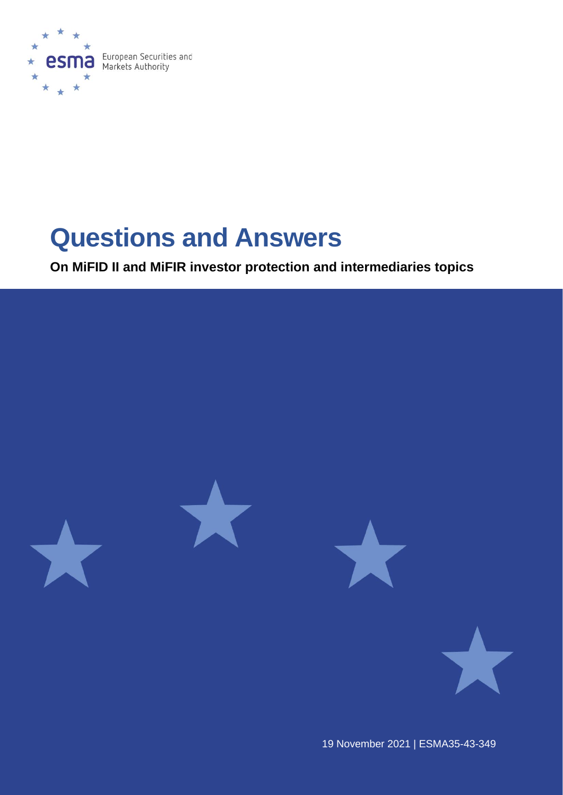

# **Questions and Answers**

**On MiFID II and MiFIR investor protection and intermediaries topics**



19 November 2021 | ESMA35-43-349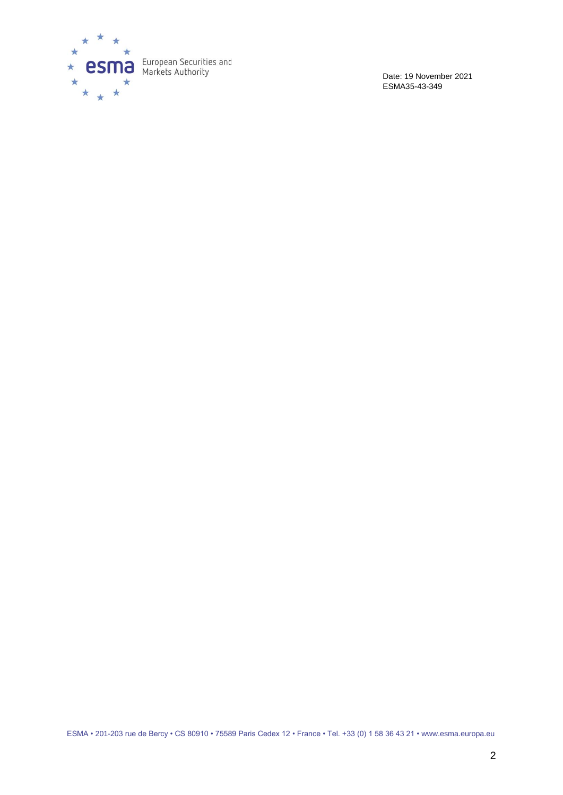

Date: 19 November 2021 ESMA35-43-349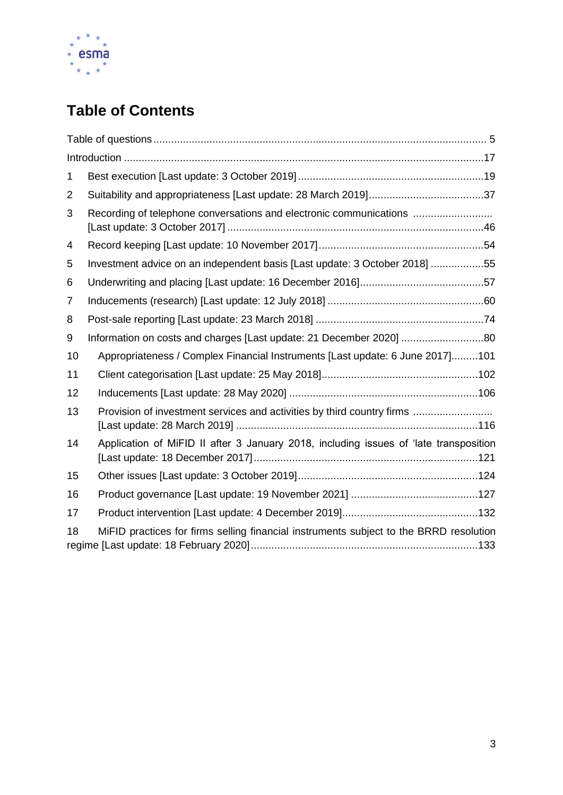

# **Table of Contents**

| 1  |                                                                                        |
|----|----------------------------------------------------------------------------------------|
| 2  |                                                                                        |
| 3  | Recording of telephone conversations and electronic communications                     |
| 4  |                                                                                        |
| 5  | Investment advice on an independent basis [Last update: 3 October 2018] 55             |
| 6  |                                                                                        |
| 7  |                                                                                        |
| 8  |                                                                                        |
| 9  | Information on costs and charges [Last update: 21 December 2020] 80                    |
| 10 | Appropriateness / Complex Financial Instruments [Last update: 6 June 2017]101          |
| 11 |                                                                                        |
| 12 |                                                                                        |
| 13 | Provision of investment services and activities by third country firms                 |
| 14 | Application of MiFID II after 3 January 2018, including issues of 'late transposition  |
| 15 |                                                                                        |
| 16 |                                                                                        |
| 17 |                                                                                        |
| 18 | MiFID practices for firms selling financial instruments subject to the BRRD resolution |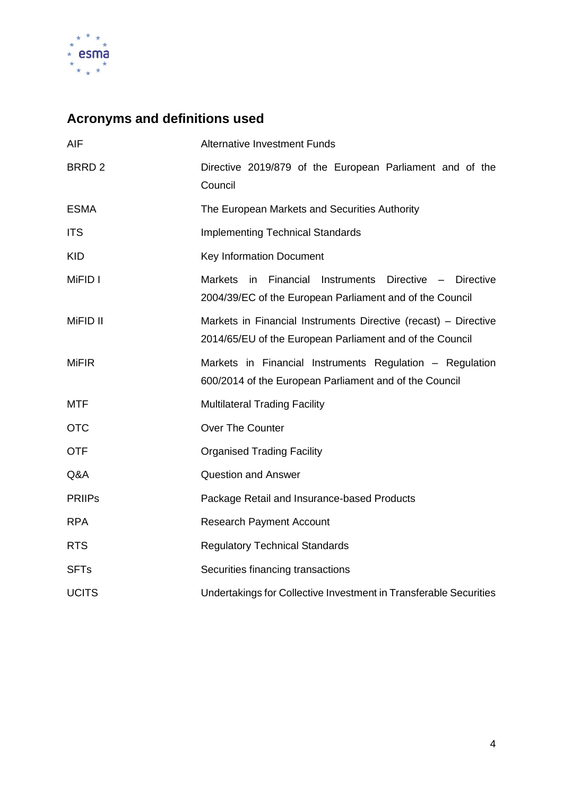

# **Acronyms and definitions used**

| <b>AIF</b>        | <b>Alternative Investment Funds</b>                                                                                                |  |  |  |
|-------------------|------------------------------------------------------------------------------------------------------------------------------------|--|--|--|
| BRRD <sub>2</sub> | Directive 2019/879 of the European Parliament and of the<br>Council                                                                |  |  |  |
| <b>ESMA</b>       | The European Markets and Securities Authority                                                                                      |  |  |  |
| <b>ITS</b>        | <b>Implementing Technical Standards</b>                                                                                            |  |  |  |
| <b>KID</b>        | <b>Key Information Document</b>                                                                                                    |  |  |  |
| MiFID I           | <b>Markets</b><br>in<br>Financial Instruments<br>Directive - Directive<br>2004/39/EC of the European Parliament and of the Council |  |  |  |
| MiFID II          | Markets in Financial Instruments Directive (recast) - Directive<br>2014/65/EU of the European Parliament and of the Council        |  |  |  |
| <b>MiFIR</b>      | Markets in Financial Instruments Regulation - Regulation<br>600/2014 of the European Parliament and of the Council                 |  |  |  |
| <b>MTF</b>        | <b>Multilateral Trading Facility</b>                                                                                               |  |  |  |
| <b>OTC</b>        | Over The Counter                                                                                                                   |  |  |  |
| <b>OTF</b>        | <b>Organised Trading Facility</b>                                                                                                  |  |  |  |
| Q&A               | <b>Question and Answer</b>                                                                                                         |  |  |  |
| <b>PRIIPS</b>     | Package Retail and Insurance-based Products                                                                                        |  |  |  |
| <b>RPA</b>        | <b>Research Payment Account</b>                                                                                                    |  |  |  |
| <b>RTS</b>        | <b>Regulatory Technical Standards</b>                                                                                              |  |  |  |
| <b>SFTs</b>       | Securities financing transactions                                                                                                  |  |  |  |
| <b>UCITS</b>      | Undertakings for Collective Investment in Transferable Securities                                                                  |  |  |  |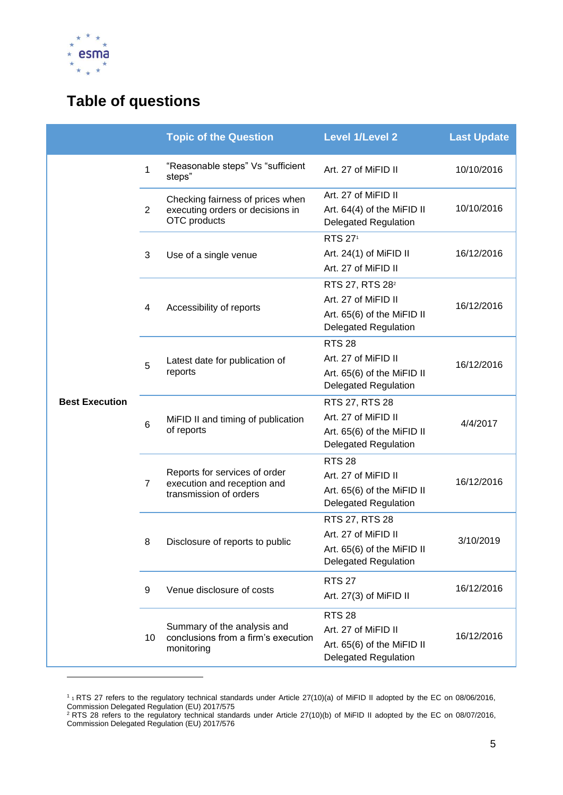

# <span id="page-4-0"></span>**Table of questions**

|                       |                | <b>Topic of the Question</b>                                                           | <b>Level 1/Level 2</b>                                                                                          | <b>Last Update</b> |
|-----------------------|----------------|----------------------------------------------------------------------------------------|-----------------------------------------------------------------------------------------------------------------|--------------------|
|                       | $\mathbf{1}$   | "Reasonable steps" Vs "sufficient<br>steps"                                            | Art. 27 of MiFID II                                                                                             | 10/10/2016         |
|                       | $\overline{2}$ | Checking fairness of prices when<br>executing orders or decisions in<br>OTC products   | Art. 27 of MiFID II<br>Art. 64(4) of the MiFID II<br><b>Delegated Regulation</b>                                | 10/10/2016         |
|                       | 3              | Use of a single venue                                                                  | <b>RTS 271</b><br>Art. $24(1)$ of MiFID II<br>Art. 27 of MiFID II                                               | 16/12/2016         |
|                       | 4              | Accessibility of reports                                                               | RTS 27, RTS 28 <sup>2</sup><br>Art. 27 of MiFID II<br>Art. 65(6) of the MiFID II<br><b>Delegated Regulation</b> | 16/12/2016         |
|                       | 5              | Latest date for publication of<br>reports                                              | <b>RTS 28</b><br>Art. 27 of MiFID II<br>Art. 65(6) of the MiFID II<br><b>Delegated Regulation</b>               | 16/12/2016         |
| <b>Best Execution</b> | 6              | MiFID II and timing of publication<br>of reports                                       | RTS 27, RTS 28<br>Art. 27 of MiFID II<br>Art. 65(6) of the MiFID II<br><b>Delegated Regulation</b>              | 4/4/2017           |
|                       | $\overline{7}$ | Reports for services of order<br>execution and reception and<br>transmission of orders | <b>RTS 28</b><br>Art. 27 of MiFID II<br>Art. 65(6) of the MiFID II<br><b>Delegated Regulation</b>               | 16/12/2016         |
|                       | 8              | Disclosure of reports to public                                                        | RTS 27, RTS 28<br>Art. 27 of MiFID II<br>Art. 65(6) of the MiFID II<br><b>Delegated Regulation</b>              | 3/10/2019          |
|                       | 9              | Venue disclosure of costs                                                              | <b>RTS 27</b><br>Art. 27(3) of MiFID II                                                                         | 16/12/2016         |
|                       | 10             | Summary of the analysis and<br>conclusions from a firm's execution<br>monitoring       | <b>RTS 28</b><br>Art. 27 of MiFID II<br>Art. 65(6) of the MiFID II<br><b>Delegated Regulation</b>               | 16/12/2016         |

<sup>&</sup>lt;sup>1</sup><sup>1</sup> RTS 27 refers to the regulatory technical standards under Article 27(10)(a) of MiFID II adopted by the EC on 08/06/2016, Commission Delegated Regulation (EU) 2017/575

 $2$  RTS 28 refers to the regulatory technical standards under Article 27(10)(b) of MiFID II adopted by the EC on 08/07/2016, Commission Delegated Regulation (EU) 2017/576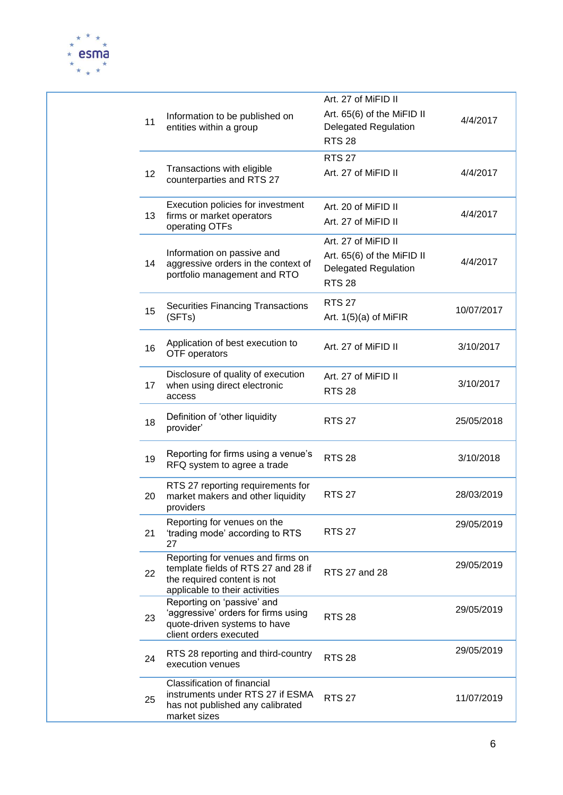

|  | 11              | Information to be published on<br>entities within a group                                                                                 | Art. 27 of MiFID II<br>Art. 65(6) of the MiFID II<br><b>Delegated Regulation</b><br><b>RTS 28</b> | 4/4/2017   |
|--|-----------------|-------------------------------------------------------------------------------------------------------------------------------------------|---------------------------------------------------------------------------------------------------|------------|
|  | 12 <sup>2</sup> | Transactions with eligible<br>counterparties and RTS 27                                                                                   | <b>RTS 27</b><br>Art. 27 of MiFID II                                                              | 4/4/2017   |
|  | 13              | Execution policies for investment<br>firms or market operators<br>operating OTFs                                                          | Art. 20 of MiFID II<br>Art. 27 of MiFID II                                                        | 4/4/2017   |
|  | 14              | Information on passive and<br>aggressive orders in the context of<br>portfolio management and RTO                                         | Art. 27 of MiFID II<br>Art. 65(6) of the MiFID II<br><b>Delegated Regulation</b><br><b>RTS 28</b> | 4/4/2017   |
|  | 15              | <b>Securities Financing Transactions</b><br>(SFTs)                                                                                        | <b>RTS 27</b><br>Art. $1(5)(a)$ of MiFIR                                                          | 10/07/2017 |
|  | 16              | Application of best execution to<br>OTF operators                                                                                         | Art. 27 of MiFID II                                                                               | 3/10/2017  |
|  | 17              | Disclosure of quality of execution<br>when using direct electronic<br>access                                                              | Art. 27 of MiFID II<br><b>RTS 28</b>                                                              | 3/10/2017  |
|  | 18              | Definition of 'other liquidity<br>provider'                                                                                               | <b>RTS 27</b>                                                                                     | 25/05/2018 |
|  | 19              | Reporting for firms using a venue's<br>RFQ system to agree a trade                                                                        | <b>RTS 28</b>                                                                                     | 3/10/2018  |
|  | 20              | RTS 27 reporting requirements for<br>market makers and other liquidity<br>providers                                                       | <b>RTS 27</b>                                                                                     | 28/03/2019 |
|  | 21              | Reporting for venues on the<br>'trading mode' according to RTS<br>27                                                                      | <b>RTS 27</b>                                                                                     | 29/05/2019 |
|  | 22              | Reporting for venues and firms on<br>template fields of RTS 27 and 28 if<br>the required content is not<br>applicable to their activities | RTS 27 and 28                                                                                     | 29/05/2019 |
|  | 23              | Reporting on 'passive' and<br>'aggressive' orders for firms using<br>quote-driven systems to have<br>client orders executed               | <b>RTS 28</b>                                                                                     | 29/05/2019 |
|  | 24              | RTS 28 reporting and third-country<br>execution venues                                                                                    | <b>RTS 28</b>                                                                                     | 29/05/2019 |
|  | 25              | <b>Classification of financial</b><br>instruments under RTS 27 if ESMA<br>has not published any calibrated<br>market sizes                | <b>RTS 27</b>                                                                                     | 11/07/2019 |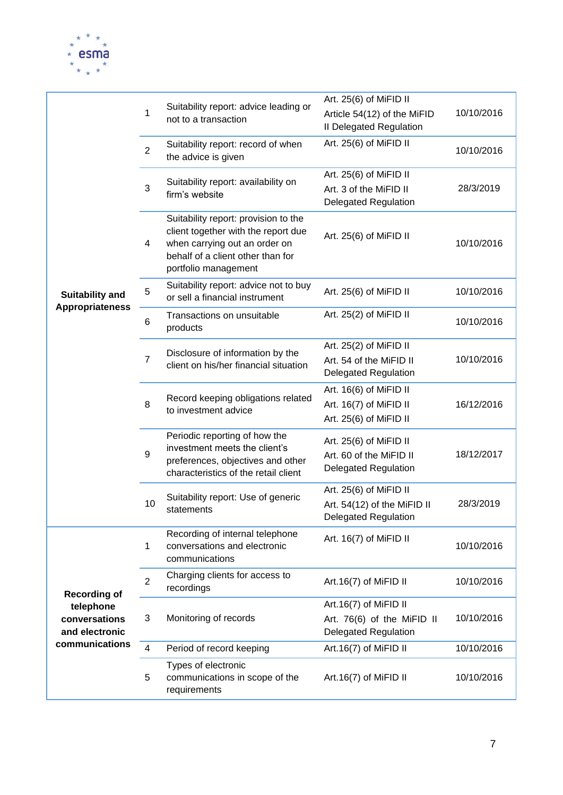

|                                                  | 1              | Suitability report: advice leading or<br>not to a transaction                                                                                                             | Art. 25(6) of MiFID II<br>Article 54(12) of the MiFID<br>Il Delegated Regulation     | 10/10/2016 |
|--------------------------------------------------|----------------|---------------------------------------------------------------------------------------------------------------------------------------------------------------------------|--------------------------------------------------------------------------------------|------------|
|                                                  | 2              | Suitability report: record of when<br>the advice is given                                                                                                                 | Art. 25(6) of MiFID II                                                               | 10/10/2016 |
|                                                  | 3              | Suitability report: availability on<br>firm's website                                                                                                                     | Art. 25(6) of MiFID II<br>Art. 3 of the MiFID II<br><b>Delegated Regulation</b>      | 28/3/2019  |
|                                                  | 4              | Suitability report: provision to the<br>client together with the report due<br>when carrying out an order on<br>behalf of a client other than for<br>portfolio management | Art. 25(6) of MiFID II                                                               | 10/10/2016 |
| <b>Suitability and</b><br><b>Appropriateness</b> | 5              | Suitability report: advice not to buy<br>or sell a financial instrument                                                                                                   | Art. 25(6) of MiFID II                                                               | 10/10/2016 |
|                                                  | 6              | Transactions on unsuitable<br>products                                                                                                                                    | Art. 25(2) of MiFID II                                                               | 10/10/2016 |
|                                                  | $\overline{7}$ | Disclosure of information by the<br>client on his/her financial situation                                                                                                 | Art. 25(2) of MiFID II<br>Art. 54 of the MiFID II<br><b>Delegated Regulation</b>     | 10/10/2016 |
|                                                  | 8              | Record keeping obligations related<br>to investment advice                                                                                                                | Art. 16(6) of MiFID II<br>Art. 16(7) of MiFID II<br>Art. 25(6) of MiFID II           | 16/12/2016 |
|                                                  | 9              | Periodic reporting of how the<br>investment meets the client's<br>preferences, objectives and other<br>characteristics of the retail client                               | Art. 25(6) of MiFID II<br>Art. 60 of the MiFID II<br><b>Delegated Regulation</b>     | 18/12/2017 |
|                                                  | 10             | Suitability report: Use of generic<br>statements                                                                                                                          | Art. 25(6) of MiFID II<br>Art. 54(12) of the MiFID II<br><b>Delegated Regulation</b> | 28/3/2019  |
|                                                  | 1              | Recording of internal telephone<br>conversations and electronic<br>communications                                                                                         | Art. 16(7) of MiFID II                                                               | 10/10/2016 |
| <b>Recording of</b>                              | 2              | Charging clients for access to<br>recordings                                                                                                                              | Art.16(7) of MiFID II                                                                | 10/10/2016 |
| telephone<br>conversations<br>and electronic     | 3              | Monitoring of records                                                                                                                                                     | Art.16(7) of MiFID II<br>Art. 76(6) of the MiFID II<br><b>Delegated Regulation</b>   | 10/10/2016 |
| communications                                   | $\overline{4}$ | Period of record keeping                                                                                                                                                  | Art.16(7) of MiFID II                                                                | 10/10/2016 |
|                                                  | 5              | Types of electronic<br>communications in scope of the<br>requirements                                                                                                     | Art.16(7) of MiFID II                                                                | 10/10/2016 |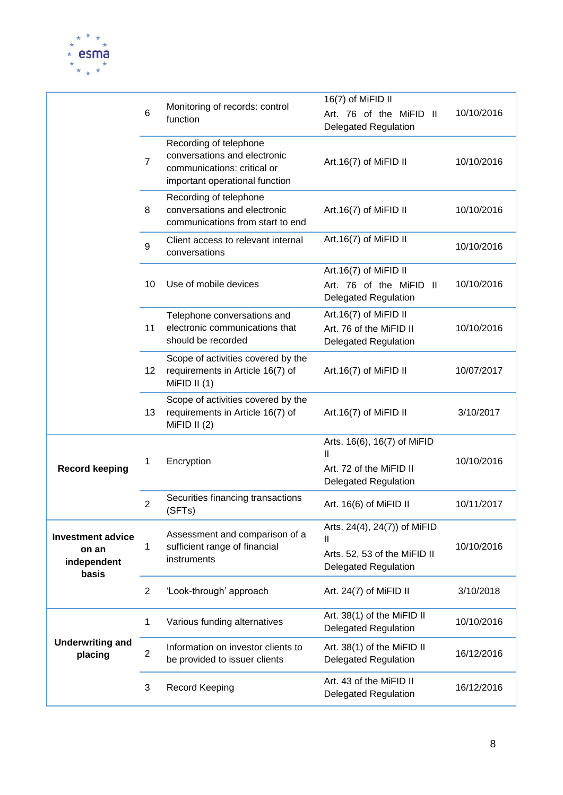

|                                                           | 6              | Monitoring of records: control<br>function                                                                              | 16(7) of MiFID II<br>Art. 76 of the MiFID II<br><b>Delegated Regulation</b>                      | 10/10/2016 |
|-----------------------------------------------------------|----------------|-------------------------------------------------------------------------------------------------------------------------|--------------------------------------------------------------------------------------------------|------------|
|                                                           | $\overline{7}$ | Recording of telephone<br>conversations and electronic<br>communications: critical or<br>important operational function | Art.16(7) of MiFID II                                                                            | 10/10/2016 |
|                                                           | 8              | Recording of telephone<br>conversations and electronic<br>communications from start to end                              | Art.16(7) of MiFID II                                                                            | 10/10/2016 |
|                                                           | 9              | Client access to relevant internal<br>conversations                                                                     | Art.16(7) of MiFID II                                                                            | 10/10/2016 |
|                                                           | 10             | Use of mobile devices                                                                                                   | Art.16(7) of MiFID II<br>Art. 76 of the MiFID II<br><b>Delegated Regulation</b>                  | 10/10/2016 |
|                                                           | 11             | Telephone conversations and<br>electronic communications that<br>should be recorded                                     | Art.16(7) of MiFID II<br>Art. 76 of the MiFID II<br><b>Delegated Regulation</b>                  | 10/10/2016 |
|                                                           | 12             | Scope of activities covered by the<br>requirements in Article 16(7) of<br>MiFID II $(1)$                                | Art.16(7) of MiFID II                                                                            | 10/07/2017 |
|                                                           | 13             | Scope of activities covered by the<br>requirements in Article 16(7) of<br>MiFID II $(2)$                                | Art.16(7) of MiFID II                                                                            | 3/10/2017  |
| <b>Record keeping</b>                                     | 1              | Encryption                                                                                                              | Arts. 16(6), 16(7) of MiFID<br>Ш<br>Art. 72 of the MiFID II<br><b>Delegated Regulation</b>       | 10/10/2016 |
|                                                           | $\overline{2}$ | Securities financing transactions<br>(SFTs)                                                                             | Art. 16(6) of MiFID II                                                                           | 10/11/2017 |
| <b>Investment advice</b><br>on an<br>independent<br>basis | 1              | Assessment and comparison of a<br>sufficient range of financial<br>instruments                                          | Arts. 24(4), 24(7)) of MiFID<br>Ш<br>Arts. 52, 53 of the MiFID II<br><b>Delegated Regulation</b> | 10/10/2016 |
|                                                           | $\overline{2}$ | 'Look-through' approach                                                                                                 | Art. 24(7) of MiFID II                                                                           | 3/10/2018  |
|                                                           | 1              | Various funding alternatives                                                                                            | Art. 38(1) of the MiFID II<br><b>Delegated Regulation</b>                                        | 10/10/2016 |
| <b>Underwriting and</b><br>placing                        | $\overline{2}$ | Information on investor clients to<br>be provided to issuer clients                                                     | Art. 38(1) of the MiFID II<br><b>Delegated Regulation</b>                                        | 16/12/2016 |
|                                                           | 3              | Record Keeping                                                                                                          | Art. 43 of the MiFID II<br><b>Delegated Regulation</b>                                           | 16/12/2016 |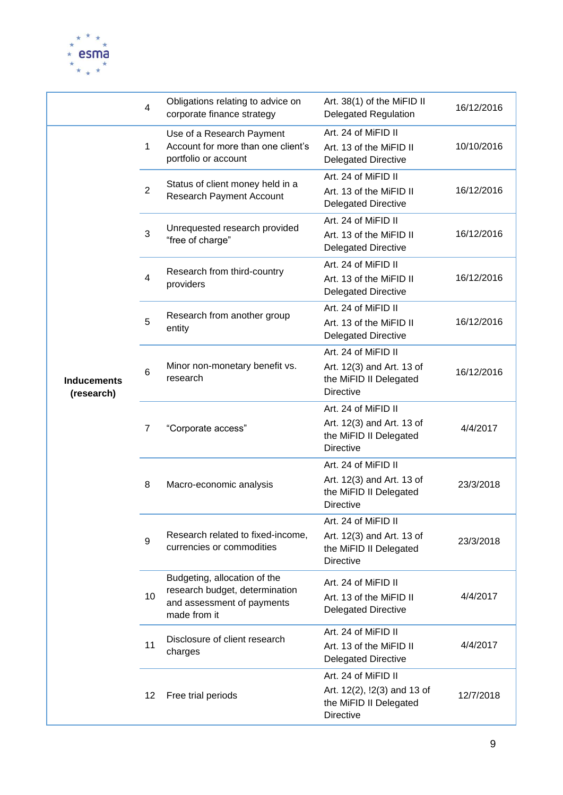

|                                  | $\overline{4}$ | Obligations relating to advice on<br>corporate finance strategy                                              | Art. 38(1) of the MiFID II<br><b>Delegated Regulation</b>                                        | 16/12/2016 |
|----------------------------------|----------------|--------------------------------------------------------------------------------------------------------------|--------------------------------------------------------------------------------------------------|------------|
|                                  | 1              | Use of a Research Payment<br>Account for more than one client's<br>portfolio or account                      | Art. 24 of MiFID II<br>Art. 13 of the MiFID II<br><b>Delegated Directive</b>                     | 10/10/2016 |
|                                  | $\overline{2}$ | Status of client money held in a<br><b>Research Payment Account</b>                                          | Art. 24 of MiFID II<br>Art. 13 of the MiFID II<br><b>Delegated Directive</b>                     | 16/12/2016 |
|                                  | 3              | Unrequested research provided<br>"free of charge"                                                            | Art. 24 of MiFID II<br>Art. 13 of the MiFID II<br><b>Delegated Directive</b>                     | 16/12/2016 |
|                                  | 4              | Research from third-country<br>providers                                                                     | Art. 24 of MiFID II<br>Art. 13 of the MiFID II<br><b>Delegated Directive</b>                     | 16/12/2016 |
|                                  | 5              | Research from another group<br>entity                                                                        | Art. 24 of MiFID II<br>Art. 13 of the MiFID II<br><b>Delegated Directive</b>                     | 16/12/2016 |
| <b>Inducements</b><br>(research) | 6              | Minor non-monetary benefit vs.<br>research                                                                   | Art. 24 of MiFID II<br>Art. 12(3) and Art. 13 of<br>the MiFID II Delegated<br><b>Directive</b>   | 16/12/2016 |
|                                  | 7              | "Corporate access"                                                                                           | Art. 24 of MiFID II<br>Art. 12(3) and Art. 13 of<br>the MiFID II Delegated<br><b>Directive</b>   | 4/4/2017   |
|                                  | 8              | Macro-economic analysis                                                                                      | Art. 24 of MiFID II<br>Art. 12(3) and Art. 13 of<br>the MiFID II Delegated<br><b>Directive</b>   | 23/3/2018  |
|                                  | 9              | Research related to fixed-income,<br>currencies or commodities                                               | Art. 24 of MiFID II<br>Art. 12(3) and Art. 13 of<br>the MiFID II Delegated<br><b>Directive</b>   | 23/3/2018  |
|                                  | 10             | Budgeting, allocation of the<br>research budget, determination<br>and assessment of payments<br>made from it | Art. 24 of MiFID II<br>Art. 13 of the MiFID II<br><b>Delegated Directive</b>                     | 4/4/2017   |
|                                  | 11             | Disclosure of client research<br>charges                                                                     | Art. 24 of MiFID II<br>Art. 13 of the MiFID II<br><b>Delegated Directive</b>                     | 4/4/2017   |
|                                  | 12             | Free trial periods                                                                                           | Art. 24 of MiFID II<br>Art. 12(2), !2(3) and 13 of<br>the MiFID II Delegated<br><b>Directive</b> | 12/7/2018  |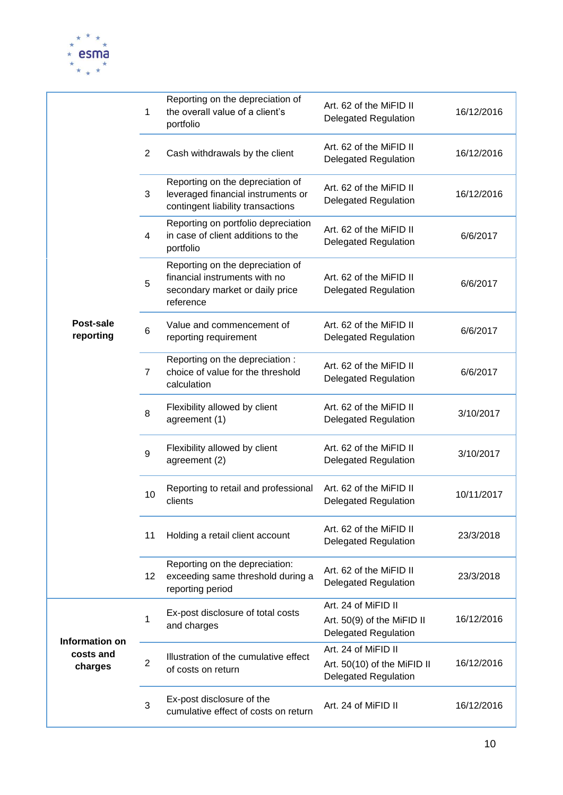

|                                        | 1              | Reporting on the depreciation of<br>the overall value of a client's<br>portfolio                                  | Art. 62 of the MiFID II<br><b>Delegated Regulation</b>                            | 16/12/2016 |
|----------------------------------------|----------------|-------------------------------------------------------------------------------------------------------------------|-----------------------------------------------------------------------------------|------------|
|                                        | $\overline{2}$ | Cash withdrawals by the client                                                                                    | Art. 62 of the MiFID II<br><b>Delegated Regulation</b>                            | 16/12/2016 |
|                                        | 3              | Reporting on the depreciation of<br>leveraged financial instruments or<br>contingent liability transactions       | Art. 62 of the MiFID II<br><b>Delegated Regulation</b>                            | 16/12/2016 |
|                                        | 4              | Reporting on portfolio depreciation<br>in case of client additions to the<br>portfolio                            | Art. 62 of the MiFID II<br><b>Delegated Regulation</b>                            | 6/6/2017   |
|                                        | 5              | Reporting on the depreciation of<br>financial instruments with no<br>secondary market or daily price<br>reference | Art. 62 of the MiFID II<br><b>Delegated Regulation</b>                            | 6/6/2017   |
| Post-sale<br>reporting                 | 6              | Value and commencement of<br>reporting requirement                                                                | Art. 62 of the MiFID II<br><b>Delegated Regulation</b>                            | 6/6/2017   |
|                                        | $\overline{7}$ | Reporting on the depreciation :<br>choice of value for the threshold<br>calculation                               | Art. 62 of the MiFID II<br><b>Delegated Regulation</b>                            | 6/6/2017   |
|                                        | 8              | Flexibility allowed by client<br>agreement (1)                                                                    | Art. 62 of the MiFID II<br><b>Delegated Regulation</b>                            | 3/10/2017  |
|                                        | 9              | Flexibility allowed by client<br>agreement (2)                                                                    | Art. 62 of the MiFID II<br><b>Delegated Regulation</b>                            | 3/10/2017  |
|                                        | 10             | Reporting to retail and professional<br>clients                                                                   | Art. 62 of the MiFID II<br><b>Delegated Regulation</b>                            | 10/11/2017 |
|                                        | 11             | Holding a retail client account                                                                                   | Art. 62 of the MiFID II<br><b>Delegated Regulation</b>                            | 23/3/2018  |
|                                        | 12             | Reporting on the depreciation:<br>exceeding same threshold during a<br>reporting period                           | Art. 62 of the MiFID II<br><b>Delegated Regulation</b>                            | 23/3/2018  |
|                                        | 1              | Ex-post disclosure of total costs<br>and charges                                                                  | Art. 24 of MiFID II<br>Art. 50(9) of the MiFID II<br><b>Delegated Regulation</b>  | 16/12/2016 |
| Information on<br>costs and<br>charges | $\overline{2}$ | Illustration of the cumulative effect<br>of costs on return                                                       | Art. 24 of MiFID II<br>Art. 50(10) of the MiFID II<br><b>Delegated Regulation</b> | 16/12/2016 |
|                                        | 3              | Ex-post disclosure of the<br>cumulative effect of costs on return                                                 | Art. 24 of MiFID II                                                               | 16/12/2016 |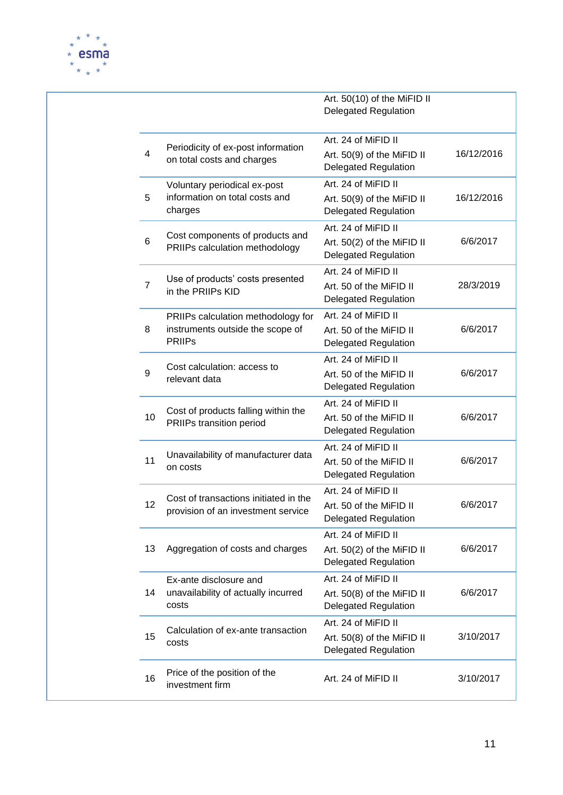

|                |                                                   | Art. 50(10) of the MiFID II<br><b>Delegated Regulation</b> |            |
|----------------|---------------------------------------------------|------------------------------------------------------------|------------|
|                | Periodicity of ex-post information                | Art. 24 of MiFID II                                        |            |
| 4              | on total costs and charges                        | Art. 50(9) of the MiFID II<br><b>Delegated Regulation</b>  | 16/12/2016 |
|                | Voluntary periodical ex-post                      | Art. 24 of MiFID II                                        |            |
| 5              | information on total costs and<br>charges         | Art. 50(9) of the MiFID II<br><b>Delegated Regulation</b>  | 16/12/2016 |
|                | Cost components of products and                   | Art. 24 of MiFID II                                        |            |
| 6              | PRIIPs calculation methodology                    | Art. 50(2) of the MiFID II<br><b>Delegated Regulation</b>  | 6/6/2017   |
|                | Use of products' costs presented                  | Art. 24 of MiFID II                                        |            |
| $\overline{7}$ | in the PRIIPs KID                                 | Art. 50 of the MiFID II<br><b>Delegated Regulation</b>     | 28/3/2019  |
|                | PRIIPs calculation methodology for                | Art. 24 of MiFID II                                        |            |
| 8              | instruments outside the scope of<br><b>PRIIPs</b> | Art. 50 of the MiFID II<br><b>Delegated Regulation</b>     | 6/6/2017   |
|                | Cost calculation: access to                       | Art. 24 of MiFID II                                        |            |
| 9              | relevant data                                     | Art. 50 of the MiFID II<br><b>Delegated Regulation</b>     | 6/6/2017   |
|                | Cost of products falling within the               | Art. 24 of MiFID II                                        |            |
| 10             | PRIIPs transition period                          | Art. 50 of the MiFID II                                    | 6/6/2017   |
|                |                                                   | <b>Delegated Regulation</b>                                |            |
| 11             | Unavailability of manufacturer data               | Art. 24 of MiFID II<br>Art. 50 of the MiFID II             | 6/6/2017   |
|                | on costs                                          | <b>Delegated Regulation</b>                                |            |
|                | Cost of transactions initiated in the             | Art. 24 of MiFID II                                        |            |
| 12             | provision of an investment service                | Art. 50 of the MiFID II                                    | 6/6/2017   |
|                |                                                   | <b>Delegated Regulation</b>                                |            |
|                |                                                   | Art. 24 of MiFID II                                        |            |
| 13             | Aggregation of costs and charges                  | Art. 50(2) of the MiFID II<br><b>Delegated Regulation</b>  | 6/6/2017   |
|                | Ex-ante disclosure and                            | Art. 24 of MiFID II                                        |            |
| 14             | unavailability of actually incurred               | Art. 50(8) of the MiFID II                                 | 6/6/2017   |
|                | costs                                             | <b>Delegated Regulation</b>                                |            |
| 15             | Calculation of ex-ante transaction                | Art. 24 of MiFID II                                        | 3/10/2017  |
|                | costs                                             | Art. 50(8) of the MiFID II<br><b>Delegated Regulation</b>  |            |
| 16             | Price of the position of the<br>investment firm   | Art. 24 of MiFID II                                        | 3/10/2017  |
|                |                                                   |                                                            |            |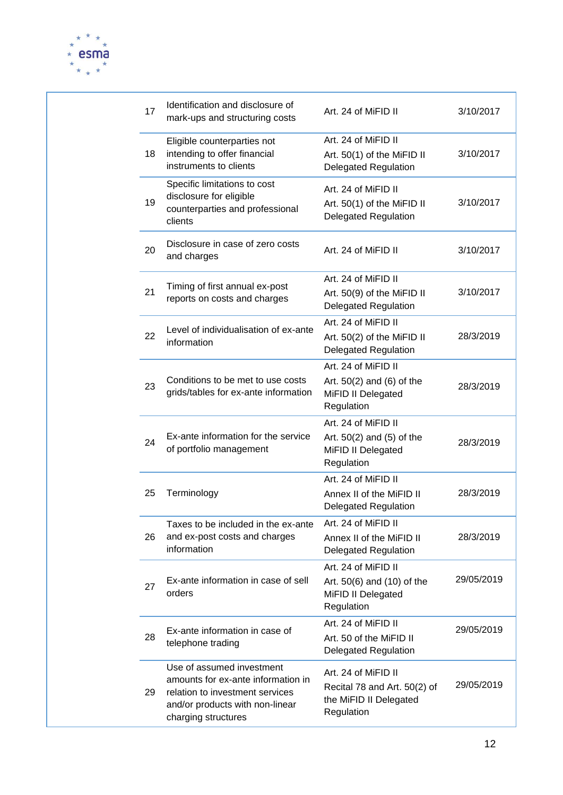

|  | 17       | Identification and disclosure of<br>mark-ups and structuring costs                                                                                           | Art. 24 of MiFID II                                                                         | 3/10/2017  |
|--|----------|--------------------------------------------------------------------------------------------------------------------------------------------------------------|---------------------------------------------------------------------------------------------|------------|
|  | 18       | Eligible counterparties not<br>intending to offer financial<br>instruments to clients                                                                        | Art. 24 of MiFID II<br>Art. 50(1) of the MiFID II<br><b>Delegated Regulation</b>            | 3/10/2017  |
|  | 19       | Specific limitations to cost<br>disclosure for eligible<br>counterparties and professional<br>clients                                                        | Art. 24 of MiFID II<br>Art. 50(1) of the MiFID II<br><b>Delegated Regulation</b>            | 3/10/2017  |
|  | 20       | Disclosure in case of zero costs<br>and charges                                                                                                              | Art. 24 of MiFID II                                                                         | 3/10/2017  |
|  | 21       | Timing of first annual ex-post<br>reports on costs and charges                                                                                               | Art. 24 of MiFID II<br>Art. 50(9) of the MiFID II<br><b>Delegated Regulation</b>            | 3/10/2017  |
|  | 22       | Level of individualisation of ex-ante<br>information                                                                                                         | Art. 24 of MiFID II<br>Art. 50(2) of the MiFID II<br><b>Delegated Regulation</b>            | 28/3/2019  |
|  | 23<br>24 | Conditions to be met to use costs<br>grids/tables for ex-ante information                                                                                    | Art. 24 of MiFID II<br>Art. $50(2)$ and $(6)$ of the<br>MiFID II Delegated<br>Regulation    | 28/3/2019  |
|  |          | Ex-ante information for the service<br>of portfolio management                                                                                               | Art. 24 of MiFID II<br>Art. $50(2)$ and $(5)$ of the<br>MiFID II Delegated<br>Regulation    | 28/3/2019  |
|  | 25       | Terminology                                                                                                                                                  | Art. 24 of MiFID II<br>Annex II of the MiFID II<br><b>Delegated Regulation</b>              | 28/3/2019  |
|  | 26       | Taxes to be included in the ex-ante<br>and ex-post costs and charges<br>information                                                                          | Art. 24 of MiFID II<br>Annex II of the MiFID II<br><b>Delegated Regulation</b>              | 28/3/2019  |
|  | 27       | Ex-ante information in case of sell<br>orders                                                                                                                | Art. 24 of MiFID II<br>Art. $50(6)$ and $(10)$ of the<br>MiFID II Delegated<br>Regulation   | 29/05/2019 |
|  | 28       | Ex-ante information in case of<br>telephone trading                                                                                                          | Art. 24 of MiFID II<br>Art. 50 of the MiFID II<br><b>Delegated Regulation</b>               | 29/05/2019 |
|  | 29       | Use of assumed investment<br>amounts for ex-ante information in<br>relation to investment services<br>and/or products with non-linear<br>charging structures | Art. 24 of MiFID II<br>Recital 78 and Art. 50(2) of<br>the MiFID II Delegated<br>Regulation | 29/05/2019 |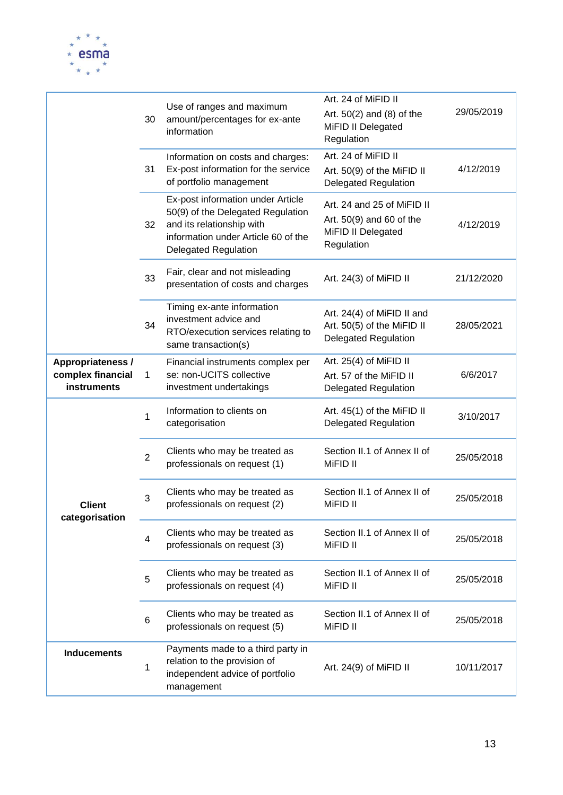

|                                                       | 30                      | Use of ranges and maximum<br>amount/percentages for ex-ante<br>information                                                                                                | Art. 24 of MiFID II<br>Art. $50(2)$ and $(8)$ of the<br>MiFID II Delegated<br>Regulation   | 29/05/2019 |
|-------------------------------------------------------|-------------------------|---------------------------------------------------------------------------------------------------------------------------------------------------------------------------|--------------------------------------------------------------------------------------------|------------|
|                                                       | 31                      | Information on costs and charges:<br>Ex-post information for the service<br>of portfolio management                                                                       | Art. 24 of MiFID II<br>Art. 50(9) of the MiFID II<br><b>Delegated Regulation</b>           | 4/12/2019  |
|                                                       | 32                      | Ex-post information under Article<br>50(9) of the Delegated Regulation<br>and its relationship with<br>information under Article 60 of the<br><b>Delegated Regulation</b> | Art. 24 and 25 of MiFID II<br>Art. 50(9) and 60 of the<br>MiFID II Delegated<br>Regulation | 4/12/2019  |
|                                                       | 33                      | Fair, clear and not misleading<br>presentation of costs and charges                                                                                                       | Art. 24(3) of MiFID II                                                                     | 21/12/2020 |
|                                                       | 34                      | Timing ex-ante information<br>investment advice and<br>RTO/execution services relating to<br>same transaction(s)                                                          | Art. 24(4) of MiFID II and<br>Art. 50(5) of the MiFID II<br><b>Delegated Regulation</b>    | 28/05/2021 |
| Appropriateness /<br>complex financial<br>instruments | 1                       | Financial instruments complex per<br>se: non-UCITS collective<br>investment undertakings                                                                                  | Art. 25(4) of MiFID II<br>Art. 57 of the MiFID II<br><b>Delegated Regulation</b>           | 6/6/2017   |
|                                                       | 1                       | Information to clients on<br>categorisation                                                                                                                               | Art. 45(1) of the MiFID II<br><b>Delegated Regulation</b>                                  | 3/10/2017  |
|                                                       | $\overline{2}$          | Clients who may be treated as<br>professionals on request (1)                                                                                                             | Section II.1 of Annex II of<br>MiFID II                                                    | 25/05/2018 |
| <b>Client</b><br>categorisation                       | 3                       | Clients who may be treated as<br>professionals on request (2)                                                                                                             | Section II.1 of Annex II of<br>MiFID II                                                    | 25/05/2018 |
|                                                       | $\overline{\mathbf{4}}$ | Clients who may be treated as<br>professionals on request (3)                                                                                                             | Section II.1 of Annex II of<br>MiFID II                                                    | 25/05/2018 |
|                                                       | 5                       | Clients who may be treated as<br>professionals on request (4)                                                                                                             | Section II.1 of Annex II of<br>MiFID II                                                    | 25/05/2018 |
|                                                       | 6                       | Clients who may be treated as<br>professionals on request (5)                                                                                                             | Section II.1 of Annex II of<br>MiFID II                                                    | 25/05/2018 |
| <b>Inducements</b>                                    | 1                       | Payments made to a third party in<br>relation to the provision of<br>independent advice of portfolio<br>management                                                        | Art. 24(9) of MiFID II                                                                     | 10/11/2017 |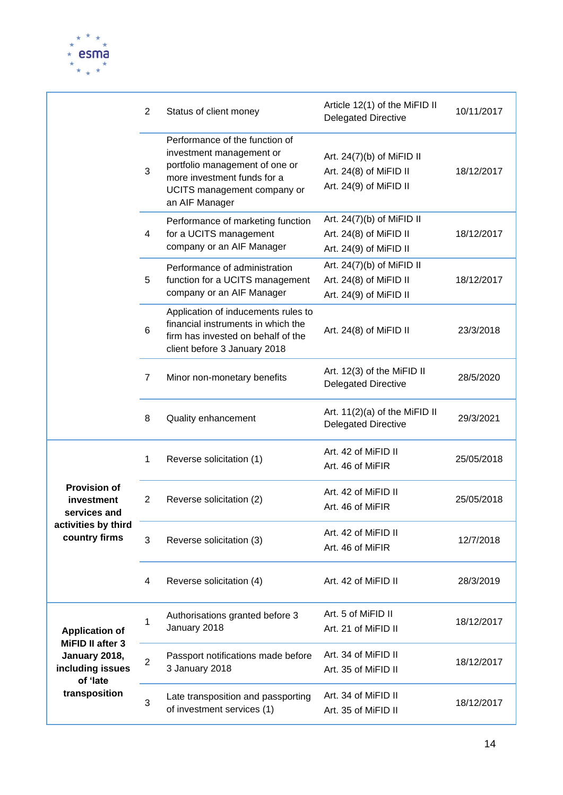

|                                                   | $\overline{2}$ | Status of client money                                                                                                                                                       | Article 12(1) of the MiFID II<br><b>Delegated Directive</b>                     | 10/11/2017 |
|---------------------------------------------------|----------------|------------------------------------------------------------------------------------------------------------------------------------------------------------------------------|---------------------------------------------------------------------------------|------------|
|                                                   | 3              | Performance of the function of<br>investment management or<br>portfolio management of one or<br>more investment funds for a<br>UCITS management company or<br>an AIF Manager | Art. $24(7)(b)$ of MiFID II<br>Art. 24(8) of MiFID II<br>Art. 24(9) of MiFID II | 18/12/2017 |
|                                                   | 4              | Performance of marketing function<br>for a UCITS management<br>company or an AIF Manager                                                                                     | Art. $24(7)(b)$ of MiFID II<br>Art. 24(8) of MiFID II<br>Art. 24(9) of MiFID II | 18/12/2017 |
|                                                   | 5              | Performance of administration<br>function for a UCITS management<br>company or an AIF Manager                                                                                | Art. $24(7)(b)$ of MiFID II<br>Art. 24(8) of MiFID II<br>Art. 24(9) of MiFID II | 18/12/2017 |
|                                                   | 6              | Application of inducements rules to<br>financial instruments in which the<br>firm has invested on behalf of the<br>client before 3 January 2018                              | Art. 24(8) of MiFID II                                                          | 23/3/2018  |
|                                                   | $\overline{7}$ | Minor non-monetary benefits                                                                                                                                                  | Art. 12(3) of the MiFID II<br><b>Delegated Directive</b>                        | 28/5/2020  |
|                                                   | 8              | Quality enhancement                                                                                                                                                          | Art. 11(2)(a) of the MiFID II<br><b>Delegated Directive</b>                     | 29/3/2021  |
|                                                   | 1              | Reverse solicitation (1)                                                                                                                                                     | Art. 42 of MiFID II<br>Art. 46 of MiFIR                                         | 25/05/2018 |
| <b>Provision of</b><br>investment<br>services and | 2              | Reverse solicitation (2)                                                                                                                                                     | Art. 42 of MiFID II<br>Art. 46 of MiFIR                                         | 25/05/2018 |
| activities by third<br>country firms              | 3              | Reverse solicitation (3)                                                                                                                                                     | Art. 42 of MiFID II<br>Art. 46 of MiFIR                                         | 12/7/2018  |
|                                                   | 4              | Reverse solicitation (4)                                                                                                                                                     | Art. 42 of MiFID II                                                             | 28/3/2019  |
| <b>Application of</b><br>MiFID II after 3         | 1              | Authorisations granted before 3<br>January 2018                                                                                                                              | Art. 5 of MiFID II<br>Art. 21 of MiFID II                                       | 18/12/2017 |
| January 2018,<br>including issues<br>of 'late     | $\overline{2}$ | Passport notifications made before<br>3 January 2018                                                                                                                         | Art. 34 of MiFID II<br>Art. 35 of MiFID II                                      | 18/12/2017 |
| transposition                                     | 3              | Late transposition and passporting<br>of investment services (1)                                                                                                             | Art. 34 of MiFID II<br>Art. 35 of MiFID II                                      | 18/12/2017 |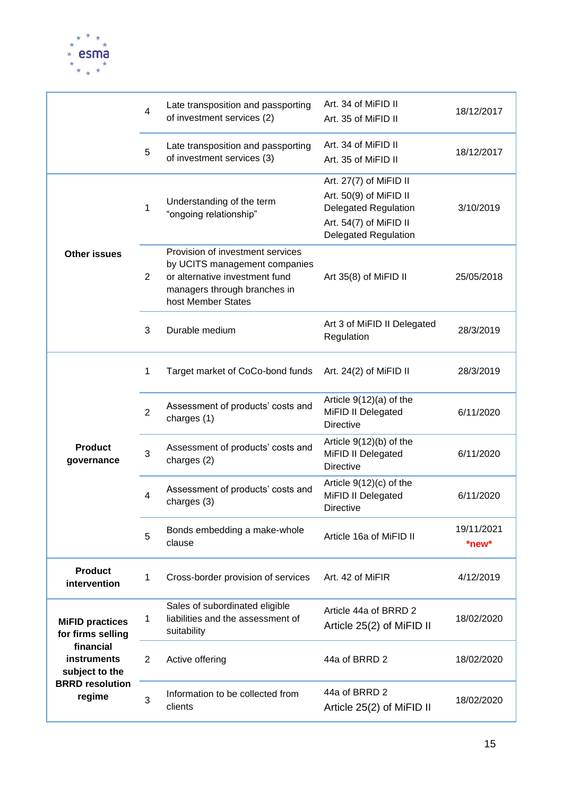

|                                                                                                                               | $\overline{4}$ | Late transposition and passporting<br>of investment services (2)                                                                                          | Art. 34 of MiFID II<br>Art. 35 of MiFID II                                                                                               | 18/12/2017          |
|-------------------------------------------------------------------------------------------------------------------------------|----------------|-----------------------------------------------------------------------------------------------------------------------------------------------------------|------------------------------------------------------------------------------------------------------------------------------------------|---------------------|
|                                                                                                                               | 5              | Late transposition and passporting<br>of investment services (3)                                                                                          | Art. 34 of MiFID II<br>Art. 35 of MiFID II                                                                                               | 18/12/2017          |
| <b>Other issues</b>                                                                                                           | 1              | Understanding of the term<br>"ongoing relationship"                                                                                                       | Art. 27(7) of MiFID II<br>Art. 50(9) of MiFID II<br><b>Delegated Regulation</b><br>Art. 54(7) of MiFID II<br><b>Delegated Regulation</b> | 3/10/2019           |
|                                                                                                                               | $\overline{2}$ | Provision of investment services<br>by UCITS management companies<br>or alternative investment fund<br>managers through branches in<br>host Member States | Art 35(8) of MiFID II                                                                                                                    | 25/05/2018          |
|                                                                                                                               | 3              | Durable medium                                                                                                                                            | Art 3 of MiFID II Delegated<br>Regulation                                                                                                | 28/3/2019           |
| <b>Product</b><br>governance                                                                                                  | 1              | Target market of CoCo-bond funds                                                                                                                          | Art. $24(2)$ of MiFID II                                                                                                                 | 28/3/2019           |
|                                                                                                                               | $\overline{2}$ | Assessment of products' costs and<br>charges (1)                                                                                                          | Article $9(12)(a)$ of the<br>MiFID II Delegated<br><b>Directive</b>                                                                      | 6/11/2020           |
|                                                                                                                               | 3              | Assessment of products' costs and<br>charges (2)                                                                                                          | Article $9(12)(b)$ of the<br>MiFID II Delegated<br><b>Directive</b>                                                                      | 6/11/2020           |
|                                                                                                                               | 4              | Assessment of products' costs and<br>charges (3)                                                                                                          | Article $9(12)(c)$ of the<br>MiFID II Delegated<br><b>Directive</b>                                                                      | 6/11/2020           |
|                                                                                                                               | 5              | Bonds embedding a make-whole<br>clause                                                                                                                    | Article 16a of MiFID II                                                                                                                  | 19/11/2021<br>*new* |
| <b>Product</b><br>intervention                                                                                                | 1              | Cross-border provision of services                                                                                                                        | Art. 42 of MiFIR                                                                                                                         | 4/12/2019           |
| <b>MiFID practices</b><br>for firms selling<br>financial<br>instruments<br>subject to the<br><b>BRRD resolution</b><br>regime | 1              | Sales of subordinated eligible<br>liabilities and the assessment of<br>suitability                                                                        | Article 44a of BRRD 2<br>Article 25(2) of MiFID II                                                                                       | 18/02/2020          |
|                                                                                                                               | $\overline{2}$ | Active offering                                                                                                                                           | 44a of BRRD 2                                                                                                                            | 18/02/2020          |
|                                                                                                                               | 3              | Information to be collected from<br>clients                                                                                                               | 44a of BRRD 2<br>Article 25(2) of MiFID II                                                                                               | 18/02/2020          |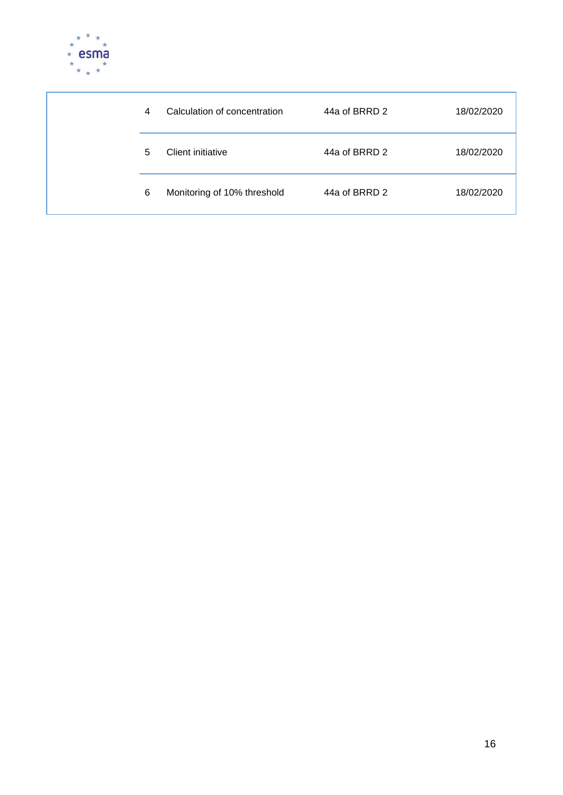

|  | 4 | Calculation of concentration | 44a of BRRD 2 | 18/02/2020 |
|--|---|------------------------------|---------------|------------|
|  | 5 | Client initiative            | 44a of BRRD 2 | 18/02/2020 |
|  | 6 | Monitoring of 10% threshold  | 44a of BRRD 2 | 18/02/2020 |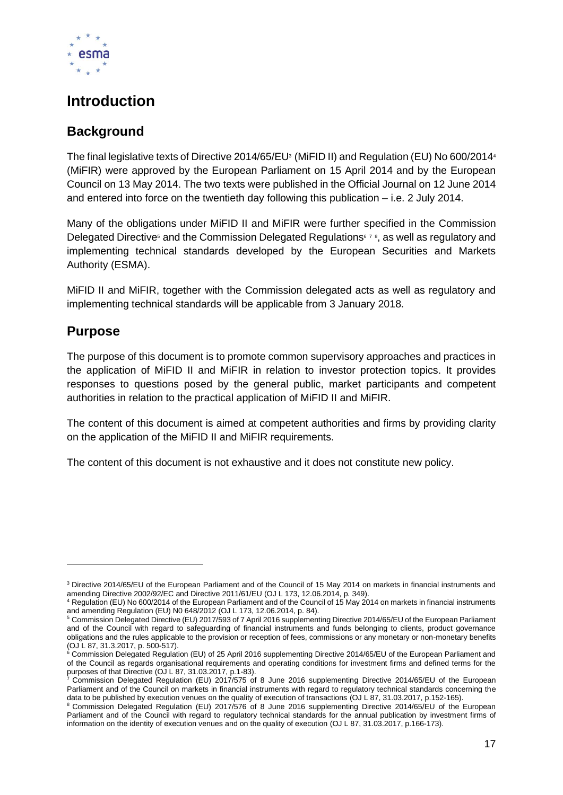

### <span id="page-16-0"></span>**Introduction**

### **Background**

The final legislative texts of Directive 2014/65/EU<sup>3</sup> (MiFID II) and Regulation (EU) No 600/2014<sup>4</sup> (MiFIR) were approved by the European Parliament on 15 April 2014 and by the European Council on 13 May 2014. The two texts were published in the Official Journal on 12 June 2014 and entered into force on the twentieth day following this publication – i.e. 2 July 2014.

Many of the obligations under MiFID II and MiFIR were further specified in the Commission Delegated Directive<sup>5</sup> and the Commission Delegated Regulations<sup>678</sup>, as well as regulatory and implementing technical standards developed by the European Securities and Markets Authority (ESMA).

MiFID II and MiFIR, together with the Commission delegated acts as well as regulatory and implementing technical standards will be applicable from 3 January 2018.

### **Purpose**

The purpose of this document is to promote common supervisory approaches and practices in the application of MiFID II and MiFIR in relation to investor protection topics. It provides responses to questions posed by the general public, market participants and competent authorities in relation to the practical application of MiFID II and MiFIR.

The content of this document is aimed at competent authorities and firms by providing clarity on the application of the MiFID II and MiFIR requirements.

The content of this document is not exhaustive and it does not constitute new policy.

<sup>3</sup> Directive 2014/65/EU of the European Parliament and of the Council of 15 May 2014 on markets in financial instruments and amending Directive 2002/92/EC and Directive 2011/61/EU (OJ L 173, 12.06.2014, p. 349).

<sup>4</sup> Regulation (EU) No 600/2014 of the European Parliament and of the Council of 15 May 2014 on markets in financial instruments and amending Regulation (EU) N0 648/2012 (OJ L 173, 12.06.2014, p. 84).

<sup>5</sup> Commission Delegated Directive (EU) 2017/593 of 7 April 2016 supplementing Directive 2014/65/EU of the European Parliament and of the Council with regard to safeguarding of financial instruments and funds belonging to clients, product governance obligations and the rules applicable to the provision or reception of fees, commissions or any monetary or non-monetary benefits (OJ L 87, 31.3.2017, p. 500-517).

<sup>&</sup>lt;sup>6</sup> Commission Delegated Regulation (EU) of 25 April 2016 supplementing Directive 2014/65/EU of the European Parliament and of the Council as regards organisational requirements and operating conditions for investment firms and defined terms for the purposes of that Directive (OJ L 87, 31.03.2017, p.1-83).<br>7 Commission Delegative (OJ L 87, 31.03.2017, p.1-83).

<sup>7</sup> Commission Delegated Regulation (EU) 2017/575 of 8 June 2016 supplementing Directive 2014/65/EU of the European Parliament and of the Council on markets in financial instruments with regard to regulatory technical standards concerning the data to be published by execution venues on the quality of execution of transactions (OJ L 87, 31.03.2017, p.152-165).

<sup>&</sup>lt;sup>8</sup> Commission Delegated Regulation (EU) 2017/576 of 8 June 2016 supplementing Directive 2014/65/EU of the European Parliament and of the Council with regard to regulatory technical standards for the annual publication by investment firms of information on the identity of execution venues and on the quality of execution (OJ L 87, 31.03.2017, p.166-173).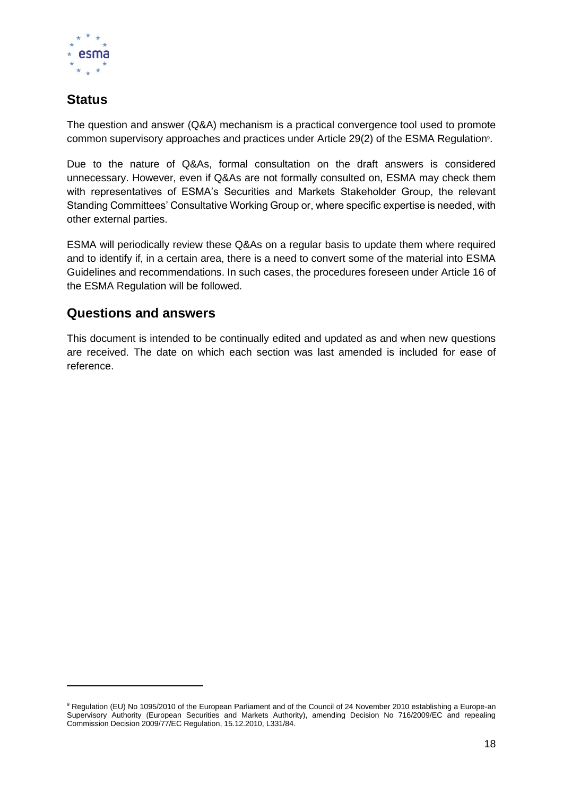

### **Status**

The question and answer (Q&A) mechanism is a practical convergence tool used to promote common supervisory approaches and practices under Article 29(2) of the ESMA Regulation<sup>9</sup>.

Due to the nature of Q&As, formal consultation on the draft answers is considered unnecessary. However, even if Q&As are not formally consulted on, ESMA may check them with representatives of ESMA's Securities and Markets Stakeholder Group, the relevant Standing Committees' Consultative Working Group or, where specific expertise is needed, with other external parties.

ESMA will periodically review these Q&As on a regular basis to update them where required and to identify if, in a certain area, there is a need to convert some of the material into ESMA Guidelines and recommendations. In such cases, the procedures foreseen under Article 16 of the ESMA Regulation will be followed.

### **Questions and answers**

This document is intended to be continually edited and updated as and when new questions are received. The date on which each section was last amended is included for ease of reference.

<sup>9</sup> Regulation (EU) No 1095/2010 of the European Parliament and of the Council of 24 November 2010 establishing a Europe-an Supervisory Authority (European Securities and Markets Authority), amending Decision No 716/2009/EC and repealing Commission Decision 2009/77/EC Regulation, 15.12.2010, L331/84.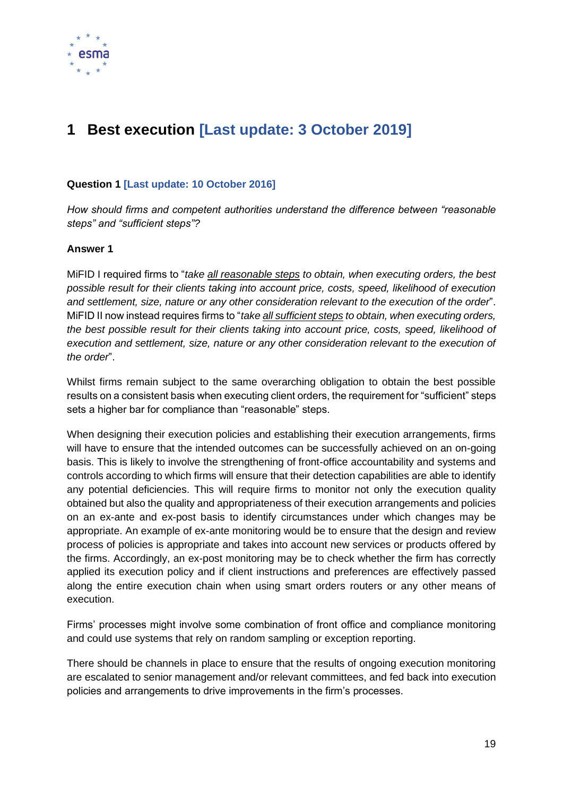

## <span id="page-18-0"></span>**1 Best execution [Last update: 3 October 2019]**

#### **Question 1 [Last update: 10 October 2016]**

*How should firms and competent authorities understand the difference between "reasonable steps" and "sufficient steps"?*

#### **Answer 1**

MiFID I required firms to "*take all reasonable steps to obtain, when executing orders, the best possible result for their clients taking into account price, costs, speed, likelihood of execution and settlement, size, nature or any other consideration relevant to the execution of the order*". MiFID II now instead requires firms to "*take all sufficient steps to obtain, when executing orders, the best possible result for their clients taking into account price, costs, speed, likelihood of execution and settlement, size, nature or any other consideration relevant to the execution of the order*".

Whilst firms remain subject to the same overarching obligation to obtain the best possible results on a consistent basis when executing client orders, the requirement for "sufficient" steps sets a higher bar for compliance than "reasonable" steps.

When designing their execution policies and establishing their execution arrangements, firms will have to ensure that the intended outcomes can be successfully achieved on an on-going basis. This is likely to involve the strengthening of front-office accountability and systems and controls according to which firms will ensure that their detection capabilities are able to identify any potential deficiencies. This will require firms to monitor not only the execution quality obtained but also the quality and appropriateness of their execution arrangements and policies on an ex-ante and ex-post basis to identify circumstances under which changes may be appropriate. An example of ex-ante monitoring would be to ensure that the design and review process of policies is appropriate and takes into account new services or products offered by the firms. Accordingly, an ex-post monitoring may be to check whether the firm has correctly applied its execution policy and if client instructions and preferences are effectively passed along the entire execution chain when using smart orders routers or any other means of execution.

Firms' processes might involve some combination of front office and compliance monitoring and could use systems that rely on random sampling or exception reporting.

There should be channels in place to ensure that the results of ongoing execution monitoring are escalated to senior management and/or relevant committees, and fed back into execution policies and arrangements to drive improvements in the firm's processes.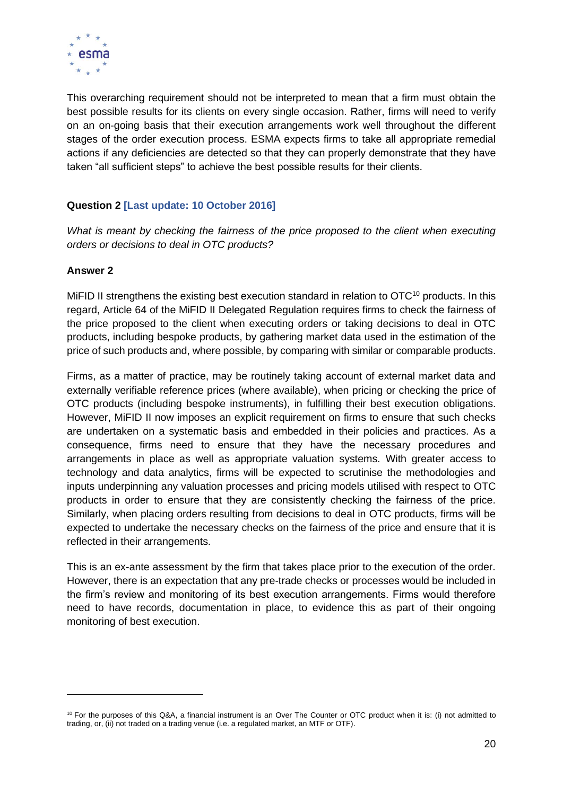

This overarching requirement should not be interpreted to mean that a firm must obtain the best possible results for its clients on every single occasion. Rather, firms will need to verify on an on-going basis that their execution arrangements work well throughout the different stages of the order execution process. ESMA expects firms to take all appropriate remedial actions if any deficiencies are detected so that they can properly demonstrate that they have taken "all sufficient steps" to achieve the best possible results for their clients.

#### **Question 2 [Last update: 10 October 2016]**

*What is meant by checking the fairness of the price proposed to the client when executing orders or decisions to deal in OTC products?*

#### **Answer 2**

MiFID II strengthens the existing best execution standard in relation to OTC<sup>10</sup> products. In this regard, Article 64 of the MiFID II Delegated Regulation requires firms to check the fairness of the price proposed to the client when executing orders or taking decisions to deal in OTC products, including bespoke products, by gathering market data used in the estimation of the price of such products and, where possible, by comparing with similar or comparable products.

Firms, as a matter of practice, may be routinely taking account of external market data and externally verifiable reference prices (where available), when pricing or checking the price of OTC products (including bespoke instruments), in fulfilling their best execution obligations. However, MiFID II now imposes an explicit requirement on firms to ensure that such checks are undertaken on a systematic basis and embedded in their policies and practices. As a consequence, firms need to ensure that they have the necessary procedures and arrangements in place as well as appropriate valuation systems. With greater access to technology and data analytics, firms will be expected to scrutinise the methodologies and inputs underpinning any valuation processes and pricing models utilised with respect to OTC products in order to ensure that they are consistently checking the fairness of the price. Similarly, when placing orders resulting from decisions to deal in OTC products, firms will be expected to undertake the necessary checks on the fairness of the price and ensure that it is reflected in their arrangements.

This is an ex-ante assessment by the firm that takes place prior to the execution of the order. However, there is an expectation that any pre-trade checks or processes would be included in the firm's review and monitoring of its best execution arrangements. Firms would therefore need to have records, documentation in place, to evidence this as part of their ongoing monitoring of best execution.

<sup>&</sup>lt;sup>10</sup> For the purposes of this Q&A, a financial instrument is an Over The Counter or OTC product when it is: (i) not admitted to trading, or, (ii) not traded on a trading venue (i.e. a regulated market, an MTF or OTF).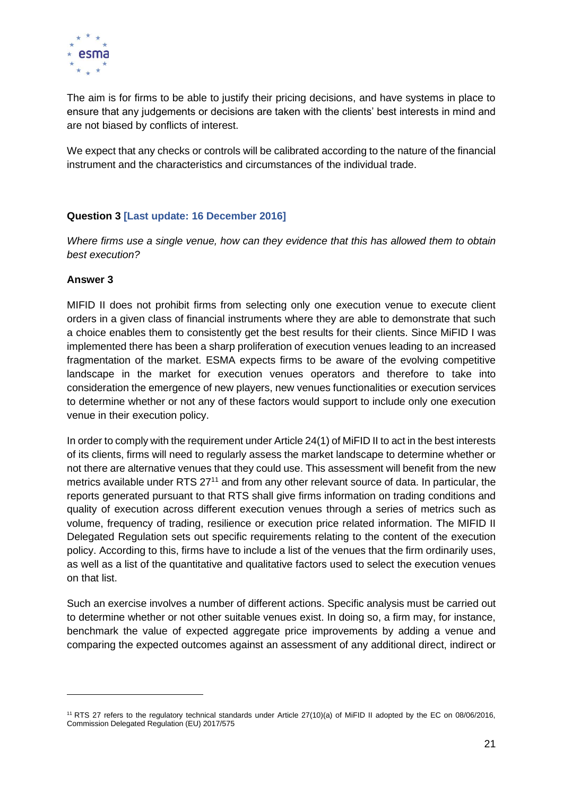

The aim is for firms to be able to justify their pricing decisions, and have systems in place to ensure that any judgements or decisions are taken with the clients' best interests in mind and are not biased by conflicts of interest.

We expect that any checks or controls will be calibrated according to the nature of the financial instrument and the characteristics and circumstances of the individual trade.

#### **Question 3 [Last update: 16 December 2016]**

*Where firms use a single venue, how can they evidence that this has allowed them to obtain best execution?*

#### **Answer 3**

MIFID II does not prohibit firms from selecting only one execution venue to execute client orders in a given class of financial instruments where they are able to demonstrate that such a choice enables them to consistently get the best results for their clients. Since MiFID I was implemented there has been a sharp proliferation of execution venues leading to an increased fragmentation of the market. ESMA expects firms to be aware of the evolving competitive landscape in the market for execution venues operators and therefore to take into consideration the emergence of new players, new venues functionalities or execution services to determine whether or not any of these factors would support to include only one execution venue in their execution policy.

In order to comply with the requirement under Article 24(1) of MiFID II to act in the best interests of its clients, firms will need to regularly assess the market landscape to determine whether or not there are alternative venues that they could use. This assessment will benefit from the new metrics available under RTS 27<sup>11</sup> and from any other relevant source of data. In particular, the reports generated pursuant to that RTS shall give firms information on trading conditions and quality of execution across different execution venues through a series of metrics such as volume, frequency of trading, resilience or execution price related information. The MIFID II Delegated Regulation sets out specific requirements relating to the content of the execution policy. According to this, firms have to include a list of the venues that the firm ordinarily uses, as well as a list of the quantitative and qualitative factors used to select the execution venues on that list.

Such an exercise involves a number of different actions. Specific analysis must be carried out to determine whether or not other suitable venues exist. In doing so, a firm may, for instance, benchmark the value of expected aggregate price improvements by adding a venue and comparing the expected outcomes against an assessment of any additional direct, indirect or

<sup>11</sup> RTS 27 refers to the regulatory technical standards under Article 27(10)(a) of MiFID II adopted by the EC on 08/06/2016, Commission Delegated Regulation (EU) 2017/575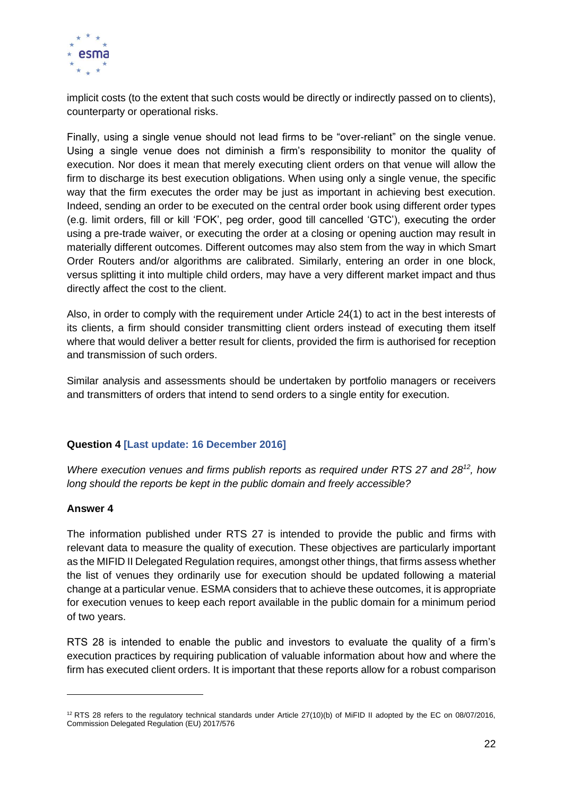

implicit costs (to the extent that such costs would be directly or indirectly passed on to clients), counterparty or operational risks.

Finally, using a single venue should not lead firms to be "over-reliant" on the single venue. Using a single venue does not diminish a firm's responsibility to monitor the quality of execution. Nor does it mean that merely executing client orders on that venue will allow the firm to discharge its best execution obligations. When using only a single venue, the specific way that the firm executes the order may be just as important in achieving best execution. Indeed, sending an order to be executed on the central order book using different order types (e.g. limit orders, fill or kill 'FOK', peg order, good till cancelled 'GTC'), executing the order using a pre-trade waiver, or executing the order at a closing or opening auction may result in materially different outcomes. Different outcomes may also stem from the way in which Smart Order Routers and/or algorithms are calibrated. Similarly, entering an order in one block, versus splitting it into multiple child orders, may have a very different market impact and thus directly affect the cost to the client.

Also, in order to comply with the requirement under Article 24(1) to act in the best interests of its clients, a firm should consider transmitting client orders instead of executing them itself where that would deliver a better result for clients, provided the firm is authorised for reception and transmission of such orders.

Similar analysis and assessments should be undertaken by portfolio managers or receivers and transmitters of orders that intend to send orders to a single entity for execution.

#### **Question 4 [Last update: 16 December 2016]**

*Where execution venues and firms publish reports as required under RTS 27 and 28<sup>12</sup>, how long should the reports be kept in the public domain and freely accessible?*

#### **Answer 4**

The information published under RTS 27 is intended to provide the public and firms with relevant data to measure the quality of execution. These objectives are particularly important as the MIFID II Delegated Regulation requires, amongst other things, that firms assess whether the list of venues they ordinarily use for execution should be updated following a material change at a particular venue. ESMA considers that to achieve these outcomes, it is appropriate for execution venues to keep each report available in the public domain for a minimum period of two years.

RTS 28 is intended to enable the public and investors to evaluate the quality of a firm's execution practices by requiring publication of valuable information about how and where the firm has executed client orders. It is important that these reports allow for a robust comparison

 $12$  RTS 28 refers to the regulatory technical standards under Article 27(10)(b) of MiFID II adopted by the EC on 08/07/2016, Commission Delegated Regulation (EU) 2017/576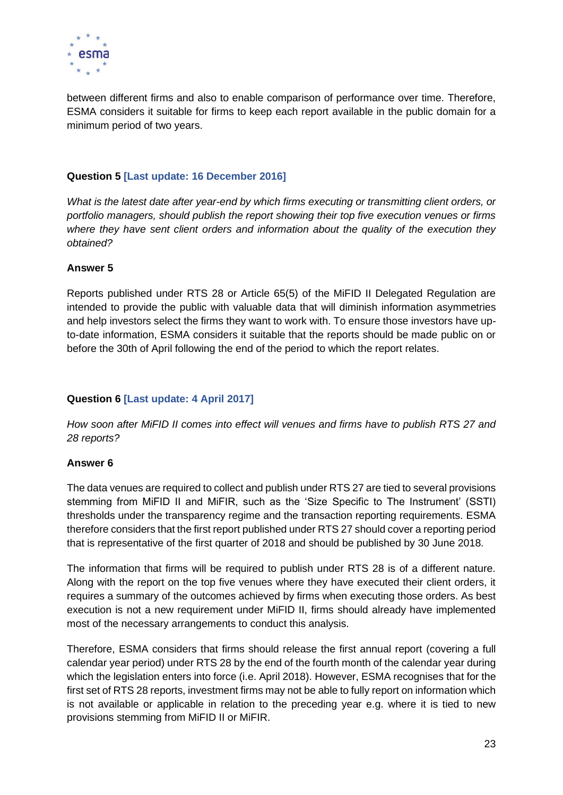

between different firms and also to enable comparison of performance over time. Therefore, ESMA considers it suitable for firms to keep each report available in the public domain for a minimum period of two years.

#### **Question 5 [Last update: 16 December 2016]**

*What is the latest date after year-end by which firms executing or transmitting client orders, or portfolio managers, should publish the report showing their top five execution venues or firms where they have sent client orders and information about the quality of the execution they obtained?*

#### **Answer 5**

Reports published under RTS 28 or Article 65(5) of the MiFID II Delegated Regulation are intended to provide the public with valuable data that will diminish information asymmetries and help investors select the firms they want to work with. To ensure those investors have upto-date information, ESMA considers it suitable that the reports should be made public on or before the 30th of April following the end of the period to which the report relates.

#### **Question 6 [Last update: 4 April 2017]**

*How soon after MiFID II comes into effect will venues and firms have to publish RTS 27 and 28 reports?* 

#### **Answer 6**

The data venues are required to collect and publish under RTS 27 are tied to several provisions stemming from MiFID II and MiFIR, such as the 'Size Specific to The Instrument' (SSTI) thresholds under the transparency regime and the transaction reporting requirements. ESMA therefore considers that the first report published under RTS 27 should cover a reporting period that is representative of the first quarter of 2018 and should be published by 30 June 2018.

The information that firms will be required to publish under RTS 28 is of a different nature. Along with the report on the top five venues where they have executed their client orders, it requires a summary of the outcomes achieved by firms when executing those orders. As best execution is not a new requirement under MiFID II, firms should already have implemented most of the necessary arrangements to conduct this analysis.

Therefore, ESMA considers that firms should release the first annual report (covering a full calendar year period) under RTS 28 by the end of the fourth month of the calendar year during which the legislation enters into force (i.e. April 2018). However, ESMA recognises that for the first set of RTS 28 reports, investment firms may not be able to fully report on information which is not available or applicable in relation to the preceding year e.g. where it is tied to new provisions stemming from MiFID II or MiFIR.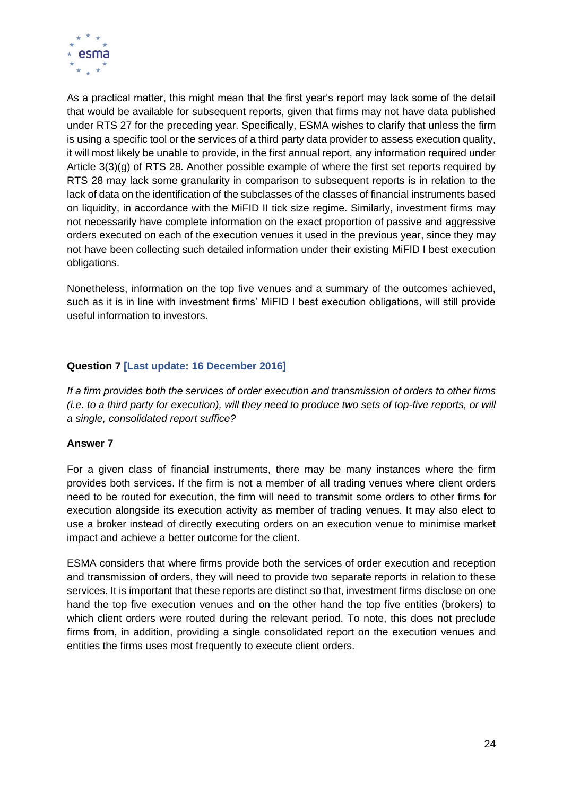

As a practical matter, this might mean that the first year's report may lack some of the detail that would be available for subsequent reports, given that firms may not have data published under RTS 27 for the preceding year. Specifically, ESMA wishes to clarify that unless the firm is using a specific tool or the services of a third party data provider to assess execution quality, it will most likely be unable to provide, in the first annual report, any information required under Article 3(3)(g) of RTS 28. Another possible example of where the first set reports required by RTS 28 may lack some granularity in comparison to subsequent reports is in relation to the lack of data on the identification of the subclasses of the classes of financial instruments based on liquidity, in accordance with the MiFID II tick size regime. Similarly, investment firms may not necessarily have complete information on the exact proportion of passive and aggressive orders executed on each of the execution venues it used in the previous year, since they may not have been collecting such detailed information under their existing MiFID I best execution obligations.

Nonetheless, information on the top five venues and a summary of the outcomes achieved, such as it is in line with investment firms' MiFID I best execution obligations, will still provide useful information to investors.

#### **Question 7 [Last update: 16 December 2016]**

*If a firm provides both the services of order execution and transmission of orders to other firms (i.e. to a third party for execution), will they need to produce two sets of top-five reports, or will a single, consolidated report suffice?* 

#### **Answer 7**

For a given class of financial instruments, there may be many instances where the firm provides both services. If the firm is not a member of all trading venues where client orders need to be routed for execution, the firm will need to transmit some orders to other firms for execution alongside its execution activity as member of trading venues. It may also elect to use a broker instead of directly executing orders on an execution venue to minimise market impact and achieve a better outcome for the client.

ESMA considers that where firms provide both the services of order execution and reception and transmission of orders, they will need to provide two separate reports in relation to these services. It is important that these reports are distinct so that, investment firms disclose on one hand the top five execution venues and on the other hand the top five entities (brokers) to which client orders were routed during the relevant period. To note, this does not preclude firms from, in addition, providing a single consolidated report on the execution venues and entities the firms uses most frequently to execute client orders.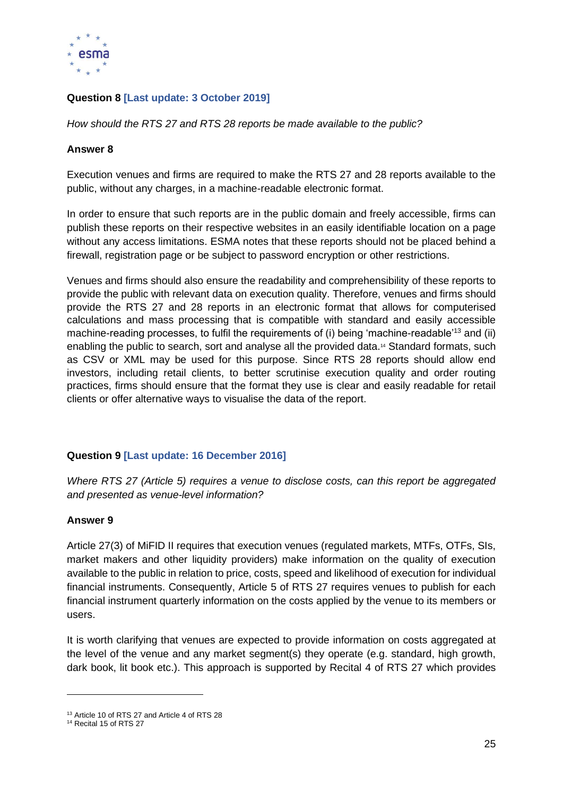

#### **Question 8 [Last update: 3 October 2019]**

*How should the RTS 27 and RTS 28 reports be made available to the public?*

#### **Answer 8**

Execution venues and firms are required to make the RTS 27 and 28 reports available to the public, without any charges, in a machine-readable electronic format.

In order to ensure that such reports are in the public domain and freely accessible, firms can publish these reports on their respective websites in an easily identifiable location on a page without any access limitations. ESMA notes that these reports should not be placed behind a firewall, registration page or be subject to password encryption or other restrictions.

Venues and firms should also ensure the readability and comprehensibility of these reports to provide the public with relevant data on execution quality. Therefore, venues and firms should provide the RTS 27 and 28 reports in an electronic format that allows for computerised calculations and mass processing that is compatible with standard and easily accessible machine-reading processes, to fulfil the requirements of (i) being 'machine-readable'<sup>13</sup> and (ii) enabling the public to search, sort and analyse all the provided data.<sup>14</sup> Standard formats, such as CSV or XML may be used for this purpose. Since RTS 28 reports should allow end investors, including retail clients, to better scrutinise execution quality and order routing practices, firms should ensure that the format they use is clear and easily readable for retail clients or offer alternative ways to visualise the data of the report.

#### **Question 9 [Last update: 16 December 2016]**

*Where RTS 27 (Article 5) requires a venue to disclose costs, can this report be aggregated and presented as venue-level information?*

#### **Answer 9**

Article 27(3) of MiFID II requires that execution venues (regulated markets, MTFs, OTFs, SIs, market makers and other liquidity providers) make information on the quality of execution available to the public in relation to price, costs, speed and likelihood of execution for individual financial instruments. Consequently, Article 5 of RTS 27 requires venues to publish for each financial instrument quarterly information on the costs applied by the venue to its members or users.

It is worth clarifying that venues are expected to provide information on costs aggregated at the level of the venue and any market segment(s) they operate (e.g. standard, high growth, dark book, lit book etc.). This approach is supported by Recital 4 of RTS 27 which provides

<sup>&</sup>lt;sup>13</sup> Article 10 of RTS 27 and Article 4 of RTS 28

<sup>&</sup>lt;sup>14</sup> Recital 15 of RTS 27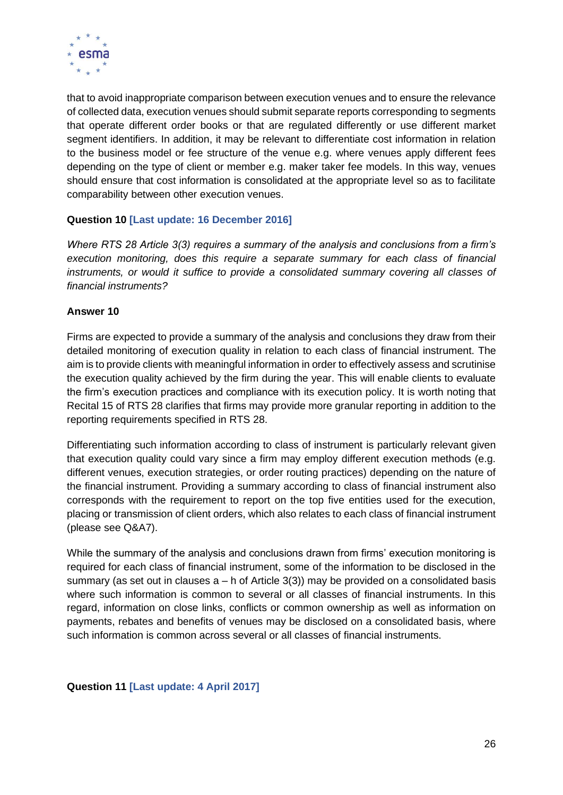

that to avoid inappropriate comparison between execution venues and to ensure the relevance of collected data, execution venues should submit separate reports corresponding to segments that operate different order books or that are regulated differently or use different market segment identifiers. In addition, it may be relevant to differentiate cost information in relation to the business model or fee structure of the venue e.g. where venues apply different fees depending on the type of client or member e.g. maker taker fee models. In this way, venues should ensure that cost information is consolidated at the appropriate level so as to facilitate comparability between other execution venues.

#### **Question 10 [Last update: 16 December 2016]**

*Where RTS 28 Article 3(3) requires a summary of the analysis and conclusions from a firm's execution monitoring, does this require a separate summary for each class of financial instruments, or would it suffice to provide a consolidated summary covering all classes of financial instruments?*

#### **Answer 10**

Firms are expected to provide a summary of the analysis and conclusions they draw from their detailed monitoring of execution quality in relation to each class of financial instrument. The aim is to provide clients with meaningful information in order to effectively assess and scrutinise the execution quality achieved by the firm during the year. This will enable clients to evaluate the firm's execution practices and compliance with its execution policy. It is worth noting that Recital 15 of RTS 28 clarifies that firms may provide more granular reporting in addition to the reporting requirements specified in RTS 28.

Differentiating such information according to class of instrument is particularly relevant given that execution quality could vary since a firm may employ different execution methods (e.g. different venues, execution strategies, or order routing practices) depending on the nature of the financial instrument. Providing a summary according to class of financial instrument also corresponds with the requirement to report on the top five entities used for the execution, placing or transmission of client orders, which also relates to each class of financial instrument (please see Q&A7).

While the summary of the analysis and conclusions drawn from firms' execution monitoring is required for each class of financial instrument, some of the information to be disclosed in the summary (as set out in clauses  $a - h$  of Article 3(3)) may be provided on a consolidated basis where such information is common to several or all classes of financial instruments. In this regard, information on close links, conflicts or common ownership as well as information on payments, rebates and benefits of venues may be disclosed on a consolidated basis, where such information is common across several or all classes of financial instruments.

#### **Question 11 [Last update: 4 April 2017]**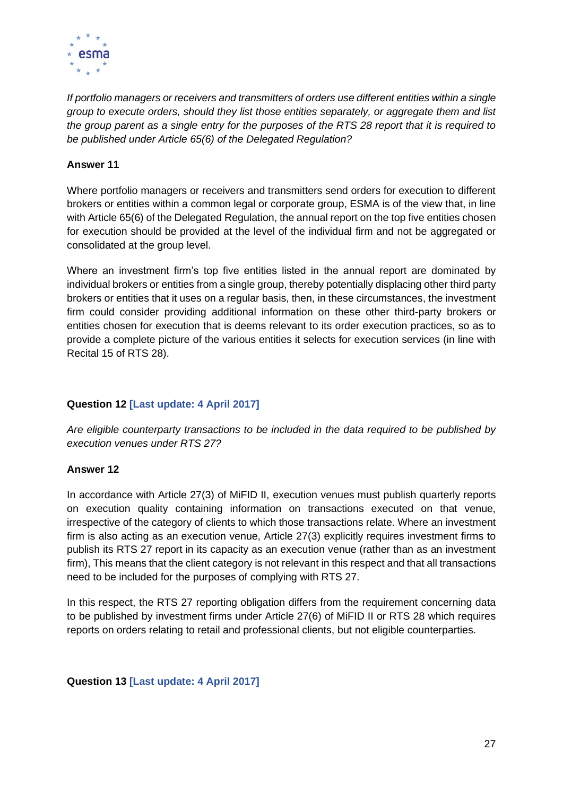

*If portfolio managers or receivers and transmitters of orders use different entities within a single group to execute orders, should they list those entities separately, or aggregate them and list the group parent as a single entry for the purposes of the RTS 28 report that it is required to be published under Article 65(6) of the Delegated Regulation?*

#### **Answer 11**

Where portfolio managers or receivers and transmitters send orders for execution to different brokers or entities within a common legal or corporate group, ESMA is of the view that, in line with Article 65(6) of the Delegated Regulation, the annual report on the top five entities chosen for execution should be provided at the level of the individual firm and not be aggregated or consolidated at the group level.

Where an investment firm's top five entities listed in the annual report are dominated by individual brokers or entities from a single group, thereby potentially displacing other third party brokers or entities that it uses on a regular basis, then, in these circumstances, the investment firm could consider providing additional information on these other third-party brokers or entities chosen for execution that is deems relevant to its order execution practices, so as to provide a complete picture of the various entities it selects for execution services (in line with Recital 15 of RTS 28).

#### **Question 12 [Last update: 4 April 2017]**

*Are eligible counterparty transactions to be included in the data required to be published by execution venues under RTS 27?* 

#### **Answer 12**

In accordance with Article 27(3) of MiFID II, execution venues must publish quarterly reports on execution quality containing information on transactions executed on that venue, irrespective of the category of clients to which those transactions relate. Where an investment firm is also acting as an execution venue, Article 27(3) explicitly requires investment firms to publish its RTS 27 report in its capacity as an execution venue (rather than as an investment firm), This means that the client category is not relevant in this respect and that all transactions need to be included for the purposes of complying with RTS 27.

In this respect, the RTS 27 reporting obligation differs from the requirement concerning data to be published by investment firms under Article 27(6) of MiFID II or RTS 28 which requires reports on orders relating to retail and professional clients, but not eligible counterparties.

#### **Question 13 [Last update: 4 April 2017]**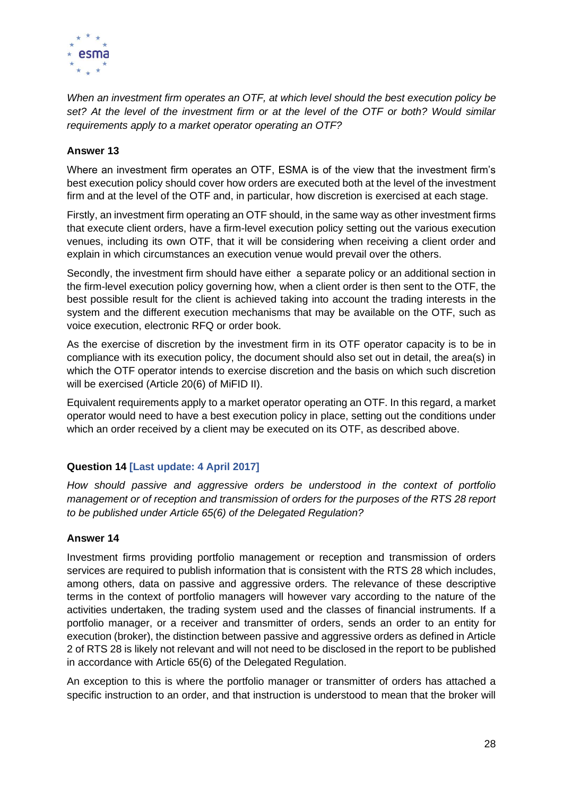

*When an investment firm operates an OTF, at which level should the best execution policy be*  set? At the level of the investment firm or at the level of the OTF or both? Would similar *requirements apply to a market operator operating an OTF?*

#### **Answer 13**

Where an investment firm operates an OTF, ESMA is of the view that the investment firm's best execution policy should cover how orders are executed both at the level of the investment firm and at the level of the OTF and, in particular, how discretion is exercised at each stage.

Firstly, an investment firm operating an OTF should, in the same way as other investment firms that execute client orders, have a firm-level execution policy setting out the various execution venues, including its own OTF, that it will be considering when receiving a client order and explain in which circumstances an execution venue would prevail over the others.

Secondly, the investment firm should have either a separate policy or an additional section in the firm-level execution policy governing how, when a client order is then sent to the OTF, the best possible result for the client is achieved taking into account the trading interests in the system and the different execution mechanisms that may be available on the OTF, such as voice execution, electronic RFQ or order book.

As the exercise of discretion by the investment firm in its OTF operator capacity is to be in compliance with its execution policy, the document should also set out in detail, the area(s) in which the OTF operator intends to exercise discretion and the basis on which such discretion will be exercised (Article 20(6) of MiFID II).

Equivalent requirements apply to a market operator operating an OTF. In this regard, a market operator would need to have a best execution policy in place, setting out the conditions under which an order received by a client may be executed on its OTF, as described above.

#### **Question 14 [Last update: 4 April 2017]**

*How should passive and aggressive orders be understood in the context of portfolio management or of reception and transmission of orders for the purposes of the RTS 28 report to be published under Article 65(6) of the Delegated Regulation?* 

#### **Answer 14**

Investment firms providing portfolio management or reception and transmission of orders services are required to publish information that is consistent with the RTS 28 which includes, among others, data on passive and aggressive orders. The relevance of these descriptive terms in the context of portfolio managers will however vary according to the nature of the activities undertaken, the trading system used and the classes of financial instruments. If a portfolio manager, or a receiver and transmitter of orders, sends an order to an entity for execution (broker), the distinction between passive and aggressive orders as defined in Article 2 of RTS 28 is likely not relevant and will not need to be disclosed in the report to be published in accordance with Article 65(6) of the Delegated Regulation.

An exception to this is where the portfolio manager or transmitter of orders has attached a specific instruction to an order, and that instruction is understood to mean that the broker will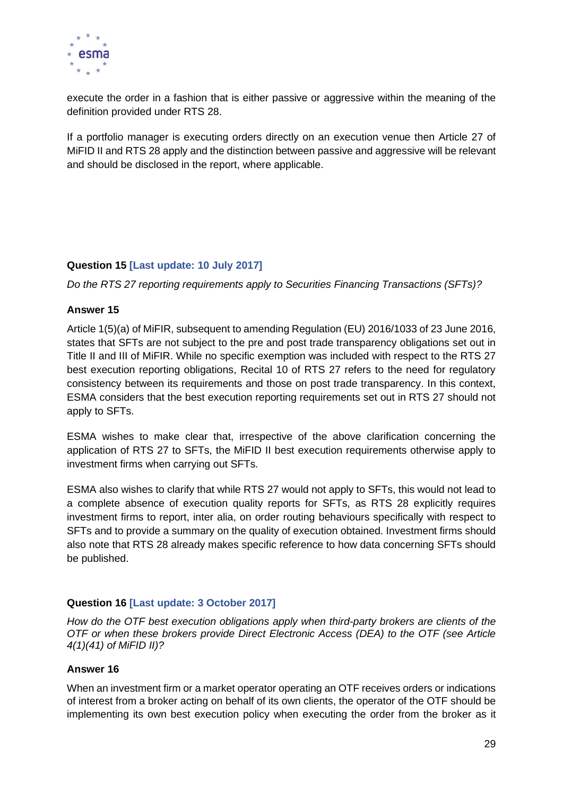

execute the order in a fashion that is either passive or aggressive within the meaning of the definition provided under RTS 28.

If a portfolio manager is executing orders directly on an execution venue then Article 27 of MiFID II and RTS 28 apply and the distinction between passive and aggressive will be relevant and should be disclosed in the report, where applicable.

#### **Question 15 [Last update: 10 July 2017]**

*Do the RTS 27 reporting requirements apply to Securities Financing Transactions (SFTs)?* 

#### **Answer 15**

Article 1(5)(a) of MiFIR, subsequent to amending Regulation (EU) 2016/1033 of 23 June 2016, states that SFTs are not subject to the pre and post trade transparency obligations set out in Title II and III of MiFIR. While no specific exemption was included with respect to the RTS 27 best execution reporting obligations, Recital 10 of RTS 27 refers to the need for regulatory consistency between its requirements and those on post trade transparency. In this context, ESMA considers that the best execution reporting requirements set out in RTS 27 should not apply to SFTs.

ESMA wishes to make clear that, irrespective of the above clarification concerning the application of RTS 27 to SFTs, the MiFID II best execution requirements otherwise apply to investment firms when carrying out SFTs.

ESMA also wishes to clarify that while RTS 27 would not apply to SFTs, this would not lead to a complete absence of execution quality reports for SFTs, as RTS 28 explicitly requires investment firms to report, inter alia, on order routing behaviours specifically with respect to SFTs and to provide a summary on the quality of execution obtained. Investment firms should also note that RTS 28 already makes specific reference to how data concerning SFTs should be published.

#### **Question 16 [Last update: 3 October 2017]**

*How do the OTF best execution obligations apply when third-party brokers are clients of the OTF or when these brokers provide Direct Electronic Access (DEA) to the OTF (see Article 4(1)(41) of MiFID II)?*

#### **Answer 16**

When an investment firm or a market operator operating an OTF receives orders or indications of interest from a broker acting on behalf of its own clients, the operator of the OTF should be implementing its own best execution policy when executing the order from the broker as it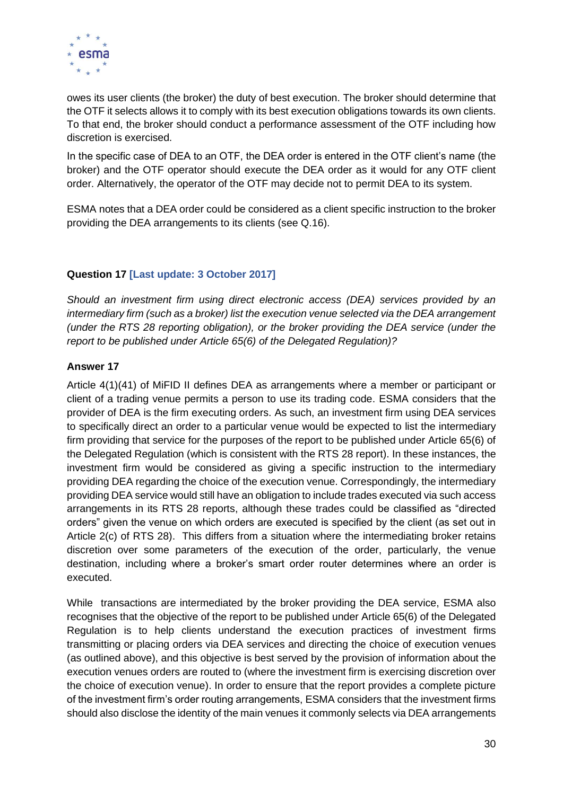

owes its user clients (the broker) the duty of best execution. The broker should determine that the OTF it selects allows it to comply with its best execution obligations towards its own clients. To that end, the broker should conduct a performance assessment of the OTF including how discretion is exercised.

In the specific case of DEA to an OTF, the DEA order is entered in the OTF client's name (the broker) and the OTF operator should execute the DEA order as it would for any OTF client order. Alternatively, the operator of the OTF may decide not to permit DEA to its system.

ESMA notes that a DEA order could be considered as a client specific instruction to the broker providing the DEA arrangements to its clients (see Q.16).

#### **Question 17 [Last update: 3 October 2017]**

*Should an investment firm using direct electronic access (DEA) services provided by an intermediary firm (such as a broker) list the execution venue selected via the DEA arrangement (under the RTS 28 reporting obligation), or the broker providing the DEA service (under the report to be published under Article 65(6) of the Delegated Regulation)?*

#### **Answer 17**

Article 4(1)(41) of MiFID II defines DEA as arrangements where a member or participant or client of a trading venue permits a person to use its trading code. ESMA considers that the provider of DEA is the firm executing orders. As such, an investment firm using DEA services to specifically direct an order to a particular venue would be expected to list the intermediary firm providing that service for the purposes of the report to be published under Article 65(6) of the Delegated Regulation (which is consistent with the RTS 28 report). In these instances, the investment firm would be considered as giving a specific instruction to the intermediary providing DEA regarding the choice of the execution venue. Correspondingly, the intermediary providing DEA service would still have an obligation to include trades executed via such access arrangements in its RTS 28 reports, although these trades could be classified as "directed orders" given the venue on which orders are executed is specified by the client (as set out in Article 2(c) of RTS 28). This differs from a situation where the intermediating broker retains discretion over some parameters of the execution of the order, particularly, the venue destination, including where a broker's smart order router determines where an order is executed.

While transactions are intermediated by the broker providing the DEA service, ESMA also recognises that the objective of the report to be published under Article 65(6) of the Delegated Regulation is to help clients understand the execution practices of investment firms transmitting or placing orders via DEA services and directing the choice of execution venues (as outlined above), and this objective is best served by the provision of information about the execution venues orders are routed to (where the investment firm is exercising discretion over the choice of execution venue). In order to ensure that the report provides a complete picture of the investment firm's order routing arrangements, ESMA considers that the investment firms should also disclose the identity of the main venues it commonly selects via DEA arrangements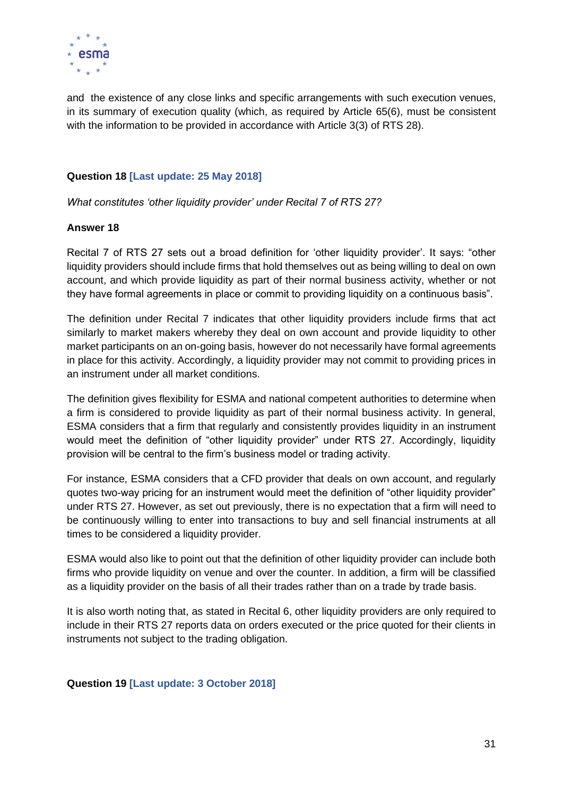

and the existence of any close links and specific arrangements with such execution venues, in its summary of execution quality (which, as required by Article 65(6), must be consistent with the information to be provided in accordance with Article 3(3) of RTS 28).

#### **Question 18 [Last update: 25 May 2018]**

*What constitutes 'other liquidity provider' under Recital 7 of RTS 27?*

#### **Answer 18**

Recital 7 of RTS 27 sets out a broad definition for 'other liquidity provider'. It says: "other liquidity providers should include firms that hold themselves out as being willing to deal on own account, and which provide liquidity as part of their normal business activity, whether or not they have formal agreements in place or commit to providing liquidity on a continuous basis".

The definition under Recital 7 indicates that other liquidity providers include firms that act similarly to market makers whereby they deal on own account and provide liquidity to other market participants on an on-going basis, however do not necessarily have formal agreements in place for this activity. Accordingly, a liquidity provider may not commit to providing prices in an instrument under all market conditions.

The definition gives flexibility for ESMA and national competent authorities to determine when a firm is considered to provide liquidity as part of their normal business activity. In general, ESMA considers that a firm that regularly and consistently provides liquidity in an instrument would meet the definition of "other liquidity provider" under RTS 27. Accordingly, liquidity provision will be central to the firm's business model or trading activity.

For instance, ESMA considers that a CFD provider that deals on own account, and regularly quotes two-way pricing for an instrument would meet the definition of "other liquidity provider" under RTS 27. However, as set out previously, there is no expectation that a firm will need to be continuously willing to enter into transactions to buy and sell financial instruments at all times to be considered a liquidity provider.

ESMA would also like to point out that the definition of other liquidity provider can include both firms who provide liquidity on venue and over the counter. In addition, a firm will be classified as a liquidity provider on the basis of all their trades rather than on a trade by trade basis.

It is also worth noting that, as stated in Recital 6, other liquidity providers are only required to include in their RTS 27 reports data on orders executed or the price quoted for their clients in instruments not subject to the trading obligation.

#### **Question 19 [Last update: 3 October 2018]**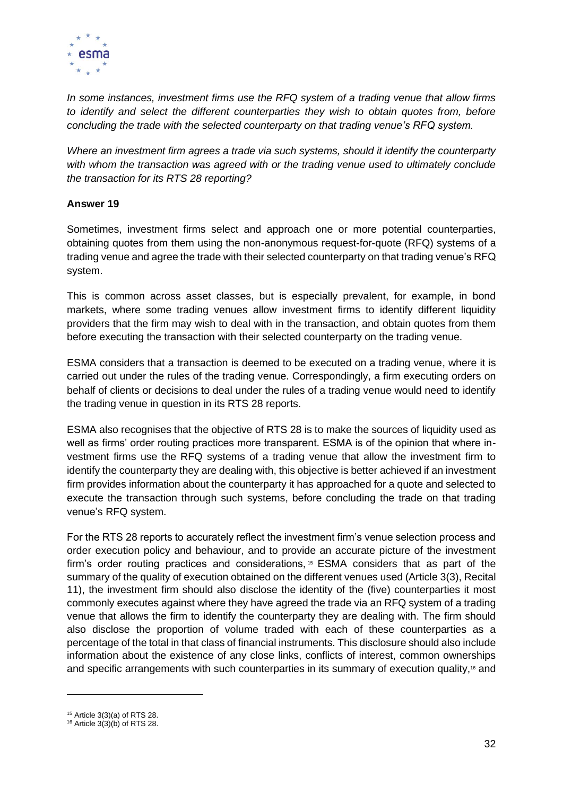

*In some instances, investment firms use the RFQ system of a trading venue that allow firms to identify and select the different counterparties they wish to obtain quotes from, before concluding the trade with the selected counterparty on that trading venue's RFQ system.* 

*Where an investment firm agrees a trade via such systems, should it identify the counterparty with whom the transaction was agreed with or the trading venue used to ultimately conclude the transaction for its RTS 28 reporting?*

#### **Answer 19**

Sometimes, investment firms select and approach one or more potential counterparties, obtaining quotes from them using the non-anonymous request-for-quote (RFQ) systems of a trading venue and agree the trade with their selected counterparty on that trading venue's RFQ system.

This is common across asset classes, but is especially prevalent, for example, in bond markets, where some trading venues allow investment firms to identify different liquidity providers that the firm may wish to deal with in the transaction, and obtain quotes from them before executing the transaction with their selected counterparty on the trading venue.

ESMA considers that a transaction is deemed to be executed on a trading venue, where it is carried out under the rules of the trading venue. Correspondingly, a firm executing orders on behalf of clients or decisions to deal under the rules of a trading venue would need to identify the trading venue in question in its RTS 28 reports.

ESMA also recognises that the objective of RTS 28 is to make the sources of liquidity used as well as firms' order routing practices more transparent. ESMA is of the opinion that where investment firms use the RFQ systems of a trading venue that allow the investment firm to identify the counterparty they are dealing with, this objective is better achieved if an investment firm provides information about the counterparty it has approached for a quote and selected to execute the transaction through such systems, before concluding the trade on that trading venue's RFQ system.

For the RTS 28 reports to accurately reflect the investment firm's venue selection process and order execution policy and behaviour, and to provide an accurate picture of the investment firm's order routing practices and considerations, <sup>15</sup> ESMA considers that as part of the summary of the quality of execution obtained on the different venues used (Article 3(3), Recital 11), the investment firm should also disclose the identity of the (five) counterparties it most commonly executes against where they have agreed the trade via an RFQ system of a trading venue that allows the firm to identify the counterparty they are dealing with. The firm should also disclose the proportion of volume traded with each of these counterparties as a percentage of the total in that class of financial instruments. This disclosure should also include information about the existence of any close links, conflicts of interest, common ownerships and specific arrangements with such counterparties in its summary of execution quality,<sup>16</sup> and

<sup>15</sup> Article 3(3)(a) of RTS 28.

 $16$  Article 3(3)(b) of RTS 28.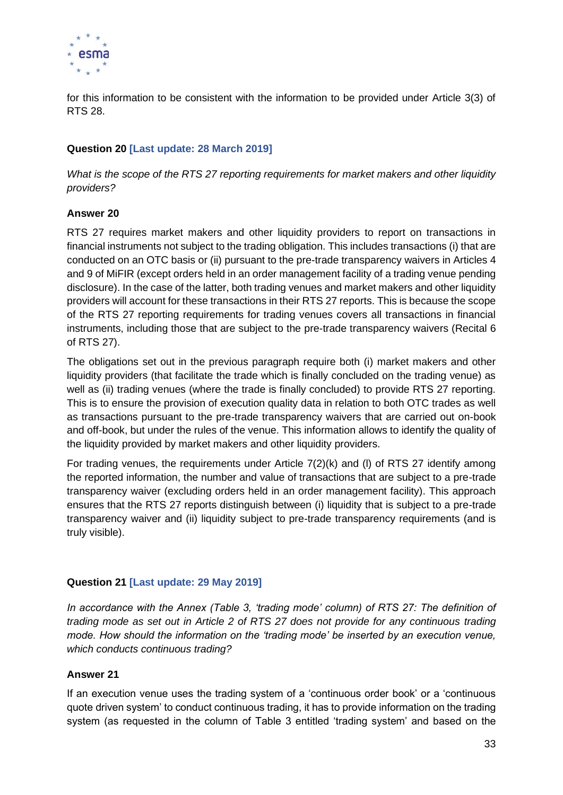

for this information to be consistent with the information to be provided under Article 3(3) of RTS 28.

#### **Question 20 [Last update: 28 March 2019]**

*What is the scope of the RTS 27 reporting requirements for market makers and other liquidity providers?*

#### **Answer 20**

RTS 27 requires market makers and other liquidity providers to report on transactions in financial instruments not subject to the trading obligation. This includes transactions (i) that are conducted on an OTC basis or (ii) pursuant to the pre-trade transparency waivers in Articles 4 and 9 of MiFIR (except orders held in an order management facility of a trading venue pending disclosure). In the case of the latter, both trading venues and market makers and other liquidity providers will account for these transactions in their RTS 27 reports. This is because the scope of the RTS 27 reporting requirements for trading venues covers all transactions in financial instruments, including those that are subject to the pre-trade transparency waivers (Recital 6 of RTS 27).

The obligations set out in the previous paragraph require both (i) market makers and other liquidity providers (that facilitate the trade which is finally concluded on the trading venue) as well as (ii) trading venues (where the trade is finally concluded) to provide RTS 27 reporting. This is to ensure the provision of execution quality data in relation to both OTC trades as well as transactions pursuant to the pre-trade transparency waivers that are carried out on-book and off-book, but under the rules of the venue. This information allows to identify the quality of the liquidity provided by market makers and other liquidity providers.

For trading venues, the requirements under Article 7(2)(k) and (l) of RTS 27 identify among the reported information, the number and value of transactions that are subject to a pre-trade transparency waiver (excluding orders held in an order management facility). This approach ensures that the RTS 27 reports distinguish between (i) liquidity that is subject to a pre-trade transparency waiver and (ii) liquidity subject to pre-trade transparency requirements (and is truly visible).

#### **Question 21 [Last update: 29 May 2019]**

*In accordance with the Annex (Table 3, 'trading mode' column) of RTS 27: The definition of trading mode as set out in Article 2 of RTS 27 does not provide for any continuous trading mode. How should the information on the 'trading mode' be inserted by an execution venue, which conducts continuous trading?*

#### **Answer 21**

If an execution venue uses the trading system of a 'continuous order book' or a 'continuous quote driven system' to conduct continuous trading, it has to provide information on the trading system (as requested in the column of Table 3 entitled 'trading system' and based on the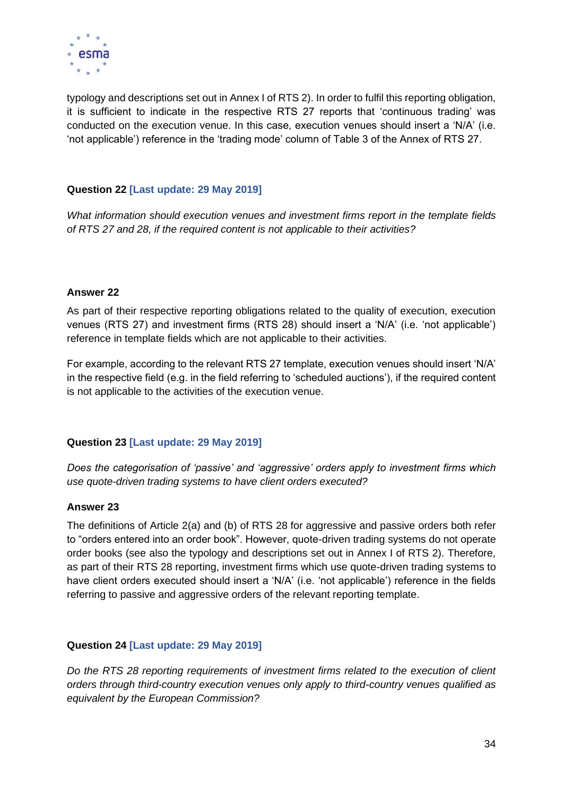

typology and descriptions set out in Annex I of RTS 2). In order to fulfil this reporting obligation, it is sufficient to indicate in the respective RTS 27 reports that 'continuous trading' was conducted on the execution venue. In this case, execution venues should insert a 'N/A' (i.e. 'not applicable') reference in the 'trading mode' column of Table 3 of the Annex of RTS 27.

#### **Question 22 [Last update: 29 May 2019]**

*What information should execution venues and investment firms report in the template fields of RTS 27 and 28, if the required content is not applicable to their activities?*

#### **Answer 22**

As part of their respective reporting obligations related to the quality of execution, execution venues (RTS 27) and investment firms (RTS 28) should insert a 'N/A' (i.e. 'not applicable') reference in template fields which are not applicable to their activities.

For example, according to the relevant RTS 27 template, execution venues should insert 'N/A' in the respective field (e.g. in the field referring to 'scheduled auctions'), if the required content is not applicable to the activities of the execution venue.

#### **Question 23 [Last update: 29 May 2019]**

*Does the categorisation of 'passive' and 'aggressive' orders apply to investment firms which use quote-driven trading systems to have client orders executed?*

#### **Answer 23**

The definitions of Article 2(a) and (b) of RTS 28 for aggressive and passive orders both refer to "orders entered into an order book". However, quote-driven trading systems do not operate order books (see also the typology and descriptions set out in Annex I of RTS 2). Therefore, as part of their RTS 28 reporting, investment firms which use quote-driven trading systems to have client orders executed should insert a 'N/A' (i.e. 'not applicable') reference in the fields referring to passive and aggressive orders of the relevant reporting template.

#### **Question 24 [Last update: 29 May 2019]**

*Do the RTS 28 reporting requirements of investment firms related to the execution of client orders through third-country execution venues only apply to third-country venues qualified as equivalent by the European Commission?*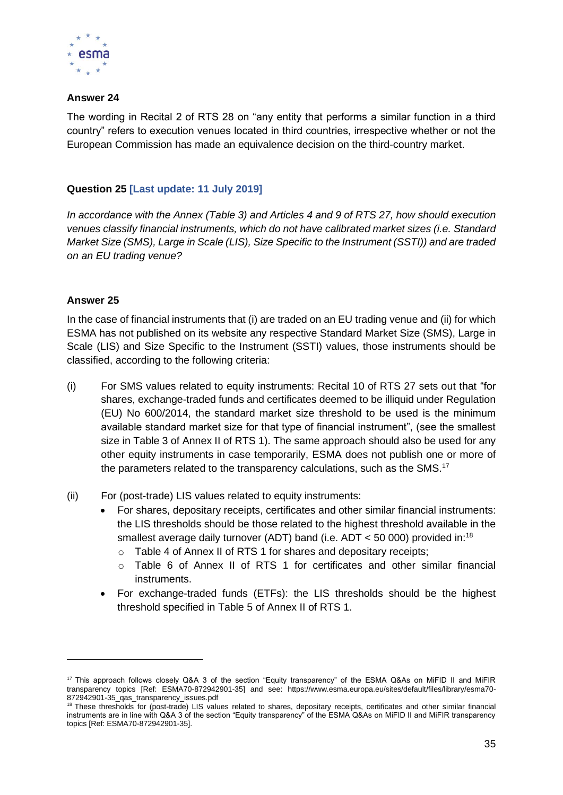

#### **Answer 24**

The wording in Recital 2 of RTS 28 on "any entity that performs a similar function in a third country" refers to execution venues located in third countries, irrespective whether or not the European Commission has made an equivalence decision on the third-country market.

#### **Question 25 [Last update: 11 July 2019]**

*In accordance with the Annex (Table 3) and Articles 4 and 9 of RTS 27, how should execution venues classify financial instruments, which do not have calibrated market sizes (i.e. Standard Market Size (SMS), Large in Scale (LIS), Size Specific to the Instrument (SSTI)) and are traded on an EU trading venue?*

#### **Answer 25**

In the case of financial instruments that (i) are traded on an EU trading venue and (ii) for which ESMA has not published on its website any respective Standard Market Size (SMS), Large in Scale (LIS) and Size Specific to the Instrument (SSTI) values, those instruments should be classified, according to the following criteria:

- (i) For SMS values related to equity instruments: Recital 10 of RTS 27 sets out that "for shares, exchange-traded funds and certificates deemed to be illiquid under Regulation (EU) No 600/2014, the standard market size threshold to be used is the minimum available standard market size for that type of financial instrument", (see the smallest size in Table 3 of Annex II of RTS 1). The same approach should also be used for any other equity instruments in case temporarily, ESMA does not publish one or more of the parameters related to the transparency calculations, such as the SMS.<sup>17</sup>
- (ii) For (post-trade) LIS values related to equity instruments:
	- For shares, depositary receipts, certificates and other similar financial instruments: the LIS thresholds should be those related to the highest threshold available in the smallest average daily turnover (ADT) band (i.e.  $ADT < 50000$ ) provided in:<sup>18</sup>
		- o Table 4 of Annex II of RTS 1 for shares and depositary receipts;
		- $\circ$  Table 6 of Annex II of RTS 1 for certificates and other similar financial instruments.
	- For exchange-traded funds (ETFs): the LIS thresholds should be the highest threshold specified in Table 5 of Annex II of RTS 1.

<sup>&</sup>lt;sup>17</sup> This approach follows closely Q&A 3 of the section "Equity transparency" of the ESMA Q&As on MiFID II and MiFIR transparency topics [Ref: ESMA70-872942901-35] and see: https://www.esma.europa.eu/sites/default/files/library/esma70- 872942901-35\_qas\_transparency\_issues.pdf

<sup>&</sup>lt;sup>18</sup> These thresholds for (post-trade) LIS values related to shares, depositary receipts, certificates and other similar financial instruments are in line with Q&A 3 of the section "Equity transparency" of the ESMA Q&As on MiFID II and MiFIR transparency topics [Ref: ESMA70-872942901-35].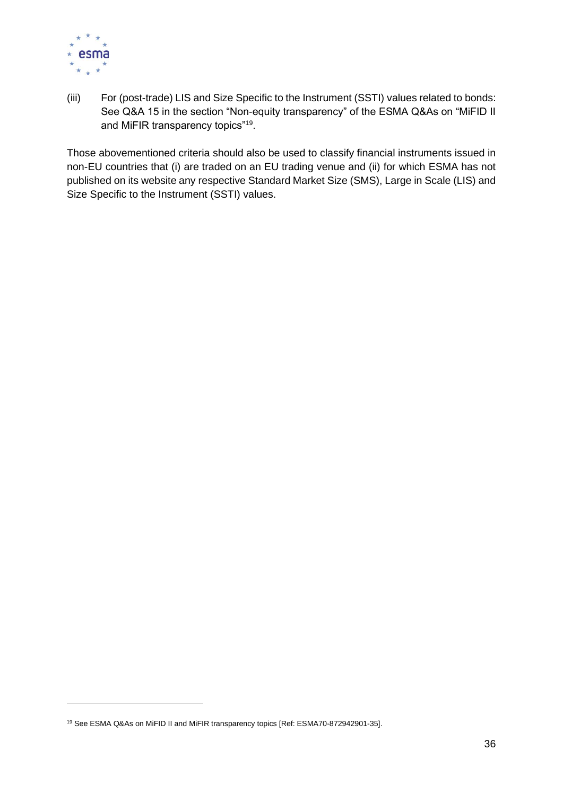

(iii) For (post-trade) LIS and Size Specific to the Instrument (SSTI) values related to bonds: See Q&A 15 in the section "Non-equity transparency" of the ESMA Q&As on "MiFID II and MiFIR transparency topics"<sup>19</sup>.

Those abovementioned criteria should also be used to classify financial instruments issued in non-EU countries that (i) are traded on an EU trading venue and (ii) for which ESMA has not published on its website any respective Standard Market Size (SMS), Large in Scale (LIS) and Size Specific to the Instrument (SSTI) values.

<sup>19</sup> See ESMA Q&As on MiFID II and MiFIR transparency topics [Ref: ESMA70-872942901-35].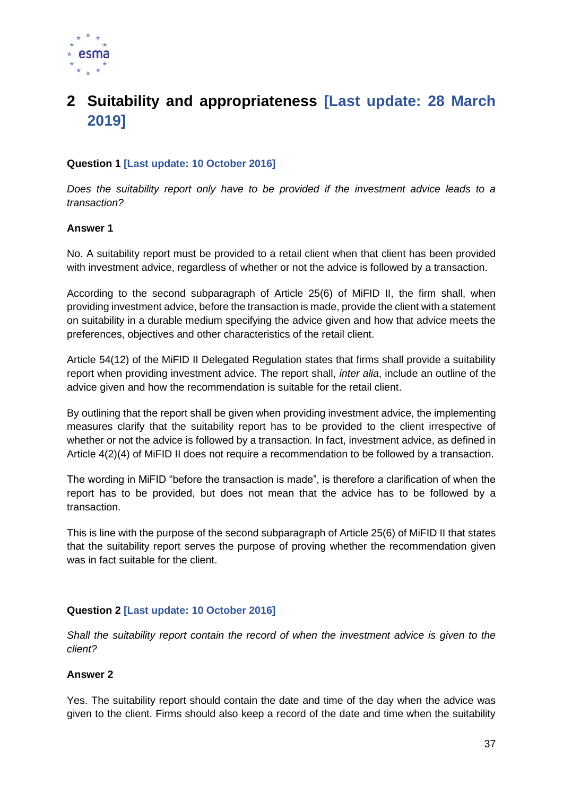

# **2 Suitability and appropriateness [Last update: 28 March 2019]**

# **Question 1 [Last update: 10 October 2016]**

*Does the suitability report only have to be provided if the investment advice leads to a transaction?*

#### **Answer 1**

No. A suitability report must be provided to a retail client when that client has been provided with investment advice, regardless of whether or not the advice is followed by a transaction.

According to the second subparagraph of Article 25(6) of MiFID II, the firm shall, when providing investment advice, before the transaction is made, provide the client with a statement on suitability in a durable medium specifying the advice given and how that advice meets the preferences, objectives and other characteristics of the retail client.

Article 54(12) of the MiFID II Delegated Regulation states that firms shall provide a suitability report when providing investment advice. The report shall, *inter alia*, include an outline of the advice given and how the recommendation is suitable for the retail client.

By outlining that the report shall be given when providing investment advice, the implementing measures clarify that the suitability report has to be provided to the client irrespective of whether or not the advice is followed by a transaction. In fact, investment advice, as defined in Article 4(2)(4) of MiFID II does not require a recommendation to be followed by a transaction.

The wording in MiFID "before the transaction is made", is therefore a clarification of when the report has to be provided, but does not mean that the advice has to be followed by a transaction.

This is line with the purpose of the second subparagraph of Article 25(6) of MiFID II that states that the suitability report serves the purpose of proving whether the recommendation given was in fact suitable for the client.

# **Question 2 [Last update: 10 October 2016]**

*Shall the suitability report contain the record of when the investment advice is given to the client?*

#### **Answer 2**

Yes. The suitability report should contain the date and time of the day when the advice was given to the client. Firms should also keep a record of the date and time when the suitability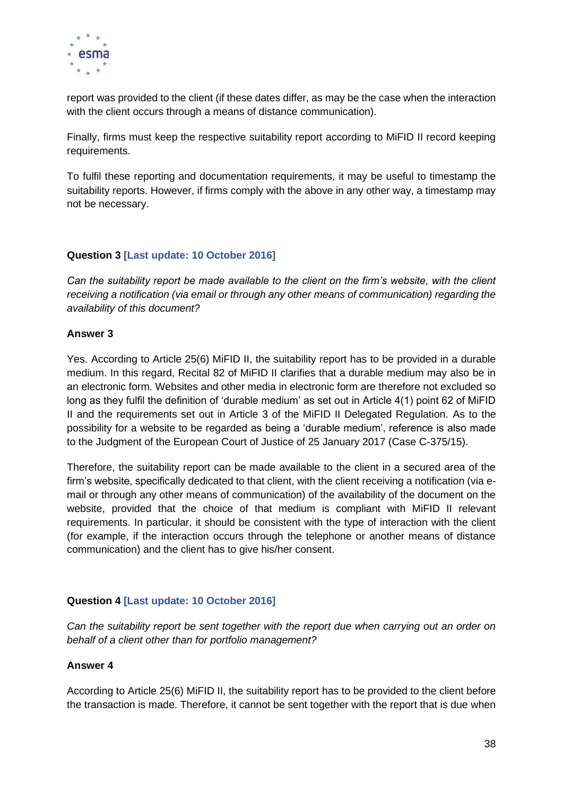

report was provided to the client (if these dates differ, as may be the case when the interaction with the client occurs through a means of distance communication).

Finally, firms must keep the respective suitability report according to MiFID II record keeping requirements.

To fulfil these reporting and documentation requirements, it may be useful to timestamp the suitability reports. However, if firms comply with the above in any other way, a timestamp may not be necessary.

## **Question 3 [Last update: 10 October 2016]**

*Can the suitability report be made available to the client on the firm's website, with the client receiving a notification (via email or through any other means of communication) regarding the availability of this document?* 

#### **Answer 3**

Yes. According to Article 25(6) MiFID II, the suitability report has to be provided in a durable medium. In this regard, Recital 82 of MiFID II clarifies that a durable medium may also be in an electronic form. Websites and other media in electronic form are therefore not excluded so long as they fulfil the definition of 'durable medium' as set out in Article 4(1) point 62 of MiFID II and the requirements set out in Article 3 of the MiFID II Delegated Regulation. As to the possibility for a website to be regarded as being a 'durable medium', reference is also made to the Judgment of the European Court of Justice of 25 January 2017 (Case C-375/15).

Therefore, the suitability report can be made available to the client in a secured area of the firm's website, specifically dedicated to that client, with the client receiving a notification (via email or through any other means of communication) of the availability of the document on the website, provided that the choice of that medium is compliant with MiFID II relevant requirements. In particular, it should be consistent with the type of interaction with the client (for example, if the interaction occurs through the telephone or another means of distance communication) and the client has to give his/her consent.

# **Question 4 [Last update: 10 October 2016]**

*Can the suitability report be sent together with the report due when carrying out an order on behalf of a client other than for portfolio management?*

#### **Answer 4**

According to Article 25(6) MiFID II, the suitability report has to be provided to the client before the transaction is made. Therefore, it cannot be sent together with the report that is due when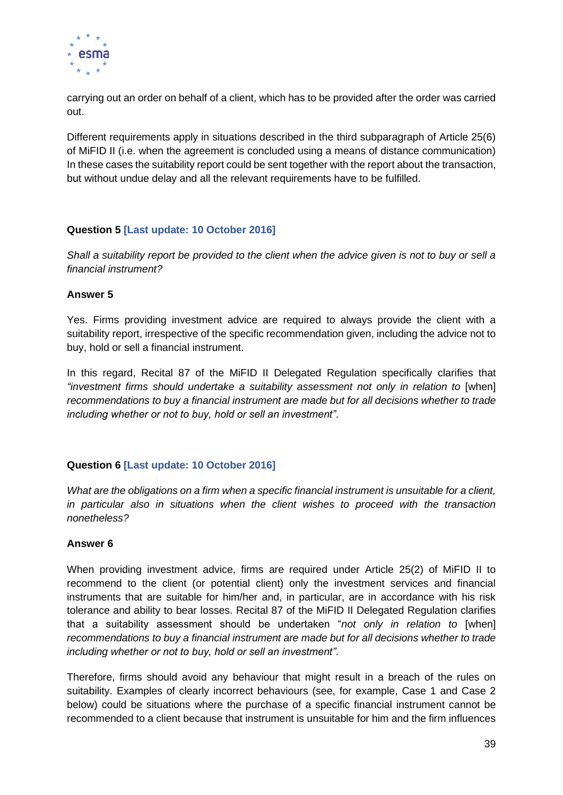

carrying out an order on behalf of a client, which has to be provided after the order was carried out.

Different requirements apply in situations described in the third subparagraph of Article 25(6) of MiFID II (i.e. when the agreement is concluded using a means of distance communication) In these cases the suitability report could be sent together with the report about the transaction, but without undue delay and all the relevant requirements have to be fulfilled.

# **Question 5 [Last update: 10 October 2016]**

*Shall a suitability report be provided to the client when the advice given is not to buy or sell a financial instrument?*

#### **Answer 5**

Yes. Firms providing investment advice are required to always provide the client with a suitability report, irrespective of the specific recommendation given, including the advice not to buy, hold or sell a financial instrument.

In this regard, Recital 87 of the MiFID II Delegated Regulation specifically clarifies that "investment firms should undertake a suitability assessment not only in relation to [when] *recommendations to buy a financial instrument are made but for all decisions whether to trade including whether or not to buy, hold or sell an investment"*.

#### **Question 6 [Last update: 10 October 2016]**

*What are the obligations on a firm when a specific financial instrument is unsuitable for a client, in particular also in situations when the client wishes to proceed with the transaction nonetheless?*

#### **Answer 6**

When providing investment advice, firms are required under Article 25(2) of MiFID II to recommend to the client (or potential client) only the investment services and financial instruments that are suitable for him/her and, in particular, are in accordance with his risk tolerance and ability to bear losses. Recital 87 of the MiFID II Delegated Regulation clarifies that a suitability assessment should be undertaken "*not only in relation to* [when] *recommendations to buy a financial instrument are made but for all decisions whether to trade including whether or not to buy, hold or sell an investment"*.

Therefore, firms should avoid any behaviour that might result in a breach of the rules on suitability. Examples of clearly incorrect behaviours (see, for example, Case 1 and Case 2 below) could be situations where the purchase of a specific financial instrument cannot be recommended to a client because that instrument is unsuitable for him and the firm influences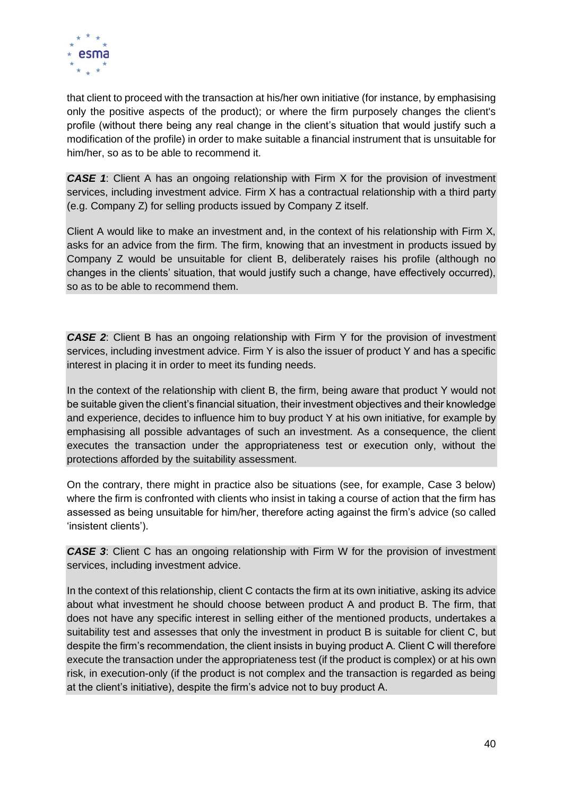

that client to proceed with the transaction at his/her own initiative (for instance, by emphasising only the positive aspects of the product); or where the firm purposely changes the client's profile (without there being any real change in the client's situation that would justify such a modification of the profile) in order to make suitable a financial instrument that is unsuitable for him/her, so as to be able to recommend it.

**CASE 1:** Client A has an ongoing relationship with Firm X for the provision of investment services, including investment advice. Firm X has a contractual relationship with a third party (e.g. Company Z) for selling products issued by Company Z itself.

Client A would like to make an investment and, in the context of his relationship with Firm X, asks for an advice from the firm. The firm, knowing that an investment in products issued by Company Z would be unsuitable for client B, deliberately raises his profile (although no changes in the clients' situation, that would justify such a change, have effectively occurred), so as to be able to recommend them.

*CASE 2*: Client B has an ongoing relationship with Firm Y for the provision of investment services, including investment advice. Firm Y is also the issuer of product Y and has a specific interest in placing it in order to meet its funding needs.

In the context of the relationship with client B, the firm, being aware that product Y would not be suitable given the client's financial situation, their investment objectives and their knowledge and experience, decides to influence him to buy product Y at his own initiative, for example by emphasising all possible advantages of such an investment. As a consequence, the client executes the transaction under the appropriateness test or execution only, without the protections afforded by the suitability assessment.

On the contrary, there might in practice also be situations (see, for example, Case 3 below) where the firm is confronted with clients who insist in taking a course of action that the firm has assessed as being unsuitable for him/her, therefore acting against the firm's advice (so called 'insistent clients').

**CASE 3:** Client C has an ongoing relationship with Firm W for the provision of investment services, including investment advice.

In the context of this relationship, client C contacts the firm at its own initiative, asking its advice about what investment he should choose between product A and product B. The firm, that does not have any specific interest in selling either of the mentioned products, undertakes a suitability test and assesses that only the investment in product B is suitable for client C, but despite the firm's recommendation, the client insists in buying product A. Client C will therefore execute the transaction under the appropriateness test (if the product is complex) or at his own risk, in execution-only (if the product is not complex and the transaction is regarded as being at the client's initiative), despite the firm's advice not to buy product A.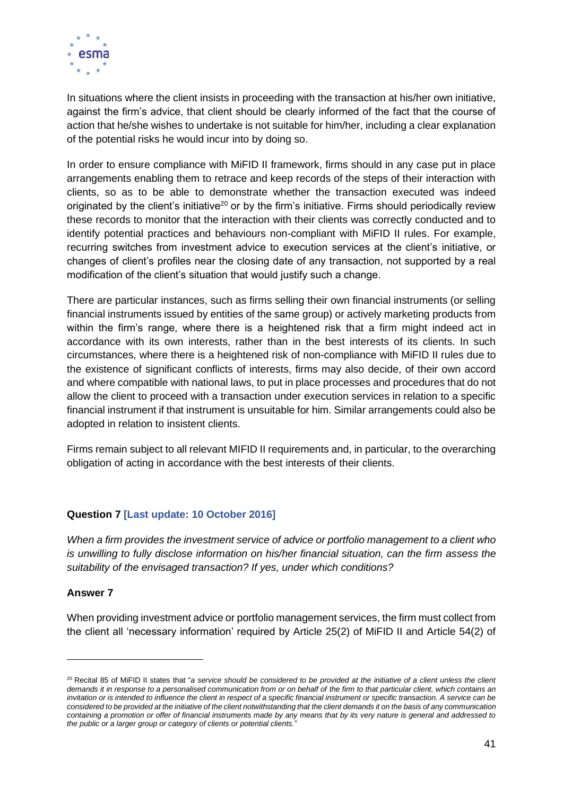

In situations where the client insists in proceeding with the transaction at his/her own initiative, against the firm's advice, that client should be clearly informed of the fact that the course of action that he/she wishes to undertake is not suitable for him/her, including a clear explanation of the potential risks he would incur into by doing so.

In order to ensure compliance with MiFID II framework, firms should in any case put in place arrangements enabling them to retrace and keep records of the steps of their interaction with clients, so as to be able to demonstrate whether the transaction executed was indeed originated by the client's initiative<sup>20</sup> or by the firm's initiative. Firms should periodically review these records to monitor that the interaction with their clients was correctly conducted and to identify potential practices and behaviours non-compliant with MiFID II rules. For example, recurring switches from investment advice to execution services at the client's initiative, or changes of client's profiles near the closing date of any transaction, not supported by a real modification of the client's situation that would justify such a change.

There are particular instances, such as firms selling their own financial instruments (or selling financial instruments issued by entities of the same group) or actively marketing products from within the firm's range, where there is a heightened risk that a firm might indeed act in accordance with its own interests, rather than in the best interests of its clients. In such circumstances, where there is a heightened risk of non-compliance with MiFID II rules due to the existence of significant conflicts of interests, firms may also decide, of their own accord and where compatible with national laws, to put in place processes and procedures that do not allow the client to proceed with a transaction under execution services in relation to a specific financial instrument if that instrument is unsuitable for him. Similar arrangements could also be adopted in relation to insistent clients.

Firms remain subject to all relevant MIFID II requirements and, in particular, to the overarching obligation of acting in accordance with the best interests of their clients.

# **Question 7 [Last update: 10 October 2016]**

*When a firm provides the investment service of advice or portfolio management to a client who is unwilling to fully disclose information on his/her financial situation, can the firm assess the suitability of the envisaged transaction? If yes, under which conditions?*

#### **Answer 7**

When providing investment advice or portfolio management services, the firm must collect from the client all 'necessary information' required by Article 25(2) of MiFID II and Article 54(2) of

<sup>20</sup> Recital 85 of MiFID II states that "*a service should be considered to be provided at the initiative of a client unless the client demands it in response to a personalised communication from or on behalf of the firm to that particular client, which contains an invitation or is intended to influence the client in respect of a specific financial instrument or specific transaction. A service can be considered to be provided at the initiative of the client notwithstanding that the client demands it on the basis of any communication containing a promotion or offer of financial instruments made by any means that by its very nature is general and addressed to the public or a larger group or category of clients or potential clients.*"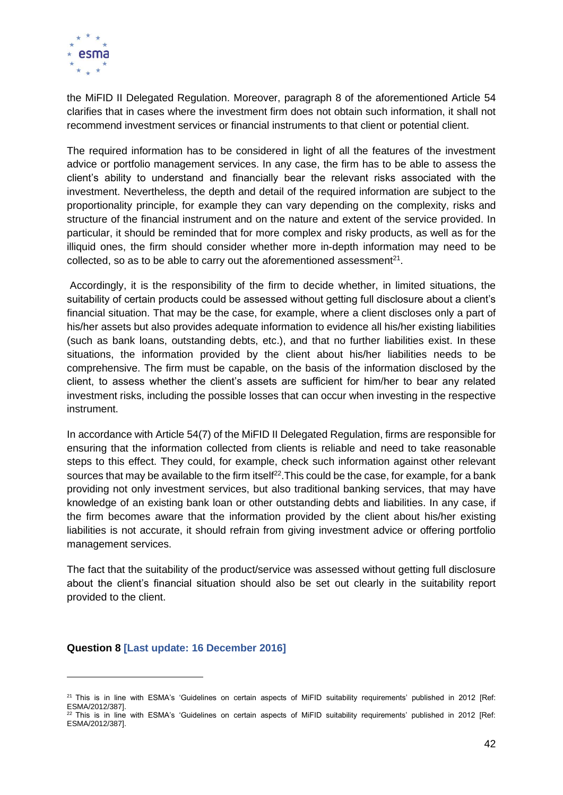

the MiFID II Delegated Regulation. Moreover, paragraph 8 of the aforementioned Article 54 clarifies that in cases where the investment firm does not obtain such information, it shall not recommend investment services or financial instruments to that client or potential client.

The required information has to be considered in light of all the features of the investment advice or portfolio management services. In any case, the firm has to be able to assess the client's ability to understand and financially bear the relevant risks associated with the investment. Nevertheless, the depth and detail of the required information are subject to the proportionality principle, for example they can vary depending on the complexity, risks and structure of the financial instrument and on the nature and extent of the service provided. In particular, it should be reminded that for more complex and risky products, as well as for the illiquid ones, the firm should consider whether more in-depth information may need to be collected, so as to be able to carry out the aforementioned assessment $^{21}$ .

Accordingly, it is the responsibility of the firm to decide whether, in limited situations, the suitability of certain products could be assessed without getting full disclosure about a client's financial situation. That may be the case, for example, where a client discloses only a part of his/her assets but also provides adequate information to evidence all his/her existing liabilities (such as bank loans, outstanding debts, etc.), and that no further liabilities exist. In these situations, the information provided by the client about his/her liabilities needs to be comprehensive. The firm must be capable, on the basis of the information disclosed by the client, to assess whether the client's assets are sufficient for him/her to bear any related investment risks, including the possible losses that can occur when investing in the respective instrument.

In accordance with Article 54(7) of the MiFID II Delegated Regulation, firms are responsible for ensuring that the information collected from clients is reliable and need to take reasonable steps to this effect. They could, for example, check such information against other relevant sources that may be available to the firm itself<sup>22</sup>. This could be the case, for example, for a bank providing not only investment services, but also traditional banking services, that may have knowledge of an existing bank loan or other outstanding debts and liabilities. In any case, if the firm becomes aware that the information provided by the client about his/her existing liabilities is not accurate, it should refrain from giving investment advice or offering portfolio management services.

The fact that the suitability of the product/service was assessed without getting full disclosure about the client's financial situation should also be set out clearly in the suitability report provided to the client.

#### **Question 8 [Last update: 16 December 2016]**

<sup>&</sup>lt;sup>21</sup> This is in line with ESMA's 'Guidelines on certain aspects of MiFID suitability requirements' published in 2012 [Ref: ESMA/2012/387].  $22$  This is in line with ESMA's 'Guidelines on certain aspects of MiFID suitability requirements' published in 2012 [Ref: ESMA/2012/387].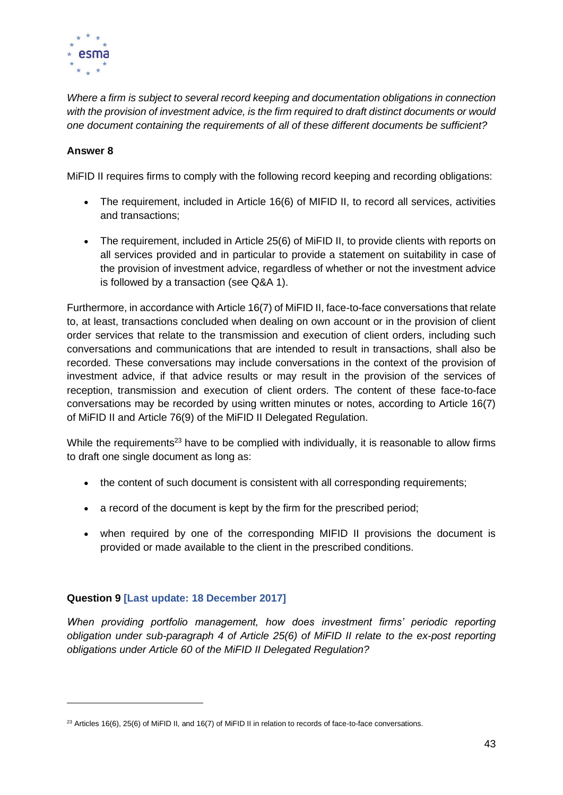

*Where a firm is subject to several record keeping and documentation obligations in connection with the provision of investment advice, is the firm required to draft distinct documents or would one document containing the requirements of all of these different documents be sufficient?*

# **Answer 8**

MiFID II requires firms to comply with the following record keeping and recording obligations:

- The requirement, included in Article 16(6) of MIFID II, to record all services, activities and transactions;
- The requirement, included in Article 25(6) of MiFID II, to provide clients with reports on all services provided and in particular to provide a statement on suitability in case of the provision of investment advice, regardless of whether or not the investment advice is followed by a transaction (see Q&A 1).

Furthermore, in accordance with Article 16(7) of MiFID II, face-to-face conversations that relate to, at least, transactions concluded when dealing on own account or in the provision of client order services that relate to the transmission and execution of client orders, including such conversations and communications that are intended to result in transactions, shall also be recorded. These conversations may include conversations in the context of the provision of investment advice, if that advice results or may result in the provision of the services of reception, transmission and execution of client orders. The content of these face-to-face conversations may be recorded by using written minutes or notes, according to Article 16(7) of MiFID II and Article 76(9) of the MiFID II Delegated Regulation.

While the requirements<sup>23</sup> have to be complied with individually, it is reasonable to allow firms to draft one single document as long as:

- the content of such document is consistent with all corresponding requirements;
- a record of the document is kept by the firm for the prescribed period;
- when required by one of the corresponding MIFID II provisions the document is provided or made available to the client in the prescribed conditions.

#### **Question 9 [Last update: 18 December 2017]**

*When providing portfolio management, how does investment firms' periodic reporting obligation under sub-paragraph 4 of Article 25(6) of MiFID II relate to the ex-post reporting obligations under Article 60 of the MiFID II Delegated Regulation?*

 $^{23}$  Articles 16(6), 25(6) of MiFID II, and 16(7) of MiFID II in relation to records of face-to-face conversations.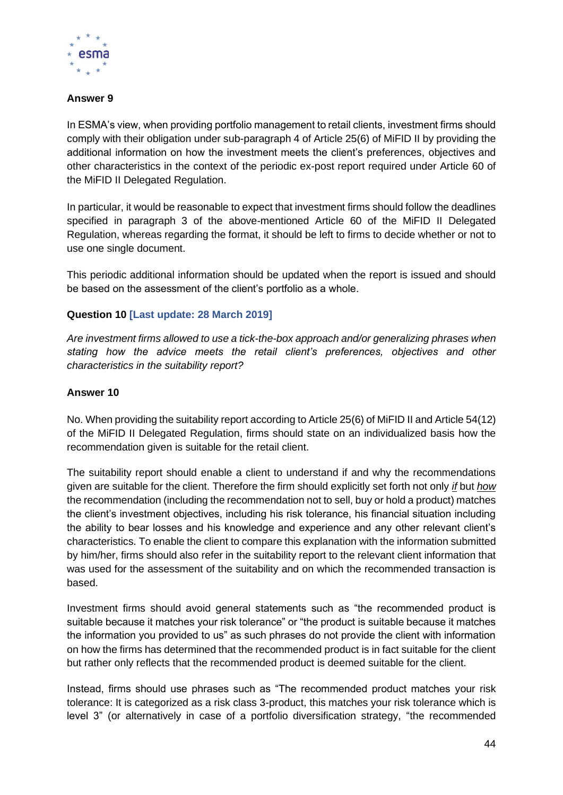

# **Answer 9**

In ESMA's view, when providing portfolio management to retail clients, investment firms should comply with their obligation under sub-paragraph 4 of Article 25(6) of MiFID II by providing the additional information on how the investment meets the client's preferences, objectives and other characteristics in the context of the periodic ex-post report required under Article 60 of the MiFID II Delegated Regulation.

In particular, it would be reasonable to expect that investment firms should follow the deadlines specified in paragraph 3 of the above-mentioned Article 60 of the MiFID II Delegated Regulation, whereas regarding the format, it should be left to firms to decide whether or not to use one single document.

This periodic additional information should be updated when the report is issued and should be based on the assessment of the client's portfolio as a whole.

## **Question 10 [Last update: 28 March 2019]**

*Are investment firms allowed to use a tick-the-box approach and/or generalizing phrases when stating how the advice meets the retail client's preferences, objectives and other characteristics in the suitability report?*

#### **Answer 10**

No. When providing the suitability report according to Article 25(6) of MiFID II and Article 54(12) of the MiFID II Delegated Regulation, firms should state on an individualized basis how the recommendation given is suitable for the retail client.

The suitability report should enable a client to understand if and why the recommendations given are suitable for the client. Therefore the firm should explicitly set forth not only *if* but *how* the recommendation (including the recommendation not to sell, buy or hold a product) matches the client's investment objectives, including his risk tolerance, his financial situation including the ability to bear losses and his knowledge and experience and any other relevant client's characteristics. To enable the client to compare this explanation with the information submitted by him/her, firms should also refer in the suitability report to the relevant client information that was used for the assessment of the suitability and on which the recommended transaction is based.

Investment firms should avoid general statements such as "the recommended product is suitable because it matches your risk tolerance" or "the product is suitable because it matches the information you provided to us" as such phrases do not provide the client with information on how the firms has determined that the recommended product is in fact suitable for the client but rather only reflects that the recommended product is deemed suitable for the client.

Instead, firms should use phrases such as "The recommended product matches your risk tolerance: It is categorized as a risk class 3-product, this matches your risk tolerance which is level 3" (or alternatively in case of a portfolio diversification strategy, "the recommended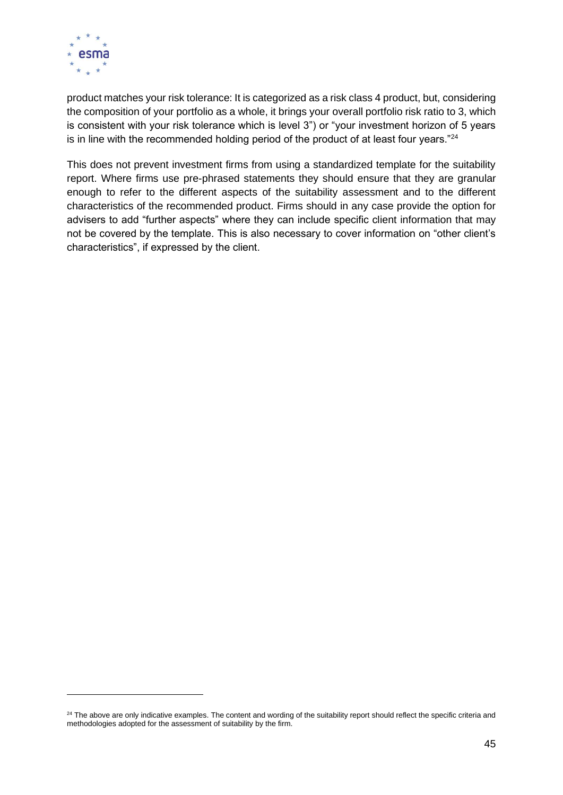

product matches your risk tolerance: It is categorized as a risk class 4 product, but, considering the composition of your portfolio as a whole, it brings your overall portfolio risk ratio to 3, which is consistent with your risk tolerance which is level 3") or "your investment horizon of 5 years is in line with the recommended holding period of the product of at least four years."<sup>24</sup>

This does not prevent investment firms from using a standardized template for the suitability report. Where firms use pre-phrased statements they should ensure that they are granular enough to refer to the different aspects of the suitability assessment and to the different characteristics of the recommended product. Firms should in any case provide the option for advisers to add "further aspects" where they can include specific client information that may not be covered by the template. This is also necessary to cover information on "other client's characteristics", if expressed by the client.

<sup>&</sup>lt;sup>24</sup> The above are only indicative examples. The content and wording of the suitability report should reflect the specific criteria and methodologies adopted for the assessment of suitability by the firm.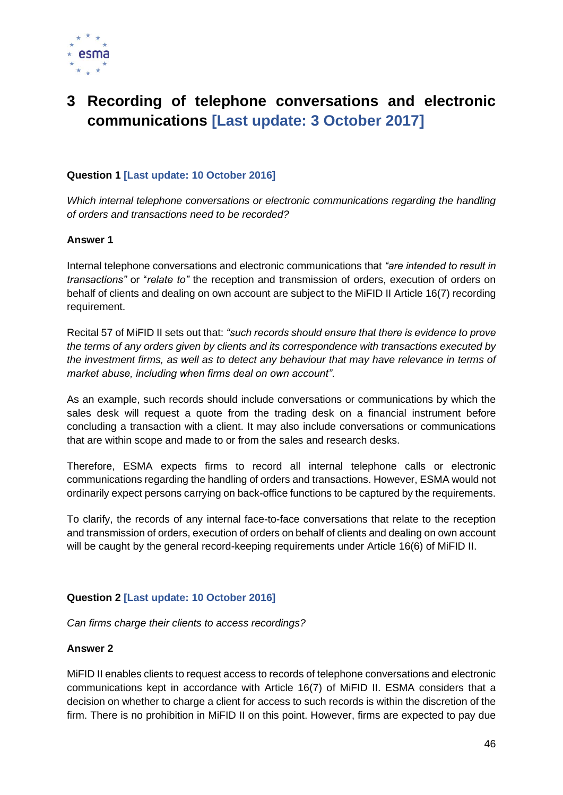

# **3 Recording of telephone conversations and electronic communications [Last update: 3 October 2017]**

# **Question 1 [Last update: 10 October 2016]**

*Which internal telephone conversations or electronic communications regarding the handling of orders and transactions need to be recorded?*

#### **Answer 1**

Internal telephone conversations and electronic communications that *"are intended to result in transactions"* or "*relate to"* the reception and transmission of orders, execution of orders on behalf of clients and dealing on own account are subject to the MiFID II Article 16(7) recording requirement.

Recital 57 of MiFID II sets out that: *"such records should ensure that there is evidence to prove the terms of any orders given by clients and its correspondence with transactions executed by the investment firms, as well as to detect any behaviour that may have relevance in terms of market abuse, including when firms deal on own account"*.

As an example, such records should include conversations or communications by which the sales desk will request a quote from the trading desk on a financial instrument before concluding a transaction with a client. It may also include conversations or communications that are within scope and made to or from the sales and research desks.

Therefore, ESMA expects firms to record all internal telephone calls or electronic communications regarding the handling of orders and transactions. However, ESMA would not ordinarily expect persons carrying on back-office functions to be captured by the requirements.

To clarify, the records of any internal face-to-face conversations that relate to the reception and transmission of orders, execution of orders on behalf of clients and dealing on own account will be caught by the general record-keeping requirements under Article 16(6) of MiFID II.

# **Question 2 [Last update: 10 October 2016]**

*Can firms charge their clients to access recordings?* 

#### **Answer 2**

MiFID II enables clients to request access to records of telephone conversations and electronic communications kept in accordance with Article 16(7) of MiFID II. ESMA considers that a decision on whether to charge a client for access to such records is within the discretion of the firm. There is no prohibition in MiFID II on this point. However, firms are expected to pay due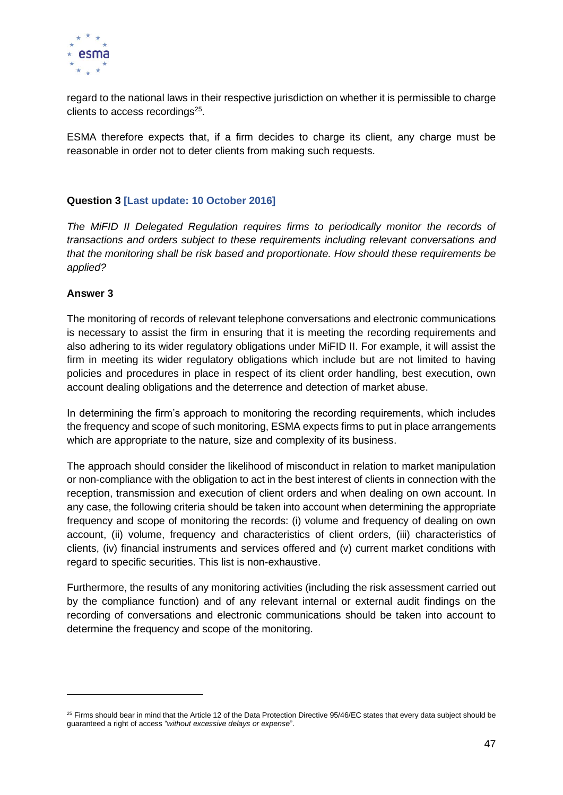

regard to the national laws in their respective jurisdiction on whether it is permissible to charge clients to access recordings<sup>25</sup>.

ESMA therefore expects that, if a firm decides to charge its client, any charge must be reasonable in order not to deter clients from making such requests.

# **Question 3 [Last update: 10 October 2016]**

*The MiFID II Delegated Regulation requires firms to periodically monitor the records of transactions and orders subject to these requirements including relevant conversations and that the monitoring shall be risk based and proportionate. How should these requirements be applied?*

#### **Answer 3**

The monitoring of records of relevant telephone conversations and electronic communications is necessary to assist the firm in ensuring that it is meeting the recording requirements and also adhering to its wider regulatory obligations under MiFID II. For example, it will assist the firm in meeting its wider regulatory obligations which include but are not limited to having policies and procedures in place in respect of its client order handling, best execution, own account dealing obligations and the deterrence and detection of market abuse.

In determining the firm's approach to monitoring the recording requirements, which includes the frequency and scope of such monitoring, ESMA expects firms to put in place arrangements which are appropriate to the nature, size and complexity of its business.

The approach should consider the likelihood of misconduct in relation to market manipulation or non-compliance with the obligation to act in the best interest of clients in connection with the reception, transmission and execution of client orders and when dealing on own account. In any case, the following criteria should be taken into account when determining the appropriate frequency and scope of monitoring the records: (i) volume and frequency of dealing on own account, (ii) volume, frequency and characteristics of client orders, (iii) characteristics of clients, (iv) financial instruments and services offered and (v) current market conditions with regard to specific securities. This list is non-exhaustive.

Furthermore, the results of any monitoring activities (including the risk assessment carried out by the compliance function) and of any relevant internal or external audit findings on the recording of conversations and electronic communications should be taken into account to determine the frequency and scope of the monitoring.

 $25$  Firms should bear in mind that the Article 12 of the Data Protection Directive  $95/46$ /EC states that every data subject should be guaranteed a right of access "*without excessive delays or expense*".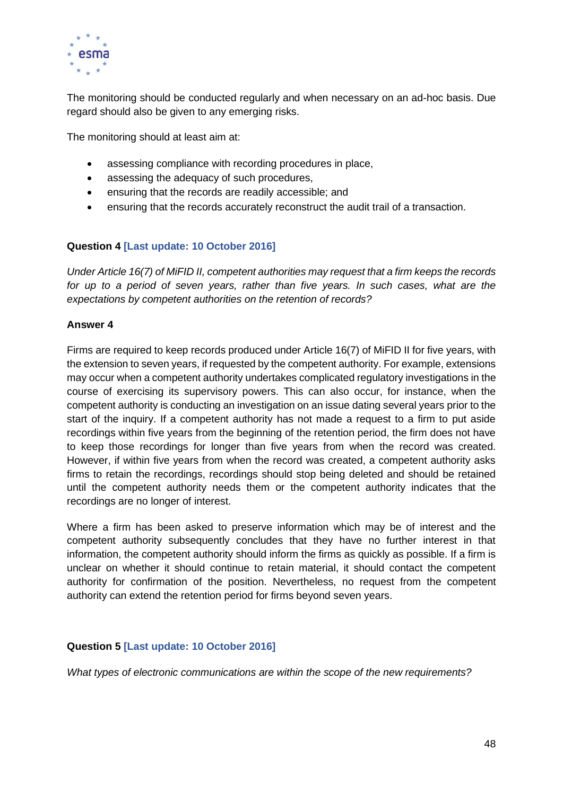

The monitoring should be conducted regularly and when necessary on an ad-hoc basis. Due regard should also be given to any emerging risks.

The monitoring should at least aim at:

- assessing compliance with recording procedures in place,
- assessing the adequacy of such procedures,
- ensuring that the records are readily accessible; and
- ensuring that the records accurately reconstruct the audit trail of a transaction.

## **Question 4 [Last update: 10 October 2016]**

*Under Article 16(7) of MiFID II, competent authorities may request that a firm keeps the records*  for up to a period of seven years, rather than five years. In such cases, what are the *expectations by competent authorities on the retention of records?*

#### **Answer 4**

Firms are required to keep records produced under Article 16(7) of MiFID II for five years, with the extension to seven years, if requested by the competent authority. For example, extensions may occur when a competent authority undertakes complicated regulatory investigations in the course of exercising its supervisory powers. This can also occur, for instance, when the competent authority is conducting an investigation on an issue dating several years prior to the start of the inquiry. If a competent authority has not made a request to a firm to put aside recordings within five years from the beginning of the retention period, the firm does not have to keep those recordings for longer than five years from when the record was created. However, if within five years from when the record was created, a competent authority asks firms to retain the recordings, recordings should stop being deleted and should be retained until the competent authority needs them or the competent authority indicates that the recordings are no longer of interest.

Where a firm has been asked to preserve information which may be of interest and the competent authority subsequently concludes that they have no further interest in that information, the competent authority should inform the firms as quickly as possible. If a firm is unclear on whether it should continue to retain material, it should contact the competent authority for confirmation of the position. Nevertheless, no request from the competent authority can extend the retention period for firms beyond seven years.

#### **Question 5 [Last update: 10 October 2016]**

*What types of electronic communications are within the scope of the new requirements?*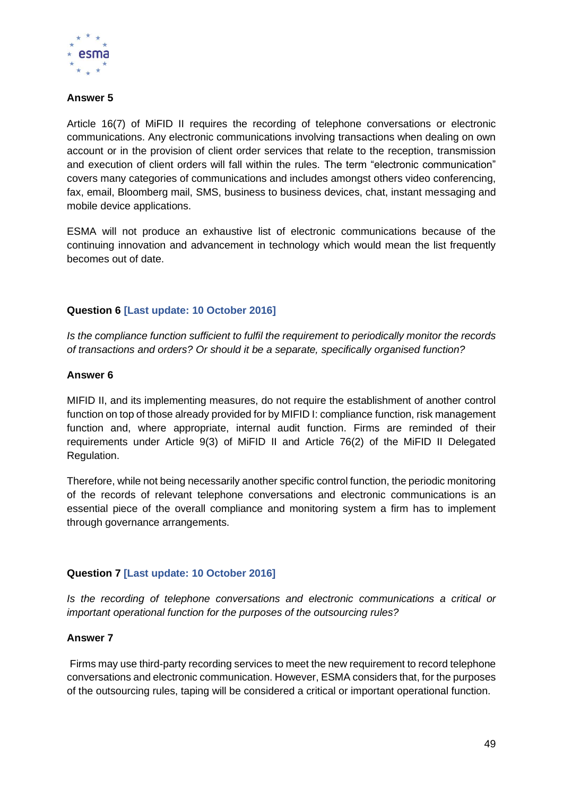

# **Answer 5**

Article 16(7) of MiFID II requires the recording of telephone conversations or electronic communications. Any electronic communications involving transactions when dealing on own account or in the provision of client order services that relate to the reception, transmission and execution of client orders will fall within the rules. The term "electronic communication" covers many categories of communications and includes amongst others video conferencing, fax, email, Bloomberg mail, SMS, business to business devices, chat, instant messaging and mobile device applications.

ESMA will not produce an exhaustive list of electronic communications because of the continuing innovation and advancement in technology which would mean the list frequently becomes out of date.

# **Question 6 [Last update: 10 October 2016]**

*Is the compliance function sufficient to fulfil the requirement to periodically monitor the records of transactions and orders? Or should it be a separate, specifically organised function?*

#### **Answer 6**

MIFID II, and its implementing measures, do not require the establishment of another control function on top of those already provided for by MIFID I: compliance function, risk management function and, where appropriate, internal audit function. Firms are reminded of their requirements under Article 9(3) of MiFID II and Article 76(2) of the MiFID II Delegated Regulation.

Therefore, while not being necessarily another specific control function, the periodic monitoring of the records of relevant telephone conversations and electronic communications is an essential piece of the overall compliance and monitoring system a firm has to implement through governance arrangements.

#### **Question 7 [Last update: 10 October 2016]**

*Is the recording of telephone conversations and electronic communications a critical or important operational function for the purposes of the outsourcing rules?* 

#### **Answer 7**

Firms may use third-party recording services to meet the new requirement to record telephone conversations and electronic communication. However, ESMA considers that, for the purposes of the outsourcing rules, taping will be considered a critical or important operational function.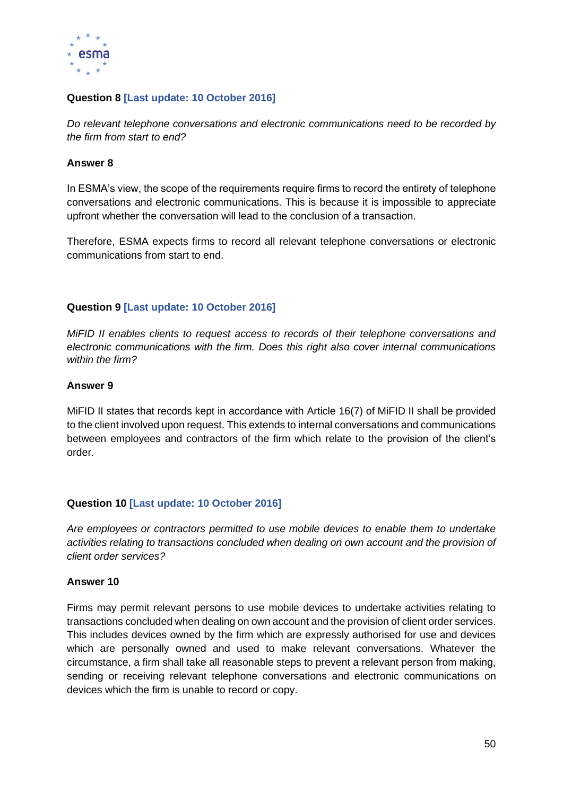

# **Question 8 [Last update: 10 October 2016]**

*Do relevant telephone conversations and electronic communications need to be recorded by the firm from start to end?*

#### **Answer 8**

In ESMA's view, the scope of the requirements require firms to record the entirety of telephone conversations and electronic communications. This is because it is impossible to appreciate upfront whether the conversation will lead to the conclusion of a transaction.

Therefore, ESMA expects firms to record all relevant telephone conversations or electronic communications from start to end.

# **Question 9 [Last update: 10 October 2016]**

*MiFID II enables clients to request access to records of their telephone conversations and electronic communications with the firm. Does this right also cover internal communications within the firm?*

#### **Answer 9**

MiFID II states that records kept in accordance with Article 16(7) of MiFID II shall be provided to the client involved upon request. This extends to internal conversations and communications between employees and contractors of the firm which relate to the provision of the client's order.

# **Question 10 [Last update: 10 October 2016]**

*Are employees or contractors permitted to use mobile devices to enable them to undertake activities relating to transactions concluded when dealing on own account and the provision of client order services?* 

#### **Answer 10**

Firms may permit relevant persons to use mobile devices to undertake activities relating to transactions concluded when dealing on own account and the provision of client order services. This includes devices owned by the firm which are expressly authorised for use and devices which are personally owned and used to make relevant conversations. Whatever the circumstance, a firm shall take all reasonable steps to prevent a relevant person from making, sending or receiving relevant telephone conversations and electronic communications on devices which the firm is unable to record or copy.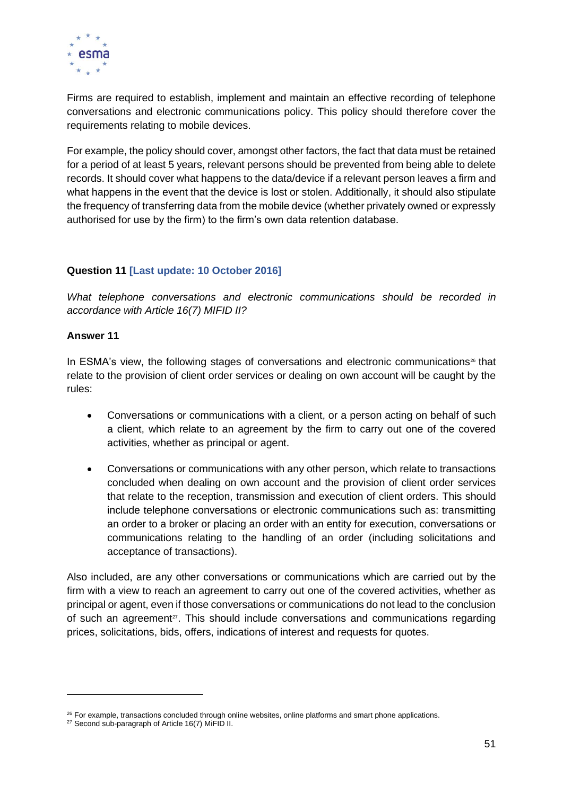

Firms are required to establish, implement and maintain an effective recording of telephone conversations and electronic communications policy. This policy should therefore cover the requirements relating to mobile devices.

For example, the policy should cover, amongst other factors, the fact that data must be retained for a period of at least 5 years, relevant persons should be prevented from being able to delete records. It should cover what happens to the data/device if a relevant person leaves a firm and what happens in the event that the device is lost or stolen. Additionally, it should also stipulate the frequency of transferring data from the mobile device (whether privately owned or expressly authorised for use by the firm) to the firm's own data retention database.

# **Question 11 [Last update: 10 October 2016]**

*What telephone conversations and electronic communications should be recorded in accordance with Article 16(7) MIFID II?*

#### **Answer 11**

In ESMA's view, the following stages of conversations and electronic communications<sup>26</sup> that relate to the provision of client order services or dealing on own account will be caught by the rules:

- Conversations or communications with a client, or a person acting on behalf of such a client, which relate to an agreement by the firm to carry out one of the covered activities, whether as principal or agent.
- Conversations or communications with any other person, which relate to transactions concluded when dealing on own account and the provision of client order services that relate to the reception, transmission and execution of client orders. This should include telephone conversations or electronic communications such as: transmitting an order to a broker or placing an order with an entity for execution, conversations or communications relating to the handling of an order (including solicitations and acceptance of transactions).

Also included, are any other conversations or communications which are carried out by the firm with a view to reach an agreement to carry out one of the covered activities, whether as principal or agent, even if those conversations or communications do not lead to the conclusion of such an agreement<sup>27</sup>. This should include conversations and communications regarding prices, solicitations, bids, offers, indications of interest and requests for quotes.

 $26$  For example, transactions concluded through online websites, online platforms and smart phone applications.

<sup>&</sup>lt;sup>27</sup> Second sub-paragraph of Article 16(7) MiFID II.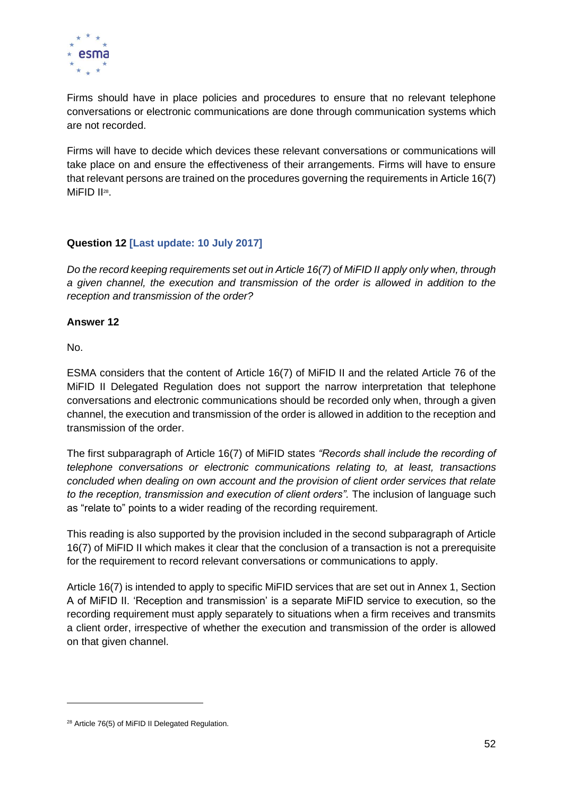

Firms should have in place policies and procedures to ensure that no relevant telephone conversations or electronic communications are done through communication systems which are not recorded.

Firms will have to decide which devices these relevant conversations or communications will take place on and ensure the effectiveness of their arrangements. Firms will have to ensure that relevant persons are trained on the procedures governing the requirements in Article 16(7) MiFID II<sup>28</sup>.

# **Question 12 [Last update: 10 July 2017]**

*Do the record keeping requirements set out in Article 16(7) of MiFID II apply only when, through a given channel, the execution and transmission of the order is allowed in addition to the reception and transmission of the order?*

# **Answer 12**

No.

ESMA considers that the content of Article 16(7) of MiFID II and the related Article 76 of the MiFID II Delegated Regulation does not support the narrow interpretation that telephone conversations and electronic communications should be recorded only when, through a given channel, the execution and transmission of the order is allowed in addition to the reception and transmission of the order.

The first subparagraph of Article 16(7) of MiFID states *"Records shall include the recording of telephone conversations or electronic communications relating to, at least, transactions concluded when dealing on own account and the provision of client order services that relate to the reception, transmission and execution of client orders".* The inclusion of language such as "relate to" points to a wider reading of the recording requirement.

This reading is also supported by the provision included in the second subparagraph of Article 16(7) of MiFID II which makes it clear that the conclusion of a transaction is not a prerequisite for the requirement to record relevant conversations or communications to apply.

Article 16(7) is intended to apply to specific MiFID services that are set out in Annex 1, Section A of MiFID II. 'Reception and transmission' is a separate MiFID service to execution, so the recording requirement must apply separately to situations when a firm receives and transmits a client order, irrespective of whether the execution and transmission of the order is allowed on that given channel.

<sup>&</sup>lt;sup>28</sup> Article 76(5) of MiFID II Delegated Regulation.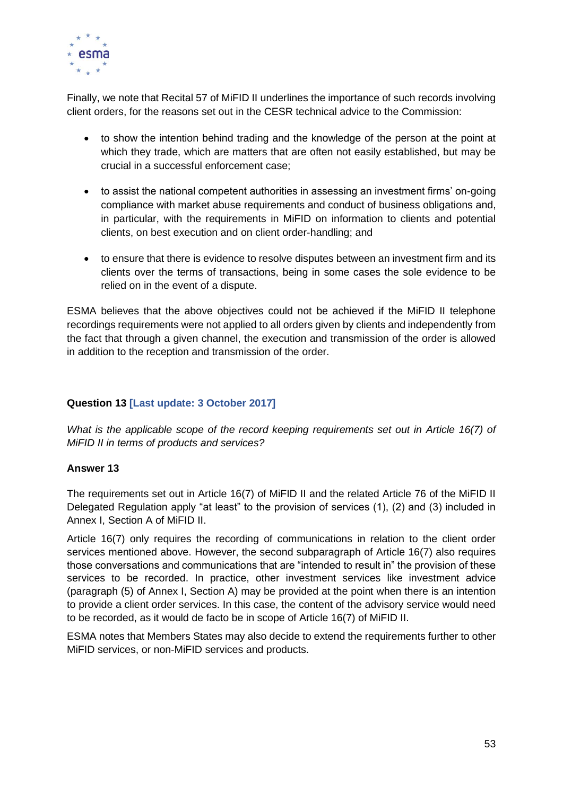

Finally, we note that Recital 57 of MiFID II underlines the importance of such records involving client orders, for the reasons set out in the CESR technical advice to the Commission:

- to show the intention behind trading and the knowledge of the person at the point at which they trade, which are matters that are often not easily established, but may be crucial in a successful enforcement case;
- to assist the national competent authorities in assessing an investment firms' on-going compliance with market abuse requirements and conduct of business obligations and, in particular, with the requirements in MiFID on information to clients and potential clients, on best execution and on client order-handling; and
- to ensure that there is evidence to resolve disputes between an investment firm and its clients over the terms of transactions, being in some cases the sole evidence to be relied on in the event of a dispute.

ESMA believes that the above objectives could not be achieved if the MiFID II telephone recordings requirements were not applied to all orders given by clients and independently from the fact that through a given channel, the execution and transmission of the order is allowed in addition to the reception and transmission of the order.

# **Question 13 [Last update: 3 October 2017]**

*What is the applicable scope of the record keeping requirements set out in Article 16(7) of MiFID II in terms of products and services?*

#### **Answer 13**

The requirements set out in Article 16(7) of MiFID II and the related Article 76 of the MiFID II Delegated Regulation apply "at least" to the provision of services (1), (2) and (3) included in Annex I, Section A of MiFID II.

Article 16(7) only requires the recording of communications in relation to the client order services mentioned above. However, the second subparagraph of Article 16(7) also requires those conversations and communications that are "intended to result in" the provision of these services to be recorded. In practice, other investment services like investment advice (paragraph (5) of Annex I, Section A) may be provided at the point when there is an intention to provide a client order services. In this case, the content of the advisory service would need to be recorded, as it would de facto be in scope of Article 16(7) of MiFID II.

ESMA notes that Members States may also decide to extend the requirements further to other MiFID services, or non-MiFID services and products.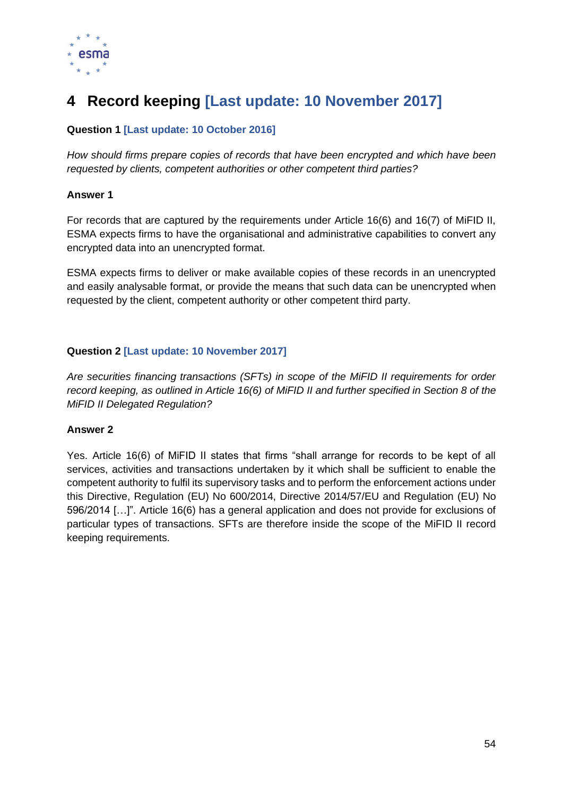

# **4 Record keeping [Last update: 10 November 2017]**

# **Question 1 [Last update: 10 October 2016]**

*How should firms prepare copies of records that have been encrypted and which have been requested by clients, competent authorities or other competent third parties?*

#### **Answer 1**

For records that are captured by the requirements under Article 16(6) and 16(7) of MiFID II, ESMA expects firms to have the organisational and administrative capabilities to convert any encrypted data into an unencrypted format.

ESMA expects firms to deliver or make available copies of these records in an unencrypted and easily analysable format, or provide the means that such data can be unencrypted when requested by the client, competent authority or other competent third party.

# **Question 2 [Last update: 10 November 2017]**

*Are securities financing transactions (SFTs) in scope of the MiFID II requirements for order record keeping, as outlined in Article 16(6) of MiFID II and further specified in Section 8 of the MiFID II Delegated Regulation?*

# **Answer 2**

Yes. Article 16(6) of MiFID II states that firms "shall arrange for records to be kept of all services, activities and transactions undertaken by it which shall be sufficient to enable the competent authority to fulfil its supervisory tasks and to perform the enforcement actions under this Directive, Regulation (EU) No 600/2014, Directive 2014/57/EU and Regulation (EU) No 596/2014 […]". Article 16(6) has a general application and does not provide for exclusions of particular types of transactions. SFTs are therefore inside the scope of the MiFID II record keeping requirements.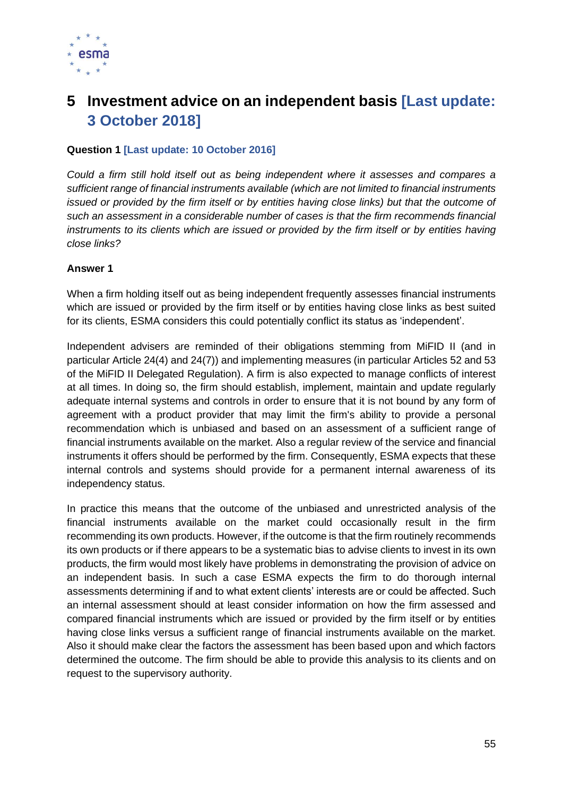

# **5 Investment advice on an independent basis [Last update: 3 October 2018]**

## **Question 1 [Last update: 10 October 2016]**

*Could a firm still hold itself out as being independent where it assesses and compares a sufficient range of financial instruments available (which are not limited to financial instruments*  issued or provided by the firm itself or by entities having close links) but that the outcome of *such an assessment in a considerable number of cases is that the firm recommends financial instruments to its clients which are issued or provided by the firm itself or by entities having close links?* 

#### **Answer 1**

When a firm holding itself out as being independent frequently assesses financial instruments which are issued or provided by the firm itself or by entities having close links as best suited for its clients, ESMA considers this could potentially conflict its status as 'independent'.

Independent advisers are reminded of their obligations stemming from MiFID II (and in particular Article 24(4) and 24(7)) and implementing measures (in particular Articles 52 and 53 of the MiFID II Delegated Regulation). A firm is also expected to manage conflicts of interest at all times. In doing so, the firm should establish, implement, maintain and update regularly adequate internal systems and controls in order to ensure that it is not bound by any form of agreement with a product provider that may limit the firm's ability to provide a personal recommendation which is unbiased and based on an assessment of a sufficient range of financial instruments available on the market. Also a regular review of the service and financial instruments it offers should be performed by the firm. Consequently, ESMA expects that these internal controls and systems should provide for a permanent internal awareness of its independency status.

In practice this means that the outcome of the unbiased and unrestricted analysis of the financial instruments available on the market could occasionally result in the firm recommending its own products. However, if the outcome is that the firm routinely recommends its own products or if there appears to be a systematic bias to advise clients to invest in its own products, the firm would most likely have problems in demonstrating the provision of advice on an independent basis. In such a case ESMA expects the firm to do thorough internal assessments determining if and to what extent clients' interests are or could be affected. Such an internal assessment should at least consider information on how the firm assessed and compared financial instruments which are issued or provided by the firm itself or by entities having close links versus a sufficient range of financial instruments available on the market. Also it should make clear the factors the assessment has been based upon and which factors determined the outcome. The firm should be able to provide this analysis to its clients and on request to the supervisory authority.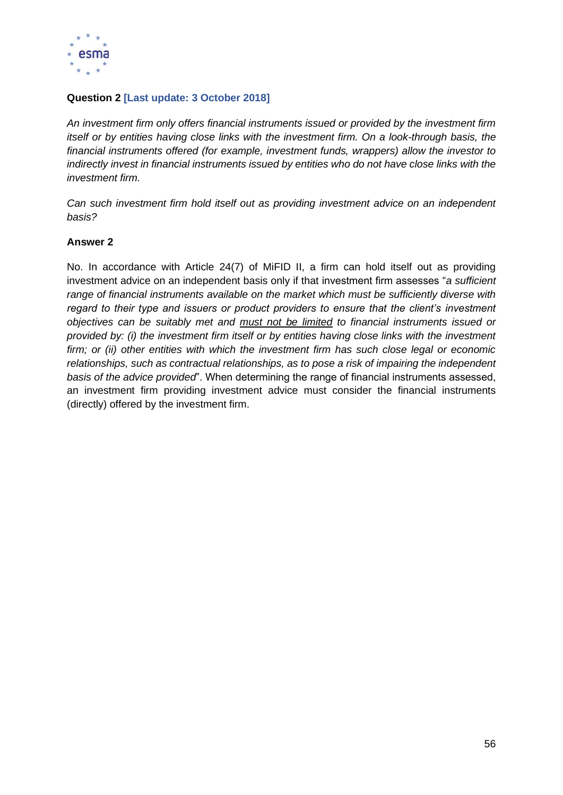

# **Question 2 [Last update: 3 October 2018]**

*An investment firm only offers financial instruments issued or provided by the investment firm itself or by entities having close links with the investment firm. On a look-through basis, the financial instruments offered (for example, investment funds, wrappers) allow the investor to indirectly invest in financial instruments issued by entities who do not have close links with the investment firm.*

*Can such investment firm hold itself out as providing investment advice on an independent basis?*

## **Answer 2**

No. In accordance with Article 24(7) of MiFID II, a firm can hold itself out as providing investment advice on an independent basis only if that investment firm assesses "*a sufficient range of financial instruments available on the market which must be sufficiently diverse with regard to their type and issuers or product providers to ensure that the client's investment objectives can be suitably met and must not be limited to financial instruments issued or provided by: (i) the investment firm itself or by entities having close links with the investment firm; or (ii) other entities with which the investment firm has such close legal or economic relationships, such as contractual relationships, as to pose a risk of impairing the independent basis of the advice provided*". When determining the range of financial instruments assessed, an investment firm providing investment advice must consider the financial instruments (directly) offered by the investment firm.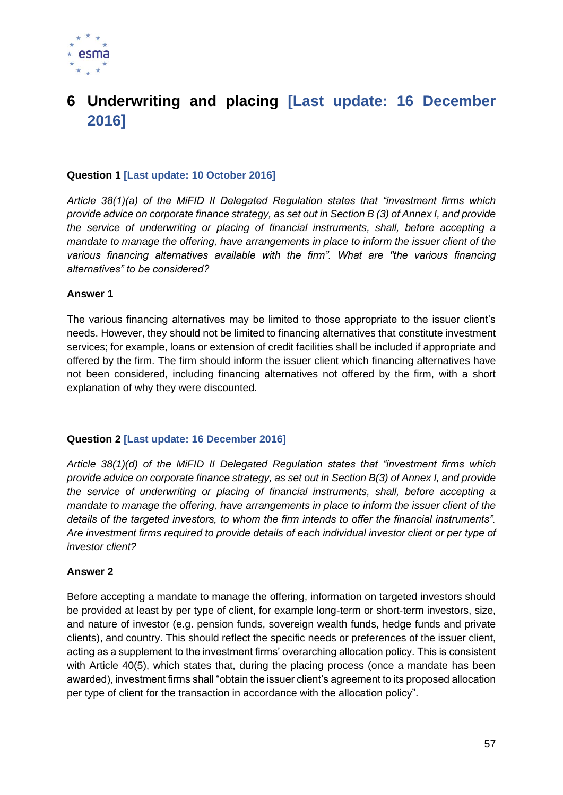

# **6 Underwriting and placing [Last update: 16 December 2016]**

## **Question 1 [Last update: 10 October 2016]**

*Article 38(1)(a) of the MiFID II Delegated Regulation states that "investment firms which provide advice on corporate finance strategy, as set out in Section B (3) of Annex I, and provide the service of underwriting or placing of financial instruments, shall, before accepting a mandate to manage the offering, have arrangements in place to inform the issuer client of the various financing alternatives available with the firm". What are "the various financing alternatives" to be considered?*

#### **Answer 1**

The various financing alternatives may be limited to those appropriate to the issuer client's needs. However, they should not be limited to financing alternatives that constitute investment services; for example, loans or extension of credit facilities shall be included if appropriate and offered by the firm. The firm should inform the issuer client which financing alternatives have not been considered, including financing alternatives not offered by the firm, with a short explanation of why they were discounted.

#### **Question 2 [Last update: 16 December 2016]**

*Article 38(1)(d) of the MiFID II Delegated Regulation states that "investment firms which provide advice on corporate finance strategy, as set out in Section B(3) of Annex I, and provide the service of underwriting or placing of financial instruments, shall, before accepting a mandate to manage the offering, have arrangements in place to inform the issuer client of the details of the targeted investors, to whom the firm intends to offer the financial instruments". Are investment firms required to provide details of each individual investor client or per type of investor client?*

#### **Answer 2**

Before accepting a mandate to manage the offering, information on targeted investors should be provided at least by per type of client, for example long-term or short-term investors, size, and nature of investor (e.g. pension funds, sovereign wealth funds, hedge funds and private clients), and country. This should reflect the specific needs or preferences of the issuer client, acting as a supplement to the investment firms' overarching allocation policy. This is consistent with Article 40(5), which states that, during the placing process (once a mandate has been awarded), investment firms shall "obtain the issuer client's agreement to its proposed allocation per type of client for the transaction in accordance with the allocation policy".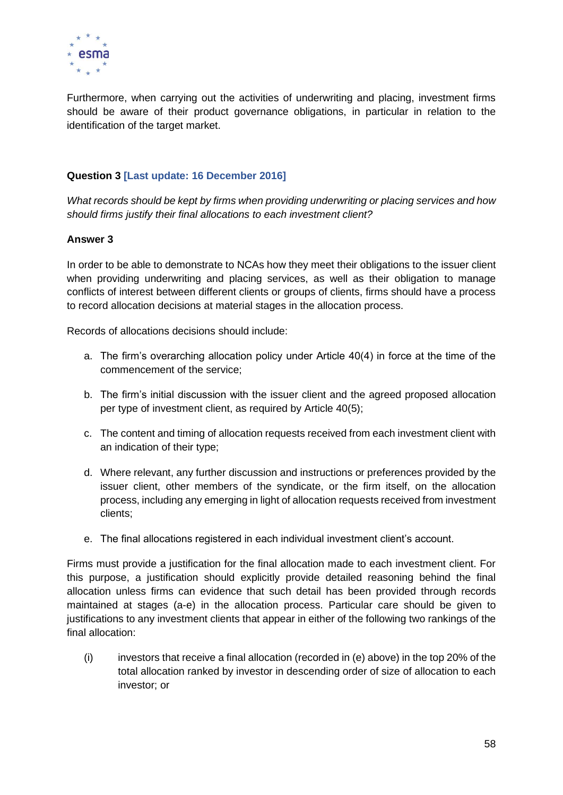

Furthermore, when carrying out the activities of underwriting and placing, investment firms should be aware of their product governance obligations, in particular in relation to the identification of the target market.

# **Question 3 [Last update: 16 December 2016]**

*What records should be kept by firms when providing underwriting or placing services and how should firms justify their final allocations to each investment client?*

#### **Answer 3**

In order to be able to demonstrate to NCAs how they meet their obligations to the issuer client when providing underwriting and placing services, as well as their obligation to manage conflicts of interest between different clients or groups of clients, firms should have a process to record allocation decisions at material stages in the allocation process.

Records of allocations decisions should include:

- a. The firm's overarching allocation policy under Article 40(4) in force at the time of the commencement of the service;
- b. The firm's initial discussion with the issuer client and the agreed proposed allocation per type of investment client, as required by Article 40(5);
- c. The content and timing of allocation requests received from each investment client with an indication of their type;
- d. Where relevant, any further discussion and instructions or preferences provided by the issuer client, other members of the syndicate, or the firm itself, on the allocation process, including any emerging in light of allocation requests received from investment clients;
- e. The final allocations registered in each individual investment client's account.

Firms must provide a justification for the final allocation made to each investment client. For this purpose, a justification should explicitly provide detailed reasoning behind the final allocation unless firms can evidence that such detail has been provided through records maintained at stages (a-e) in the allocation process. Particular care should be given to justifications to any investment clients that appear in either of the following two rankings of the final allocation:

 $(i)$  investors that receive a final allocation (recorded in (e) above) in the top 20% of the total allocation ranked by investor in descending order of size of allocation to each investor; or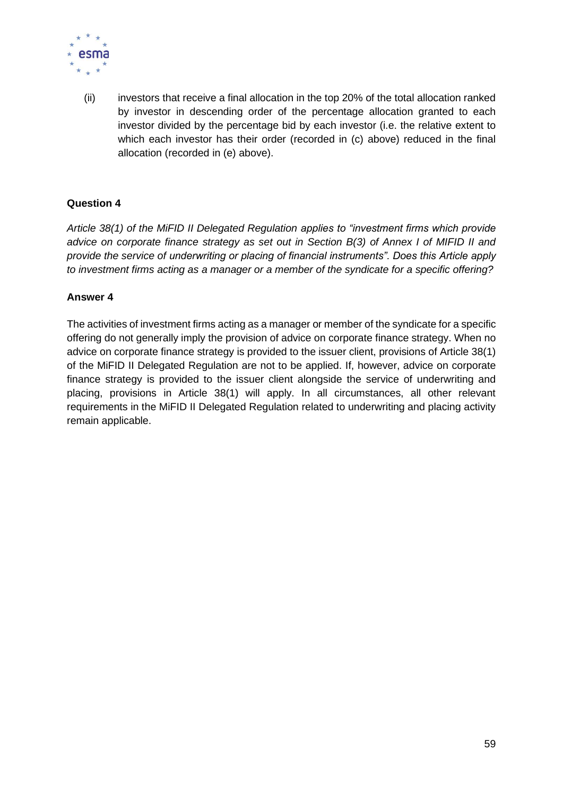

(ii) investors that receive a final allocation in the top 20% of the total allocation ranked by investor in descending order of the percentage allocation granted to each investor divided by the percentage bid by each investor (i.e. the relative extent to which each investor has their order (recorded in (c) above) reduced in the final allocation (recorded in (e) above).

# **Question 4**

*Article 38(1) of the MiFID II Delegated Regulation applies to "investment firms which provide advice on corporate finance strategy as set out in Section B(3) of Annex I of MIFID II and provide the service of underwriting or placing of financial instruments". Does this Article apply to investment firms acting as a manager or a member of the syndicate for a specific offering?*

# **Answer 4**

The activities of investment firms acting as a manager or member of the syndicate for a specific offering do not generally imply the provision of advice on corporate finance strategy. When no advice on corporate finance strategy is provided to the issuer client, provisions of Article 38(1) of the MiFID II Delegated Regulation are not to be applied. If, however, advice on corporate finance strategy is provided to the issuer client alongside the service of underwriting and placing, provisions in Article 38(1) will apply. In all circumstances, all other relevant requirements in the MiFID II Delegated Regulation related to underwriting and placing activity remain applicable.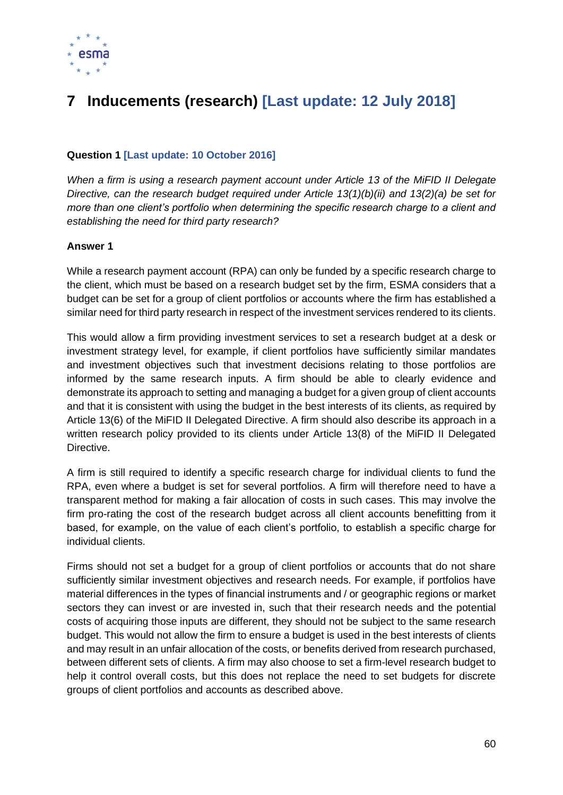

# **7 Inducements (research) [Last update: 12 July 2018]**

# **Question 1 [Last update: 10 October 2016]**

*When a firm is using a research payment account under Article 13 of the MiFID II Delegate Directive, can the research budget required under Article 13(1)(b)(ii) and 13(2)(a) be set for more than one client's portfolio when determining the specific research charge to a client and establishing the need for third party research?*

#### **Answer 1**

While a research payment account (RPA) can only be funded by a specific research charge to the client, which must be based on a research budget set by the firm, ESMA considers that a budget can be set for a group of client portfolios or accounts where the firm has established a similar need for third party research in respect of the investment services rendered to its clients.

This would allow a firm providing investment services to set a research budget at a desk or investment strategy level, for example, if client portfolios have sufficiently similar mandates and investment objectives such that investment decisions relating to those portfolios are informed by the same research inputs. A firm should be able to clearly evidence and demonstrate its approach to setting and managing a budget for a given group of client accounts and that it is consistent with using the budget in the best interests of its clients, as required by Article 13(6) of the MiFID II Delegated Directive. A firm should also describe its approach in a written research policy provided to its clients under Article 13(8) of the MiFID II Delegated Directive.

A firm is still required to identify a specific research charge for individual clients to fund the RPA, even where a budget is set for several portfolios. A firm will therefore need to have a transparent method for making a fair allocation of costs in such cases. This may involve the firm pro-rating the cost of the research budget across all client accounts benefitting from it based, for example, on the value of each client's portfolio, to establish a specific charge for individual clients.

Firms should not set a budget for a group of client portfolios or accounts that do not share sufficiently similar investment objectives and research needs. For example, if portfolios have material differences in the types of financial instruments and / or geographic regions or market sectors they can invest or are invested in, such that their research needs and the potential costs of acquiring those inputs are different, they should not be subject to the same research budget. This would not allow the firm to ensure a budget is used in the best interests of clients and may result in an unfair allocation of the costs, or benefits derived from research purchased, between different sets of clients. A firm may also choose to set a firm-level research budget to help it control overall costs, but this does not replace the need to set budgets for discrete groups of client portfolios and accounts as described above.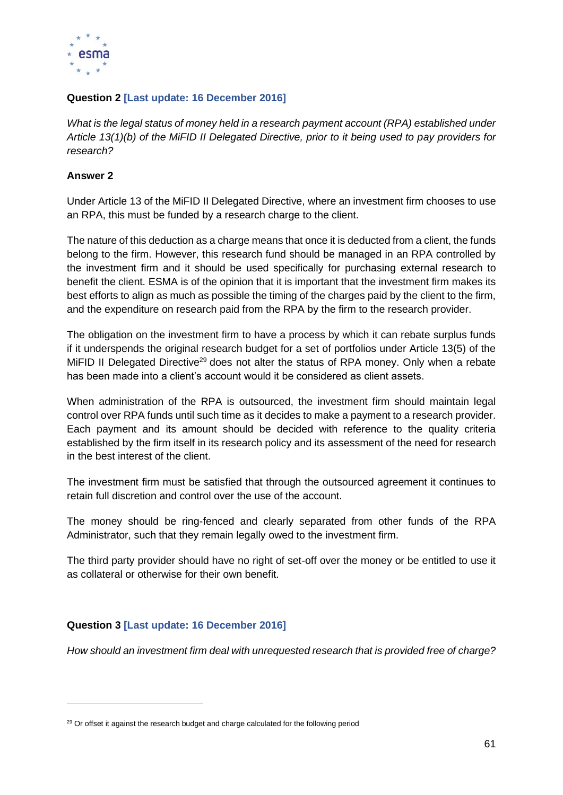

# **Question 2 [Last update: 16 December 2016]**

*What is the legal status of money held in a research payment account (RPA) established under Article 13(1)(b) of the MiFID II Delegated Directive, prior to it being used to pay providers for research?*

# **Answer 2**

Under Article 13 of the MiFID II Delegated Directive, where an investment firm chooses to use an RPA, this must be funded by a research charge to the client.

The nature of this deduction as a charge means that once it is deducted from a client, the funds belong to the firm. However, this research fund should be managed in an RPA controlled by the investment firm and it should be used specifically for purchasing external research to benefit the client. ESMA is of the opinion that it is important that the investment firm makes its best efforts to align as much as possible the timing of the charges paid by the client to the firm, and the expenditure on research paid from the RPA by the firm to the research provider.

The obligation on the investment firm to have a process by which it can rebate surplus funds if it underspends the original research budget for a set of portfolios under Article 13(5) of the MiFID II Delegated Directive<sup>29</sup> does not alter the status of RPA money. Only when a rebate has been made into a client's account would it be considered as client assets.

When administration of the RPA is outsourced, the investment firm should maintain legal control over RPA funds until such time as it decides to make a payment to a research provider. Each payment and its amount should be decided with reference to the quality criteria established by the firm itself in its research policy and its assessment of the need for research in the best interest of the client.

The investment firm must be satisfied that through the outsourced agreement it continues to retain full discretion and control over the use of the account.

The money should be ring-fenced and clearly separated from other funds of the RPA Administrator, such that they remain legally owed to the investment firm.

The third party provider should have no right of set-off over the money or be entitled to use it as collateral or otherwise for their own benefit.

# **Question 3 [Last update: 16 December 2016]**

*How should an investment firm deal with unrequested research that is provided free of charge?*

 $29$  Or offset it against the research budget and charge calculated for the following period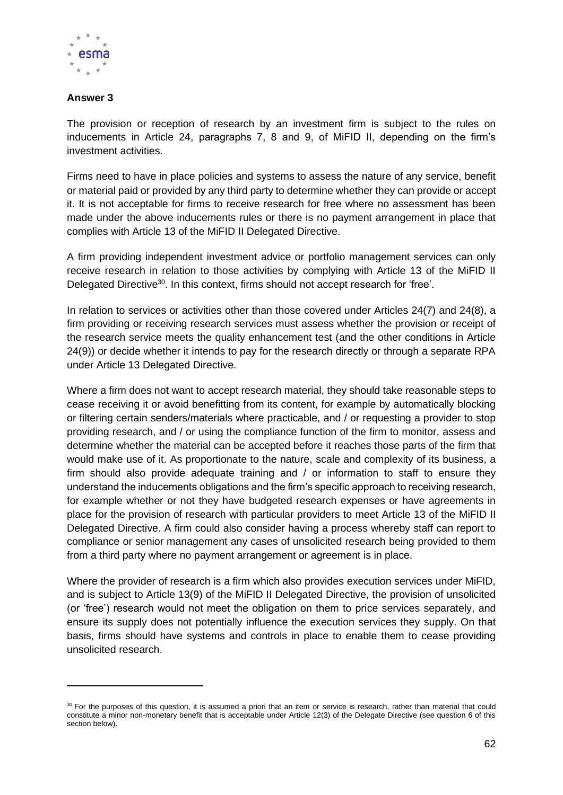

# **Answer 3**

The provision or reception of research by an investment firm is subject to the rules on inducements in Article 24, paragraphs 7, 8 and 9, of MiFID II, depending on the firm's investment activities.

Firms need to have in place policies and systems to assess the nature of any service, benefit or material paid or provided by any third party to determine whether they can provide or accept it. It is not acceptable for firms to receive research for free where no assessment has been made under the above inducements rules or there is no payment arrangement in place that complies with Article 13 of the MiFID II Delegated Directive.

A firm providing independent investment advice or portfolio management services can only receive research in relation to those activities by complying with Article 13 of the MiFID II Delegated Directive<sup>30</sup>. In this context, firms should not accept research for 'free'.

In relation to services or activities other than those covered under Articles 24(7) and 24(8), a firm providing or receiving research services must assess whether the provision or receipt of the research service meets the quality enhancement test (and the other conditions in Article 24(9)) or decide whether it intends to pay for the research directly or through a separate RPA under Article 13 Delegated Directive.

Where a firm does not want to accept research material, they should take reasonable steps to cease receiving it or avoid benefitting from its content, for example by automatically blocking or filtering certain senders/materials where practicable, and / or requesting a provider to stop providing research, and / or using the compliance function of the firm to monitor, assess and determine whether the material can be accepted before it reaches those parts of the firm that would make use of it. As proportionate to the nature, scale and complexity of its business, a firm should also provide adequate training and / or information to staff to ensure they understand the inducements obligations and the firm's specific approach to receiving research, for example whether or not they have budgeted research expenses or have agreements in place for the provision of research with particular providers to meet Article 13 of the MiFID II Delegated Directive. A firm could also consider having a process whereby staff can report to compliance or senior management any cases of unsolicited research being provided to them from a third party where no payment arrangement or agreement is in place.

Where the provider of research is a firm which also provides execution services under MiFID, and is subject to Article 13(9) of the MiFID II Delegated Directive, the provision of unsolicited (or 'free') research would not meet the obligation on them to price services separately, and ensure its supply does not potentially influence the execution services they supply. On that basis, firms should have systems and controls in place to enable them to cease providing unsolicited research.

<sup>30</sup> For the purposes of this question, it is assumed a priori that an item or service is research, rather than material that could constitute a minor non-monetary benefit that is acceptable under Article 12(3) of the Delegate Directive (see question 6 of this section below).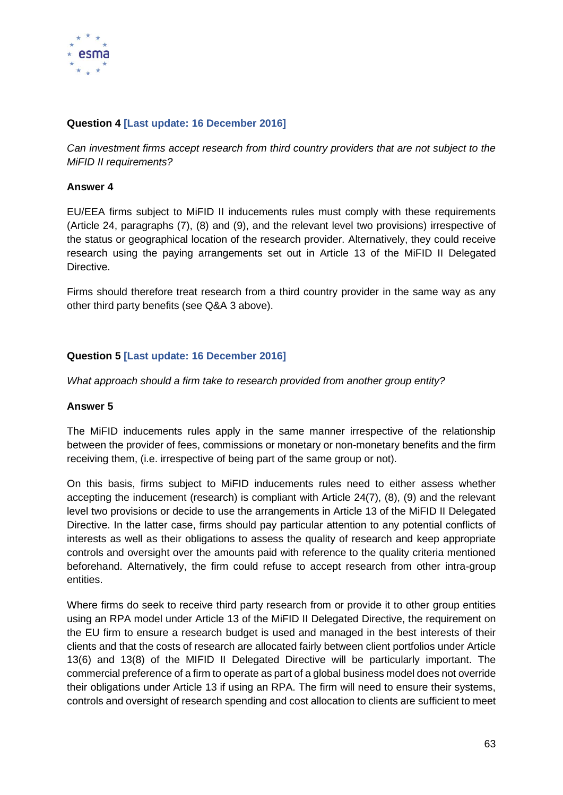

# **Question 4 [Last update: 16 December 2016]**

*Can investment firms accept research from third country providers that are not subject to the MiFID II requirements?*

## **Answer 4**

EU/EEA firms subject to MiFID II inducements rules must comply with these requirements (Article 24, paragraphs (7), (8) and (9), and the relevant level two provisions) irrespective of the status or geographical location of the research provider. Alternatively, they could receive research using the paying arrangements set out in Article 13 of the MiFID II Delegated **Directive** 

Firms should therefore treat research from a third country provider in the same way as any other third party benefits (see Q&A 3 above).

# **Question 5 [Last update: 16 December 2016]**

*What approach should a firm take to research provided from another group entity?*

#### **Answer 5**

The MiFID inducements rules apply in the same manner irrespective of the relationship between the provider of fees, commissions or monetary or non-monetary benefits and the firm receiving them, (i.e. irrespective of being part of the same group or not).

On this basis, firms subject to MiFID inducements rules need to either assess whether accepting the inducement (research) is compliant with Article 24(7), (8), (9) and the relevant level two provisions or decide to use the arrangements in Article 13 of the MiFID II Delegated Directive. In the latter case, firms should pay particular attention to any potential conflicts of interests as well as their obligations to assess the quality of research and keep appropriate controls and oversight over the amounts paid with reference to the quality criteria mentioned beforehand. Alternatively, the firm could refuse to accept research from other intra-group entities.

Where firms do seek to receive third party research from or provide it to other group entities using an RPA model under Article 13 of the MiFID II Delegated Directive, the requirement on the EU firm to ensure a research budget is used and managed in the best interests of their clients and that the costs of research are allocated fairly between client portfolios under Article 13(6) and 13(8) of the MIFID II Delegated Directive will be particularly important. The commercial preference of a firm to operate as part of a global business model does not override their obligations under Article 13 if using an RPA. The firm will need to ensure their systems, controls and oversight of research spending and cost allocation to clients are sufficient to meet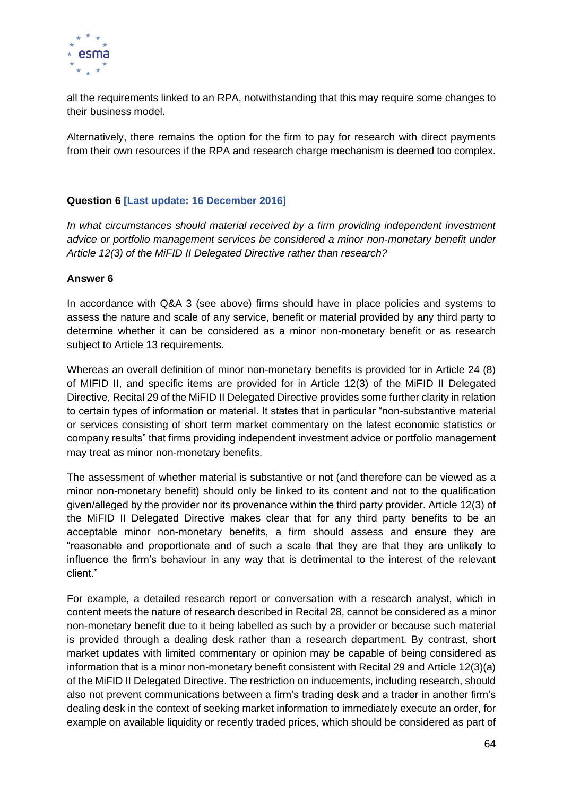

all the requirements linked to an RPA, notwithstanding that this may require some changes to their business model.

Alternatively, there remains the option for the firm to pay for research with direct payments from their own resources if the RPA and research charge mechanism is deemed too complex.

# **Question 6 [Last update: 16 December 2016]**

In what circumstances should material received by a firm providing independent investment *advice or portfolio management services be considered a minor non-monetary benefit under Article 12(3) of the MiFID II Delegated Directive rather than research?*

#### **Answer 6**

In accordance with Q&A 3 (see above) firms should have in place policies and systems to assess the nature and scale of any service, benefit or material provided by any third party to determine whether it can be considered as a minor non-monetary benefit or as research subject to Article 13 requirements.

Whereas an overall definition of minor non-monetary benefits is provided for in Article 24 (8) of MIFID II, and specific items are provided for in Article 12(3) of the MiFID II Delegated Directive, Recital 29 of the MiFID II Delegated Directive provides some further clarity in relation to certain types of information or material. It states that in particular "non-substantive material or services consisting of short term market commentary on the latest economic statistics or company results" that firms providing independent investment advice or portfolio management may treat as minor non-monetary benefits.

The assessment of whether material is substantive or not (and therefore can be viewed as a minor non-monetary benefit) should only be linked to its content and not to the qualification given/alleged by the provider nor its provenance within the third party provider. Article 12(3) of the MiFID II Delegated Directive makes clear that for any third party benefits to be an acceptable minor non-monetary benefits, a firm should assess and ensure they are "reasonable and proportionate and of such a scale that they are that they are unlikely to influence the firm's behaviour in any way that is detrimental to the interest of the relevant client."

For example, a detailed research report or conversation with a research analyst, which in content meets the nature of research described in Recital 28, cannot be considered as a minor non-monetary benefit due to it being labelled as such by a provider or because such material is provided through a dealing desk rather than a research department. By contrast, short market updates with limited commentary or opinion may be capable of being considered as information that is a minor non-monetary benefit consistent with Recital 29 and Article 12(3)(a) of the MiFID II Delegated Directive. The restriction on inducements, including research, should also not prevent communications between a firm's trading desk and a trader in another firm's dealing desk in the context of seeking market information to immediately execute an order, for example on available liquidity or recently traded prices, which should be considered as part of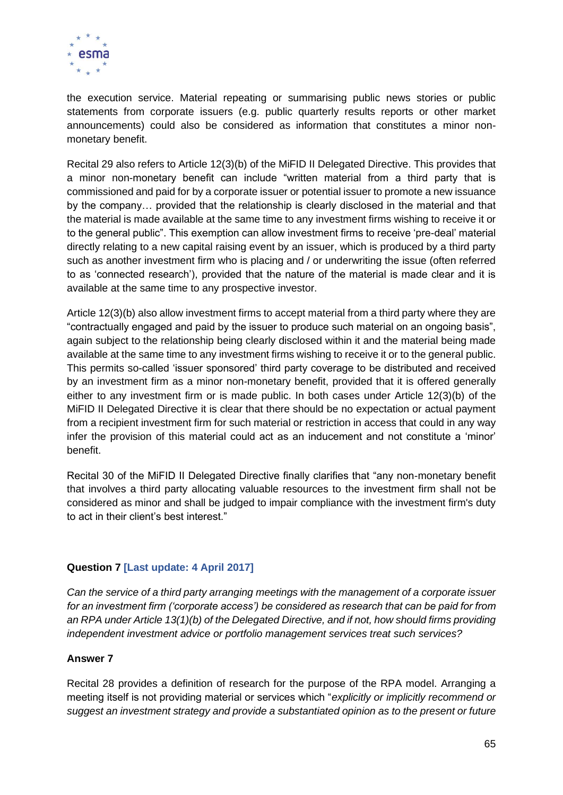

the execution service. Material repeating or summarising public news stories or public statements from corporate issuers (e.g. public quarterly results reports or other market announcements) could also be considered as information that constitutes a minor nonmonetary benefit.

Recital 29 also refers to Article 12(3)(b) of the MiFID II Delegated Directive. This provides that a minor non-monetary benefit can include "written material from a third party that is commissioned and paid for by a corporate issuer or potential issuer to promote a new issuance by the company… provided that the relationship is clearly disclosed in the material and that the material is made available at the same time to any investment firms wishing to receive it or to the general public". This exemption can allow investment firms to receive 'pre-deal' material directly relating to a new capital raising event by an issuer, which is produced by a third party such as another investment firm who is placing and / or underwriting the issue (often referred to as 'connected research'), provided that the nature of the material is made clear and it is available at the same time to any prospective investor.

Article 12(3)(b) also allow investment firms to accept material from a third party where they are "contractually engaged and paid by the issuer to produce such material on an ongoing basis", again subject to the relationship being clearly disclosed within it and the material being made available at the same time to any investment firms wishing to receive it or to the general public. This permits so-called 'issuer sponsored' third party coverage to be distributed and received by an investment firm as a minor non-monetary benefit, provided that it is offered generally either to any investment firm or is made public. In both cases under Article 12(3)(b) of the MiFID II Delegated Directive it is clear that there should be no expectation or actual payment from a recipient investment firm for such material or restriction in access that could in any way infer the provision of this material could act as an inducement and not constitute a 'minor' benefit.

Recital 30 of the MiFID II Delegated Directive finally clarifies that "any non-monetary benefit that involves a third party allocating valuable resources to the investment firm shall not be considered as minor and shall be judged to impair compliance with the investment firm's duty to act in their client's best interest."

# **Question 7 [Last update: 4 April 2017]**

*Can the service of a third party arranging meetings with the management of a corporate issuer for an investment firm ('corporate access') be considered as research that can be paid for from an RPA under Article 13(1)(b) of the Delegated Directive, and if not, how should firms providing independent investment advice or portfolio management services treat such services?*

#### **Answer 7**

Recital 28 provides a definition of research for the purpose of the RPA model. Arranging a meeting itself is not providing material or services which "*explicitly or implicitly recommend or suggest an investment strategy and provide a substantiated opinion as to the present or future*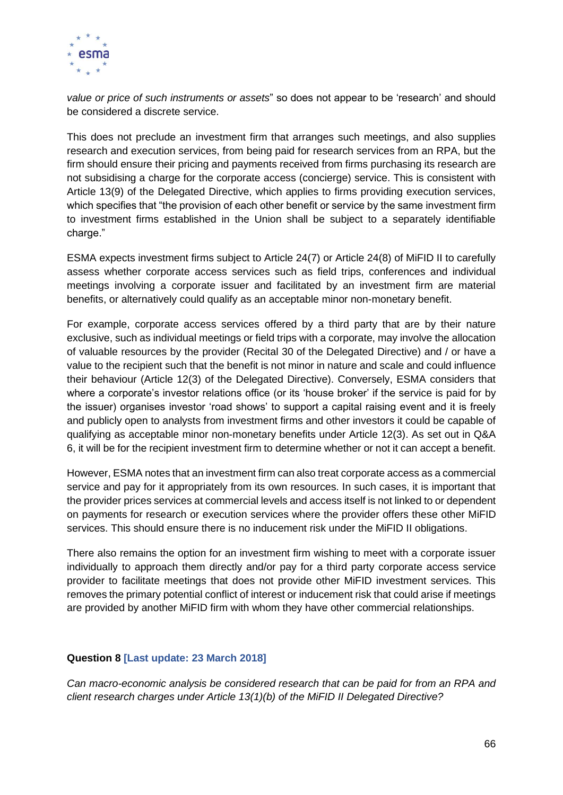

*value or price of such instruments or assets*" so does not appear to be 'research' and should be considered a discrete service.

This does not preclude an investment firm that arranges such meetings, and also supplies research and execution services, from being paid for research services from an RPA, but the firm should ensure their pricing and payments received from firms purchasing its research are not subsidising a charge for the corporate access (concierge) service. This is consistent with Article 13(9) of the Delegated Directive, which applies to firms providing execution services, which specifies that "the provision of each other benefit or service by the same investment firm to investment firms established in the Union shall be subject to a separately identifiable charge."

ESMA expects investment firms subject to Article 24(7) or Article 24(8) of MiFID II to carefully assess whether corporate access services such as field trips, conferences and individual meetings involving a corporate issuer and facilitated by an investment firm are material benefits, or alternatively could qualify as an acceptable minor non-monetary benefit.

For example, corporate access services offered by a third party that are by their nature exclusive, such as individual meetings or field trips with a corporate, may involve the allocation of valuable resources by the provider (Recital 30 of the Delegated Directive) and / or have a value to the recipient such that the benefit is not minor in nature and scale and could influence their behaviour (Article 12(3) of the Delegated Directive). Conversely, ESMA considers that where a corporate's investor relations office (or its 'house broker' if the service is paid for by the issuer) organises investor 'road shows' to support a capital raising event and it is freely and publicly open to analysts from investment firms and other investors it could be capable of qualifying as acceptable minor non-monetary benefits under Article 12(3). As set out in Q&A 6, it will be for the recipient investment firm to determine whether or not it can accept a benefit.

However, ESMA notes that an investment firm can also treat corporate access as a commercial service and pay for it appropriately from its own resources. In such cases, it is important that the provider prices services at commercial levels and access itself is not linked to or dependent on payments for research or execution services where the provider offers these other MiFID services. This should ensure there is no inducement risk under the MiFID II obligations.

There also remains the option for an investment firm wishing to meet with a corporate issuer individually to approach them directly and/or pay for a third party corporate access service provider to facilitate meetings that does not provide other MiFID investment services. This removes the primary potential conflict of interest or inducement risk that could arise if meetings are provided by another MiFID firm with whom they have other commercial relationships.

#### **Question 8 [Last update: 23 March 2018]**

*Can macro-economic analysis be considered research that can be paid for from an RPA and client research charges under Article 13(1)(b) of the MiFID II Delegated Directive?*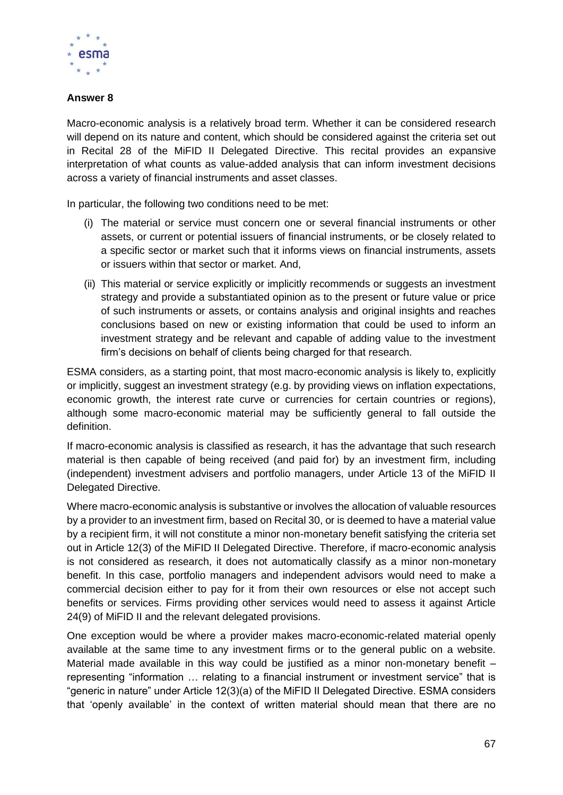

# **Answer 8**

Macro-economic analysis is a relatively broad term. Whether it can be considered research will depend on its nature and content, which should be considered against the criteria set out in Recital 28 of the MiFID II Delegated Directive. This recital provides an expansive interpretation of what counts as value-added analysis that can inform investment decisions across a variety of financial instruments and asset classes.

In particular, the following two conditions need to be met:

- (i) The material or service must concern one or several financial instruments or other assets, or current or potential issuers of financial instruments, or be closely related to a specific sector or market such that it informs views on financial instruments, assets or issuers within that sector or market. And,
- (ii) This material or service explicitly or implicitly recommends or suggests an investment strategy and provide a substantiated opinion as to the present or future value or price of such instruments or assets, or contains analysis and original insights and reaches conclusions based on new or existing information that could be used to inform an investment strategy and be relevant and capable of adding value to the investment firm's decisions on behalf of clients being charged for that research.

ESMA considers, as a starting point, that most macro-economic analysis is likely to, explicitly or implicitly, suggest an investment strategy (e.g. by providing views on inflation expectations, economic growth, the interest rate curve or currencies for certain countries or regions), although some macro-economic material may be sufficiently general to fall outside the definition.

If macro-economic analysis is classified as research, it has the advantage that such research material is then capable of being received (and paid for) by an investment firm, including (independent) investment advisers and portfolio managers, under Article 13 of the MiFID II Delegated Directive.

Where macro-economic analysis is substantive or involves the allocation of valuable resources by a provider to an investment firm, based on Recital 30, or is deemed to have a material value by a recipient firm, it will not constitute a minor non-monetary benefit satisfying the criteria set out in Article 12(3) of the MiFID II Delegated Directive. Therefore, if macro-economic analysis is not considered as research, it does not automatically classify as a minor non-monetary benefit. In this case, portfolio managers and independent advisors would need to make a commercial decision either to pay for it from their own resources or else not accept such benefits or services. Firms providing other services would need to assess it against Article 24(9) of MiFID II and the relevant delegated provisions.

One exception would be where a provider makes macro-economic-related material openly available at the same time to any investment firms or to the general public on a website. Material made available in this way could be justified as a minor non-monetary benefit – representing "information … relating to a financial instrument or investment service" that is "generic in nature" under Article 12(3)(a) of the MiFID II Delegated Directive. ESMA considers that 'openly available' in the context of written material should mean that there are no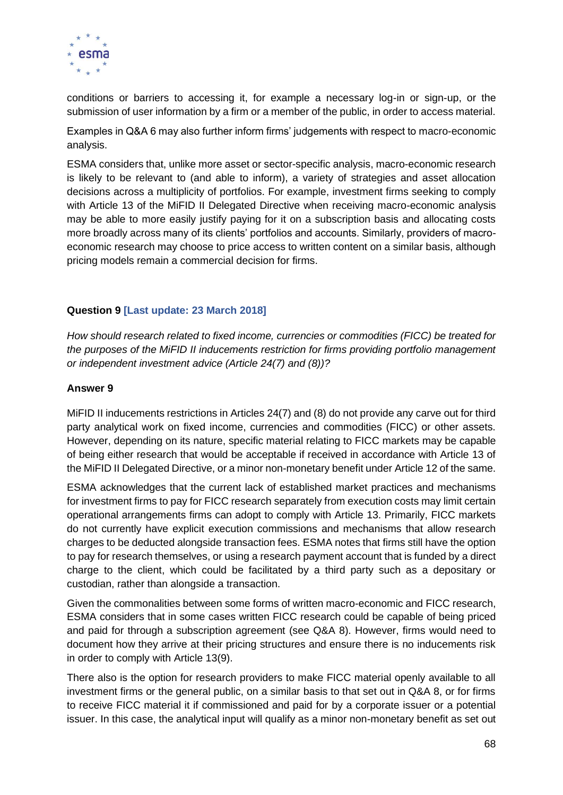

conditions or barriers to accessing it, for example a necessary log-in or sign-up, or the submission of user information by a firm or a member of the public, in order to access material.

Examples in Q&A 6 may also further inform firms' judgements with respect to macro-economic analysis.

ESMA considers that, unlike more asset or sector-specific analysis, macro-economic research is likely to be relevant to (and able to inform), a variety of strategies and asset allocation decisions across a multiplicity of portfolios. For example, investment firms seeking to comply with Article 13 of the MiFID II Delegated Directive when receiving macro-economic analysis may be able to more easily justify paying for it on a subscription basis and allocating costs more broadly across many of its clients' portfolios and accounts. Similarly, providers of macroeconomic research may choose to price access to written content on a similar basis, although pricing models remain a commercial decision for firms.

## **Question 9 [Last update: 23 March 2018]**

*How should research related to fixed income, currencies or commodities (FICC) be treated for the purposes of the MiFID II inducements restriction for firms providing portfolio management or independent investment advice (Article 24(7) and (8))?*

#### **Answer 9**

MiFID II inducements restrictions in Articles 24(7) and (8) do not provide any carve out for third party analytical work on fixed income, currencies and commodities (FICC) or other assets. However, depending on its nature, specific material relating to FICC markets may be capable of being either research that would be acceptable if received in accordance with Article 13 of the MiFID II Delegated Directive, or a minor non-monetary benefit under Article 12 of the same.

ESMA acknowledges that the current lack of established market practices and mechanisms for investment firms to pay for FICC research separately from execution costs may limit certain operational arrangements firms can adopt to comply with Article 13. Primarily, FICC markets do not currently have explicit execution commissions and mechanisms that allow research charges to be deducted alongside transaction fees. ESMA notes that firms still have the option to pay for research themselves, or using a research payment account that is funded by a direct charge to the client, which could be facilitated by a third party such as a depositary or custodian, rather than alongside a transaction.

Given the commonalities between some forms of written macro-economic and FICC research, ESMA considers that in some cases written FICC research could be capable of being priced and paid for through a subscription agreement (see Q&A 8). However, firms would need to document how they arrive at their pricing structures and ensure there is no inducements risk in order to comply with Article 13(9).

There also is the option for research providers to make FICC material openly available to all investment firms or the general public, on a similar basis to that set out in Q&A 8, or for firms to receive FICC material it if commissioned and paid for by a corporate issuer or a potential issuer. In this case, the analytical input will qualify as a minor non-monetary benefit as set out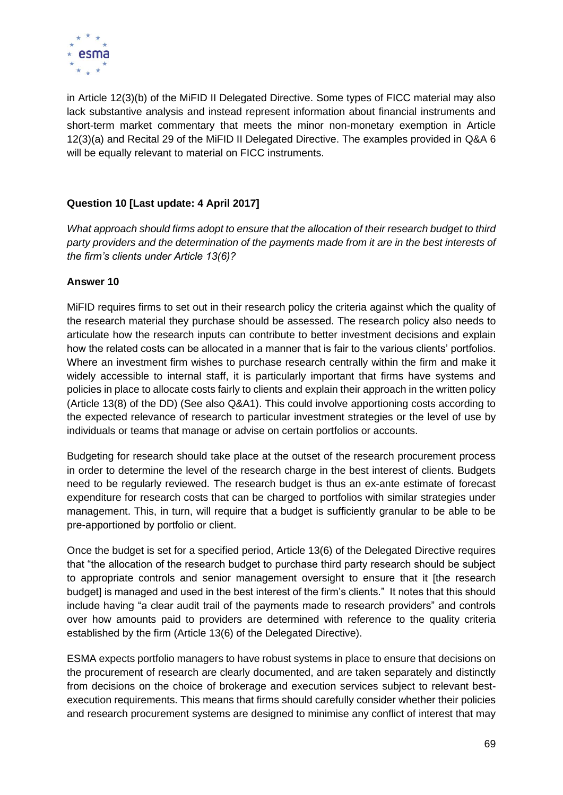

in Article 12(3)(b) of the MiFID II Delegated Directive. Some types of FICC material may also lack substantive analysis and instead represent information about financial instruments and short-term market commentary that meets the minor non-monetary exemption in Article 12(3)(a) and Recital 29 of the MiFID II Delegated Directive. The examples provided in Q&A 6 will be equally relevant to material on FICC instruments.

# **Question 10 [Last update: 4 April 2017]**

*What approach should firms adopt to ensure that the allocation of their research budget to third party providers and the determination of the payments made from it are in the best interests of the firm's clients under Article 13(6)?*

# **Answer 10**

MiFID requires firms to set out in their research policy the criteria against which the quality of the research material they purchase should be assessed. The research policy also needs to articulate how the research inputs can contribute to better investment decisions and explain how the related costs can be allocated in a manner that is fair to the various clients' portfolios. Where an investment firm wishes to purchase research centrally within the firm and make it widely accessible to internal staff, it is particularly important that firms have systems and policies in place to allocate costs fairly to clients and explain their approach in the written policy (Article 13(8) of the DD) (See also Q&A1). This could involve apportioning costs according to the expected relevance of research to particular investment strategies or the level of use by individuals or teams that manage or advise on certain portfolios or accounts.

Budgeting for research should take place at the outset of the research procurement process in order to determine the level of the research charge in the best interest of clients. Budgets need to be regularly reviewed. The research budget is thus an ex-ante estimate of forecast expenditure for research costs that can be charged to portfolios with similar strategies under management. This, in turn, will require that a budget is sufficiently granular to be able to be pre-apportioned by portfolio or client.

Once the budget is set for a specified period, Article 13(6) of the Delegated Directive requires that "the allocation of the research budget to purchase third party research should be subject to appropriate controls and senior management oversight to ensure that it [the research budget] is managed and used in the best interest of the firm's clients." It notes that this should include having "a clear audit trail of the payments made to research providers" and controls over how amounts paid to providers are determined with reference to the quality criteria established by the firm (Article 13(6) of the Delegated Directive).

ESMA expects portfolio managers to have robust systems in place to ensure that decisions on the procurement of research are clearly documented, and are taken separately and distinctly from decisions on the choice of brokerage and execution services subject to relevant bestexecution requirements. This means that firms should carefully consider whether their policies and research procurement systems are designed to minimise any conflict of interest that may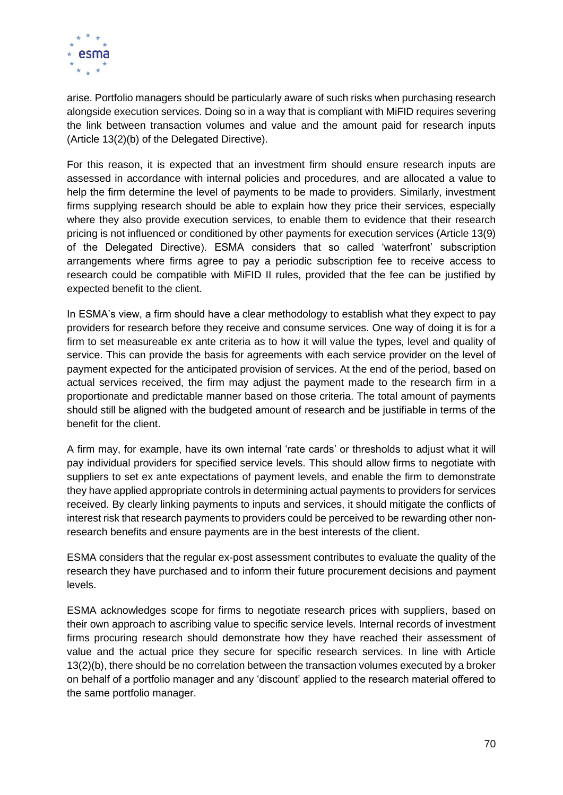

arise. Portfolio managers should be particularly aware of such risks when purchasing research alongside execution services. Doing so in a way that is compliant with MiFID requires severing the link between transaction volumes and value and the amount paid for research inputs (Article 13(2)(b) of the Delegated Directive).

For this reason, it is expected that an investment firm should ensure research inputs are assessed in accordance with internal policies and procedures, and are allocated a value to help the firm determine the level of payments to be made to providers. Similarly, investment firms supplying research should be able to explain how they price their services, especially where they also provide execution services, to enable them to evidence that their research pricing is not influenced or conditioned by other payments for execution services (Article 13(9) of the Delegated Directive). ESMA considers that so called 'waterfront' subscription arrangements where firms agree to pay a periodic subscription fee to receive access to research could be compatible with MiFID II rules, provided that the fee can be justified by expected benefit to the client.

In ESMA's view, a firm should have a clear methodology to establish what they expect to pay providers for research before they receive and consume services. One way of doing it is for a firm to set measureable ex ante criteria as to how it will value the types, level and quality of service. This can provide the basis for agreements with each service provider on the level of payment expected for the anticipated provision of services. At the end of the period, based on actual services received, the firm may adjust the payment made to the research firm in a proportionate and predictable manner based on those criteria. The total amount of payments should still be aligned with the budgeted amount of research and be justifiable in terms of the benefit for the client.

A firm may, for example, have its own internal 'rate cards' or thresholds to adjust what it will pay individual providers for specified service levels. This should allow firms to negotiate with suppliers to set ex ante expectations of payment levels, and enable the firm to demonstrate they have applied appropriate controls in determining actual payments to providers for services received. By clearly linking payments to inputs and services, it should mitigate the conflicts of interest risk that research payments to providers could be perceived to be rewarding other nonresearch benefits and ensure payments are in the best interests of the client.

ESMA considers that the regular ex-post assessment contributes to evaluate the quality of the research they have purchased and to inform their future procurement decisions and payment levels.

ESMA acknowledges scope for firms to negotiate research prices with suppliers, based on their own approach to ascribing value to specific service levels. Internal records of investment firms procuring research should demonstrate how they have reached their assessment of value and the actual price they secure for specific research services. In line with Article 13(2)(b), there should be no correlation between the transaction volumes executed by a broker on behalf of a portfolio manager and any 'discount' applied to the research material offered to the same portfolio manager.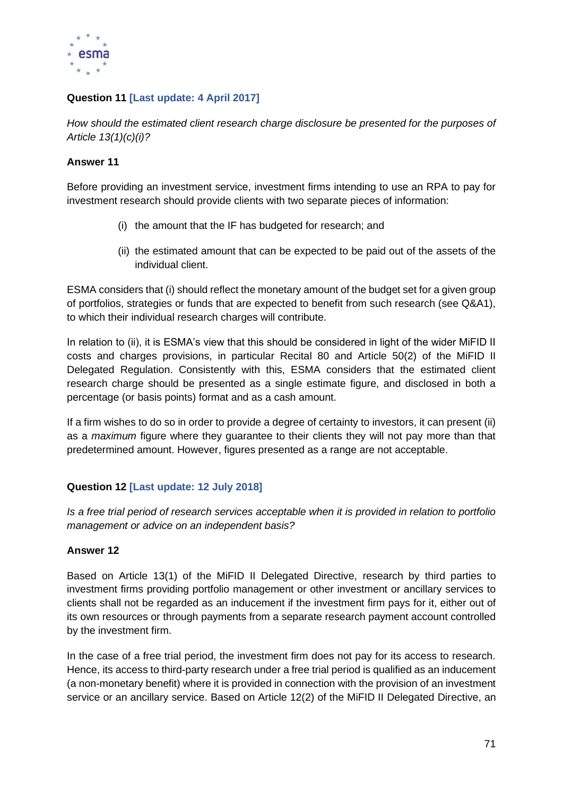

# **Question 11 [Last update: 4 April 2017]**

*How should the estimated client research charge disclosure be presented for the purposes of Article 13(1)(c)(i)?*

## **Answer 11**

Before providing an investment service, investment firms intending to use an RPA to pay for investment research should provide clients with two separate pieces of information:

- (i) the amount that the IF has budgeted for research; and
- (ii) the estimated amount that can be expected to be paid out of the assets of the individual client.

ESMA considers that (i) should reflect the monetary amount of the budget set for a given group of portfolios, strategies or funds that are expected to benefit from such research (see Q&A1), to which their individual research charges will contribute.

In relation to (ii), it is ESMA's view that this should be considered in light of the wider MiFID II costs and charges provisions, in particular Recital 80 and Article 50(2) of the MiFID II Delegated Regulation. Consistently with this, ESMA considers that the estimated client research charge should be presented as a single estimate figure, and disclosed in both a percentage (or basis points) format and as a cash amount.

If a firm wishes to do so in order to provide a degree of certainty to investors, it can present (ii) as a *maximum* figure where they guarantee to their clients they will not pay more than that predetermined amount. However, figures presented as a range are not acceptable.

# **Question 12 [Last update: 12 July 2018]**

*Is a free trial period of research services acceptable when it is provided in relation to portfolio management or advice on an independent basis?*

# **Answer 12**

Based on Article 13(1) of the MiFID II Delegated Directive, research by third parties to investment firms providing portfolio management or other investment or ancillary services to clients shall not be regarded as an inducement if the investment firm pays for it, either out of its own resources or through payments from a separate research payment account controlled by the investment firm.

In the case of a free trial period, the investment firm does not pay for its access to research. Hence, its access to third-party research under a free trial period is qualified as an inducement (a non-monetary benefit) where it is provided in connection with the provision of an investment service or an ancillary service. Based on Article 12(2) of the MiFID II Delegated Directive, an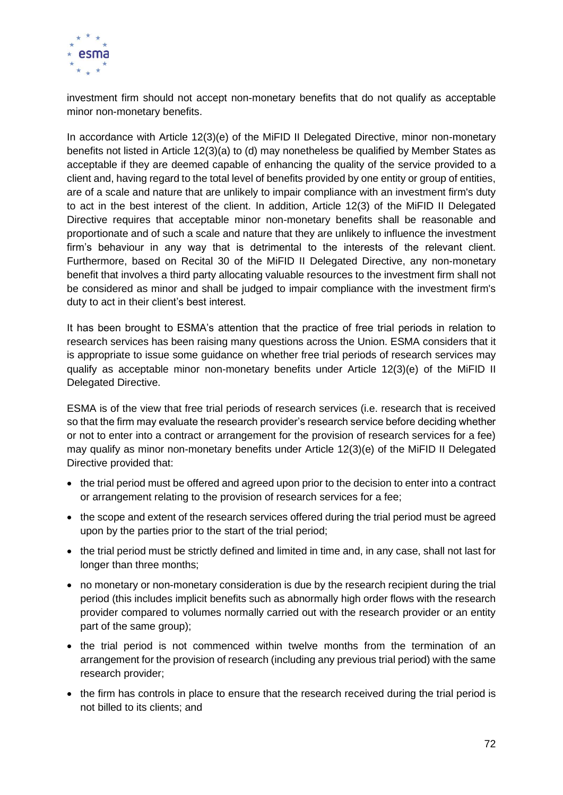

investment firm should not accept non-monetary benefits that do not qualify as acceptable minor non-monetary benefits.

In accordance with Article 12(3)(e) of the MiFID II Delegated Directive, minor non-monetary benefits not listed in Article 12(3)(a) to (d) may nonetheless be qualified by Member States as acceptable if they are deemed capable of enhancing the quality of the service provided to a client and, having regard to the total level of benefits provided by one entity or group of entities, are of a scale and nature that are unlikely to impair compliance with an investment firm's duty to act in the best interest of the client. In addition, Article 12(3) of the MiFID II Delegated Directive requires that acceptable minor non-monetary benefits shall be reasonable and proportionate and of such a scale and nature that they are unlikely to influence the investment firm's behaviour in any way that is detrimental to the interests of the relevant client. Furthermore, based on Recital 30 of the MiFID II Delegated Directive, any non-monetary benefit that involves a third party allocating valuable resources to the investment firm shall not be considered as minor and shall be judged to impair compliance with the investment firm's duty to act in their client's best interest.

It has been brought to ESMA's attention that the practice of free trial periods in relation to research services has been raising many questions across the Union. ESMA considers that it is appropriate to issue some guidance on whether free trial periods of research services may qualify as acceptable minor non-monetary benefits under Article 12(3)(e) of the MiFID II Delegated Directive.

ESMA is of the view that free trial periods of research services (i.e. research that is received so that the firm may evaluate the research provider's research service before deciding whether or not to enter into a contract or arrangement for the provision of research services for a fee) may qualify as minor non-monetary benefits under Article 12(3)(e) of the MiFID II Delegated Directive provided that:

- the trial period must be offered and agreed upon prior to the decision to enter into a contract or arrangement relating to the provision of research services for a fee;
- the scope and extent of the research services offered during the trial period must be agreed upon by the parties prior to the start of the trial period;
- the trial period must be strictly defined and limited in time and, in any case, shall not last for longer than three months;
- no monetary or non-monetary consideration is due by the research recipient during the trial period (this includes implicit benefits such as abnormally high order flows with the research provider compared to volumes normally carried out with the research provider or an entity part of the same group);
- the trial period is not commenced within twelve months from the termination of an arrangement for the provision of research (including any previous trial period) with the same research provider;
- the firm has controls in place to ensure that the research received during the trial period is not billed to its clients; and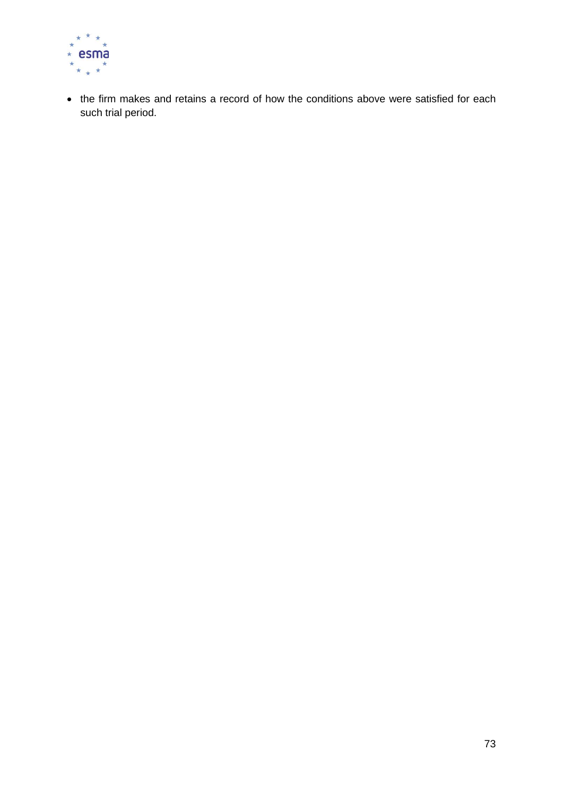

• the firm makes and retains a record of how the conditions above were satisfied for each such trial period.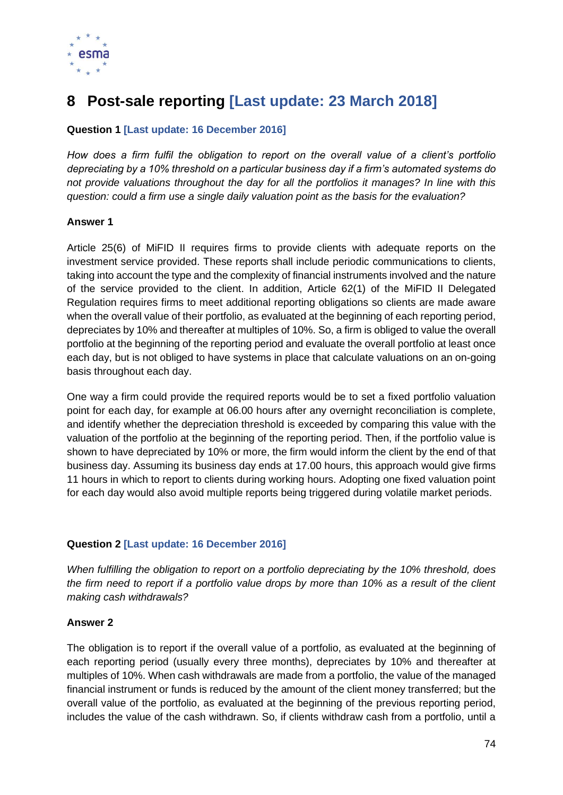

# **8 Post-sale reporting [Last update: 23 March 2018]**

# **Question 1 [Last update: 16 December 2016]**

*How does a firm fulfil the obligation to report on the overall value of a client's portfolio depreciating by a 10% threshold on a particular business day if a firm's automated systems do not provide valuations throughout the day for all the portfolios it manages? In line with this question: could a firm use a single daily valuation point as the basis for the evaluation?* 

## **Answer 1**

Article 25(6) of MiFID II requires firms to provide clients with adequate reports on the investment service provided. These reports shall include periodic communications to clients, taking into account the type and the complexity of financial instruments involved and the nature of the service provided to the client. In addition, Article 62(1) of the MiFID II Delegated Regulation requires firms to meet additional reporting obligations so clients are made aware when the overall value of their portfolio, as evaluated at the beginning of each reporting period, depreciates by 10% and thereafter at multiples of 10%. So, a firm is obliged to value the overall portfolio at the beginning of the reporting period and evaluate the overall portfolio at least once each day, but is not obliged to have systems in place that calculate valuations on an on-going basis throughout each day.

One way a firm could provide the required reports would be to set a fixed portfolio valuation point for each day, for example at 06.00 hours after any overnight reconciliation is complete, and identify whether the depreciation threshold is exceeded by comparing this value with the valuation of the portfolio at the beginning of the reporting period. Then, if the portfolio value is shown to have depreciated by 10% or more, the firm would inform the client by the end of that business day. Assuming its business day ends at 17.00 hours, this approach would give firms 11 hours in which to report to clients during working hours. Adopting one fixed valuation point for each day would also avoid multiple reports being triggered during volatile market periods.

# **Question 2 [Last update: 16 December 2016]**

*When fulfilling the obligation to report on a portfolio depreciating by the 10% threshold, does the firm need to report if a portfolio value drops by more than 10% as a result of the client making cash withdrawals?*

#### **Answer 2**

The obligation is to report if the overall value of a portfolio, as evaluated at the beginning of each reporting period (usually every three months), depreciates by 10% and thereafter at multiples of 10%. When cash withdrawals are made from a portfolio, the value of the managed financial instrument or funds is reduced by the amount of the client money transferred; but the overall value of the portfolio, as evaluated at the beginning of the previous reporting period, includes the value of the cash withdrawn. So, if clients withdraw cash from a portfolio, until a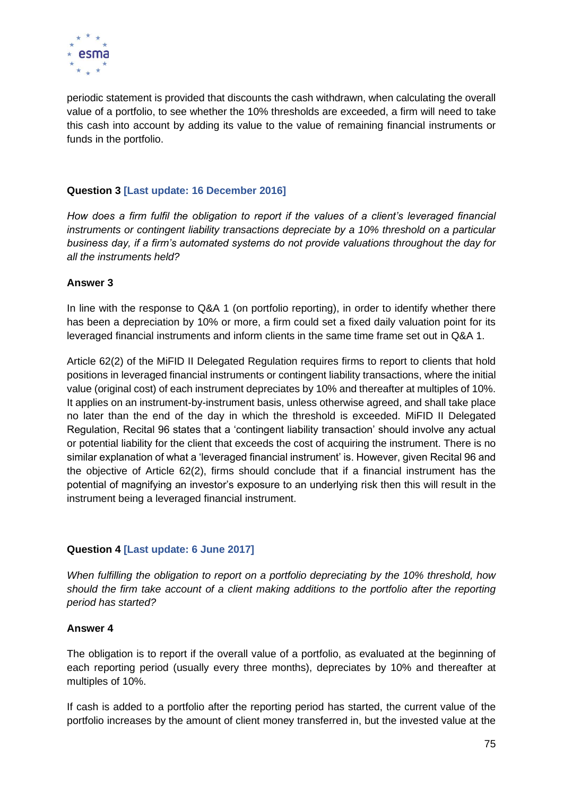

periodic statement is provided that discounts the cash withdrawn, when calculating the overall value of a portfolio, to see whether the 10% thresholds are exceeded, a firm will need to take this cash into account by adding its value to the value of remaining financial instruments or funds in the portfolio.

## **Question 3 [Last update: 16 December 2016]**

*How does a firm fulfil the obligation to report if the values of a client's leveraged financial instruments or contingent liability transactions depreciate by a 10% threshold on a particular business day, if a firm's automated systems do not provide valuations throughout the day for all the instruments held?* 

## **Answer 3**

In line with the response to Q&A 1 (on portfolio reporting), in order to identify whether there has been a depreciation by 10% or more, a firm could set a fixed daily valuation point for its leveraged financial instruments and inform clients in the same time frame set out in Q&A 1.

Article 62(2) of the MiFID II Delegated Regulation requires firms to report to clients that hold positions in leveraged financial instruments or contingent liability transactions, where the initial value (original cost) of each instrument depreciates by 10% and thereafter at multiples of 10%. It applies on an instrument-by-instrument basis, unless otherwise agreed, and shall take place no later than the end of the day in which the threshold is exceeded. MiFID II Delegated Regulation, Recital 96 states that a 'contingent liability transaction' should involve any actual or potential liability for the client that exceeds the cost of acquiring the instrument. There is no similar explanation of what a 'leveraged financial instrument' is. However, given Recital 96 and the objective of Article 62(2), firms should conclude that if a financial instrument has the potential of magnifying an investor's exposure to an underlying risk then this will result in the instrument being a leveraged financial instrument.

# **Question 4 [Last update: 6 June 2017]**

*When fulfilling the obligation to report on a portfolio depreciating by the 10% threshold, how should the firm take account of a client making additions to the portfolio after the reporting period has started?*

# **Answer 4**

The obligation is to report if the overall value of a portfolio, as evaluated at the beginning of each reporting period (usually every three months), depreciates by 10% and thereafter at multiples of 10%.

If cash is added to a portfolio after the reporting period has started, the current value of the portfolio increases by the amount of client money transferred in, but the invested value at the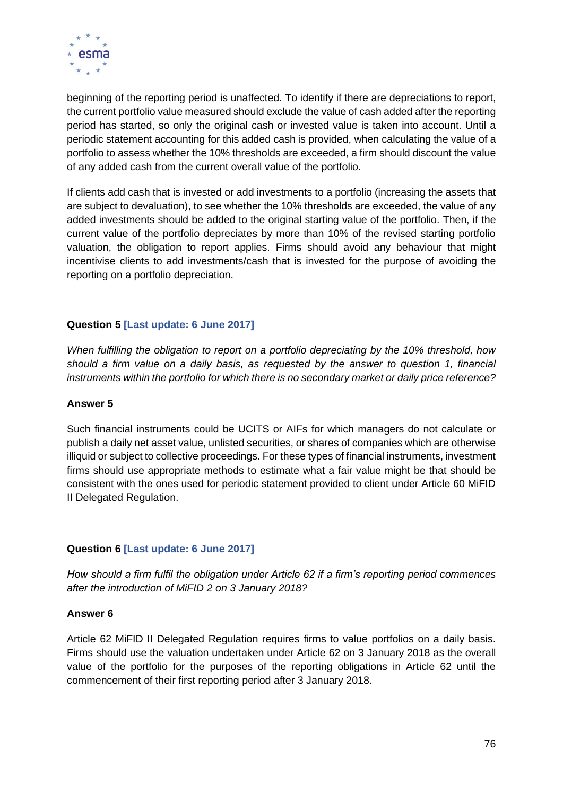

beginning of the reporting period is unaffected. To identify if there are depreciations to report, the current portfolio value measured should exclude the value of cash added after the reporting period has started, so only the original cash or invested value is taken into account. Until a periodic statement accounting for this added cash is provided, when calculating the value of a portfolio to assess whether the 10% thresholds are exceeded, a firm should discount the value of any added cash from the current overall value of the portfolio.

If clients add cash that is invested or add investments to a portfolio (increasing the assets that are subject to devaluation), to see whether the 10% thresholds are exceeded, the value of any added investments should be added to the original starting value of the portfolio. Then, if the current value of the portfolio depreciates by more than 10% of the revised starting portfolio valuation, the obligation to report applies. Firms should avoid any behaviour that might incentivise clients to add investments/cash that is invested for the purpose of avoiding the reporting on a portfolio depreciation.

# **Question 5 [Last update: 6 June 2017]**

*When fulfilling the obligation to report on a portfolio depreciating by the 10% threshold, how should a firm value on a daily basis, as requested by the answer to question 1, financial instruments within the portfolio for which there is no secondary market or daily price reference?*

#### **Answer 5**

Such financial instruments could be UCITS or AIFs for which managers do not calculate or publish a daily net asset value, unlisted securities, or shares of companies which are otherwise illiquid or subject to collective proceedings. For these types of financial instruments, investment firms should use appropriate methods to estimate what a fair value might be that should be consistent with the ones used for periodic statement provided to client under Article 60 MiFID II Delegated Regulation.

#### **Question 6 [Last update: 6 June 2017]**

*How should a firm fulfil the obligation under Article 62 if a firm's reporting period commences after the introduction of MiFID 2 on 3 January 2018?*

#### **Answer 6**

Article 62 MiFID II Delegated Regulation requires firms to value portfolios on a daily basis. Firms should use the valuation undertaken under Article 62 on 3 January 2018 as the overall value of the portfolio for the purposes of the reporting obligations in Article 62 until the commencement of their first reporting period after 3 January 2018.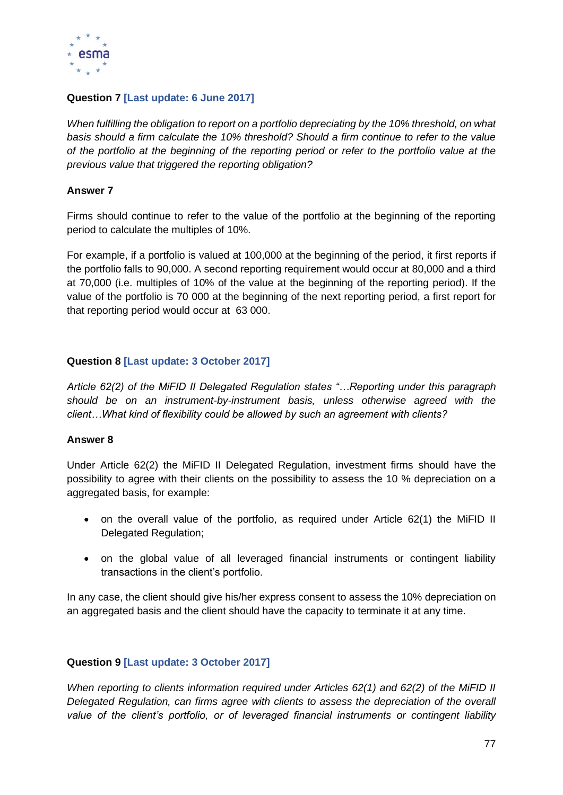

# **Question 7 [Last update: 6 June 2017]**

*When fulfilling the obligation to report on a portfolio depreciating by the 10% threshold, on what basis should a firm calculate the 10% threshold? Should a firm continue to refer to the value of the portfolio at the beginning of the reporting period or refer to the portfolio value at the previous value that triggered the reporting obligation?*

## **Answer 7**

Firms should continue to refer to the value of the portfolio at the beginning of the reporting period to calculate the multiples of 10%.

For example, if a portfolio is valued at 100,000 at the beginning of the period, it first reports if the portfolio falls to 90,000. A second reporting requirement would occur at 80,000 and a third at 70,000 (i.e. multiples of 10% of the value at the beginning of the reporting period). If the value of the portfolio is 70 000 at the beginning of the next reporting period, a first report for that reporting period would occur at 63 000.

# **Question 8 [Last update: 3 October 2017]**

*Article 62(2) of the MiFID II Delegated Regulation states "…Reporting under this paragraph should be on an instrument-by-instrument basis, unless otherwise agreed with the client…What kind of flexibility could be allowed by such an agreement with clients?*

#### **Answer 8**

Under Article 62(2) the MiFID II Delegated Regulation, investment firms should have the possibility to agree with their clients on the possibility to assess the 10 % depreciation on a aggregated basis, for example:

- on the overall value of the portfolio, as required under Article 62(1) the MiFID II Delegated Regulation;
- on the global value of all leveraged financial instruments or contingent liability transactions in the client's portfolio.

In any case, the client should give his/her express consent to assess the 10% depreciation on an aggregated basis and the client should have the capacity to terminate it at any time.

#### **Question 9 [Last update: 3 October 2017]**

*When reporting to clients information required under Articles 62(1) and 62(2) of the MiFID II Delegated Regulation, can firms agree with clients to assess the depreciation of the overall value of the client's portfolio, or of leveraged financial instruments or contingent liability*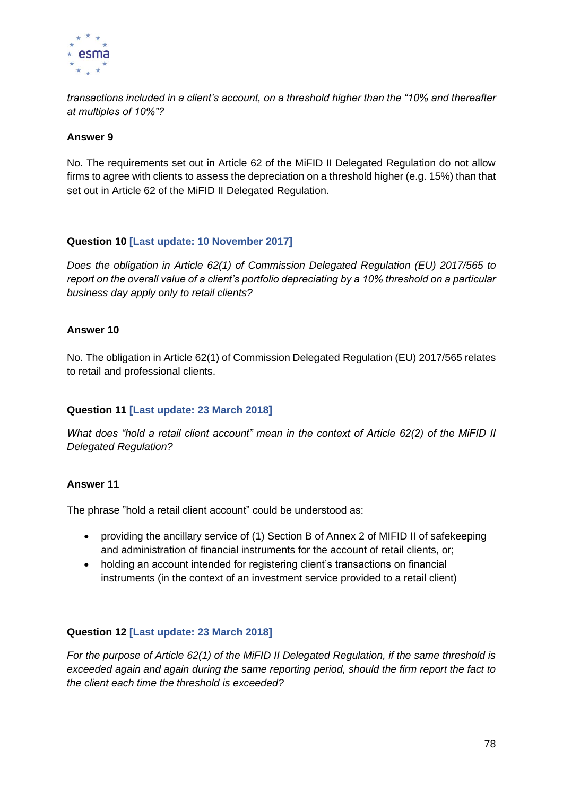

*transactions included in a client's account, on a threshold higher than the "10% and thereafter at multiples of 10%"?*

#### **Answer 9**

No. The requirements set out in Article 62 of the MiFID II Delegated Regulation do not allow firms to agree with clients to assess the depreciation on a threshold higher (e.g. 15%) than that set out in Article 62 of the MiFID II Delegated Regulation.

## **Question 10 [Last update: 10 November 2017]**

*Does the obligation in Article 62(1) of Commission Delegated Regulation (EU) 2017/565 to report on the overall value of a client's portfolio depreciating by a 10% threshold on a particular business day apply only to retail clients?*

## **Answer 10**

No. The obligation in Article 62(1) of Commission Delegated Regulation (EU) 2017/565 relates to retail and professional clients.

#### **Question 11 [Last update: 23 March 2018]**

*What does "hold a retail client account" mean in the context of Article 62(2) of the MiFID II Delegated Regulation?*

#### **Answer 11**

The phrase "hold a retail client account" could be understood as:

- providing the ancillary service of (1) Section B of Annex 2 of MIFID II of safekeeping and administration of financial instruments for the account of retail clients, or;
- holding an account intended for registering client's transactions on financial instruments (in the context of an investment service provided to a retail client)

#### **Question 12 [Last update: 23 March 2018]**

*For the purpose of Article 62(1) of the MiFID II Delegated Regulation, if the same threshold is exceeded again and again during the same reporting period, should the firm report the fact to the client each time the threshold is exceeded?*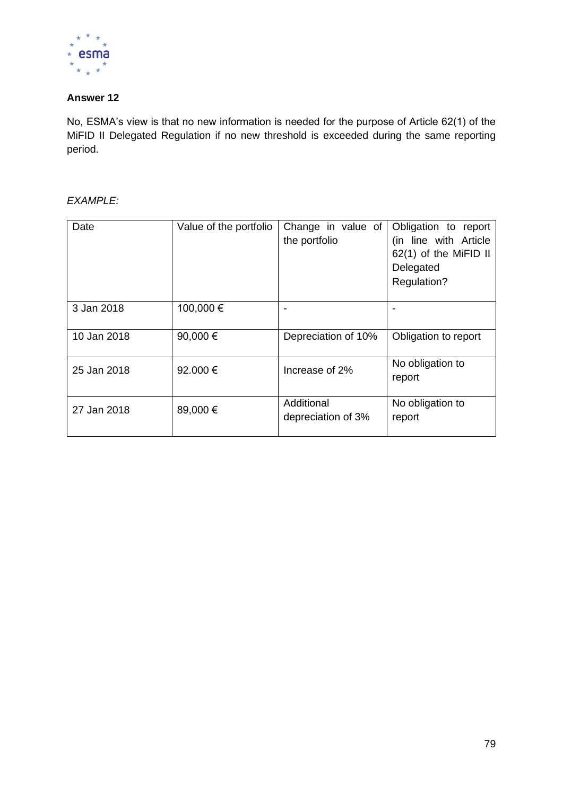

# **Answer 12**

No, ESMA's view is that no new information is needed for the purpose of Article 62(1) of the MiFID II Delegated Regulation if no new threshold is exceeded during the same reporting period.

## *EXAMPLE:*

| Date        | Value of the portfolio | Change in value of<br>the portfolio | Obligation to report<br>(in line with Article<br>62(1) of the MiFID II<br>Delegated<br>Regulation? |  |
|-------------|------------------------|-------------------------------------|----------------------------------------------------------------------------------------------------|--|
| 3 Jan 2018  | 100,000€               |                                     |                                                                                                    |  |
| 10 Jan 2018 | 90,000 €               | Depreciation of 10%                 | Obligation to report                                                                               |  |
| 25 Jan 2018 | 92,000€                | Increase of 2%                      | No obligation to<br>report                                                                         |  |
| 27 Jan 2018 | 89,000 €               | Additional<br>depreciation of 3%    | No obligation to<br>report                                                                         |  |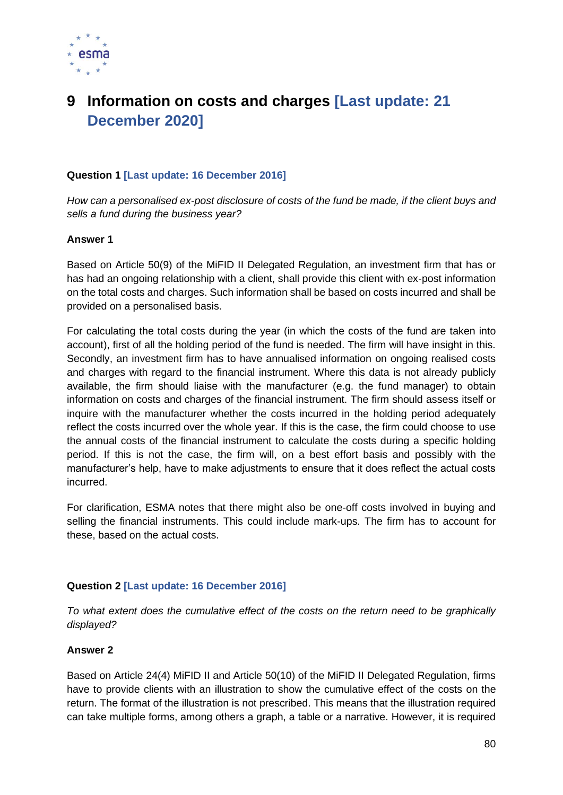

# **9 Information on costs and charges [Last update: 21 December 2020]**

## **Question 1 [Last update: 16 December 2016]**

*How can a personalised ex-post disclosure of costs of the fund be made, if the client buys and sells a fund during the business year?*

#### **Answer 1**

Based on Article 50(9) of the MiFID II Delegated Regulation, an investment firm that has or has had an ongoing relationship with a client, shall provide this client with ex-post information on the total costs and charges. Such information shall be based on costs incurred and shall be provided on a personalised basis.

For calculating the total costs during the year (in which the costs of the fund are taken into account), first of all the holding period of the fund is needed. The firm will have insight in this. Secondly, an investment firm has to have annualised information on ongoing realised costs and charges with regard to the financial instrument. Where this data is not already publicly available, the firm should liaise with the manufacturer (e.g. the fund manager) to obtain information on costs and charges of the financial instrument. The firm should assess itself or inquire with the manufacturer whether the costs incurred in the holding period adequately reflect the costs incurred over the whole year. If this is the case, the firm could choose to use the annual costs of the financial instrument to calculate the costs during a specific holding period. If this is not the case, the firm will, on a best effort basis and possibly with the manufacturer's help, have to make adjustments to ensure that it does reflect the actual costs incurred.

For clarification, ESMA notes that there might also be one-off costs involved in buying and selling the financial instruments. This could include mark-ups. The firm has to account for these, based on the actual costs.

#### **Question 2 [Last update: 16 December 2016]**

*To what extent does the cumulative effect of the costs on the return need to be graphically displayed?*

#### **Answer 2**

Based on Article 24(4) MiFID II and Article 50(10) of the MiFID II Delegated Regulation, firms have to provide clients with an illustration to show the cumulative effect of the costs on the return. The format of the illustration is not prescribed. This means that the illustration required can take multiple forms, among others a graph, a table or a narrative. However, it is required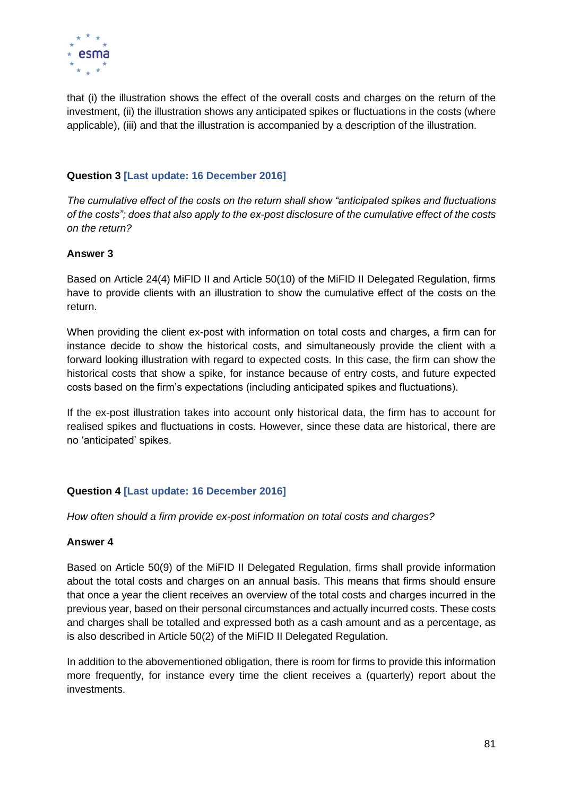

that (i) the illustration shows the effect of the overall costs and charges on the return of the investment, (ii) the illustration shows any anticipated spikes or fluctuations in the costs (where applicable), (iii) and that the illustration is accompanied by a description of the illustration.

# **Question 3 [Last update: 16 December 2016]**

*The cumulative effect of the costs on the return shall show "anticipated spikes and fluctuations of the costs"; does that also apply to the ex-post disclosure of the cumulative effect of the costs on the return?*

#### **Answer 3**

Based on Article 24(4) MiFID II and Article 50(10) of the MiFID II Delegated Regulation, firms have to provide clients with an illustration to show the cumulative effect of the costs on the return.

When providing the client ex-post with information on total costs and charges, a firm can for instance decide to show the historical costs, and simultaneously provide the client with a forward looking illustration with regard to expected costs. In this case, the firm can show the historical costs that show a spike, for instance because of entry costs, and future expected costs based on the firm's expectations (including anticipated spikes and fluctuations).

If the ex-post illustration takes into account only historical data, the firm has to account for realised spikes and fluctuations in costs. However, since these data are historical, there are no 'anticipated' spikes.

#### **Question 4 [Last update: 16 December 2016]**

*How often should a firm provide ex-post information on total costs and charges?* 

#### **Answer 4**

Based on Article 50(9) of the MiFID II Delegated Regulation, firms shall provide information about the total costs and charges on an annual basis. This means that firms should ensure that once a year the client receives an overview of the total costs and charges incurred in the previous year, based on their personal circumstances and actually incurred costs. These costs and charges shall be totalled and expressed both as a cash amount and as a percentage, as is also described in Article 50(2) of the MiFID II Delegated Regulation.

In addition to the abovementioned obligation, there is room for firms to provide this information more frequently, for instance every time the client receives a (quarterly) report about the investments.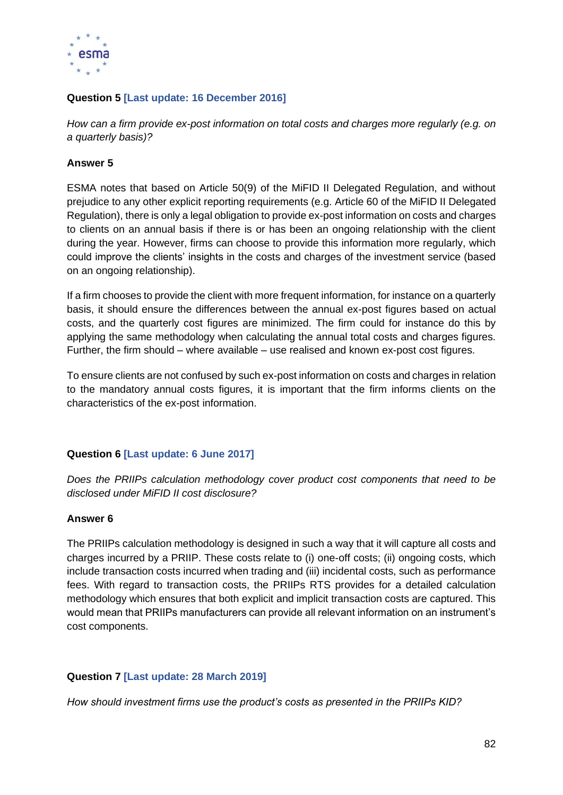

# **Question 5 [Last update: 16 December 2016]**

*How can a firm provide ex-post information on total costs and charges more regularly (e.g. on a quarterly basis)?* 

## **Answer 5**

ESMA notes that based on Article 50(9) of the MiFID II Delegated Regulation, and without prejudice to any other explicit reporting requirements (e.g. Article 60 of the MiFID II Delegated Regulation), there is only a legal obligation to provide ex-post information on costs and charges to clients on an annual basis if there is or has been an ongoing relationship with the client during the year. However, firms can choose to provide this information more regularly, which could improve the clients' insights in the costs and charges of the investment service (based on an ongoing relationship).

If a firm chooses to provide the client with more frequent information, for instance on a quarterly basis, it should ensure the differences between the annual ex-post figures based on actual costs, and the quarterly cost figures are minimized. The firm could for instance do this by applying the same methodology when calculating the annual total costs and charges figures. Further, the firm should – where available – use realised and known ex-post cost figures.

To ensure clients are not confused by such ex-post information on costs and charges in relation to the mandatory annual costs figures, it is important that the firm informs clients on the characteristics of the ex-post information.

# **Question 6 [Last update: 6 June 2017]**

*Does the PRIIPs calculation methodology cover product cost components that need to be disclosed under MiFID II cost disclosure?*

#### **Answer 6**

The PRIIPs calculation methodology is designed in such a way that it will capture all costs and charges incurred by a PRIIP. These costs relate to (i) one-off costs; (ii) ongoing costs, which include transaction costs incurred when trading and (iii) incidental costs, such as performance fees. With regard to transaction costs, the PRIIPs RTS provides for a detailed calculation methodology which ensures that both explicit and implicit transaction costs are captured. This would mean that PRIIPs manufacturers can provide all relevant information on an instrument's cost components.

# **Question 7 [Last update: 28 March 2019]**

*How should investment firms use the product's costs as presented in the PRIIPs KID?*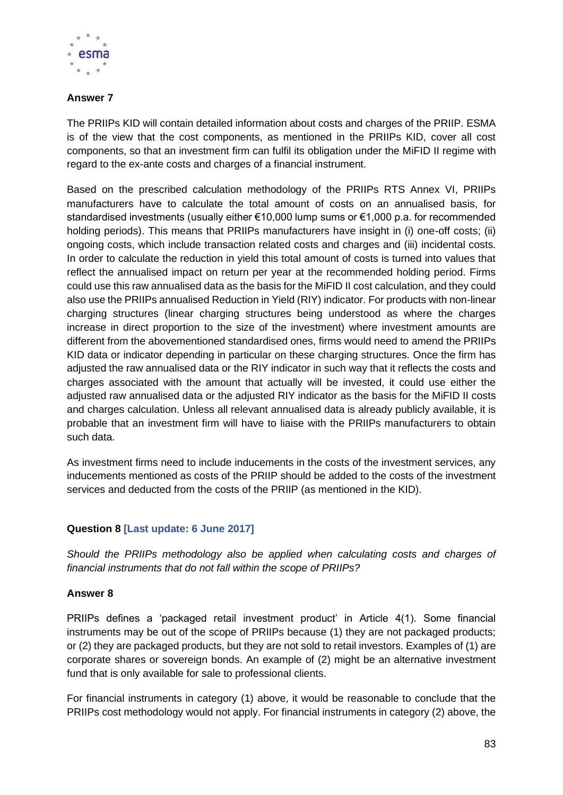

# **Answer 7**

The PRIIPs KID will contain detailed information about costs and charges of the PRIIP. ESMA is of the view that the cost components, as mentioned in the PRIIPs KID, cover all cost components, so that an investment firm can fulfil its obligation under the MiFID II regime with regard to the ex-ante costs and charges of a financial instrument.

Based on the prescribed calculation methodology of the PRIIPs RTS Annex VI, PRIIPs manufacturers have to calculate the total amount of costs on an annualised basis, for standardised investments (usually either €10,000 lump sums or €1,000 p.a. for recommended holding periods). This means that PRIIPs manufacturers have insight in (i) one-off costs; (ii) ongoing costs, which include transaction related costs and charges and (iii) incidental costs. In order to calculate the reduction in yield this total amount of costs is turned into values that reflect the annualised impact on return per year at the recommended holding period. Firms could use this raw annualised data as the basis for the MiFID II cost calculation, and they could also use the PRIIPs annualised Reduction in Yield (RIY) indicator. For products with non-linear charging structures (linear charging structures being understood as where the charges increase in direct proportion to the size of the investment) where investment amounts are different from the abovementioned standardised ones, firms would need to amend the PRIIPs KID data or indicator depending in particular on these charging structures. Once the firm has adjusted the raw annualised data or the RIY indicator in such way that it reflects the costs and charges associated with the amount that actually will be invested, it could use either the adjusted raw annualised data or the adjusted RIY indicator as the basis for the MiFID II costs and charges calculation. Unless all relevant annualised data is already publicly available, it is probable that an investment firm will have to liaise with the PRIIPs manufacturers to obtain such data.

As investment firms need to include inducements in the costs of the investment services, any inducements mentioned as costs of the PRIIP should be added to the costs of the investment services and deducted from the costs of the PRIIP (as mentioned in the KID).

# **Question 8 [Last update: 6 June 2017]**

*Should the PRIIPs methodology also be applied when calculating costs and charges of financial instruments that do not fall within the scope of PRIIPs?*

# **Answer 8**

PRIIPs defines a 'packaged retail investment product' in Article 4(1). Some financial instruments may be out of the scope of PRIIPs because (1) they are not packaged products; or (2) they are packaged products, but they are not sold to retail investors. Examples of (1) are corporate shares or sovereign bonds. An example of (2) might be an alternative investment fund that is only available for sale to professional clients.

For financial instruments in category (1) above, it would be reasonable to conclude that the PRIIPs cost methodology would not apply. For financial instruments in category (2) above, the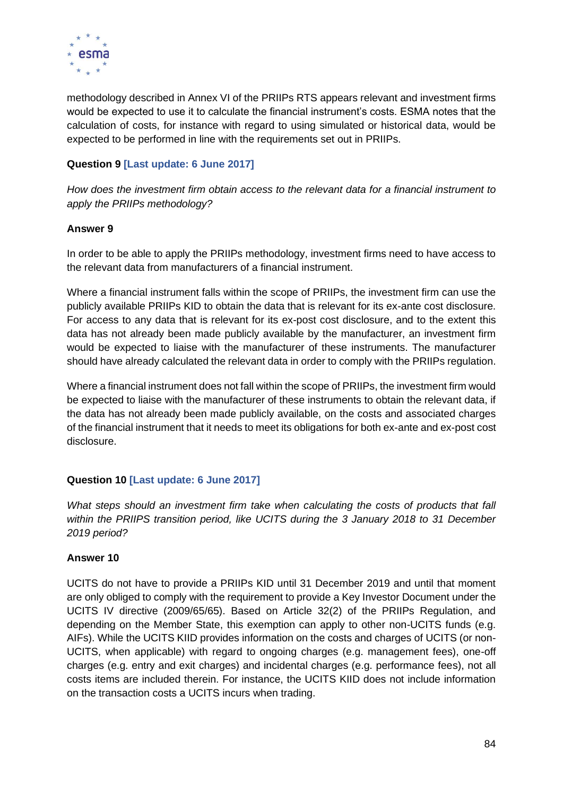

methodology described in Annex VI of the PRIIPs RTS appears relevant and investment firms would be expected to use it to calculate the financial instrument's costs. ESMA notes that the calculation of costs, for instance with regard to using simulated or historical data, would be expected to be performed in line with the requirements set out in PRIIPs.

# **Question 9 [Last update: 6 June 2017]**

*How does the investment firm obtain access to the relevant data for a financial instrument to apply the PRIIPs methodology?* 

## **Answer 9**

In order to be able to apply the PRIIPs methodology, investment firms need to have access to the relevant data from manufacturers of a financial instrument.

Where a financial instrument falls within the scope of PRIIPs, the investment firm can use the publicly available PRIIPs KID to obtain the data that is relevant for its ex-ante cost disclosure. For access to any data that is relevant for its ex-post cost disclosure, and to the extent this data has not already been made publicly available by the manufacturer, an investment firm would be expected to liaise with the manufacturer of these instruments. The manufacturer should have already calculated the relevant data in order to comply with the PRIIPs regulation.

Where a financial instrument does not fall within the scope of PRIIPs, the investment firm would be expected to liaise with the manufacturer of these instruments to obtain the relevant data, if the data has not already been made publicly available, on the costs and associated charges of the financial instrument that it needs to meet its obligations for both ex-ante and ex-post cost disclosure.

# **Question 10 [Last update: 6 June 2017]**

*What steps should an investment firm take when calculating the costs of products that fall within the PRIIPS transition period, like UCITS during the 3 January 2018 to 31 December 2019 period?*

# **Answer 10**

UCITS do not have to provide a PRIIPs KID until 31 December 2019 and until that moment are only obliged to comply with the requirement to provide a Key Investor Document under the UCITS IV directive (2009/65/65). Based on Article 32(2) of the PRIIPs Regulation, and depending on the Member State, this exemption can apply to other non-UCITS funds (e.g. AIFs). While the UCITS KIID provides information on the costs and charges of UCITS (or non-UCITS, when applicable) with regard to ongoing charges (e.g. management fees), one-off charges (e.g. entry and exit charges) and incidental charges (e.g. performance fees), not all costs items are included therein. For instance, the UCITS KIID does not include information on the transaction costs a UCITS incurs when trading.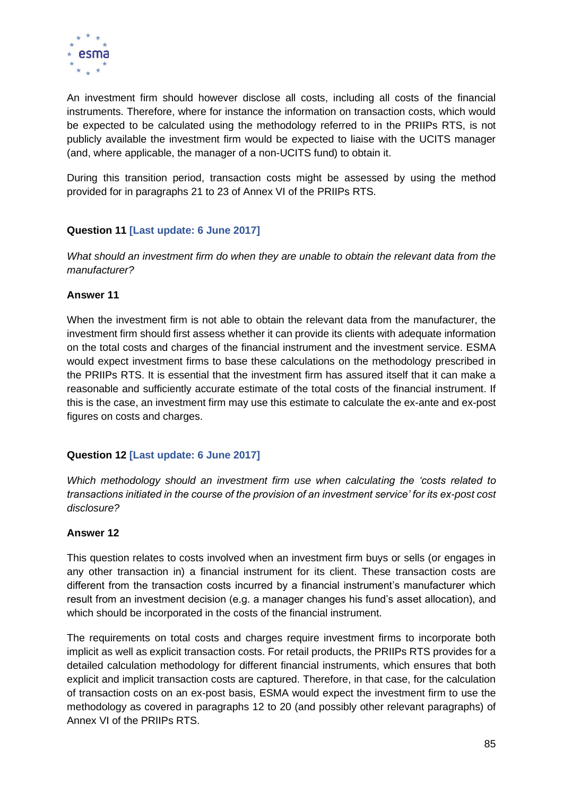

An investment firm should however disclose all costs, including all costs of the financial instruments. Therefore, where for instance the information on transaction costs, which would be expected to be calculated using the methodology referred to in the PRIIPs RTS, is not publicly available the investment firm would be expected to liaise with the UCITS manager (and, where applicable, the manager of a non-UCITS fund) to obtain it.

During this transition period, transaction costs might be assessed by using the method provided for in paragraphs 21 to 23 of Annex VI of the PRIIPs RTS.

# **Question 11 [Last update: 6 June 2017]**

*What should an investment firm do when they are unable to obtain the relevant data from the manufacturer?*

## **Answer 11**

When the investment firm is not able to obtain the relevant data from the manufacturer, the investment firm should first assess whether it can provide its clients with adequate information on the total costs and charges of the financial instrument and the investment service. ESMA would expect investment firms to base these calculations on the methodology prescribed in the PRIIPs RTS. It is essential that the investment firm has assured itself that it can make a reasonable and sufficiently accurate estimate of the total costs of the financial instrument. If this is the case, an investment firm may use this estimate to calculate the ex-ante and ex-post figures on costs and charges.

# **Question 12 [Last update: 6 June 2017]**

*Which methodology should an investment firm use when calculating the 'costs related to transactions initiated in the course of the provision of an investment service' for its ex-post cost disclosure?*

#### **Answer 12**

This question relates to costs involved when an investment firm buys or sells (or engages in any other transaction in) a financial instrument for its client. These transaction costs are different from the transaction costs incurred by a financial instrument's manufacturer which result from an investment decision (e.g. a manager changes his fund's asset allocation), and which should be incorporated in the costs of the financial instrument.

The requirements on total costs and charges require investment firms to incorporate both implicit as well as explicit transaction costs. For retail products, the PRIIPs RTS provides for a detailed calculation methodology for different financial instruments, which ensures that both explicit and implicit transaction costs are captured. Therefore, in that case, for the calculation of transaction costs on an ex-post basis, ESMA would expect the investment firm to use the methodology as covered in paragraphs 12 to 20 (and possibly other relevant paragraphs) of Annex VI of the PRIIPs RTS.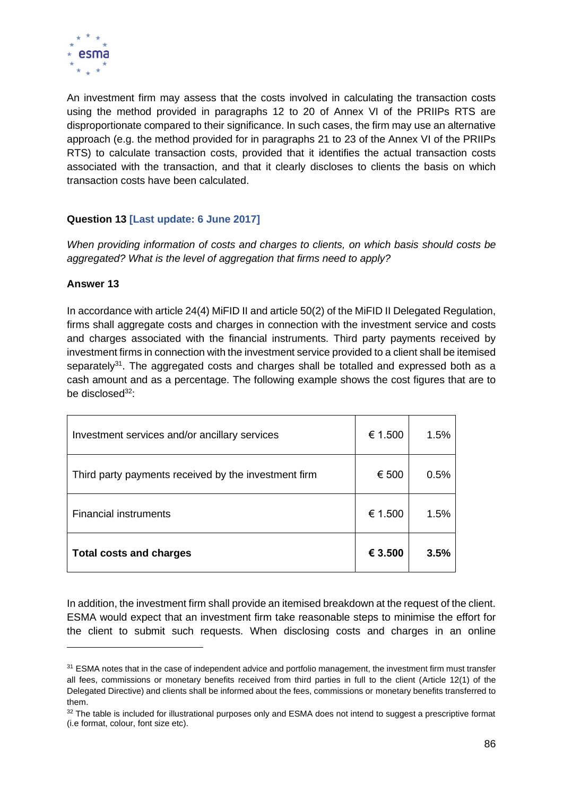

An investment firm may assess that the costs involved in calculating the transaction costs using the method provided in paragraphs 12 to 20 of Annex VI of the PRIIPs RTS are disproportionate compared to their significance. In such cases, the firm may use an alternative approach (e.g. the method provided for in paragraphs 21 to 23 of the Annex VI of the PRIIPs RTS) to calculate transaction costs, provided that it identifies the actual transaction costs associated with the transaction, and that it clearly discloses to clients the basis on which transaction costs have been calculated.

# **Question 13 [Last update: 6 June 2017]**

*When providing information of costs and charges to clients, on which basis should costs be aggregated? What is the level of aggregation that firms need to apply?*

# **Answer 13**

In accordance with article 24(4) MiFID II and article 50(2) of the MiFID II Delegated Regulation, firms shall aggregate costs and charges in connection with the investment service and costs and charges associated with the financial instruments. Third party payments received by investment firms in connection with the investment service provided to a client shall be itemised separately<sup>31</sup>. The aggregated costs and charges shall be totalled and expressed both as a cash amount and as a percentage. The following example shows the cost figures that are to be disclosed<sup>32</sup>:

| Investment services and/or ancillary services        | € 1.500 | 1.5% |
|------------------------------------------------------|---------|------|
| Third party payments received by the investment firm | € 500   | 0.5% |
| <b>Financial instruments</b>                         | € 1.500 | 1.5% |
| <b>Total costs and charges</b>                       | € 3.500 | 3.5% |

In addition, the investment firm shall provide an itemised breakdown at the request of the client. ESMA would expect that an investment firm take reasonable steps to minimise the effort for the client to submit such requests. When disclosing costs and charges in an online

<sup>&</sup>lt;sup>31</sup> ESMA notes that in the case of independent advice and portfolio management, the investment firm must transfer all fees, commissions or monetary benefits received from third parties in full to the client (Article 12(1) of the Delegated Directive) and clients shall be informed about the fees, commissions or monetary benefits transferred to them.

<sup>32</sup> The table is included for illustrational purposes only and ESMA does not intend to suggest a prescriptive format (i.e format, colour, font size etc).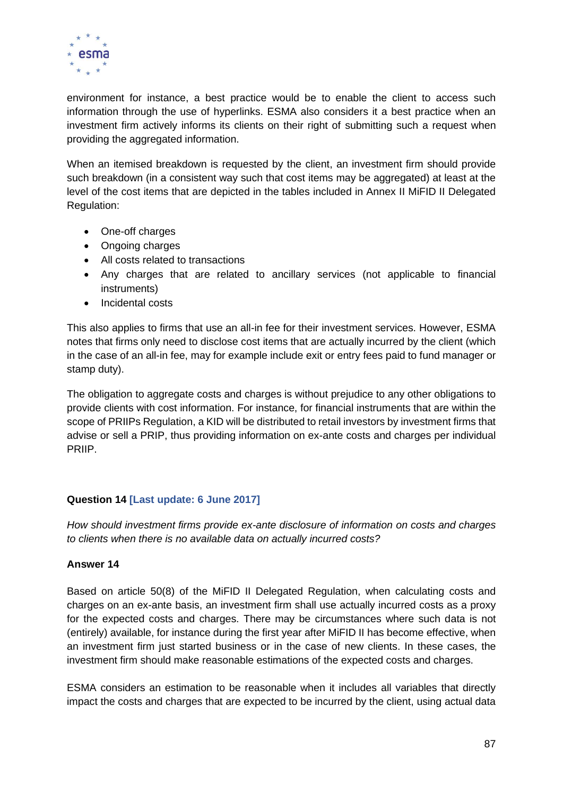

environment for instance, a best practice would be to enable the client to access such information through the use of hyperlinks. ESMA also considers it a best practice when an investment firm actively informs its clients on their right of submitting such a request when providing the aggregated information.

When an itemised breakdown is requested by the client, an investment firm should provide such breakdown (in a consistent way such that cost items may be aggregated) at least at the level of the cost items that are depicted in the tables included in Annex II MiFID II Delegated Regulation:

- One-off charges
- Ongoing charges
- All costs related to transactions
- Any charges that are related to ancillary services (not applicable to financial instruments)
- Incidental costs

This also applies to firms that use an all-in fee for their investment services. However, ESMA notes that firms only need to disclose cost items that are actually incurred by the client (which in the case of an all-in fee, may for example include exit or entry fees paid to fund manager or stamp duty).

The obligation to aggregate costs and charges is without prejudice to any other obligations to provide clients with cost information. For instance, for financial instruments that are within the scope of PRIIPs Regulation, a KID will be distributed to retail investors by investment firms that advise or sell a PRIP, thus providing information on ex-ante costs and charges per individual PRIIP.

# **Question 14 [Last update: 6 June 2017]**

*How should investment firms provide ex-ante disclosure of information on costs and charges to clients when there is no available data on actually incurred costs?*

# **Answer 14**

Based on article 50(8) of the MiFID II Delegated Regulation, when calculating costs and charges on an ex-ante basis, an investment firm shall use actually incurred costs as a proxy for the expected costs and charges. There may be circumstances where such data is not (entirely) available, for instance during the first year after MiFID II has become effective, when an investment firm just started business or in the case of new clients. In these cases, the investment firm should make reasonable estimations of the expected costs and charges.

ESMA considers an estimation to be reasonable when it includes all variables that directly impact the costs and charges that are expected to be incurred by the client, using actual data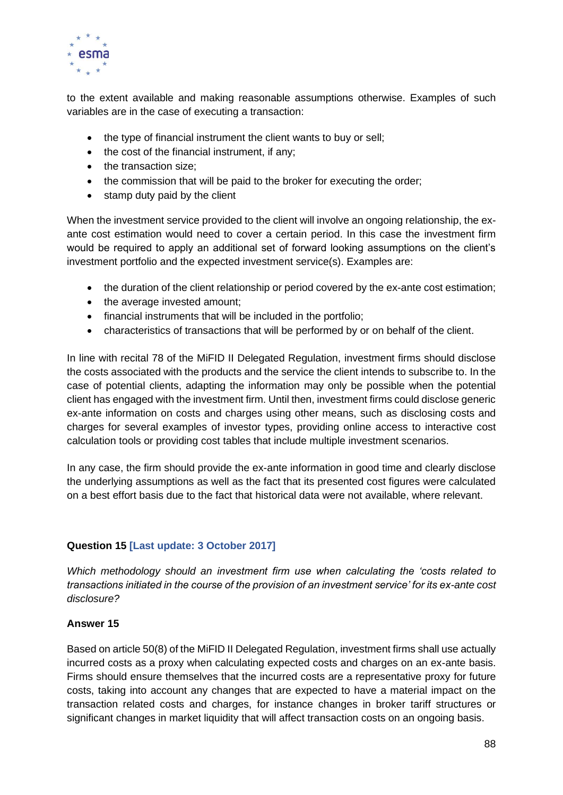

to the extent available and making reasonable assumptions otherwise. Examples of such variables are in the case of executing a transaction:

- the type of financial instrument the client wants to buy or sell;
- the cost of the financial instrument, if any;
- the transaction size:
- the commission that will be paid to the broker for executing the order;
- stamp duty paid by the client

When the investment service provided to the client will involve an ongoing relationship, the exante cost estimation would need to cover a certain period. In this case the investment firm would be required to apply an additional set of forward looking assumptions on the client's investment portfolio and the expected investment service(s). Examples are:

- the duration of the client relationship or period covered by the ex-ante cost estimation;
- the average invested amount:
- financial instruments that will be included in the portfolio;
- characteristics of transactions that will be performed by or on behalf of the client.

In line with recital 78 of the MiFID II Delegated Regulation, investment firms should disclose the costs associated with the products and the service the client intends to subscribe to. In the case of potential clients, adapting the information may only be possible when the potential client has engaged with the investment firm. Until then, investment firms could disclose generic ex-ante information on costs and charges using other means, such as disclosing costs and charges for several examples of investor types, providing online access to interactive cost calculation tools or providing cost tables that include multiple investment scenarios.

In any case, the firm should provide the ex-ante information in good time and clearly disclose the underlying assumptions as well as the fact that its presented cost figures were calculated on a best effort basis due to the fact that historical data were not available, where relevant.

# **Question 15 [Last update: 3 October 2017]**

*Which methodology should an investment firm use when calculating the 'costs related to transactions initiated in the course of the provision of an investment service' for its ex-ante cost disclosure?*

#### **Answer 15**

Based on article 50(8) of the MiFID II Delegated Regulation, investment firms shall use actually incurred costs as a proxy when calculating expected costs and charges on an ex-ante basis. Firms should ensure themselves that the incurred costs are a representative proxy for future costs, taking into account any changes that are expected to have a material impact on the transaction related costs and charges, for instance changes in broker tariff structures or significant changes in market liquidity that will affect transaction costs on an ongoing basis.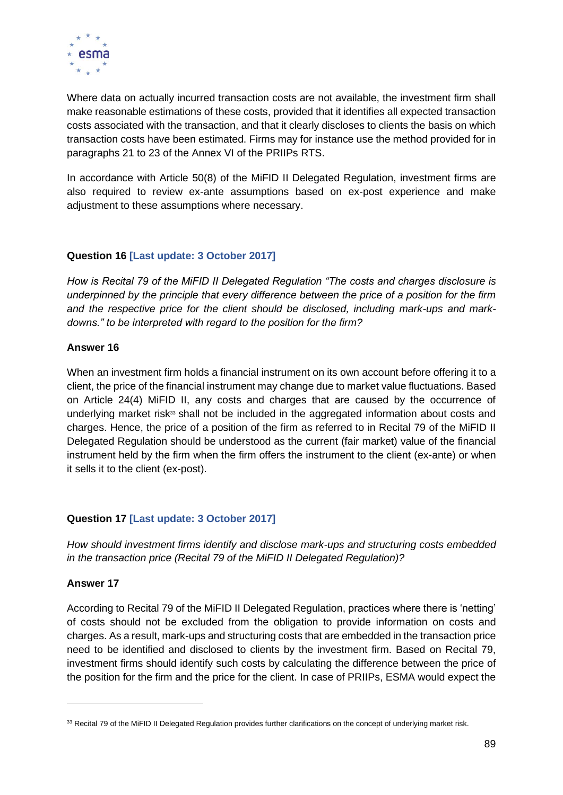

Where data on actually incurred transaction costs are not available, the investment firm shall make reasonable estimations of these costs, provided that it identifies all expected transaction costs associated with the transaction, and that it clearly discloses to clients the basis on which transaction costs have been estimated. Firms may for instance use the method provided for in paragraphs 21 to 23 of the Annex VI of the PRIIPs RTS.

In accordance with Article 50(8) of the MiFID II Delegated Regulation, investment firms are also required to review ex-ante assumptions based on ex-post experience and make adjustment to these assumptions where necessary.

# **Question 16 [Last update: 3 October 2017]**

*How is Recital 79 of the MiFID II Delegated Regulation "The costs and charges disclosure is underpinned by the principle that every difference between the price of a position for the firm and the respective price for the client should be disclosed, including mark-ups and markdowns." to be interpreted with regard to the position for the firm?*

#### **Answer 16**

When an investment firm holds a financial instrument on its own account before offering it to a client, the price of the financial instrument may change due to market value fluctuations. Based on Article 24(4) MiFID II, any costs and charges that are caused by the occurrence of underlying market risk $33$  shall not be included in the aggregated information about costs and charges. Hence, the price of a position of the firm as referred to in Recital 79 of the MiFID II Delegated Regulation should be understood as the current (fair market) value of the financial instrument held by the firm when the firm offers the instrument to the client (ex-ante) or when it sells it to the client (ex-post).

#### **Question 17 [Last update: 3 October 2017]**

*How should investment firms identify and disclose mark-ups and structuring costs embedded in the transaction price (Recital 79 of the MiFID II Delegated Regulation)?*

#### **Answer 17**

According to Recital 79 of the MiFID II Delegated Regulation, practices where there is 'netting' of costs should not be excluded from the obligation to provide information on costs and charges. As a result, mark-ups and structuring costs that are embedded in the transaction price need to be identified and disclosed to clients by the investment firm. Based on Recital 79, investment firms should identify such costs by calculating the difference between the price of the position for the firm and the price for the client. In case of PRIIPs, ESMA would expect the

<sup>&</sup>lt;sup>33</sup> Recital 79 of the MiFID II Delegated Regulation provides further clarifications on the concept of underlying market risk.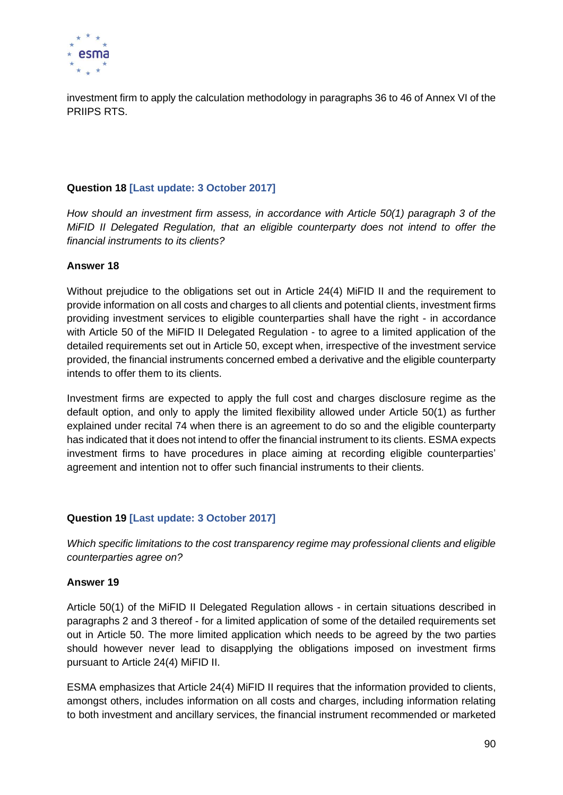

investment firm to apply the calculation methodology in paragraphs 36 to 46 of Annex VI of the PRIIPS RTS.

# **Question 18 [Last update: 3 October 2017]**

*How should an investment firm assess, in accordance with Article 50(1) paragraph 3 of the MiFID II Delegated Regulation, that an eligible counterparty does not intend to offer the financial instruments to its clients?*

## **Answer 18**

Without prejudice to the obligations set out in Article 24(4) MiFID II and the requirement to provide information on all costs and charges to all clients and potential clients, investment firms providing investment services to eligible counterparties shall have the right - in accordance with Article 50 of the MiFID II Delegated Regulation - to agree to a limited application of the detailed requirements set out in Article 50, except when, irrespective of the investment service provided, the financial instruments concerned embed a derivative and the eligible counterparty intends to offer them to its clients.

Investment firms are expected to apply the full cost and charges disclosure regime as the default option, and only to apply the limited flexibility allowed under Article 50(1) as further explained under recital 74 when there is an agreement to do so and the eligible counterparty has indicated that it does not intend to offer the financial instrument to its clients. ESMA expects investment firms to have procedures in place aiming at recording eligible counterparties' agreement and intention not to offer such financial instruments to their clients.

# **Question 19 [Last update: 3 October 2017]**

*Which specific limitations to the cost transparency regime may professional clients and eligible counterparties agree on?*

#### **Answer 19**

Article 50(1) of the MiFID II Delegated Regulation allows - in certain situations described in paragraphs 2 and 3 thereof - for a limited application of some of the detailed requirements set out in Article 50. The more limited application which needs to be agreed by the two parties should however never lead to disapplying the obligations imposed on investment firms pursuant to Article 24(4) MiFID II.

ESMA emphasizes that Article 24(4) MiFID II requires that the information provided to clients, amongst others, includes information on all costs and charges, including information relating to both investment and ancillary services, the financial instrument recommended or marketed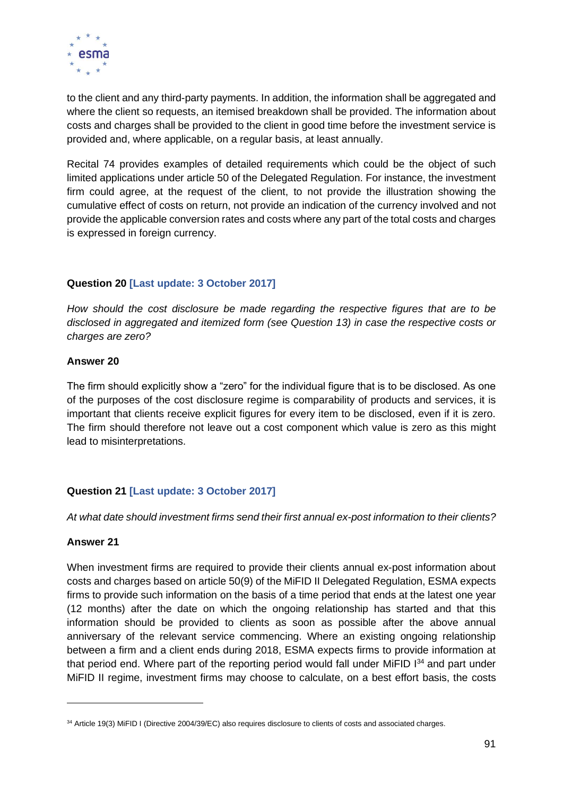

to the client and any third-party payments. In addition, the information shall be aggregated and where the client so requests, an itemised breakdown shall be provided. The information about costs and charges shall be provided to the client in good time before the investment service is provided and, where applicable, on a regular basis, at least annually.

Recital 74 provides examples of detailed requirements which could be the object of such limited applications under article 50 of the Delegated Regulation. For instance, the investment firm could agree, at the request of the client, to not provide the illustration showing the cumulative effect of costs on return, not provide an indication of the currency involved and not provide the applicable conversion rates and costs where any part of the total costs and charges is expressed in foreign currency.

# **Question 20 [Last update: 3 October 2017]**

*How should the cost disclosure be made regarding the respective figures that are to be disclosed in aggregated and itemized form (see Question 13) in case the respective costs or charges are zero?*

#### **Answer 20**

The firm should explicitly show a "zero" for the individual figure that is to be disclosed. As one of the purposes of the cost disclosure regime is comparability of products and services, it is important that clients receive explicit figures for every item to be disclosed, even if it is zero. The firm should therefore not leave out a cost component which value is zero as this might lead to misinterpretations.

# **Question 21 [Last update: 3 October 2017]**

*At what date should investment firms send their first annual ex-post information to their clients?*

#### **Answer 21**

When investment firms are required to provide their clients annual ex-post information about costs and charges based on article 50(9) of the MiFID II Delegated Regulation, ESMA expects firms to provide such information on the basis of a time period that ends at the latest one year (12 months) after the date on which the ongoing relationship has started and that this information should be provided to clients as soon as possible after the above annual anniversary of the relevant service commencing. Where an existing ongoing relationship between a firm and a client ends during 2018, ESMA expects firms to provide information at that period end. Where part of the reporting period would fall under MiFID 134 and part under MiFID II regime, investment firms may choose to calculate, on a best effort basis, the costs

<sup>34</sup> Article 19(3) MiFID I (Directive 2004/39/EC) also requires disclosure to clients of costs and associated charges.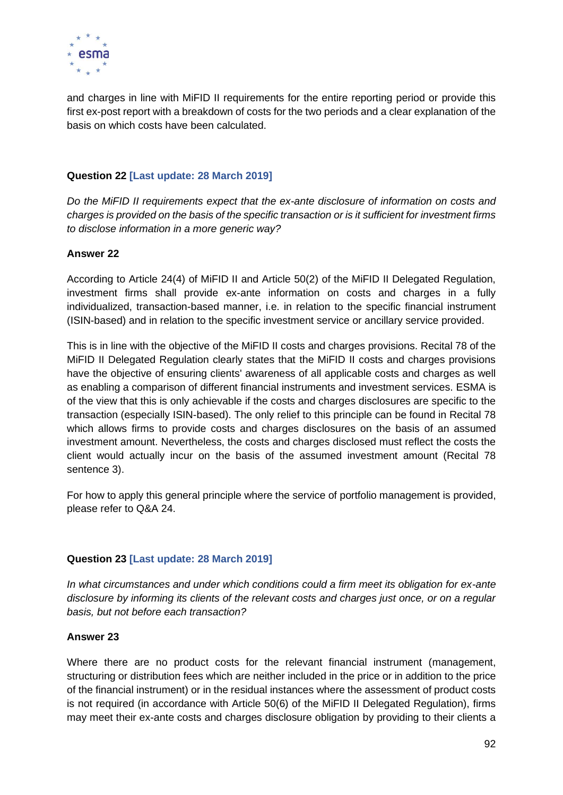

and charges in line with MiFID II requirements for the entire reporting period or provide this first ex-post report with a breakdown of costs for the two periods and a clear explanation of the basis on which costs have been calculated.

## **Question 22 [Last update: 28 March 2019]**

*Do the MiFID II requirements expect that the ex-ante disclosure of information on costs and charges is provided on the basis of the specific transaction or is it sufficient for investment firms to disclose information in a more generic way?*

#### **Answer 22**

According to Article 24(4) of MiFID II and Article 50(2) of the MiFID II Delegated Regulation, investment firms shall provide ex-ante information on costs and charges in a fully individualized, transaction-based manner, i.e. in relation to the specific financial instrument (ISIN-based) and in relation to the specific investment service or ancillary service provided.

This is in line with the objective of the MiFID II costs and charges provisions. Recital 78 of the MiFID II Delegated Regulation clearly states that the MiFID II costs and charges provisions have the objective of ensuring clients' awareness of all applicable costs and charges as well as enabling a comparison of different financial instruments and investment services. ESMA is of the view that this is only achievable if the costs and charges disclosures are specific to the transaction (especially ISIN-based). The only relief to this principle can be found in Recital 78 which allows firms to provide costs and charges disclosures on the basis of an assumed investment amount. Nevertheless, the costs and charges disclosed must reflect the costs the client would actually incur on the basis of the assumed investment amount (Recital 78 sentence 3).

For how to apply this general principle where the service of portfolio management is provided, please refer to Q&A 24.

#### **Question 23 [Last update: 28 March 2019]**

*In what circumstances and under which conditions could a firm meet its obligation for ex-ante disclosure by informing its clients of the relevant costs and charges just once, or on a regular basis, but not before each transaction?*

#### **Answer 23**

Where there are no product costs for the relevant financial instrument (management, structuring or distribution fees which are neither included in the price or in addition to the price of the financial instrument) or in the residual instances where the assessment of product costs is not required (in accordance with Article 50(6) of the MiFID II Delegated Regulation), firms may meet their ex-ante costs and charges disclosure obligation by providing to their clients a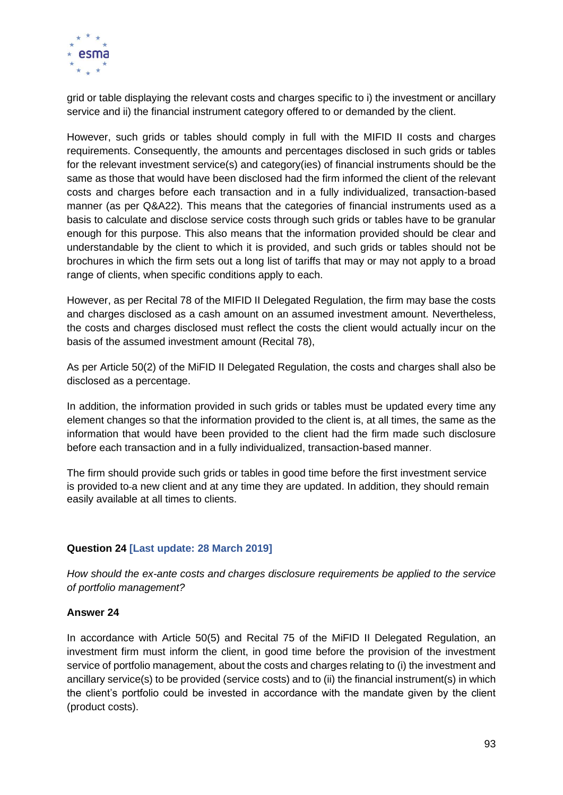

grid or table displaying the relevant costs and charges specific to i) the investment or ancillary service and ii) the financial instrument category offered to or demanded by the client.

However, such grids or tables should comply in full with the MIFID II costs and charges requirements. Consequently, the amounts and percentages disclosed in such grids or tables for the relevant investment service(s) and category(ies) of financial instruments should be the same as those that would have been disclosed had the firm informed the client of the relevant costs and charges before each transaction and in a fully individualized, transaction-based manner (as per Q&A22). This means that the categories of financial instruments used as a basis to calculate and disclose service costs through such grids or tables have to be granular enough for this purpose. This also means that the information provided should be clear and understandable by the client to which it is provided, and such grids or tables should not be brochures in which the firm sets out a long list of tariffs that may or may not apply to a broad range of clients, when specific conditions apply to each.

However, as per Recital 78 of the MIFID II Delegated Regulation, the firm may base the costs and charges disclosed as a cash amount on an assumed investment amount. Nevertheless, the costs and charges disclosed must reflect the costs the client would actually incur on the basis of the assumed investment amount (Recital 78),

As per Article 50(2) of the MiFID II Delegated Regulation, the costs and charges shall also be disclosed as a percentage.

In addition, the information provided in such grids or tables must be updated every time any element changes so that the information provided to the client is, at all times, the same as the information that would have been provided to the client had the firm made such disclosure before each transaction and in a fully individualized, transaction-based manner.

The firm should provide such grids or tables in good time before the first investment service is provided to-a new client and at any time they are updated. In addition, they should remain easily available at all times to clients.

# **Question 24 [Last update: 28 March 2019]**

*How should the ex-ante costs and charges disclosure requirements be applied to the service of portfolio management?*

#### **Answer 24**

In accordance with Article 50(5) and Recital 75 of the MiFID II Delegated Regulation, an investment firm must inform the client, in good time before the provision of the investment service of portfolio management, about the costs and charges relating to (i) the investment and ancillary service(s) to be provided (service costs) and to (ii) the financial instrument(s) in which the client's portfolio could be invested in accordance with the mandate given by the client (product costs).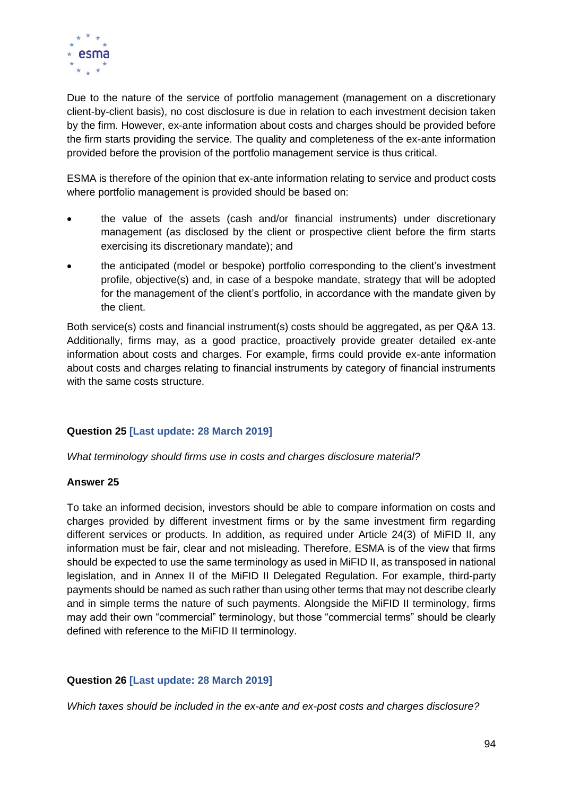

Due to the nature of the service of portfolio management (management on a discretionary client-by-client basis), no cost disclosure is due in relation to each investment decision taken by the firm. However, ex-ante information about costs and charges should be provided before the firm starts providing the service. The quality and completeness of the ex-ante information provided before the provision of the portfolio management service is thus critical.

ESMA is therefore of the opinion that ex-ante information relating to service and product costs where portfolio management is provided should be based on:

- the value of the assets (cash and/or financial instruments) under discretionary management (as disclosed by the client or prospective client before the firm starts exercising its discretionary mandate); and
- the anticipated (model or bespoke) portfolio corresponding to the client's investment profile, objective(s) and, in case of a bespoke mandate, strategy that will be adopted for the management of the client's portfolio, in accordance with the mandate given by the client.

Both service(s) costs and financial instrument(s) costs should be aggregated, as per Q&A 13. Additionally, firms may, as a good practice, proactively provide greater detailed ex-ante information about costs and charges. For example, firms could provide ex-ante information about costs and charges relating to financial instruments by category of financial instruments with the same costs structure.

# **Question 25 [Last update: 28 March 2019]**

*What terminology should firms use in costs and charges disclosure material?*

#### **Answer 25**

To take an informed decision, investors should be able to compare information on costs and charges provided by different investment firms or by the same investment firm regarding different services or products. In addition, as required under Article 24(3) of MiFID II, any information must be fair, clear and not misleading. Therefore, ESMA is of the view that firms should be expected to use the same terminology as used in MiFID II, as transposed in national legislation, and in Annex II of the MiFID II Delegated Regulation. For example, third-party payments should be named as such rather than using other terms that may not describe clearly and in simple terms the nature of such payments. Alongside the MiFID II terminology, firms may add their own "commercial" terminology, but those "commercial terms" should be clearly defined with reference to the MiFID II terminology.

#### **Question 26 [Last update: 28 March 2019]**

*Which taxes should be included in the ex-ante and ex-post costs and charges disclosure?*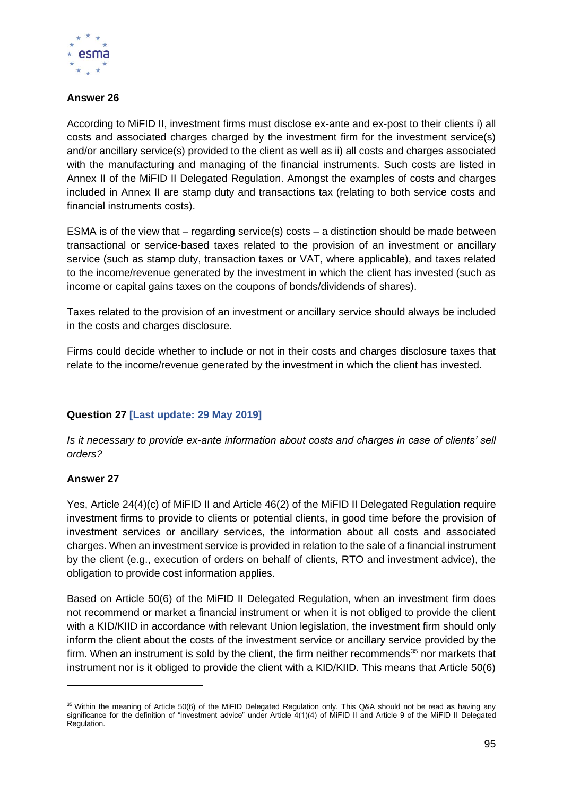

## **Answer 26**

According to MiFID II, investment firms must disclose ex-ante and ex-post to their clients i) all costs and associated charges charged by the investment firm for the investment service(s) and/or ancillary service(s) provided to the client as well as ii) all costs and charges associated with the manufacturing and managing of the financial instruments. Such costs are listed in Annex II of the MiFID II Delegated Regulation. Amongst the examples of costs and charges included in Annex II are stamp duty and transactions tax (relating to both service costs and financial instruments costs).

ESMA is of the view that – regarding service(s) costs – a distinction should be made between transactional or service-based taxes related to the provision of an investment or ancillary service (such as stamp duty, transaction taxes or VAT, where applicable), and taxes related to the income/revenue generated by the investment in which the client has invested (such as income or capital gains taxes on the coupons of bonds/dividends of shares).

Taxes related to the provision of an investment or ancillary service should always be included in the costs and charges disclosure.

Firms could decide whether to include or not in their costs and charges disclosure taxes that relate to the income/revenue generated by the investment in which the client has invested.

# **Question 27 [Last update: 29 May 2019]**

*Is it necessary to provide ex-ante information about costs and charges in case of clients' sell orders?*

# **Answer 27**

Yes, Article 24(4)(c) of MiFID II and Article 46(2) of the MiFID II Delegated Regulation require investment firms to provide to clients or potential clients, in good time before the provision of investment services or ancillary services, the information about all costs and associated charges. When an investment service is provided in relation to the sale of a financial instrument by the client (e.g., execution of orders on behalf of clients, RTO and investment advice), the obligation to provide cost information applies.

Based on Article 50(6) of the MiFID II Delegated Regulation, when an investment firm does not recommend or market a financial instrument or when it is not obliged to provide the client with a KID/KIID in accordance with relevant Union legislation, the investment firm should only inform the client about the costs of the investment service or ancillary service provided by the firm. When an instrument is sold by the client, the firm neither recommends $35$  nor markets that instrument nor is it obliged to provide the client with a KID/KIID. This means that Article 50(6)

<sup>&</sup>lt;sup>35</sup> Within the meaning of Article 50(6) of the MiFID Delegated Regulation only. This Q&A should not be read as having any significance for the definition of "investment advice" under Article 4(1)(4) of MiFID II and Article 9 of the MiFID II Delegated Regulation.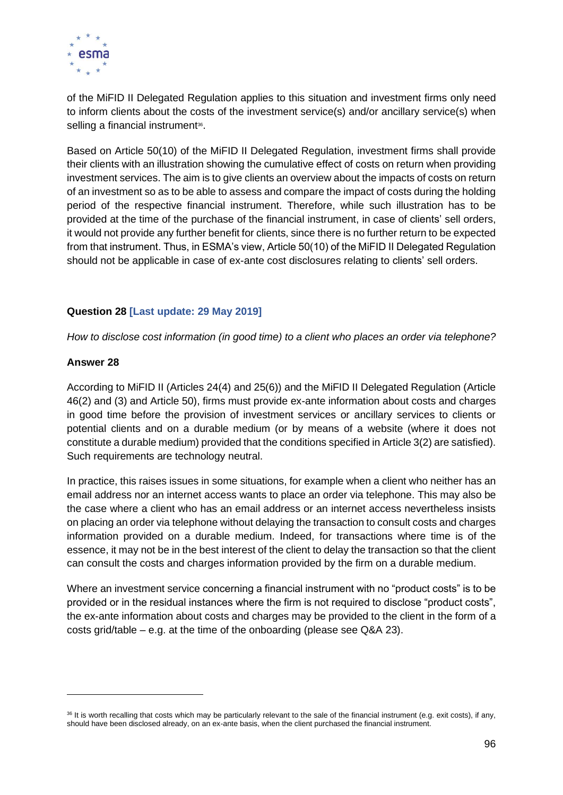

of the MiFID II Delegated Regulation applies to this situation and investment firms only need to inform clients about the costs of the investment service(s) and/or ancillary service(s) when selling a financial instrument<sup>36</sup>.

Based on Article 50(10) of the MiFID II Delegated Regulation, investment firms shall provide their clients with an illustration showing the cumulative effect of costs on return when providing investment services. The aim is to give clients an overview about the impacts of costs on return of an investment so as to be able to assess and compare the impact of costs during the holding period of the respective financial instrument. Therefore, while such illustration has to be provided at the time of the purchase of the financial instrument, in case of clients' sell orders, it would not provide any further benefit for clients, since there is no further return to be expected from that instrument. Thus, in ESMA's view, Article 50(10) of the MiFID II Delegated Regulation should not be applicable in case of ex-ante cost disclosures relating to clients' sell orders.

## **Question 28 [Last update: 29 May 2019]**

*How to disclose cost information (in good time) to a client who places an order via telephone?*

#### **Answer 28**

According to MiFID II (Articles 24(4) and 25(6)) and the MiFID II Delegated Regulation (Article 46(2) and (3) and Article 50), firms must provide ex-ante information about costs and charges in good time before the provision of investment services or ancillary services to clients or potential clients and on a durable medium (or by means of a website (where it does not constitute a durable medium) provided that the conditions specified in Article 3(2) are satisfied). Such requirements are technology neutral.

In practice, this raises issues in some situations, for example when a client who neither has an email address nor an internet access wants to place an order via telephone. This may also be the case where a client who has an email address or an internet access nevertheless insists on placing an order via telephone without delaying the transaction to consult costs and charges information provided on a durable medium. Indeed, for transactions where time is of the essence, it may not be in the best interest of the client to delay the transaction so that the client can consult the costs and charges information provided by the firm on a durable medium.

Where an investment service concerning a financial instrument with no "product costs" is to be provided or in the residual instances where the firm is not required to disclose "product costs", the ex-ante information about costs and charges may be provided to the client in the form of a costs grid/table – e.g. at the time of the onboarding (please see  $Q&A$  23).

 $36$  It is worth recalling that costs which may be particularly relevant to the sale of the financial instrument (e.g. exit costs), if any, should have been disclosed already, on an ex-ante basis, when the client purchased the financial instrument.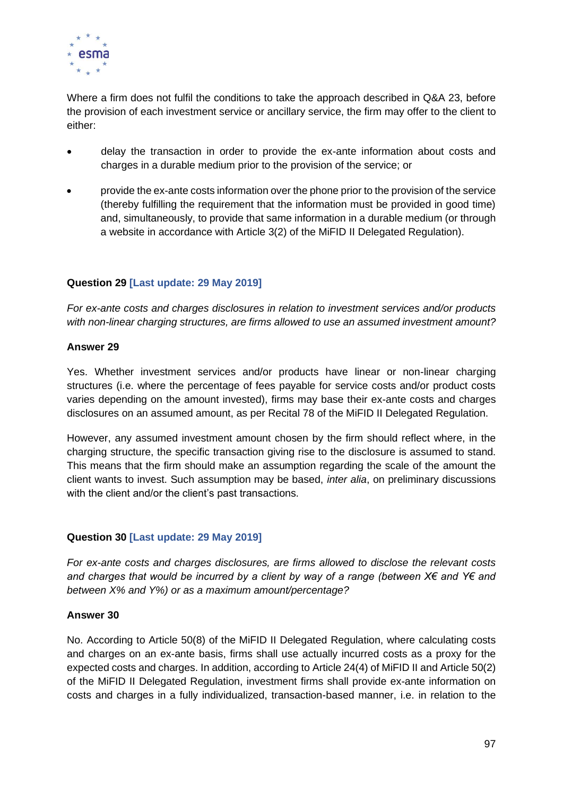

Where a firm does not fulfil the conditions to take the approach described in Q&A 23, before the provision of each investment service or ancillary service, the firm may offer to the client to either:

- delay the transaction in order to provide the ex-ante information about costs and charges in a durable medium prior to the provision of the service; or
- provide the ex-ante costs information over the phone prior to the provision of the service (thereby fulfilling the requirement that the information must be provided in good time) and, simultaneously, to provide that same information in a durable medium (or through a website in accordance with Article 3(2) of the MiFID II Delegated Regulation).

# **Question 29 [Last update: 29 May 2019]**

*For ex-ante costs and charges disclosures in relation to investment services and/or products with non-linear charging structures, are firms allowed to use an assumed investment amount?*

#### **Answer 29**

Yes. Whether investment services and/or products have linear or non-linear charging structures (i.e. where the percentage of fees payable for service costs and/or product costs varies depending on the amount invested), firms may base their ex-ante costs and charges disclosures on an assumed amount, as per Recital 78 of the MiFID II Delegated Regulation.

However, any assumed investment amount chosen by the firm should reflect where, in the charging structure, the specific transaction giving rise to the disclosure is assumed to stand. This means that the firm should make an assumption regarding the scale of the amount the client wants to invest. Such assumption may be based, *inter alia*, on preliminary discussions with the client and/or the client's past transactions.

#### **Question 30 [Last update: 29 May 2019]**

*For ex-ante costs and charges disclosures, are firms allowed to disclose the relevant costs and charges that would be incurred by a client by way of a range (between X€ and Y€ and between X% and Y%) or as a maximum amount/percentage?*

#### **Answer 30**

No. According to Article 50(8) of the MiFID II Delegated Regulation, where calculating costs and charges on an ex-ante basis, firms shall use actually incurred costs as a proxy for the expected costs and charges. In addition, according to Article 24(4) of MiFID II and Article 50(2) of the MiFID II Delegated Regulation, investment firms shall provide ex-ante information on costs and charges in a fully individualized, transaction-based manner, i.e. in relation to the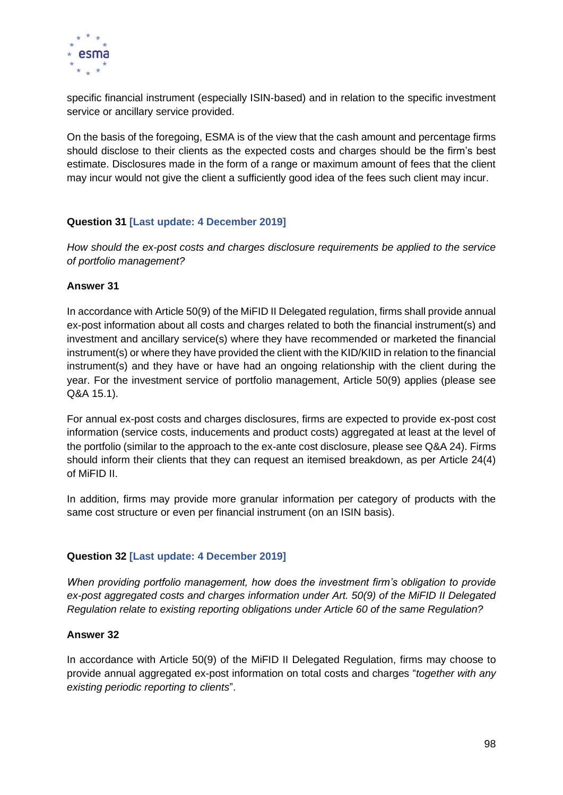

specific financial instrument (especially ISIN-based) and in relation to the specific investment service or ancillary service provided.

On the basis of the foregoing, ESMA is of the view that the cash amount and percentage firms should disclose to their clients as the expected costs and charges should be the firm's best estimate. Disclosures made in the form of a range or maximum amount of fees that the client may incur would not give the client a sufficiently good idea of the fees such client may incur.

# **Question 31 [Last update: 4 December 2019]**

*How should the ex-post costs and charges disclosure requirements be applied to the service of portfolio management?*

#### **Answer 31**

In accordance with Article 50(9) of the MiFID II Delegated regulation, firms shall provide annual ex-post information about all costs and charges related to both the financial instrument(s) and investment and ancillary service(s) where they have recommended or marketed the financial instrument(s) or where they have provided the client with the KID/KIID in relation to the financial instrument(s) and they have or have had an ongoing relationship with the client during the year. For the investment service of portfolio management, Article 50(9) applies (please see Q&A 15.1).

For annual ex-post costs and charges disclosures, firms are expected to provide ex-post cost information (service costs, inducements and product costs) aggregated at least at the level of the portfolio (similar to the approach to the ex-ante cost disclosure, please see Q&A 24). Firms should inform their clients that they can request an itemised breakdown, as per Article 24(4) of MiFID II.

In addition, firms may provide more granular information per category of products with the same cost structure or even per financial instrument (on an ISIN basis).

#### **Question 32 [Last update: 4 December 2019]**

*When providing portfolio management, how does the investment firm's obligation to provide ex-post aggregated costs and charges information under Art. 50(9) of the MiFID II Delegated Regulation relate to existing reporting obligations under Article 60 of the same Regulation?*

#### **Answer 32**

In accordance with Article 50(9) of the MiFID II Delegated Regulation, firms may choose to provide annual aggregated ex-post information on total costs and charges "*together with any existing periodic reporting to clients*".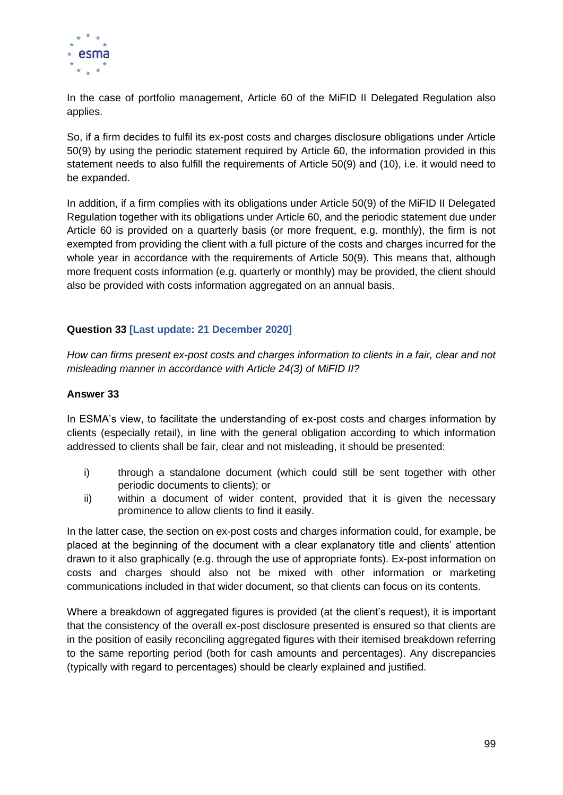

In the case of portfolio management, Article 60 of the MiFID II Delegated Regulation also applies.

So, if a firm decides to fulfil its ex-post costs and charges disclosure obligations under Article 50(9) by using the periodic statement required by Article 60, the information provided in this statement needs to also fulfill the requirements of Article 50(9) and (10), i.e. it would need to be expanded.

In addition, if a firm complies with its obligations under Article 50(9) of the MiFID II Delegated Regulation together with its obligations under Article 60, and the periodic statement due under Article 60 is provided on a quarterly basis (or more frequent, e.g. monthly), the firm is not exempted from providing the client with a full picture of the costs and charges incurred for the whole year in accordance with the requirements of Article 50(9). This means that, although more frequent costs information (e.g. quarterly or monthly) may be provided, the client should also be provided with costs information aggregated on an annual basis.

## **Question 33 [Last update: 21 December 2020]**

*How can firms present ex-post costs and charges information to clients in a fair, clear and not misleading manner in accordance with Article 24(3) of MiFID II?*

#### **Answer 33**

In ESMA's view, to facilitate the understanding of ex-post costs and charges information by clients (especially retail), in line with the general obligation according to which information addressed to clients shall be fair, clear and not misleading, it should be presented:

- i) through a standalone document (which could still be sent together with other periodic documents to clients); or
- ii) within a document of wider content, provided that it is given the necessary prominence to allow clients to find it easily.

In the latter case, the section on ex-post costs and charges information could, for example, be placed at the beginning of the document with a clear explanatory title and clients' attention drawn to it also graphically (e.g. through the use of appropriate fonts). Ex-post information on costs and charges should also not be mixed with other information or marketing communications included in that wider document, so that clients can focus on its contents.

Where a breakdown of aggregated figures is provided (at the client's request), it is important that the consistency of the overall ex-post disclosure presented is ensured so that clients are in the position of easily reconciling aggregated figures with their itemised breakdown referring to the same reporting period (both for cash amounts and percentages). Any discrepancies (typically with regard to percentages) should be clearly explained and justified.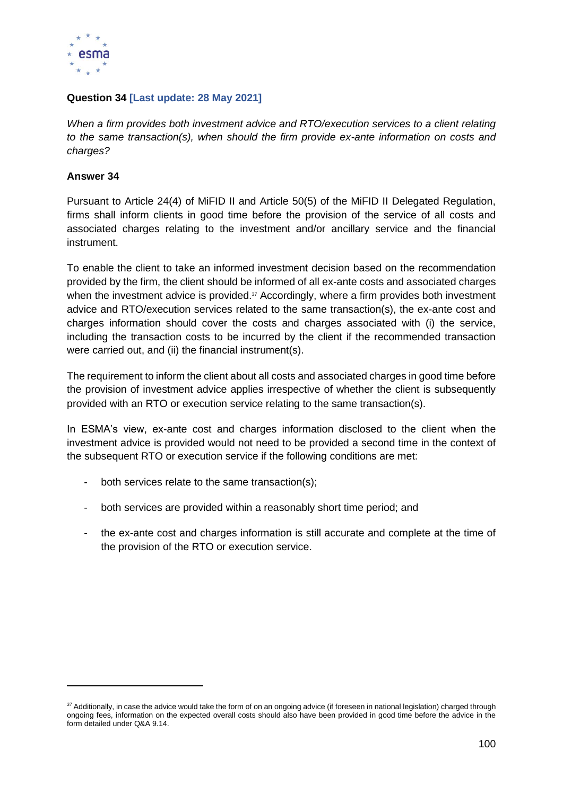

# **Question 34 [Last update: 28 May 2021]**

*When a firm provides both investment advice and RTO/execution services to a client relating to the same transaction(s), when should the firm provide ex-ante information on costs and charges?*

## **Answer 34**

Pursuant to Article 24(4) of MiFID II and Article 50(5) of the MiFID II Delegated Regulation, firms shall inform clients in good time before the provision of the service of all costs and associated charges relating to the investment and/or ancillary service and the financial instrument.

To enable the client to take an informed investment decision based on the recommendation provided by the firm, the client should be informed of all ex-ante costs and associated charges when the investment advice is provided.<sup>37</sup> Accordingly, where a firm provides both investment advice and RTO/execution services related to the same transaction(s), the ex-ante cost and charges information should cover the costs and charges associated with (i) the service, including the transaction costs to be incurred by the client if the recommended transaction were carried out, and (ii) the financial instrument(s).

The requirement to inform the client about all costs and associated charges in good time before the provision of investment advice applies irrespective of whether the client is subsequently provided with an RTO or execution service relating to the same transaction(s).

In ESMA's view, ex-ante cost and charges information disclosed to the client when the investment advice is provided would not need to be provided a second time in the context of the subsequent RTO or execution service if the following conditions are met:

- both services relate to the same transaction(s);
- both services are provided within a reasonably short time period; and
- the ex-ante cost and charges information is still accurate and complete at the time of the provision of the RTO or execution service.

<sup>37</sup> Additionally, in case the advice would take the form of on an ongoing advice (if foreseen in national legislation) charged through ongoing fees, information on the expected overall costs should also have been provided in good time before the advice in the form detailed under Q&A 9.14.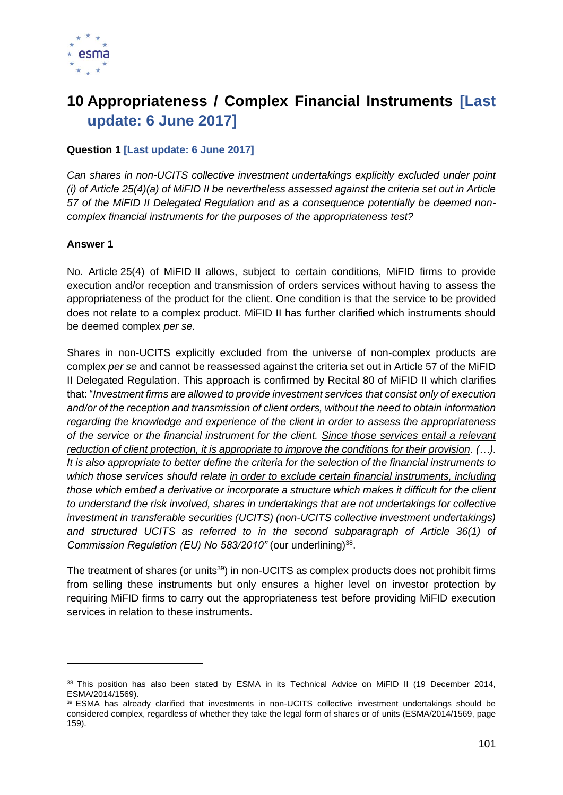

# **10 Appropriateness / Complex Financial Instruments [Last update: 6 June 2017]**

## **Question 1 [Last update: 6 June 2017]**

*Can shares in non-UCITS collective investment undertakings explicitly excluded under point (i) of Article 25(4)(a) of MiFID II be nevertheless assessed against the criteria set out in Article 57 of the MiFID II Delegated Regulation and as a consequence potentially be deemed noncomplex financial instruments for the purposes of the appropriateness test?* 

## **Answer 1**

No. Article 25(4) of MiFID II allows, subject to certain conditions, MiFID firms to provide execution and/or reception and transmission of orders services without having to assess the appropriateness of the product for the client. One condition is that the service to be provided does not relate to a complex product. MiFID II has further clarified which instruments should be deemed complex *per se.*

Shares in non-UCITS explicitly excluded from the universe of non-complex products are complex *per se* and cannot be reassessed against the criteria set out in Article 57 of the MiFID II Delegated Regulation. This approach is confirmed by Recital 80 of MiFID II which clarifies that: "*Investment firms are allowed to provide investment services that consist only of execution and/or of the reception and transmission of client orders, without the need to obtain information regarding the knowledge and experience of the client in order to assess the appropriateness of the service or the financial instrument for the client. Since those services entail a relevant reduction of client protection, it is appropriate to improve the conditions for their provision. (…). It is also appropriate to better define the criteria for the selection of the financial instruments to which those services should relate in order to exclude certain financial instruments, including those which embed a derivative or incorporate a structure which makes it difficult for the client to understand the risk involved, shares in undertakings that are not undertakings for collective investment in transferable securities (UCITS) (non-UCITS collective investment undertakings) and structured UCITS as referred to in the second subparagraph of Article 36(1) of*  Commission Regulation (EU) No 583/2010" (our underlining)<sup>38</sup>.

The treatment of shares (or units<sup>39</sup>) in non-UCITS as complex products does not prohibit firms from selling these instruments but only ensures a higher level on investor protection by requiring MiFID firms to carry out the appropriateness test before providing MiFID execution services in relation to these instruments.

<sup>&</sup>lt;sup>38</sup> This position has also been stated by ESMA in its Technical Advice on MiFID II (19 December 2014, ESMA/2014/1569).

<sup>39</sup> ESMA has already clarified that investments in non-UCITS collective investment undertakings should be considered complex, regardless of whether they take the legal form of shares or of units (ESMA/2014/1569, page 159).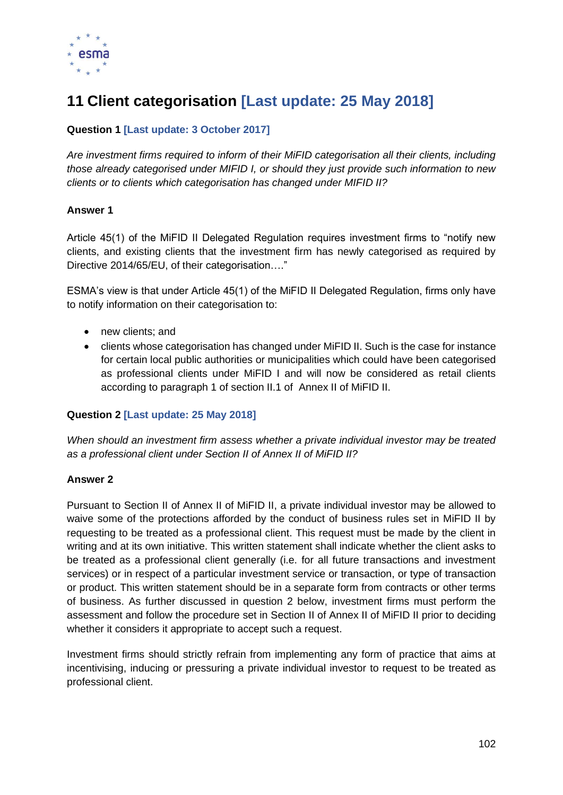

# **11 Client categorisation [Last update: 25 May 2018]**

# **Question 1 [Last update: 3 October 2017]**

*Are investment firms required to inform of their MiFID categorisation all their clients, including those already categorised under MIFID I, or should they just provide such information to new clients or to clients which categorisation has changed under MIFID II?*

## **Answer 1**

Article 45(1) of the MiFID II Delegated Regulation requires investment firms to "notify new clients, and existing clients that the investment firm has newly categorised as required by Directive 2014/65/EU, of their categorisation…."

ESMA's view is that under Article 45(1) of the MiFID II Delegated Regulation, firms only have to notify information on their categorisation to:

- new clients; and
- clients whose categorisation has changed under MiFID II. Such is the case for instance for certain local public authorities or municipalities which could have been categorised as professional clients under MiFID I and will now be considered as retail clients according to paragraph 1 of section II.1 of Annex II of MiFID II.

#### **Question 2 [Last update: 25 May 2018]**

*When should an investment firm assess whether a private individual investor may be treated as a professional client under Section II of Annex II of MiFID II?*

#### **Answer 2**

Pursuant to Section II of Annex II of MiFID II, a private individual investor may be allowed to waive some of the protections afforded by the conduct of business rules set in MiFID II by requesting to be treated as a professional client. This request must be made by the client in writing and at its own initiative. This written statement shall indicate whether the client asks to be treated as a professional client generally (i.e. for all future transactions and investment services) or in respect of a particular investment service or transaction, or type of transaction or product. This written statement should be in a separate form from contracts or other terms of business. As further discussed in question 2 below, investment firms must perform the assessment and follow the procedure set in Section II of Annex II of MiFID II prior to deciding whether it considers it appropriate to accept such a request.

Investment firms should strictly refrain from implementing any form of practice that aims at incentivising, inducing or pressuring a private individual investor to request to be treated as professional client.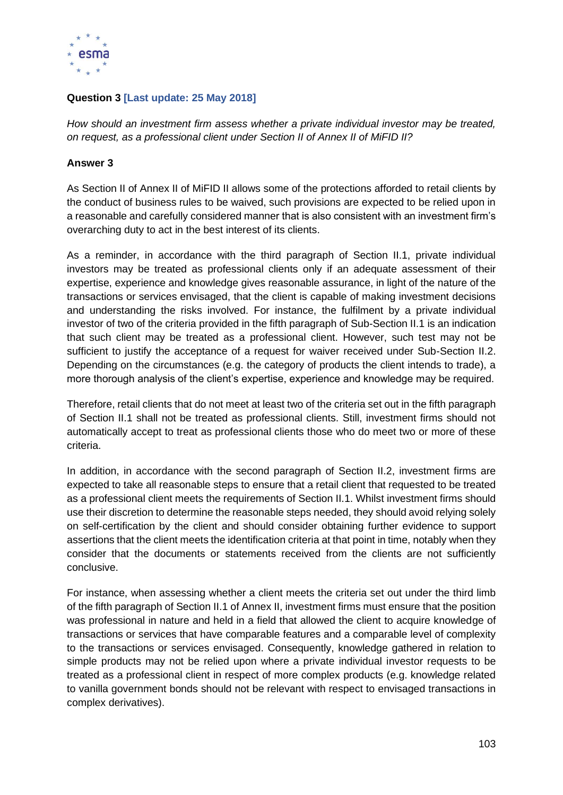

# **Question 3 [Last update: 25 May 2018]**

*How should an investment firm assess whether a private individual investor may be treated, on request, as a professional client under Section II of Annex II of MiFID II?*

## **Answer 3**

As Section II of Annex II of MiFID II allows some of the protections afforded to retail clients by the conduct of business rules to be waived, such provisions are expected to be relied upon in a reasonable and carefully considered manner that is also consistent with an investment firm's overarching duty to act in the best interest of its clients.

As a reminder, in accordance with the third paragraph of Section II.1, private individual investors may be treated as professional clients only if an adequate assessment of their expertise, experience and knowledge gives reasonable assurance, in light of the nature of the transactions or services envisaged, that the client is capable of making investment decisions and understanding the risks involved. For instance, the fulfilment by a private individual investor of two of the criteria provided in the fifth paragraph of Sub-Section II.1 is an indication that such client may be treated as a professional client. However, such test may not be sufficient to justify the acceptance of a request for waiver received under Sub-Section II.2. Depending on the circumstances (e.g. the category of products the client intends to trade), a more thorough analysis of the client's expertise, experience and knowledge may be required.

Therefore, retail clients that do not meet at least two of the criteria set out in the fifth paragraph of Section II.1 shall not be treated as professional clients. Still, investment firms should not automatically accept to treat as professional clients those who do meet two or more of these criteria.

In addition, in accordance with the second paragraph of Section II.2, investment firms are expected to take all reasonable steps to ensure that a retail client that requested to be treated as a professional client meets the requirements of Section II.1. Whilst investment firms should use their discretion to determine the reasonable steps needed, they should avoid relying solely on self-certification by the client and should consider obtaining further evidence to support assertions that the client meets the identification criteria at that point in time, notably when they consider that the documents or statements received from the clients are not sufficiently conclusive.

For instance, when assessing whether a client meets the criteria set out under the third limb of the fifth paragraph of Section II.1 of Annex II, investment firms must ensure that the position was professional in nature and held in a field that allowed the client to acquire knowledge of transactions or services that have comparable features and a comparable level of complexity to the transactions or services envisaged. Consequently, knowledge gathered in relation to simple products may not be relied upon where a private individual investor requests to be treated as a professional client in respect of more complex products (e.g. knowledge related to vanilla government bonds should not be relevant with respect to envisaged transactions in complex derivatives).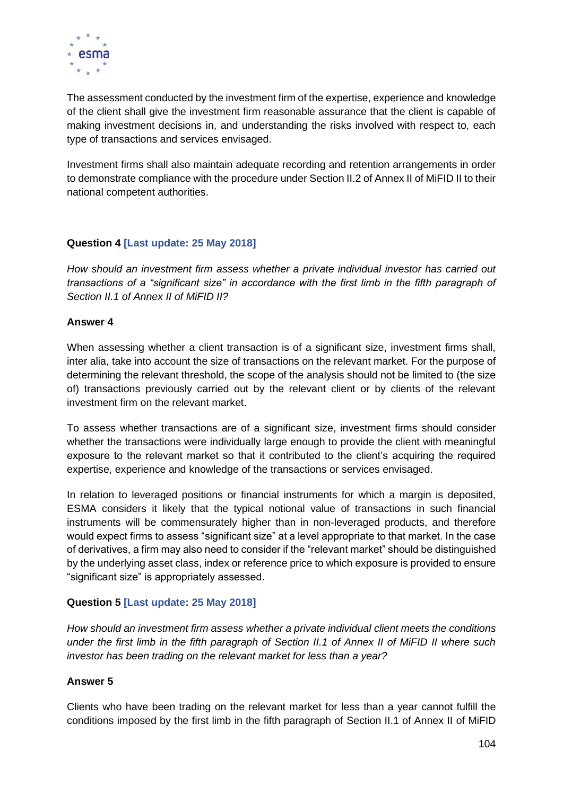

The assessment conducted by the investment firm of the expertise, experience and knowledge of the client shall give the investment firm reasonable assurance that the client is capable of making investment decisions in, and understanding the risks involved with respect to, each type of transactions and services envisaged.

Investment firms shall also maintain adequate recording and retention arrangements in order to demonstrate compliance with the procedure under Section II.2 of Annex II of MiFID II to their national competent authorities.

# **Question 4 [Last update: 25 May 2018]**

*How should an investment firm assess whether a private individual investor has carried out transactions of a "significant size" in accordance with the first limb in the fifth paragraph of Section II.1 of Annex II of MiFID II?*

# **Answer 4**

When assessing whether a client transaction is of a significant size, investment firms shall, inter alia, take into account the size of transactions on the relevant market. For the purpose of determining the relevant threshold, the scope of the analysis should not be limited to (the size of) transactions previously carried out by the relevant client or by clients of the relevant investment firm on the relevant market.

To assess whether transactions are of a significant size, investment firms should consider whether the transactions were individually large enough to provide the client with meaningful exposure to the relevant market so that it contributed to the client's acquiring the required expertise, experience and knowledge of the transactions or services envisaged.

In relation to leveraged positions or financial instruments for which a margin is deposited, ESMA considers it likely that the typical notional value of transactions in such financial instruments will be commensurately higher than in non-leveraged products, and therefore would expect firms to assess "significant size" at a level appropriate to that market. In the case of derivatives, a firm may also need to consider if the "relevant market" should be distinguished by the underlying asset class, index or reference price to which exposure is provided to ensure "significant size" is appropriately assessed.

# **Question 5 [Last update: 25 May 2018]**

*How should an investment firm assess whether a private individual client meets the conditions under the first limb in the fifth paragraph of Section II.1 of Annex II of MiFID II where such investor has been trading on the relevant market for less than a year?*

# **Answer 5**

Clients who have been trading on the relevant market for less than a year cannot fulfill the conditions imposed by the first limb in the fifth paragraph of Section II.1 of Annex II of MiFID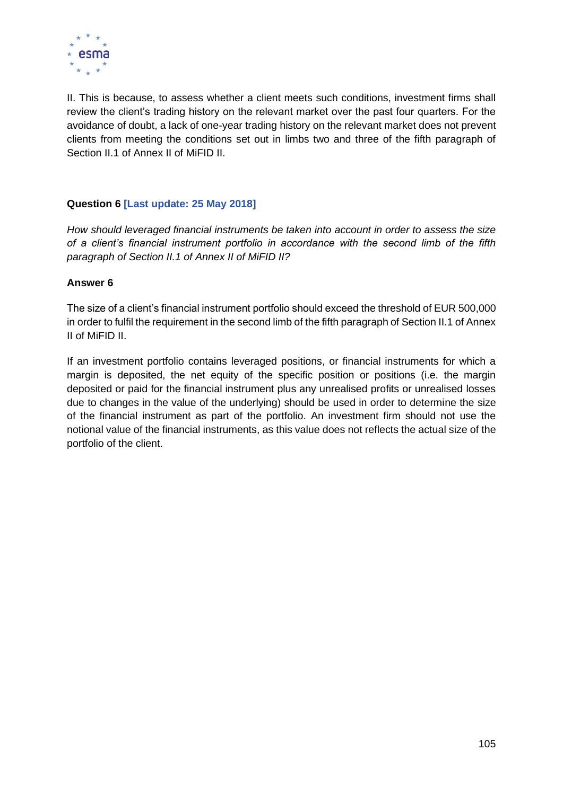

II. This is because, to assess whether a client meets such conditions, investment firms shall review the client's trading history on the relevant market over the past four quarters. For the avoidance of doubt, a lack of one-year trading history on the relevant market does not prevent clients from meeting the conditions set out in limbs two and three of the fifth paragraph of Section II.1 of Annex II of MiFID II.

# **Question 6 [Last update: 25 May 2018]**

*How should leveraged financial instruments be taken into account in order to assess the size of a client's financial instrument portfolio in accordance with the second limb of the fifth paragraph of Section II.1 of Annex II of MiFID II?*

## **Answer 6**

The size of a client's financial instrument portfolio should exceed the threshold of EUR 500,000 in order to fulfil the requirement in the second limb of the fifth paragraph of Section II.1 of Annex II of MiFID II.

If an investment portfolio contains leveraged positions, or financial instruments for which a margin is deposited, the net equity of the specific position or positions (i.e. the margin deposited or paid for the financial instrument plus any unrealised profits or unrealised losses due to changes in the value of the underlying) should be used in order to determine the size of the financial instrument as part of the portfolio. An investment firm should not use the notional value of the financial instruments, as this value does not reflects the actual size of the portfolio of the client.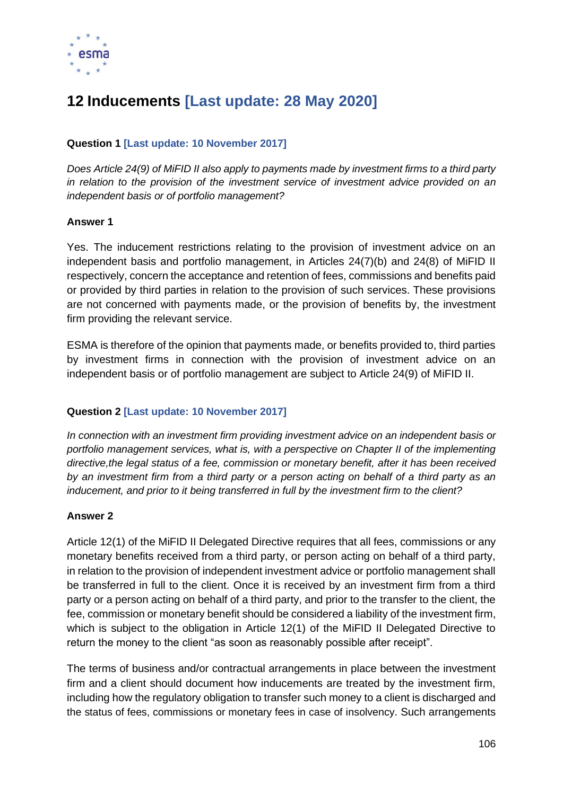

# **12 Inducements [Last update: 28 May 2020]**

# **Question 1 [Last update: 10 November 2017]**

*Does Article 24(9) of MiFID II also apply to payments made by investment firms to a third party in relation to the provision of the investment service of investment advice provided on an independent basis or of portfolio management?* 

## **Answer 1**

Yes. The inducement restrictions relating to the provision of investment advice on an independent basis and portfolio management, in Articles 24(7)(b) and 24(8) of MiFID II respectively, concern the acceptance and retention of fees, commissions and benefits paid or provided by third parties in relation to the provision of such services. These provisions are not concerned with payments made, or the provision of benefits by, the investment firm providing the relevant service.

ESMA is therefore of the opinion that payments made, or benefits provided to, third parties by investment firms in connection with the provision of investment advice on an independent basis or of portfolio management are subject to Article 24(9) of MiFID II.

# **Question 2 [Last update: 10 November 2017]**

*In connection with an investment firm providing investment advice on an independent basis or portfolio management services, what is, with a perspective on Chapter II of the implementing directive,the legal status of a fee, commission or monetary benefit, after it has been received by an investment firm from a third party or a person acting on behalf of a third party as an inducement, and prior to it being transferred in full by the investment firm to the client?* 

# **Answer 2**

Article 12(1) of the MiFID II Delegated Directive requires that all fees, commissions or any monetary benefits received from a third party, or person acting on behalf of a third party, in relation to the provision of independent investment advice or portfolio management shall be transferred in full to the client. Once it is received by an investment firm from a third party or a person acting on behalf of a third party, and prior to the transfer to the client, the fee, commission or monetary benefit should be considered a liability of the investment firm, which is subject to the obligation in Article 12(1) of the MiFID II Delegated Directive to return the money to the client "as soon as reasonably possible after receipt".

The terms of business and/or contractual arrangements in place between the investment firm and a client should document how inducements are treated by the investment firm, including how the regulatory obligation to transfer such money to a client is discharged and the status of fees, commissions or monetary fees in case of insolvency. Such arrangements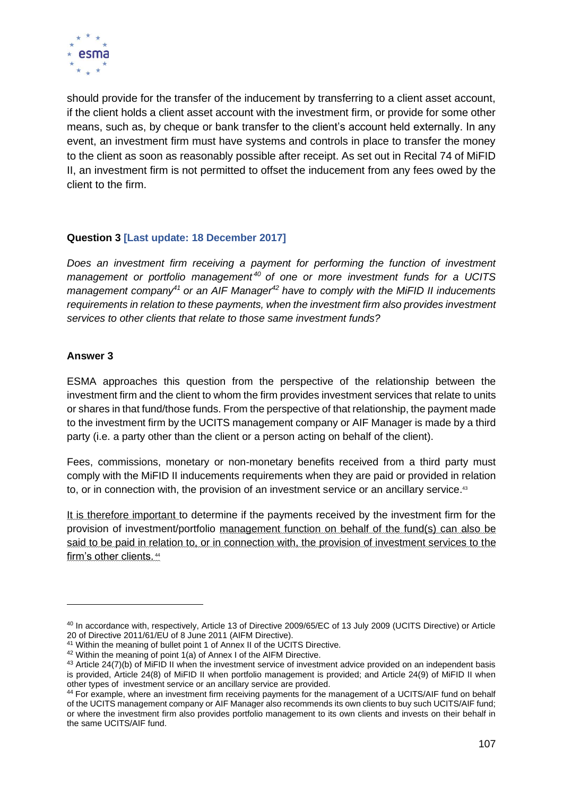

should provide for the transfer of the inducement by transferring to a client asset account, if the client holds a client asset account with the investment firm, or provide for some other means, such as, by cheque or bank transfer to the client's account held externally. In any event, an investment firm must have systems and controls in place to transfer the money to the client as soon as reasonably possible after receipt. As set out in Recital 74 of MiFID II, an investment firm is not permitted to offset the inducement from any fees owed by the client to the firm.

# **Question 3 [Last update: 18 December 2017]**

Does an investment firm receiving a payment for performing the function of investment *management or portfolio management <sup>40</sup> of one or more investment funds for a UCITS management company<sup>41</sup> or an AIF Manager<sup>42</sup> have to comply with the MiFID II inducements requirements in relation to these payments, when the investment firm also provides investment services to other clients that relate to those same investment funds?*

# **Answer 3**

ESMA approaches this question from the perspective of the relationship between the investment firm and the client to whom the firm provides investment services that relate to units or shares in that fund/those funds. From the perspective of that relationship, the payment made to the investment firm by the UCITS management company or AIF Manager is made by a third party (i.e. a party other than the client or a person acting on behalf of the client).

Fees, commissions, monetary or non-monetary benefits received from a third party must comply with the MiFID II inducements requirements when they are paid or provided in relation to, or in connection with, the provision of an investment service or an ancillary service.<sup>43</sup>

It is therefore important to determine if the payments received by the investment firm for the provision of investment/portfolio management function on behalf of the fund(s) can also be said to be paid in relation to, or in connection with, the provision of investment services to the firm's other clients.<sup>44</sup>

<sup>40</sup> In accordance with, respectively, Article 13 of Directive 2009/65/EC of 13 July 2009 (UCITS Directive) or Article 20 of Directive 2011/61/EU of 8 June 2011 (AIFM Directive).

<sup>&</sup>lt;sup>41</sup> Within the meaning of bullet point 1 of Annex II of the UCITS Directive.

 $42$  Within the meaning of point  $1(a)$  of Annex I of the AIFM Directive.

<sup>43</sup> Article 24(7)(b) of MiFID II when the investment service of investment advice provided on an independent basis is provided, Article 24(8) of MiFID II when portfolio management is provided; and Article 24(9) of MiFID II when other types of investment service or an ancillary service are provided.

<sup>44</sup> For example, where an investment firm receiving payments for the management of a UCITS/AIF fund on behalf of the UCITS management company or AIF Manager also recommends its own clients to buy such UCITS/AIF fund; or where the investment firm also provides portfolio management to its own clients and invests on their behalf in the same UCITS/AIF fund.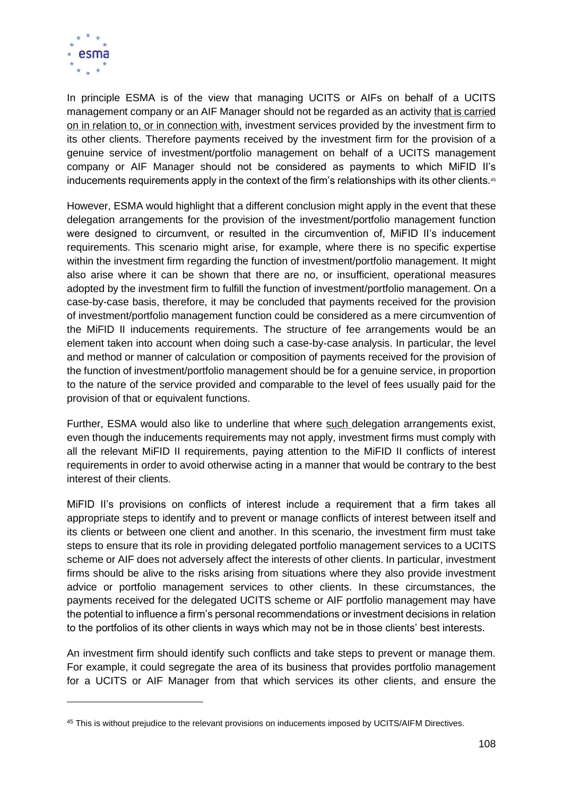

In principle ESMA is of the view that managing UCITS or AIFs on behalf of a UCITS management company or an AIF Manager should not be regarded as an activity that is carried on in relation to, or in connection with, investment services provided by the investment firm to its other clients. Therefore payments received by the investment firm for the provision of a genuine service of investment/portfolio management on behalf of a UCITS management company or AIF Manager should not be considered as payments to which MiFID II's inducements requirements apply in the context of the firm's relationships with its other clients.<sup>45</sup>

However, ESMA would highlight that a different conclusion might apply in the event that these delegation arrangements for the provision of the investment/portfolio management function were designed to circumvent, or resulted in the circumvention of, MiFID II's inducement requirements. This scenario might arise, for example, where there is no specific expertise within the investment firm regarding the function of investment/portfolio management. It might also arise where it can be shown that there are no, or insufficient, operational measures adopted by the investment firm to fulfill the function of investment/portfolio management. On a case-by-case basis, therefore, it may be concluded that payments received for the provision of investment/portfolio management function could be considered as a mere circumvention of the MiFID II inducements requirements. The structure of fee arrangements would be an element taken into account when doing such a case-by-case analysis. In particular, the level and method or manner of calculation or composition of payments received for the provision of the function of investment/portfolio management should be for a genuine service, in proportion to the nature of the service provided and comparable to the level of fees usually paid for the provision of that or equivalent functions.

Further, ESMA would also like to underline that where such delegation arrangements exist, even though the inducements requirements may not apply, investment firms must comply with all the relevant MiFID II requirements, paying attention to the MiFID II conflicts of interest requirements in order to avoid otherwise acting in a manner that would be contrary to the best interest of their clients.

MiFID II's provisions on conflicts of interest include a requirement that a firm takes all appropriate steps to identify and to prevent or manage conflicts of interest between itself and its clients or between one client and another. In this scenario, the investment firm must take steps to ensure that its role in providing delegated portfolio management services to a UCITS scheme or AIF does not adversely affect the interests of other clients. In particular, investment firms should be alive to the risks arising from situations where they also provide investment advice or portfolio management services to other clients. In these circumstances, the payments received for the delegated UCITS scheme or AIF portfolio management may have the potential to influence a firm's personal recommendations or investment decisions in relation to the portfolios of its other clients in ways which may not be in those clients' best interests.

An investment firm should identify such conflicts and take steps to prevent or manage them. For example, it could segregate the area of its business that provides portfolio management for a UCITS or AIF Manager from that which services its other clients, and ensure the

<sup>45</sup> This is without prejudice to the relevant provisions on inducements imposed by UCITS/AIFM Directives.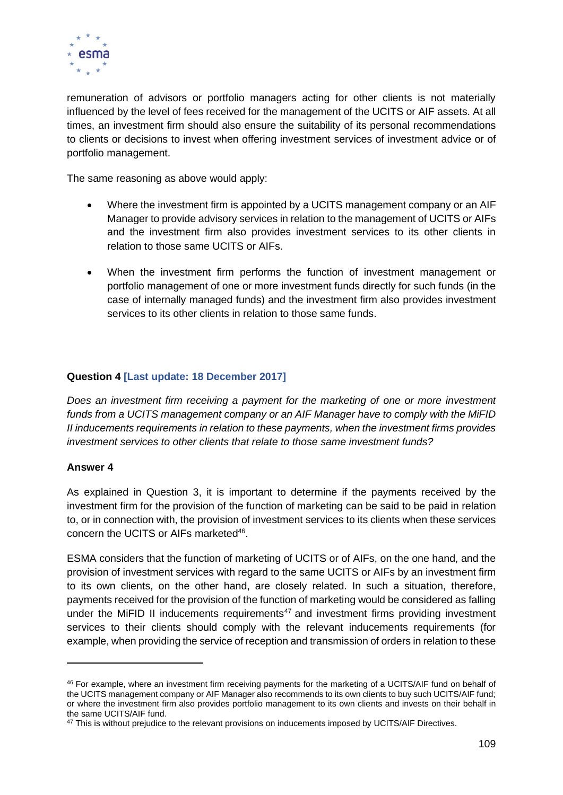

remuneration of advisors or portfolio managers acting for other clients is not materially influenced by the level of fees received for the management of the UCITS or AIF assets. At all times, an investment firm should also ensure the suitability of its personal recommendations to clients or decisions to invest when offering investment services of investment advice or of portfolio management.

The same reasoning as above would apply:

- Where the investment firm is appointed by a UCITS management company or an AIF Manager to provide advisory services in relation to the management of UCITS or AIFs and the investment firm also provides investment services to its other clients in relation to those same UCITS or AIFs.
- When the investment firm performs the function of investment management or portfolio management of one or more investment funds directly for such funds (in the case of internally managed funds) and the investment firm also provides investment services to its other clients in relation to those same funds.

### **Question 4 [Last update: 18 December 2017]**

*Does an investment firm receiving a payment for the marketing of one or more investment funds from a UCITS management company or an AIF Manager have to comply with the MiFID II inducements requirements in relation to these payments, when the investment firms provides investment services to other clients that relate to those same investment funds?* 

#### **Answer 4**

As explained in Question 3, it is important to determine if the payments received by the investment firm for the provision of the function of marketing can be said to be paid in relation to, or in connection with, the provision of investment services to its clients when these services concern the UCITS or AIFs marketed<sup>46</sup>.

ESMA considers that the function of marketing of UCITS or of AIFs, on the one hand, and the provision of investment services with regard to the same UCITS or AIFs by an investment firm to its own clients, on the other hand, are closely related. In such a situation, therefore, payments received for the provision of the function of marketing would be considered as falling under the MiFID II inducements requirements<sup>47</sup> and investment firms providing investment services to their clients should comply with the relevant inducements requirements (for example, when providing the service of reception and transmission of orders in relation to these

<sup>46</sup> For example, where an investment firm receiving payments for the marketing of a UCITS/AIF fund on behalf of the UCITS management company or AIF Manager also recommends to its own clients to buy such UCITS/AIF fund; or where the investment firm also provides portfolio management to its own clients and invests on their behalf in the same UCITS/AIF fund.

<sup>&</sup>lt;sup>47</sup> This is without prejudice to the relevant provisions on inducements imposed by UCITS/AIF Directives.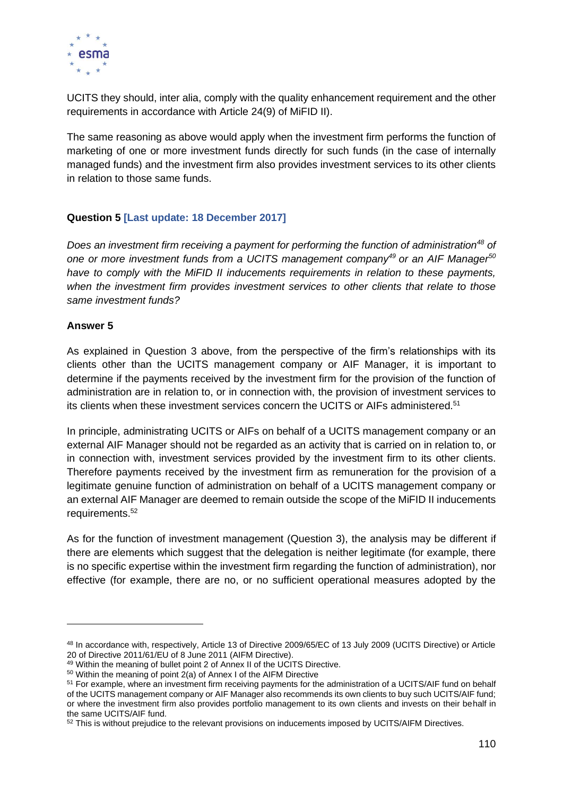

UCITS they should, inter alia, comply with the quality enhancement requirement and the other requirements in accordance with Article 24(9) of MiFID II).

The same reasoning as above would apply when the investment firm performs the function of marketing of one or more investment funds directly for such funds (in the case of internally managed funds) and the investment firm also provides investment services to its other clients in relation to those same funds.

## **Question 5 [Last update: 18 December 2017]**

*Does an investment firm receiving a payment for performing the function of administration<sup>48</sup> of one or more investment funds from a UCITS management company<sup>49</sup> or an AIF Manager<sup>50</sup> have to comply with the MiFID II inducements requirements in relation to these payments, when the investment firm provides investment services to other clients that relate to those same investment funds?* 

### **Answer 5**

As explained in Question 3 above, from the perspective of the firm's relationships with its clients other than the UCITS management company or AIF Manager, it is important to determine if the payments received by the investment firm for the provision of the function of administration are in relation to, or in connection with, the provision of investment services to its clients when these investment services concern the UCITS or AIFs administered.<sup>51</sup>

In principle, administrating UCITS or AIFs on behalf of a UCITS management company or an external AIF Manager should not be regarded as an activity that is carried on in relation to, or in connection with, investment services provided by the investment firm to its other clients. Therefore payments received by the investment firm as remuneration for the provision of a legitimate genuine function of administration on behalf of a UCITS management company or an external AIF Manager are deemed to remain outside the scope of the MiFID II inducements requirements. 52

As for the function of investment management (Question 3), the analysis may be different if there are elements which suggest that the delegation is neither legitimate (for example, there is no specific expertise within the investment firm regarding the function of administration), nor effective (for example, there are no, or no sufficient operational measures adopted by the

<sup>48</sup> In accordance with, respectively, Article 13 of Directive 2009/65/EC of 13 July 2009 (UCITS Directive) or Article 20 of Directive 2011/61/EU of 8 June 2011 (AIFM Directive).

<sup>49</sup> Within the meaning of bullet point 2 of Annex II of the UCITS Directive.

 $50$  Within the meaning of point  $2(a)$  of Annex I of the AIFM Directive

<sup>51</sup> For example, where an investment firm receiving payments for the administration of a UCITS/AIF fund on behalf of the UCITS management company or AIF Manager also recommends its own clients to buy such UCITS/AIF fund; or where the investment firm also provides portfolio management to its own clients and invests on their behalf in the same UCITS/AIF fund.

<sup>&</sup>lt;sup>52</sup> This is without prejudice to the relevant provisions on inducements imposed by UCITS/AIFM Directives.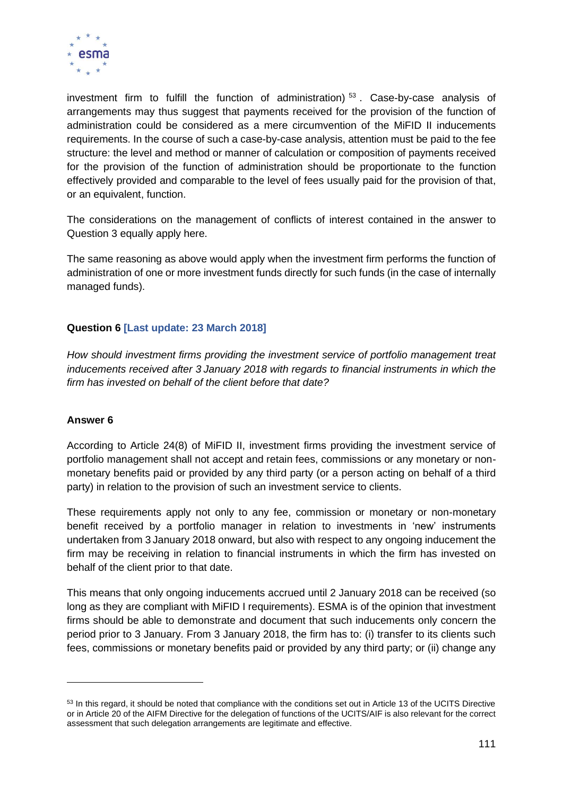

investment firm to fulfill the function of administration)<sup>53</sup>. Case-by-case analysis of arrangements may thus suggest that payments received for the provision of the function of administration could be considered as a mere circumvention of the MiFID II inducements requirements. In the course of such a case-by-case analysis, attention must be paid to the fee structure: the level and method or manner of calculation or composition of payments received for the provision of the function of administration should be proportionate to the function effectively provided and comparable to the level of fees usually paid for the provision of that, or an equivalent, function.

The considerations on the management of conflicts of interest contained in the answer to Question 3 equally apply here.

The same reasoning as above would apply when the investment firm performs the function of administration of one or more investment funds directly for such funds (in the case of internally managed funds).

## **Question 6 [Last update: 23 March 2018]**

*How should investment firms providing the investment service of portfolio management treat inducements received after 3 January 2018 with regards to financial instruments in which the firm has invested on behalf of the client before that date?*

#### **Answer 6**

According to Article 24(8) of MiFID II, investment firms providing the investment service of portfolio management shall not accept and retain fees, commissions or any monetary or nonmonetary benefits paid or provided by any third party (or a person acting on behalf of a third party) in relation to the provision of such an investment service to clients.

These requirements apply not only to any fee, commission or monetary or non-monetary benefit received by a portfolio manager in relation to investments in 'new' instruments undertaken from 3 January 2018 onward, but also with respect to any ongoing inducement the firm may be receiving in relation to financial instruments in which the firm has invested on behalf of the client prior to that date.

This means that only ongoing inducements accrued until 2 January 2018 can be received (so long as they are compliant with MiFID I requirements). ESMA is of the opinion that investment firms should be able to demonstrate and document that such inducements only concern the period prior to 3 January. From 3 January 2018, the firm has to: (i) transfer to its clients such fees, commissions or monetary benefits paid or provided by any third party; or (ii) change any

<sup>53</sup> In this regard, it should be noted that compliance with the conditions set out in Article 13 of the UCITS Directive or in Article 20 of the AIFM Directive for the delegation of functions of the UCITS/AIF is also relevant for the correct assessment that such delegation arrangements are legitimate and effective.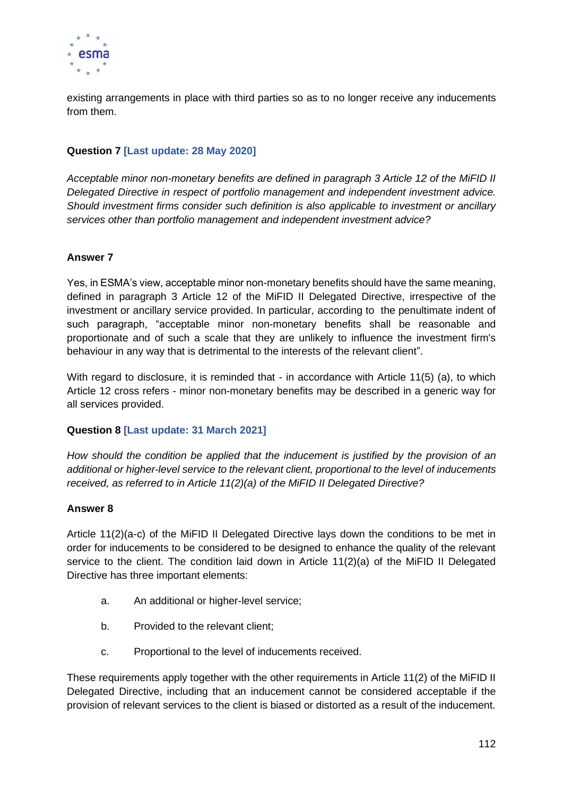

existing arrangements in place with third parties so as to no longer receive any inducements from them.

# **Question 7 [Last update: 28 May 2020]**

*Acceptable minor non-monetary benefits are defined in paragraph 3 Article 12 of the MiFID II Delegated Directive in respect of portfolio management and independent investment advice. Should investment firms consider such definition is also applicable to investment or ancillary services other than portfolio management and independent investment advice?*

### **Answer 7**

Yes, in ESMA's view, acceptable minor non-monetary benefits should have the same meaning, defined in paragraph 3 Article 12 of the MiFID II Delegated Directive, irrespective of the investment or ancillary service provided. In particular, according to the penultimate indent of such paragraph, "acceptable minor non-monetary benefits shall be reasonable and proportionate and of such a scale that they are unlikely to influence the investment firm's behaviour in any way that is detrimental to the interests of the relevant client".

With regard to disclosure, it is reminded that - in accordance with Article 11(5) (a), to which Article 12 cross refers - minor non-monetary benefits may be described in a generic way for all services provided.

#### **Question 8 [Last update: 31 March 2021]**

*How should the condition be applied that the inducement is justified by the provision of an additional or higher-level service to the relevant client, proportional to the level of inducements received, as referred to in Article 11(2)(a) of the MiFID II Delegated Directive?*

#### **Answer 8**

Article 11(2)(a-c) of the MiFID II Delegated Directive lays down the conditions to be met in order for inducements to be considered to be designed to enhance the quality of the relevant service to the client. The condition laid down in Article 11(2)(a) of the MiFID II Delegated Directive has three important elements:

- a. An additional or higher-level service;
- b. Provided to the relevant client;
- c. Proportional to the level of inducements received.

These requirements apply together with the other requirements in Article 11(2) of the MiFID II Delegated Directive, including that an inducement cannot be considered acceptable if the provision of relevant services to the client is biased or distorted as a result of the inducement.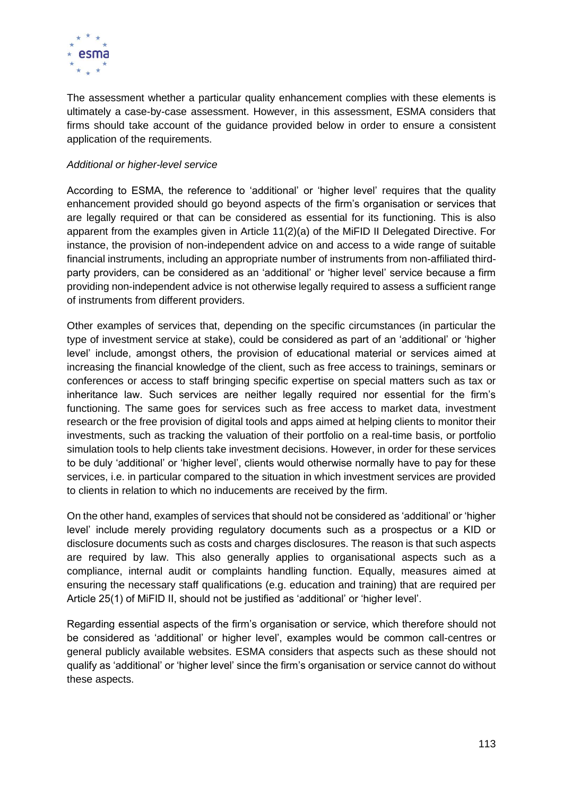

The assessment whether a particular quality enhancement complies with these elements is ultimately a case-by-case assessment. However, in this assessment, ESMA considers that firms should take account of the guidance provided below in order to ensure a consistent application of the requirements.

### *Additional or higher-level service*

According to ESMA, the reference to 'additional' or 'higher level' requires that the quality enhancement provided should go beyond aspects of the firm's organisation or services that are legally required or that can be considered as essential for its functioning. This is also apparent from the examples given in Article 11(2)(a) of the MiFID II Delegated Directive. For instance, the provision of non-independent advice on and access to a wide range of suitable financial instruments, including an appropriate number of instruments from non-affiliated thirdparty providers, can be considered as an 'additional' or 'higher level' service because a firm providing non-independent advice is not otherwise legally required to assess a sufficient range of instruments from different providers.

Other examples of services that, depending on the specific circumstances (in particular the type of investment service at stake), could be considered as part of an 'additional' or 'higher level' include, amongst others, the provision of educational material or services aimed at increasing the financial knowledge of the client, such as free access to trainings, seminars or conferences or access to staff bringing specific expertise on special matters such as tax or inheritance law. Such services are neither legally required nor essential for the firm's functioning. The same goes for services such as free access to market data, investment research or the free provision of digital tools and apps aimed at helping clients to monitor their investments, such as tracking the valuation of their portfolio on a real-time basis, or portfolio simulation tools to help clients take investment decisions. However, in order for these services to be duly 'additional' or 'higher level', clients would otherwise normally have to pay for these services, i.e. in particular compared to the situation in which investment services are provided to clients in relation to which no inducements are received by the firm.

On the other hand, examples of services that should not be considered as 'additional' or 'higher level' include merely providing regulatory documents such as a prospectus or a KID or disclosure documents such as costs and charges disclosures. The reason is that such aspects are required by law. This also generally applies to organisational aspects such as a compliance, internal audit or complaints handling function. Equally, measures aimed at ensuring the necessary staff qualifications (e.g. education and training) that are required per Article 25(1) of MiFID II, should not be justified as 'additional' or 'higher level'.

Regarding essential aspects of the firm's organisation or service, which therefore should not be considered as 'additional' or higher level', examples would be common call-centres or general publicly available websites. ESMA considers that aspects such as these should not qualify as 'additional' or 'higher level' since the firm's organisation or service cannot do without these aspects.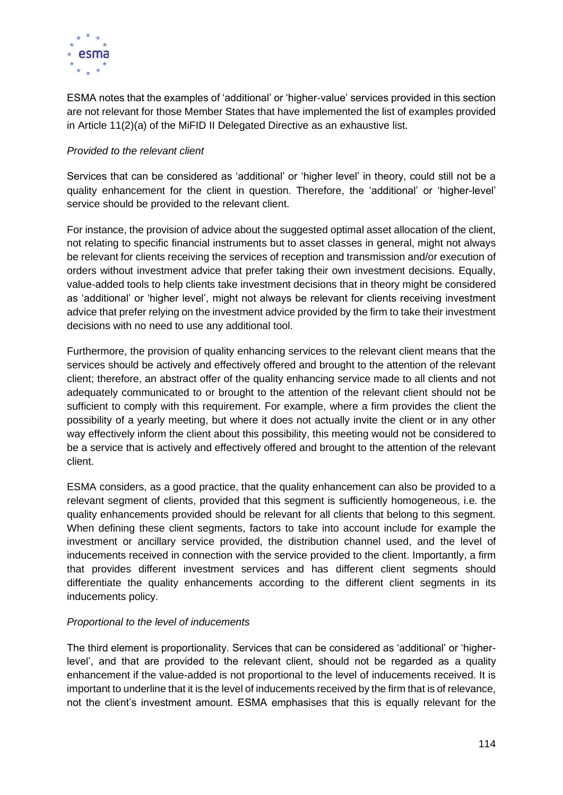

ESMA notes that the examples of 'additional' or 'higher-value' services provided in this section are not relevant for those Member States that have implemented the list of examples provided in Article 11(2)(a) of the MiFID II Delegated Directive as an exhaustive list.

## *Provided to the relevant client*

Services that can be considered as 'additional' or 'higher level' in theory, could still not be a quality enhancement for the client in question. Therefore, the 'additional' or 'higher-level' service should be provided to the relevant client.

For instance, the provision of advice about the suggested optimal asset allocation of the client, not relating to specific financial instruments but to asset classes in general, might not always be relevant for clients receiving the services of reception and transmission and/or execution of orders without investment advice that prefer taking their own investment decisions. Equally, value-added tools to help clients take investment decisions that in theory might be considered as 'additional' or 'higher level', might not always be relevant for clients receiving investment advice that prefer relying on the investment advice provided by the firm to take their investment decisions with no need to use any additional tool.

Furthermore, the provision of quality enhancing services to the relevant client means that the services should be actively and effectively offered and brought to the attention of the relevant client; therefore, an abstract offer of the quality enhancing service made to all clients and not adequately communicated to or brought to the attention of the relevant client should not be sufficient to comply with this requirement. For example, where a firm provides the client the possibility of a yearly meeting, but where it does not actually invite the client or in any other way effectively inform the client about this possibility, this meeting would not be considered to be a service that is actively and effectively offered and brought to the attention of the relevant client.

ESMA considers, as a good practice, that the quality enhancement can also be provided to a relevant segment of clients, provided that this segment is sufficiently homogeneous, i.e. the quality enhancements provided should be relevant for all clients that belong to this segment. When defining these client segments, factors to take into account include for example the investment or ancillary service provided, the distribution channel used, and the level of inducements received in connection with the service provided to the client. Importantly, a firm that provides different investment services and has different client segments should differentiate the quality enhancements according to the different client segments in its inducements policy.

#### *Proportional to the level of inducements*

The third element is proportionality. Services that can be considered as 'additional' or 'higherlevel', and that are provided to the relevant client, should not be regarded as a quality enhancement if the value-added is not proportional to the level of inducements received. It is important to underline that it is the level of inducements received by the firm that is of relevance, not the client's investment amount. ESMA emphasises that this is equally relevant for the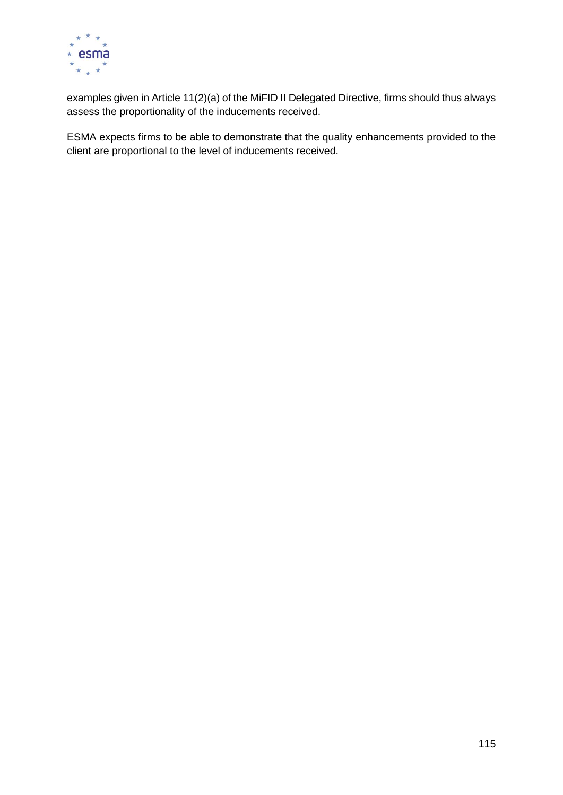

examples given in Article 11(2)(a) of the MiFID II Delegated Directive, firms should thus always assess the proportionality of the inducements received.

ESMA expects firms to be able to demonstrate that the quality enhancements provided to the client are proportional to the level of inducements received.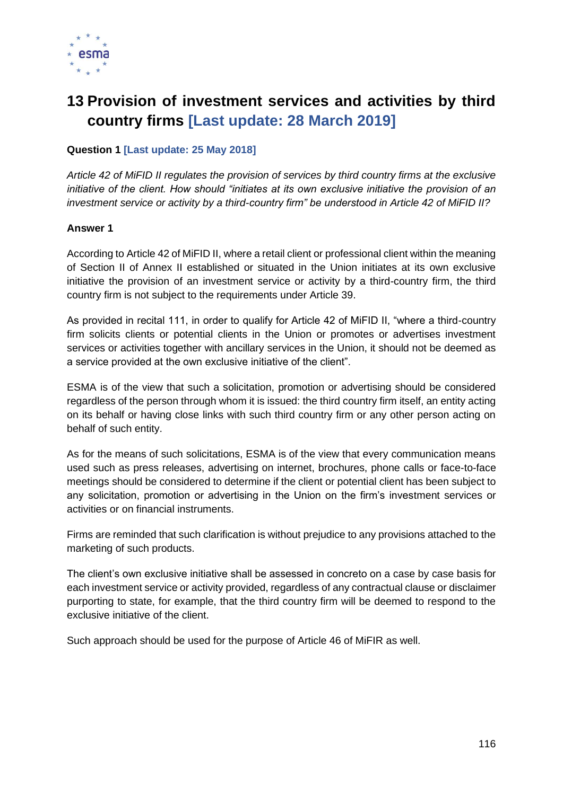

# **13 Provision of investment services and activities by third country firms [Last update: 28 March 2019]**

## **Question 1 [Last update: 25 May 2018]**

*Article 42 of MiFID II regulates the provision of services by third country firms at the exclusive initiative of the client. How should "initiates at its own exclusive initiative the provision of an investment service or activity by a third-country firm" be understood in Article 42 of MiFID II?* 

#### **Answer 1**

According to Article 42 of MiFID II, where a retail client or professional client within the meaning of Section II of Annex II established or situated in the Union initiates at its own exclusive initiative the provision of an investment service or activity by a third-country firm, the third country firm is not subject to the requirements under Article 39.

As provided in recital 111, in order to qualify for Article 42 of MiFID II, "where a third-country firm solicits clients or potential clients in the Union or promotes or advertises investment services or activities together with ancillary services in the Union, it should not be deemed as a service provided at the own exclusive initiative of the client".

ESMA is of the view that such a solicitation, promotion or advertising should be considered regardless of the person through whom it is issued: the third country firm itself, an entity acting on its behalf or having close links with such third country firm or any other person acting on behalf of such entity.

As for the means of such solicitations, ESMA is of the view that every communication means used such as press releases, advertising on internet, brochures, phone calls or face-to-face meetings should be considered to determine if the client or potential client has been subject to any solicitation, promotion or advertising in the Union on the firm's investment services or activities or on financial instruments.

Firms are reminded that such clarification is without prejudice to any provisions attached to the marketing of such products.

The client's own exclusive initiative shall be assessed in concreto on a case by case basis for each investment service or activity provided, regardless of any contractual clause or disclaimer purporting to state, for example, that the third country firm will be deemed to respond to the exclusive initiative of the client.

Such approach should be used for the purpose of Article 46 of MiFIR as well.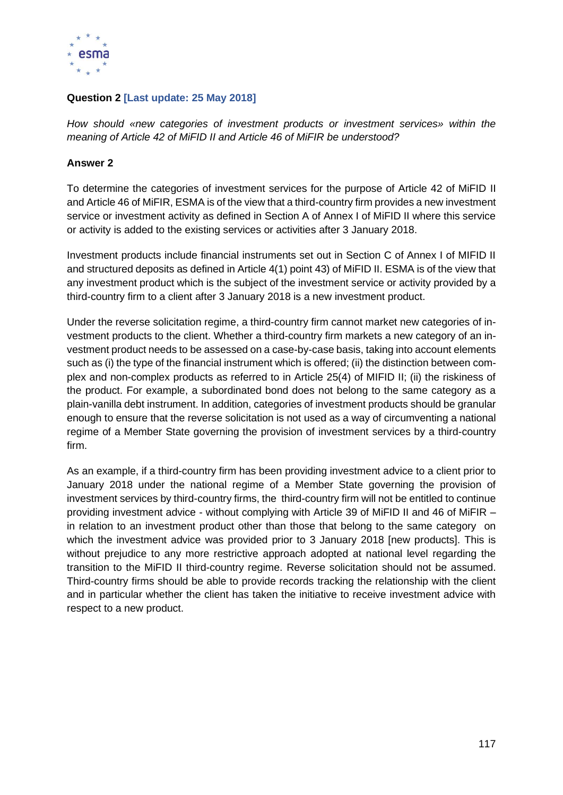

## **Question 2 [Last update: 25 May 2018]**

*How should «new categories of investment products or investment services» within the meaning of Article 42 of MiFID II and Article 46 of MiFIR be understood?*

#### **Answer 2**

To determine the categories of investment services for the purpose of Article 42 of MiFID II and Article 46 of MiFIR, ESMA is of the view that a third-country firm provides a new investment service or investment activity as defined in Section A of Annex I of MiFID II where this service or activity is added to the existing services or activities after 3 January 2018.

Investment products include financial instruments set out in Section C of Annex I of MIFID II and structured deposits as defined in Article 4(1) point 43) of MiFID II. ESMA is of the view that any investment product which is the subject of the investment service or activity provided by a third-country firm to a client after 3 January 2018 is a new investment product.

Under the reverse solicitation regime, a third-country firm cannot market new categories of investment products to the client. Whether a third-country firm markets a new category of an investment product needs to be assessed on a case-by-case basis, taking into account elements such as (i) the type of the financial instrument which is offered; (ii) the distinction between complex and non-complex products as referred to in Article 25(4) of MIFID II; (ii) the riskiness of the product. For example, a subordinated bond does not belong to the same category as a plain-vanilla debt instrument. In addition, categories of investment products should be granular enough to ensure that the reverse solicitation is not used as a way of circumventing a national regime of a Member State governing the provision of investment services by a third-country firm.

As an example, if a third-country firm has been providing investment advice to a client prior to January 2018 under the national regime of a Member State governing the provision of investment services by third-country firms, the third-country firm will not be entitled to continue providing investment advice - without complying with Article 39 of MiFID II and 46 of MiFIR – in relation to an investment product other than those that belong to the same category on which the investment advice was provided prior to 3 January 2018 [new products]. This is without prejudice to any more restrictive approach adopted at national level regarding the transition to the MiFID II third-country regime. Reverse solicitation should not be assumed. Third-country firms should be able to provide records tracking the relationship with the client and in particular whether the client has taken the initiative to receive investment advice with respect to a new product.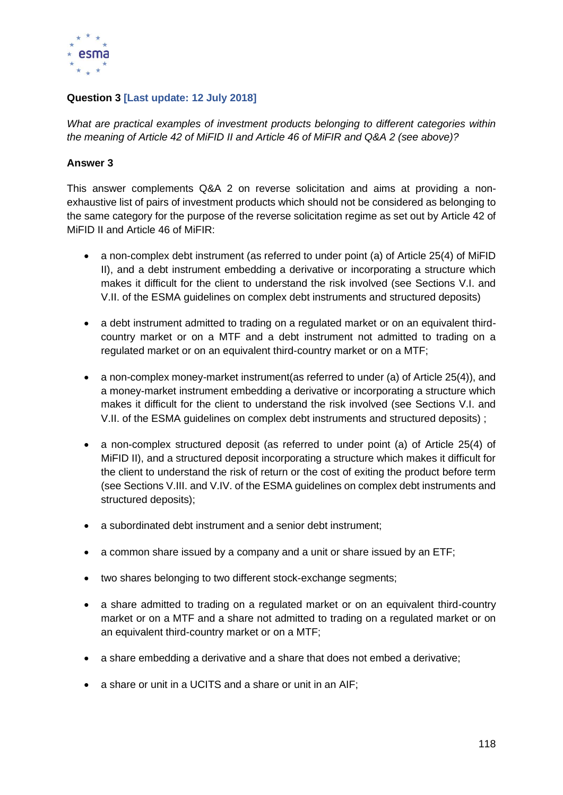

# **Question 3 [Last update: 12 July 2018]**

*What are practical examples of investment products belonging to different categories within the meaning of Article 42 of MiFID II and Article 46 of MiFIR and Q&A 2 (see above)?*

## **Answer 3**

This answer complements Q&A 2 on reverse solicitation and aims at providing a nonexhaustive list of pairs of investment products which should not be considered as belonging to the same category for the purpose of the reverse solicitation regime as set out by Article 42 of MiFID II and Article 46 of MiFIR:

- a non-complex debt instrument (as referred to under point (a) of Article 25(4) of MiFID II), and a debt instrument embedding a derivative or incorporating a structure which makes it difficult for the client to understand the risk involved (see Sections V.I. and V.II. of the ESMA guidelines on complex debt instruments and structured deposits)
- a debt instrument admitted to trading on a regulated market or on an equivalent thirdcountry market or on a MTF and a debt instrument not admitted to trading on a regulated market or on an equivalent third-country market or on a MTF;
- a non-complex money-market instrument (as referred to under (a) of Article 25(4)), and a money-market instrument embedding a derivative or incorporating a structure which makes it difficult for the client to understand the risk involved (see Sections V.I. and V.II. of the ESMA guidelines on complex debt instruments and structured deposits) ;
- a non-complex structured deposit (as referred to under point (a) of Article 25(4) of MiFID II), and a structured deposit incorporating a structure which makes it difficult for the client to understand the risk of return or the cost of exiting the product before term (see Sections V.III. and V.IV. of the ESMA guidelines on complex debt instruments and structured deposits);
- a subordinated debt instrument and a senior debt instrument;
- a common share issued by a company and a unit or share issued by an ETF;
- two shares belonging to two different stock-exchange segments;
- a share admitted to trading on a regulated market or on an equivalent third-country market or on a MTF and a share not admitted to trading on a regulated market or on an equivalent third-country market or on a MTF;
- a share embedding a derivative and a share that does not embed a derivative;
- a share or unit in a UCITS and a share or unit in an AIF;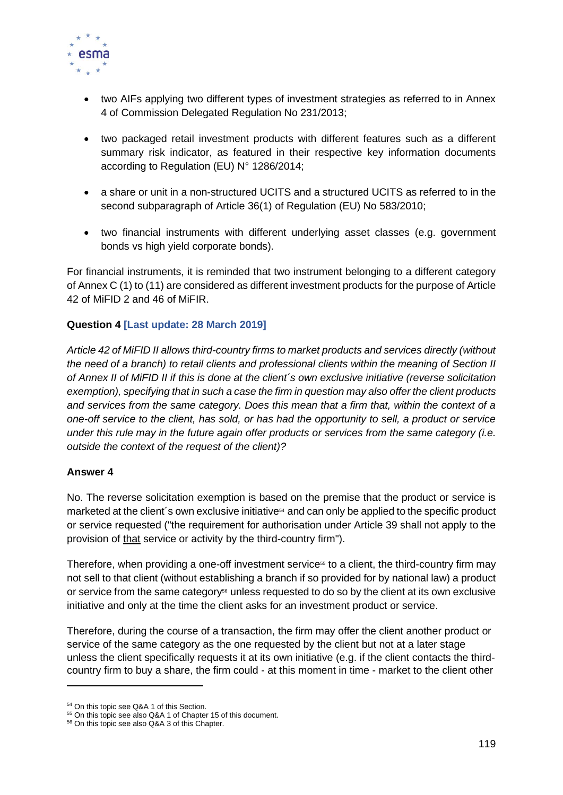

- two AIFs applying two different types of investment strategies as referred to in Annex 4 of Commission Delegated Regulation No 231/2013;
- two packaged retail investment products with different features such as a different summary risk indicator, as featured in their respective key information documents according to Regulation (EU) N° 1286/2014;
- a share or unit in a non-structured UCITS and a structured UCITS as referred to in the second subparagraph of Article 36(1) of Regulation (EU) No 583/2010;
- two financial instruments with different underlying asset classes (e.g. government bonds vs high yield corporate bonds).

For financial instruments, it is reminded that two instrument belonging to a different category of Annex C (1) to (11) are considered as different investment products for the purpose of Article 42 of MiFID 2 and 46 of MiFIR.

## **Question 4 [Last update: 28 March 2019]**

*Article 42 of MiFID II allows third-country firms to market products and services directly (without the need of a branch) to retail clients and professional clients within the meaning of Section II of Annex II of MiFID II if this is done at the client´s own exclusive initiative (reverse solicitation exemption), specifying that in such a case the firm in question may also offer the client products and services from the same category. Does this mean that a firm that, within the context of a one-off service to the client, has sold, or has had the opportunity to sell, a product or service under this rule may in the future again offer products or services from the same category (i.e. outside the context of the request of the client)?*

#### **Answer 4**

No. The reverse solicitation exemption is based on the premise that the product or service is marketed at the client's own exclusive initiative<sup>54</sup> and can only be applied to the specific product or service requested ("the requirement for authorisation under Article 39 shall not apply to the provision of that service or activity by the third-country firm").

Therefore, when providing a one-off investment service<sup>55</sup> to a client, the third-country firm may not sell to that client (without establishing a branch if so provided for by national law) a product or service from the same category<sup> $66$ </sup> unless requested to do so by the client at its own exclusive initiative and only at the time the client asks for an investment product or service.

Therefore, during the course of a transaction, the firm may offer the client another product or service of the same category as the one requested by the client but not at a later stage unless the client specifically requests it at its own initiative (e.g. if the client contacts the thirdcountry firm to buy a share, the firm could - at this moment in time - market to the client other

<sup>54</sup> On this topic see Q&A 1 of this Section.

<sup>&</sup>lt;sup>55</sup> On this topic see also Q&A 1 of Chapter 15 of this document.

<sup>56</sup> On this topic see also Q&A 3 of this Chapter.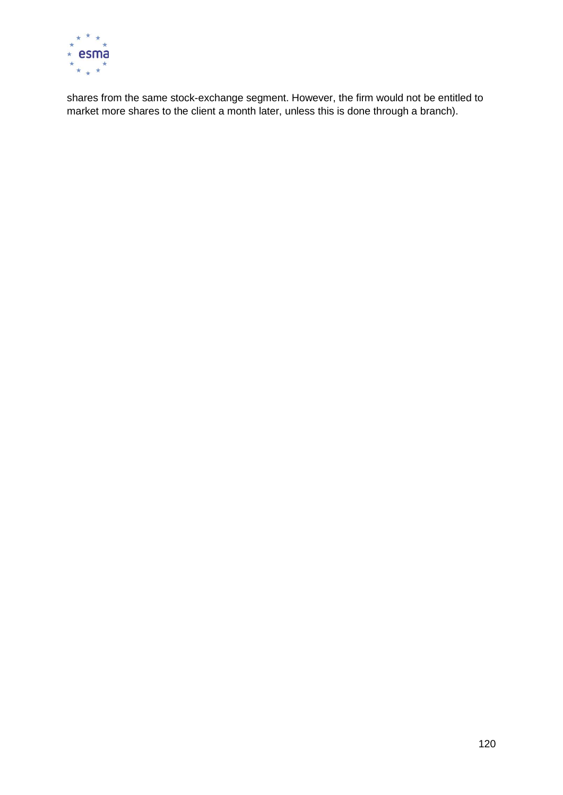

shares from the same stock-exchange segment. However, the firm would not be entitled to market more shares to the client a month later, unless this is done through a branch).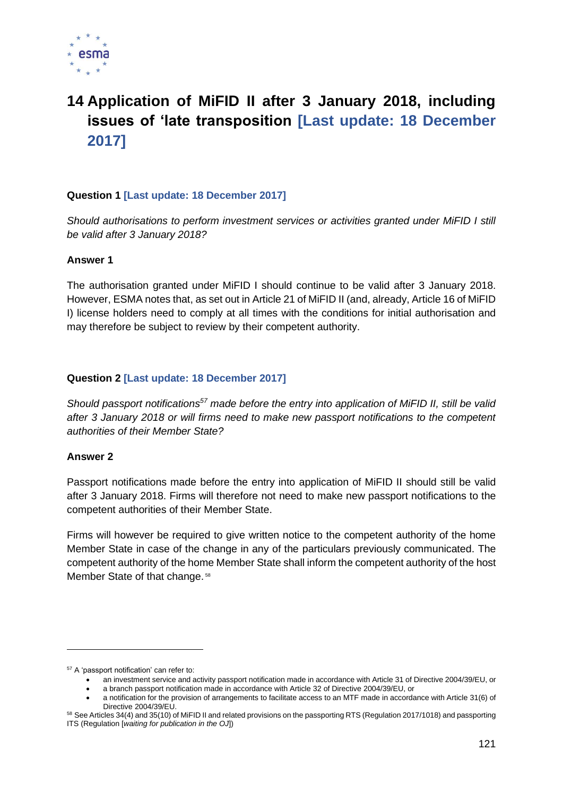

# **14 Application of MiFID II after 3 January 2018, including issues of 'late transposition [Last update: 18 December 2017]**

## **Question 1 [Last update: 18 December 2017]**

*Should authorisations to perform investment services or activities granted under MiFID I still be valid after 3 January 2018?*

#### **Answer 1**

The authorisation granted under MiFID I should continue to be valid after 3 January 2018. However, ESMA notes that, as set out in Article 21 of MiFID II (and, already, Article 16 of MiFID I) license holders need to comply at all times with the conditions for initial authorisation and may therefore be subject to review by their competent authority.

#### **Question 2 [Last update: 18 December 2017]**

*Should passport notifications<sup>57</sup> made before the entry into application of MiFID II, still be valid after 3 January 2018 or will firms need to make new passport notifications to the competent authorities of their Member State?*

#### **Answer 2**

Passport notifications made before the entry into application of MiFID II should still be valid after 3 January 2018. Firms will therefore not need to make new passport notifications to the competent authorities of their Member State.

Firms will however be required to give written notice to the competent authority of the home Member State in case of the change in any of the particulars previously communicated. The competent authority of the home Member State shall inform the competent authority of the host Member State of that change.<sup>58</sup>

<sup>57</sup> A 'passport notification' can refer to:

<sup>•</sup> an investment service and activity passport notification made in accordance with Article 31 of Directive 2004/39/EU, or

<sup>•</sup> a branch passport notification made in accordance with Article 32 of Directive 2004/39/EU, or

<sup>•</sup> a notification for the provision of arrangements to facilitate access to an MTF made in accordance with Article 31(6) of Directive 2004/39/EU.

<sup>58</sup> See Articles 34(4) and 35(10) of MiFID II and related provisions on the passporting RTS (Regulation 2017/1018) and passporting ITS (Regulation [*waiting for publication in the OJ*])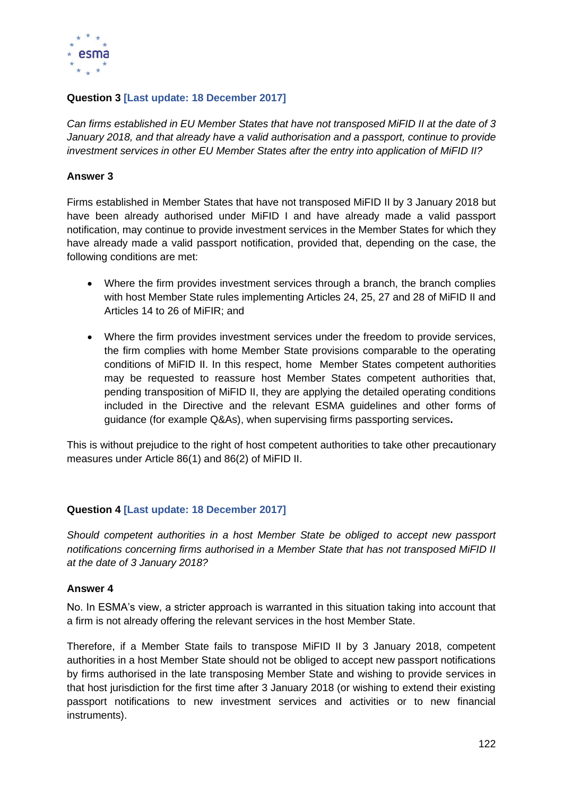

## **Question 3 [Last update: 18 December 2017]**

*Can firms established in EU Member States that have not transposed MiFID II at the date of 3 January 2018, and that already have a valid authorisation and a passport, continue to provide investment services in other EU Member States after the entry into application of MiFID II?*

### **Answer 3**

Firms established in Member States that have not transposed MiFID II by 3 January 2018 but have been already authorised under MiFID I and have already made a valid passport notification, may continue to provide investment services in the Member States for which they have already made a valid passport notification, provided that, depending on the case, the following conditions are met:

- Where the firm provides investment services through a branch, the branch complies with host Member State rules implementing Articles 24, 25, 27 and 28 of MiFID II and Articles 14 to 26 of MiFIR; and
- Where the firm provides investment services under the freedom to provide services, the firm complies with home Member State provisions comparable to the operating conditions of MiFID II. In this respect, home Member States competent authorities may be requested to reassure host Member States competent authorities that, pending transposition of MiFID II, they are applying the detailed operating conditions included in the Directive and the relevant ESMA guidelines and other forms of guidance (for example Q&As), when supervising firms passporting services**.**

This is without prejudice to the right of host competent authorities to take other precautionary measures under Article 86(1) and 86(2) of MiFID II.

## **Question 4 [Last update: 18 December 2017]**

*Should competent authorities in a host Member State be obliged to accept new passport notifications concerning firms authorised in a Member State that has not transposed MiFID II at the date of 3 January 2018?*

#### **Answer 4**

No. In ESMA's view, a stricter approach is warranted in this situation taking into account that a firm is not already offering the relevant services in the host Member State.

Therefore, if a Member State fails to transpose MiFID II by 3 January 2018, competent authorities in a host Member State should not be obliged to accept new passport notifications by firms authorised in the late transposing Member State and wishing to provide services in that host jurisdiction for the first time after 3 January 2018 (or wishing to extend their existing passport notifications to new investment services and activities or to new financial instruments).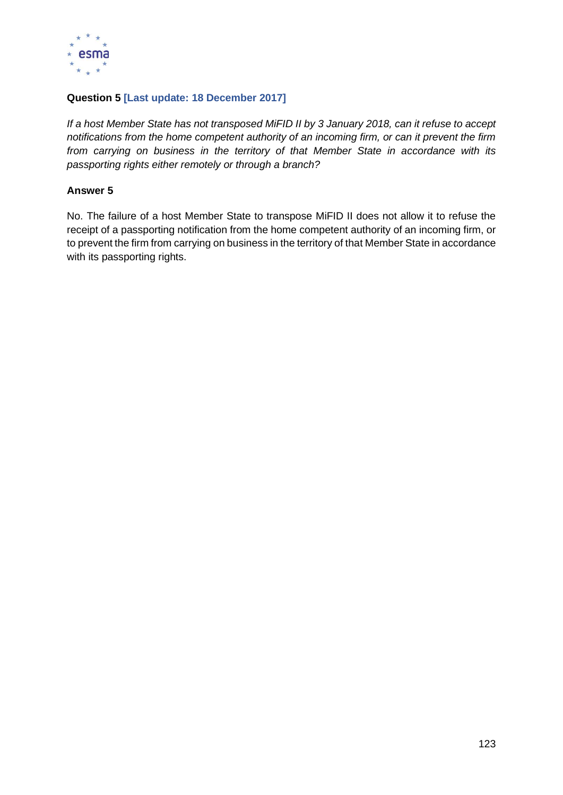

## **Question 5 [Last update: 18 December 2017]**

*If a host Member State has not transposed MiFID II by 3 January 2018, can it refuse to accept notifications from the home competent authority of an incoming firm, or can it prevent the firm from carrying on business in the territory of that Member State in accordance with its passporting rights either remotely or through a branch?*

## **Answer 5**

No. The failure of a host Member State to transpose MiFID II does not allow it to refuse the receipt of a passporting notification from the home competent authority of an incoming firm, or to prevent the firm from carrying on business in the territory of that Member State in accordance with its passporting rights.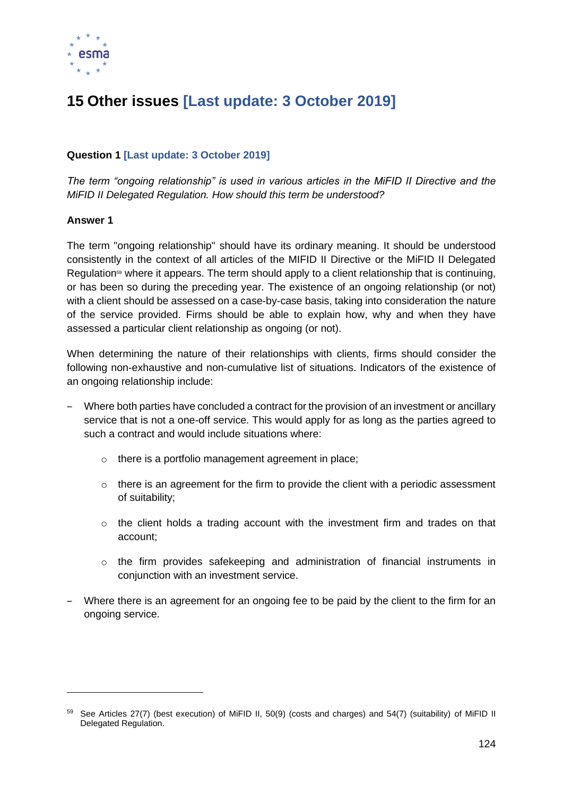

# **15 Other issues [Last update: 3 October 2019]**

# **Question 1 [Last update: 3 October 2019]**

*The term "ongoing relationship" is used in various articles in the MiFID II Directive and the MiFID II Delegated Regulation. How should this term be understood?*

#### **Answer 1**

The term "ongoing relationship" should have its ordinary meaning. It should be understood consistently in the context of all articles of the MIFID II Directive or the MiFID II Delegated Regulation<sup>59</sup> where it appears. The term should apply to a client relationship that is continuing, or has been so during the preceding year. The existence of an ongoing relationship (or not) with a client should be assessed on a case-by-case basis, taking into consideration the nature of the service provided. Firms should be able to explain how, why and when they have assessed a particular client relationship as ongoing (or not).

When determining the nature of their relationships with clients, firms should consider the following non-exhaustive and non-cumulative list of situations. Indicators of the existence of an ongoing relationship include:

- ‒ Where both parties have concluded a contract for the provision of an investment or ancillary service that is not a one-off service. This would apply for as long as the parties agreed to such a contract and would include situations where:
	- o there is a portfolio management agreement in place;
	- $\circ$  there is an agreement for the firm to provide the client with a periodic assessment of suitability;
	- $\circ$  the client holds a trading account with the investment firm and trades on that account;
	- $\circ$  the firm provides safekeeping and administration of financial instruments in conjunction with an investment service.
- ‒ Where there is an agreement for an ongoing fee to be paid by the client to the firm for an ongoing service.

<sup>59</sup> See Articles 27(7) (best execution) of MiFID II, 50(9) (costs and charges) and 54(7) (suitability) of MiFID II Delegated Regulation.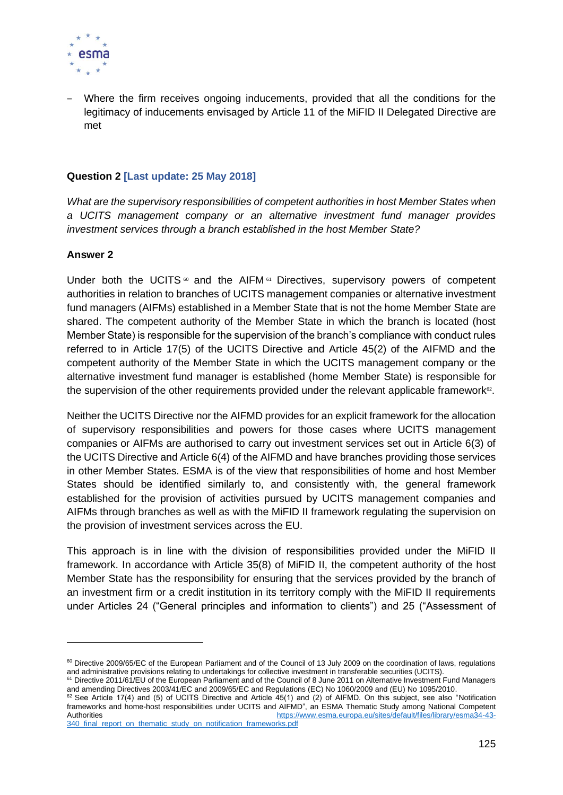

‒ Where the firm receives ongoing inducements, provided that all the conditions for the legitimacy of inducements envisaged by Article 11 of the MiFID II Delegated Directive are met

## **Question 2 [Last update: 25 May 2018]**

*What are the supervisory responsibilities of competent authorities in host Member States when a UCITS management company or an alternative investment fund manager provides investment services through a branch established in the host Member State?*

#### **Answer 2**

Under both the UCITS  $\omega$  and the AIFM  $\omega$  Directives, supervisory powers of competent authorities in relation to branches of UCITS management companies or alternative investment fund managers (AIFMs) established in a Member State that is not the home Member State are shared. The competent authority of the Member State in which the branch is located (host Member State) is responsible for the supervision of the branch's compliance with conduct rules referred to in Article 17(5) of the UCITS Directive and Article 45(2) of the AIFMD and the competent authority of the Member State in which the UCITS management company or the alternative investment fund manager is established (home Member State) is responsible for the supervision of the other requirements provided under the relevant applicable framework<sup> $\infty$ </sup>.

Neither the UCITS Directive nor the AIFMD provides for an explicit framework for the allocation of supervisory responsibilities and powers for those cases where UCITS management companies or AIFMs are authorised to carry out investment services set out in Article 6(3) of the UCITS Directive and Article 6(4) of the AIFMD and have branches providing those services in other Member States. ESMA is of the view that responsibilities of home and host Member States should be identified similarly to, and consistently with, the general framework established for the provision of activities pursued by UCITS management companies and AIFMs through branches as well as with the MiFID II framework regulating the supervision on the provision of investment services across the EU.

This approach is in line with the division of responsibilities provided under the MiFID II framework. In accordance with Article 35(8) of MiFID II, the competent authority of the host Member State has the responsibility for ensuring that the services provided by the branch of an investment firm or a credit institution in its territory comply with the MiFID II requirements under Articles 24 ("General principles and information to clients") and 25 ("Assessment of

<sup>&</sup>lt;sup>60</sup> Directive 2009/65/EC of the European Parliament and of the Council of 13 July 2009 on the coordination of laws, regulations and administrative provisions relating to undertakings for collective investment in transferable securities (UCITS).

<sup>61</sup> Directive 2011/61/EU of the European Parliament and of the Council of 8 June 2011 on Alternative Investment Fund Managers and amending Directives 2003/41/EC and 2009/65/EC and Regulations (EC) No 1060/2009 and (EU) No 1095/2010.

<sup>62</sup> See Article 17(4) and (5) of UCITS Directive and Article 45(1) and (2) of AIFMD. On this subject, see also "Notification frameworks and home-host responsibilities under UCITS and AIFMD", an ESMA Thematic Study among National Competent Authorities [https://www.esma.europa.eu/sites/default/files/library/esma34-43-](https://www.esma.europa.eu/sites/default/files/library/esma34-43-340_final_report_on_thematic_study_on_notification_frameworks.pdf) 340 final report on thematic study on notification frameworks.pdf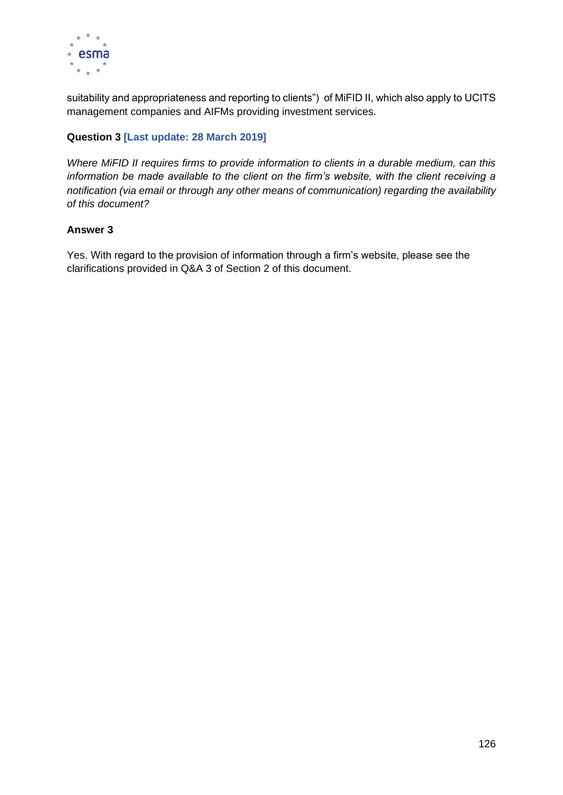

suitability and appropriateness and reporting to clients") of MiFID II, which also apply to UCITS management companies and AIFMs providing investment services.

# **Question 3 [Last update: 28 March 2019]**

*Where MiFID II requires firms to provide information to clients in a durable medium, can this information be made available to the client on the firm's website, with the client receiving a notification (via email or through any other means of communication) regarding the availability of this document?*

### **Answer 3**

Yes. With regard to the provision of information through a firm's website, please see the clarifications provided in Q&A 3 of Section 2 of this document.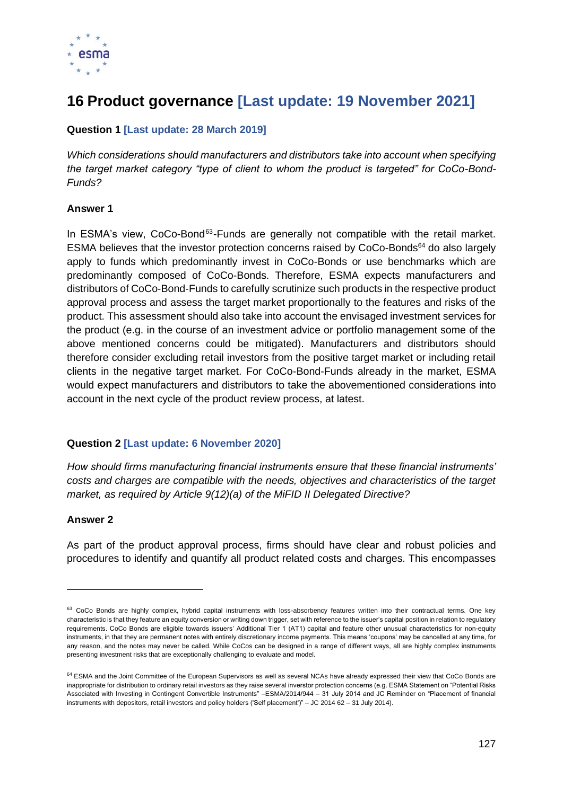

# **16 Product governance [Last update: 19 November 2021]**

## **Question 1 [Last update: 28 March 2019]**

*Which considerations should manufacturers and distributors take into account when specifying the target market category "type of client to whom the product is targeted" for CoCo-Bond-Funds?*

### **Answer 1**

In ESMA's view, CoCo-Bond<sup>63</sup>-Funds are generally not compatible with the retail market. ESMA believes that the investor protection concerns raised by CoCo-Bonds<sup>64</sup> do also largely apply to funds which predominantly invest in CoCo-Bonds or use benchmarks which are predominantly composed of CoCo-Bonds. Therefore, ESMA expects manufacturers and distributors of CoCo-Bond-Funds to carefully scrutinize such products in the respective product approval process and assess the target market proportionally to the features and risks of the product. This assessment should also take into account the envisaged investment services for the product (e.g. in the course of an investment advice or portfolio management some of the above mentioned concerns could be mitigated). Manufacturers and distributors should therefore consider excluding retail investors from the positive target market or including retail clients in the negative target market. For CoCo-Bond-Funds already in the market, ESMA would expect manufacturers and distributors to take the abovementioned considerations into account in the next cycle of the product review process, at latest.

## **Question 2 [Last update: 6 November 2020]**

*How should firms manufacturing financial instruments ensure that these financial instruments' costs and charges are compatible with the needs, objectives and characteristics of the target market, as required by Article 9(12)(a) of the MiFID II Delegated Directive?* 

#### **Answer 2**

As part of the product approval process, firms should have clear and robust policies and procedures to identify and quantify all product related costs and charges. This encompasses

<sup>&</sup>lt;sup>63</sup> CoCo Bonds are highly complex, hybrid capital instruments with loss-absorbency features written into their contractual terms. One key characteristic is that they feature an equity conversion or writing down trigger, set with reference to the issuer's capital position in relation to regulatory requirements. CoCo Bonds are eligible towards issuers' Additional Tier 1 (AT1) capital and feature other unusual characteristics for non-equity instruments, in that they are permanent notes with entirely discretionary income payments. This means 'coupons' may be cancelled at any time, for any reason, and the notes may never be called. While CoCos can be designed in a range of different ways, all are highly complex instruments presenting investment risks that are exceptionally challenging to evaluate and model.

<sup>&</sup>lt;sup>64</sup> ESMA and the Joint Committee of the European Supervisors as well as several NCAs have already expressed their view that CoCo Bonds are inappropriate for distribution to ordinary retail investors as they raise several inverstor protection concerns (e.g. ESMA Statement on "Potential Risks Associated with Investing in Contingent Convertible Instruments" –ESMA/2014/944 – 31 July 2014 and JC Reminder on "Placement of financial instruments with depositors, retail investors and policy holders ('Self placement')" – JC 2014 62 – 31 July 2014).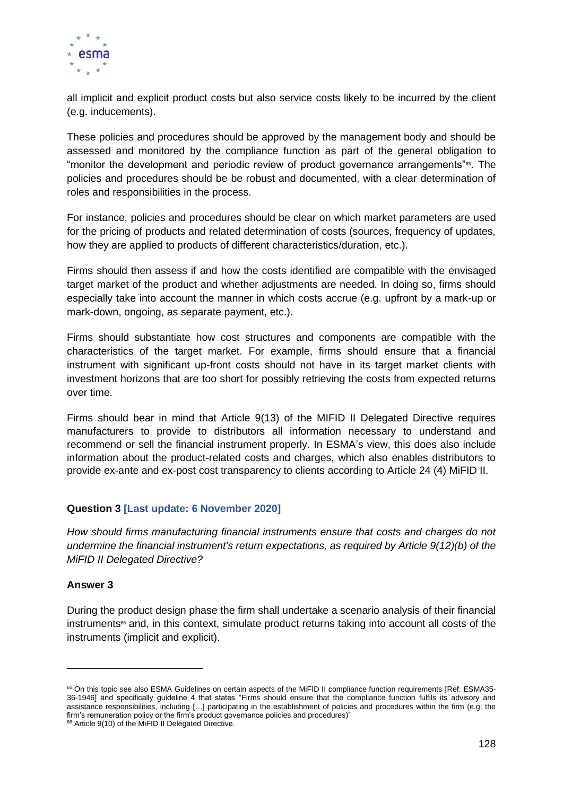

all implicit and explicit product costs but also service costs likely to be incurred by the client (e.g. inducements).

These policies and procedures should be approved by the management body and should be assessed and monitored by the compliance function as part of the general obligation to "monitor the development and periodic review of product governance arrangements"<sup>65</sup> . The policies and procedures should be be robust and documented, with a clear determination of roles and responsibilities in the process.

For instance, policies and procedures should be clear on which market parameters are used for the pricing of products and related determination of costs (sources, frequency of updates, how they are applied to products of different characteristics/duration, etc.).

Firms should then assess if and how the costs identified are compatible with the envisaged target market of the product and whether adjustments are needed. In doing so, firms should especially take into account the manner in which costs accrue (e.g. upfront by a mark-up or mark-down, ongoing, as separate payment, etc.).

Firms should substantiate how cost structures and components are compatible with the characteristics of the target market. For example, firms should ensure that a financial instrument with significant up-front costs should not have in its target market clients with investment horizons that are too short for possibly retrieving the costs from expected returns over time.

Firms should bear in mind that Article 9(13) of the MIFID II Delegated Directive requires manufacturers to provide to distributors all information necessary to understand and recommend or sell the financial instrument properly. In ESMA's view, this does also include information about the product-related costs and charges, which also enables distributors to provide ex-ante and ex-post cost transparency to clients according to Article 24 (4) MiFID II.

#### **Question 3 [Last update: 6 November 2020]**

*How should firms manufacturing financial instruments ensure that costs and charges do not undermine the financial instrument's return expectations, as required by Article 9(12)(b) of the MiFID II Delegated Directive?* 

#### **Answer 3**

During the product design phase the firm shall undertake a scenario analysis of their financial  $in$ struments $\mathfrak{so}$  and, in this context, simulate product returns taking into account all costs of the instruments (implicit and explicit).

<sup>65</sup> On this topic see also ESMA Guidelines on certain aspects of the MiFID II compliance function requirements [Ref: ESMA35- 36-1946] and specifically guideline 4 that states "Firms should ensure that the compliance function fulfils its advisory and assistance responsibilities, including […] participating in the establishment of policies and procedures within the firm (e.g. the firm's remuneration policy or the firm's product governance policies and procedures)"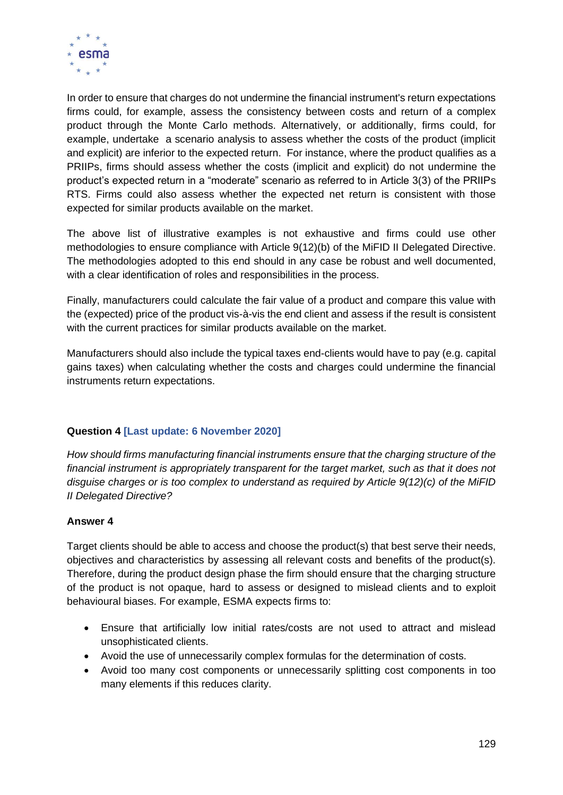

In order to ensure that charges do not undermine the financial instrument's return expectations firms could, for example, assess the consistency between costs and return of a complex product through the Monte Carlo methods. Alternatively, or additionally, firms could, for example, undertake a scenario analysis to assess whether the costs of the product (implicit and explicit) are inferior to the expected return. For instance, where the product qualifies as a PRIIPs, firms should assess whether the costs (implicit and explicit) do not undermine the product's expected return in a "moderate" scenario as referred to in Article 3(3) of the PRIIPs RTS. Firms could also assess whether the expected net return is consistent with those expected for similar products available on the market.

The above list of illustrative examples is not exhaustive and firms could use other methodologies to ensure compliance with Article 9(12)(b) of the MiFID II Delegated Directive. The methodologies adopted to this end should in any case be robust and well documented, with a clear identification of roles and responsibilities in the process.

Finally, manufacturers could calculate the fair value of a product and compare this value with the (expected) price of the product vis-à-vis the end client and assess if the result is consistent with the current practices for similar products available on the market.

Manufacturers should also include the typical taxes end-clients would have to pay (e.g. capital gains taxes) when calculating whether the costs and charges could undermine the financial instruments return expectations.

## **Question 4 [Last update: 6 November 2020]**

*How should firms manufacturing financial instruments ensure that the charging structure of the financial instrument is appropriately transparent for the target market, such as that it does not disguise charges or is too complex to understand as required by Article 9(12)(c) of the MiFID II Delegated Directive?* 

#### **Answer 4**

Target clients should be able to access and choose the product(s) that best serve their needs, objectives and characteristics by assessing all relevant costs and benefits of the product(s). Therefore, during the product design phase the firm should ensure that the charging structure of the product is not opaque, hard to assess or designed to mislead clients and to exploit behavioural biases. For example, ESMA expects firms to:

- Ensure that artificially low initial rates/costs are not used to attract and mislead unsophisticated clients.
- Avoid the use of unnecessarily complex formulas for the determination of costs.
- Avoid too many cost components or unnecessarily splitting cost components in too many elements if this reduces clarity.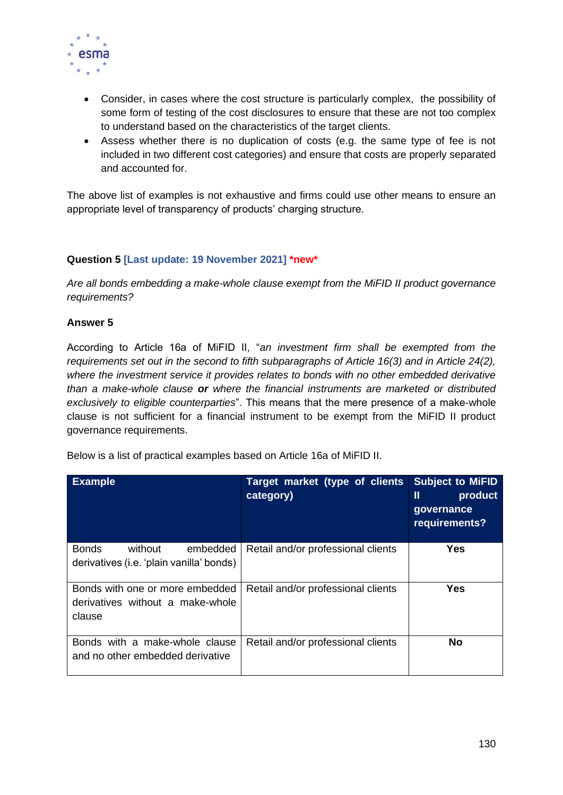

- Consider, in cases where the cost structure is particularly complex, the possibility of some form of testing of the cost disclosures to ensure that these are not too complex to understand based on the characteristics of the target clients.
- Assess whether there is no duplication of costs (e.g. the same type of fee is not included in two different cost categories) and ensure that costs are properly separated and accounted for.

The above list of examples is not exhaustive and firms could use other means to ensure an appropriate level of transparency of products' charging structure.

## **Question 5 [Last update: 19 November 2021] \*new\***

*Are all bonds embedding a make-whole clause exempt from the MiFID II product governance requirements?*

### **Answer 5**

According to Article 16a of MiFID II, "*an investment firm shall be exempted from the requirements set out in the second to fifth subparagraphs of Article 16(3) and in Article 24(2), where the investment service it provides relates to bonds with no other embedded derivative than a make-whole clause or where the financial instruments are marketed or distributed exclusively to eligible counterparties*". This means that the mere presence of a make-whole clause is not sufficient for a financial instrument to be exempt from the MiFID II product governance requirements.

Below is a list of practical examples based on Article 16a of MiFID II.

| <b>Example</b>                                                                  | Target market (type of clients<br>category) | <b>Subject to MiFID</b><br>Ш<br>product<br>governance<br>requirements? |
|---------------------------------------------------------------------------------|---------------------------------------------|------------------------------------------------------------------------|
| <b>Bonds</b><br>without<br>embedded<br>derivatives (i.e. 'plain vanilla' bonds) | Retail and/or professional clients          | <b>Yes</b>                                                             |
| Bonds with one or more embedded<br>derivatives without a make-whole<br>clause   | Retail and/or professional clients          | <b>Yes</b>                                                             |
| Bonds with a make-whole clause<br>and no other embedded derivative              | Retail and/or professional clients          | No                                                                     |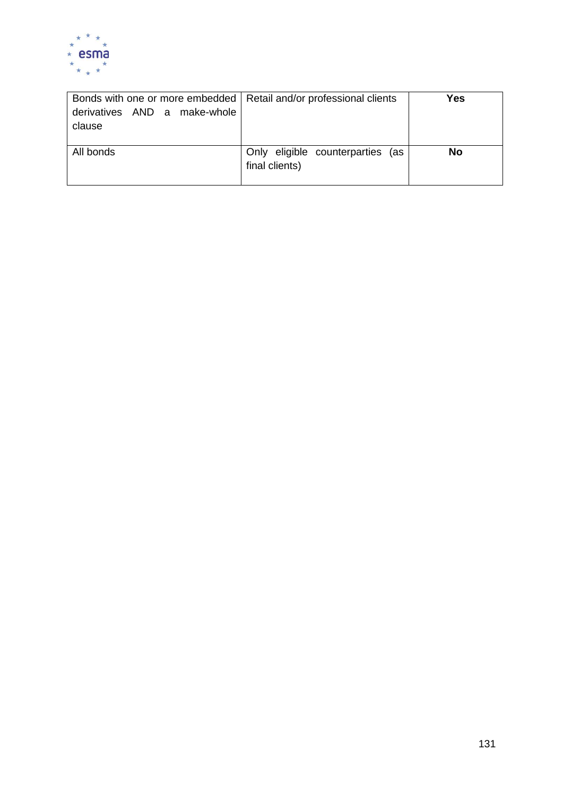

| Bonds with one or more embedded   Retail and/or professional clients |                                  | Yes       |
|----------------------------------------------------------------------|----------------------------------|-----------|
| derivatives AND a make-whole                                         |                                  |           |
| clause                                                               |                                  |           |
|                                                                      |                                  |           |
| All bonds                                                            | Only eligible counterparties (as | <b>No</b> |
|                                                                      | final clients)                   |           |
|                                                                      |                                  |           |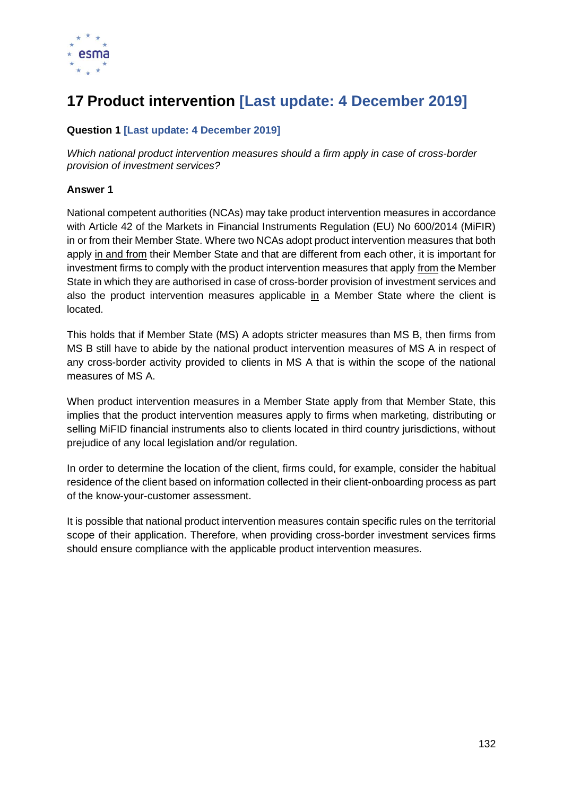

# **17 Product intervention [Last update: 4 December 2019]**

## **Question 1 [Last update: 4 December 2019]**

*Which national product intervention measures should a firm apply in case of cross-border provision of investment services?* 

### **Answer 1**

National competent authorities (NCAs) may take product intervention measures in accordance with Article 42 of the Markets in Financial Instruments Regulation (EU) No 600/2014 (MiFIR) in or from their Member State. Where two NCAs adopt product intervention measures that both apply in and from their Member State and that are different from each other, it is important for investment firms to comply with the product intervention measures that apply from the Member State in which they are authorised in case of cross-border provision of investment services and also the product intervention measures applicable in a Member State where the client is located.

This holds that if Member State (MS) A adopts stricter measures than MS B, then firms from MS B still have to abide by the national product intervention measures of MS A in respect of any cross-border activity provided to clients in MS A that is within the scope of the national measures of MS A.

When product intervention measures in a Member State apply from that Member State, this implies that the product intervention measures apply to firms when marketing, distributing or selling MiFID financial instruments also to clients located in third country jurisdictions, without prejudice of any local legislation and/or regulation.

In order to determine the location of the client, firms could, for example, consider the habitual residence of the client based on information collected in their client-onboarding process as part of the know-your-customer assessment.

It is possible that national product intervention measures contain specific rules on the territorial scope of their application. Therefore, when providing cross-border investment services firms should ensure compliance with the applicable product intervention measures.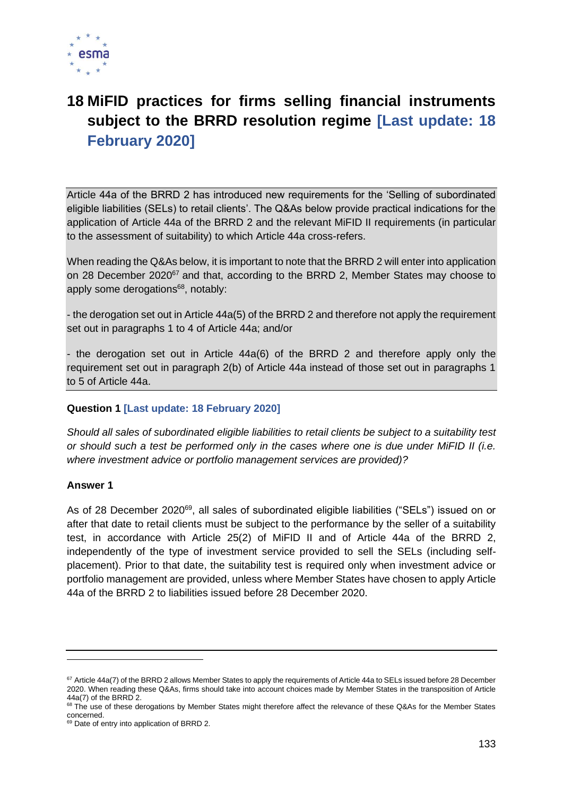

# **18 MiFID practices for firms selling financial instruments subject to the BRRD resolution regime [Last update: 18 February 2020]**

Article 44a of the BRRD 2 has introduced new requirements for the 'Selling of subordinated eligible liabilities (SELs) to retail clients'. The Q&As below provide practical indications for the application of Article 44a of the BRRD 2 and the relevant MiFID II requirements (in particular to the assessment of suitability) to which Article 44a cross-refers.

When reading the Q&As below, it is important to note that the BRRD 2 will enter into application on 28 December 2020<sup>67</sup> and that, according to the BRRD 2, Member States may choose to apply some derogations<sup>68</sup>, notably:

- the derogation set out in Article 44a(5) of the BRRD 2 and therefore not apply the requirement set out in paragraphs 1 to 4 of Article 44a; and/or

- the derogation set out in Article 44a(6) of the BRRD 2 and therefore apply only the requirement set out in paragraph 2(b) of Article 44a instead of those set out in paragraphs 1 to 5 of Article 44a.

## **Question 1 [Last update: 18 February 2020]**

*Should all sales of subordinated eligible liabilities to retail clients be subject to a suitability test or should such a test be performed only in the cases where one is due under MiFID II (i.e. where investment advice or portfolio management services are provided)?*

#### **Answer 1**

As of 28 December 2020<sup>69</sup>, all sales of subordinated eligible liabilities ("SELs") issued on or after that date to retail clients must be subject to the performance by the seller of a suitability test, in accordance with Article 25(2) of MiFID II and of Article 44a of the BRRD 2, independently of the type of investment service provided to sell the SELs (including selfplacement). Prior to that date, the suitability test is required only when investment advice or portfolio management are provided, unless where Member States have chosen to apply Article 44a of the BRRD 2 to liabilities issued before 28 December 2020.

<sup>&</sup>lt;sup>67</sup> Article 44a(7) of the BRRD 2 allows Member States to apply the requirements of Article 44a to SELs issued before 28 December 2020. When reading these Q&As, firms should take into account choices made by Member States in the transposition of Article 44a(7) of the BRRD 2.

<sup>&</sup>lt;sup>68</sup> The use of these derogations by Member States might therefore affect the relevance of these Q&As for the Member States concerned.

<sup>&</sup>lt;sup>69</sup> Date of entry into application of BRRD 2.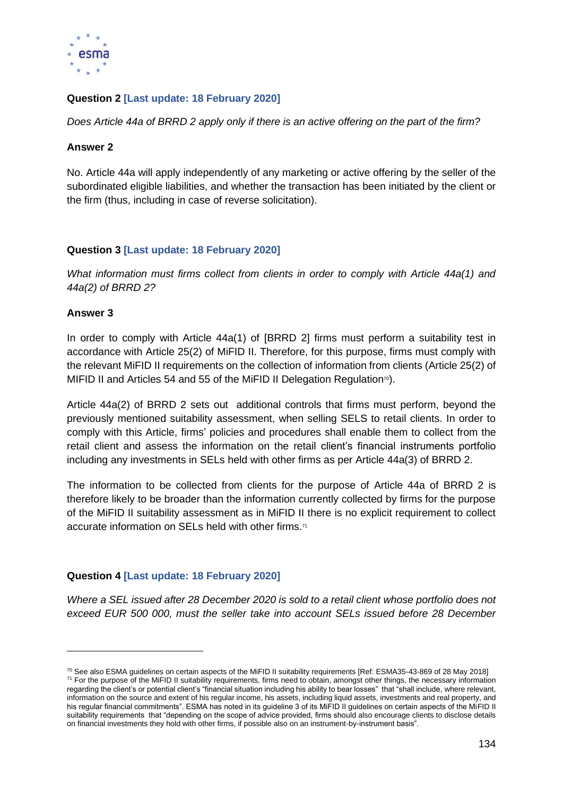

## **Question 2 [Last update: 18 February 2020]**

*Does Article 44a of BRRD 2 apply only if there is an active offering on the part of the firm?*

### **Answer 2**

No. Article 44a will apply independently of any marketing or active offering by the seller of the subordinated eligible liabilities, and whether the transaction has been initiated by the client or the firm (thus, including in case of reverse solicitation).

## **Question 3 [Last update: 18 February 2020]**

*What information must firms collect from clients in order to comply with Article 44a(1) and 44a(2) of BRRD 2?*

### **Answer 3**

In order to comply with Article 44a(1) of [BRRD 2] firms must perform a suitability test in accordance with Article 25(2) of MiFID II. Therefore, for this purpose, firms must comply with the relevant MiFID II requirements on the collection of information from clients (Article 25(2) of MIFID II and Articles 54 and 55 of the MiFID II Delegation Regulation<sup>70</sup>).

Article 44a(2) of BRRD 2 sets out additional controls that firms must perform, beyond the previously mentioned suitability assessment, when selling SELS to retail clients. In order to comply with this Article, firms' policies and procedures shall enable them to collect from the retail client and assess the information on the retail client's financial instruments portfolio including any investments in SELs held with other firms as per Article 44a(3) of BRRD 2.

The information to be collected from clients for the purpose of Article 44a of BRRD 2 is therefore likely to be broader than the information currently collected by firms for the purpose of the MiFID II suitability assessment as in MiFID II there is no explicit requirement to collect accurate information on SELs held with other firms.<sup>71</sup>

#### **Question 4 [Last update: 18 February 2020]**

*Where a SEL issued after 28 December 2020 is sold to a retail client whose portfolio does not exceed EUR 500 000, must the seller take into account SELs issued before 28 December* 

 $70$  See also ESMA guidelines on certain aspects of the MiFID II suitability requirements [Ref: ESMA35-43-869 of 28 May 2018]

<sup>71</sup> For the purpose of the MiFID II suitability requirements, firms need to obtain, amongst other things, the necessary information regarding the client's or potential client's "financial situation including his ability to bear losses" that "shall include, where relevant, information on the source and extent of his regular income, his assets, including liquid assets, investments and real property, and his regular financial commitments". ESMA has noted in its guideline 3 of its MiFID II guidelines on certain aspects of the MiFID II suitability requirements that "depending on the scope of advice provided, firms should also encourage clients to disclose details on financial investments they hold with other firms, if possible also on an instrument-by-instrument basis".